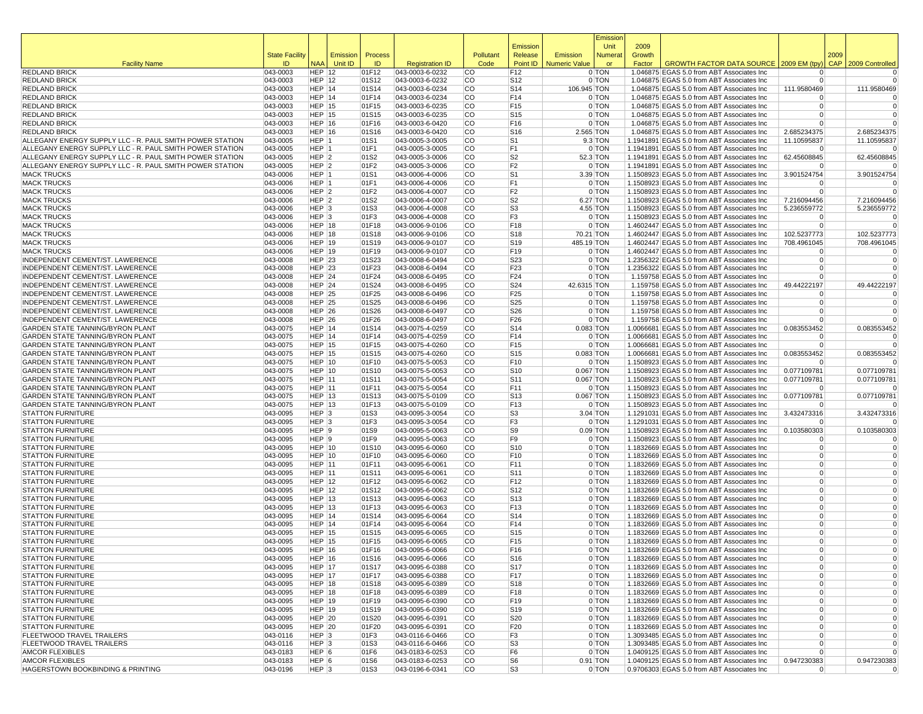|                                                                                                                      |                       |                                      |                 |                |                                        |                        |                                    |                      | Emission             |                |                                                                                           |                                  |            |                            |
|----------------------------------------------------------------------------------------------------------------------|-----------------------|--------------------------------------|-----------------|----------------|----------------------------------------|------------------------|------------------------------------|----------------------|----------------------|----------------|-------------------------------------------------------------------------------------------|----------------------------------|------------|----------------------------|
|                                                                                                                      | <b>State Facility</b> |                                      | <b>Emission</b> | Process        |                                        | Pollutant              | Emission<br>Release                | Emission             | Unit<br>Numera       | 2009<br>Growth |                                                                                           |                                  | 2009       |                            |
| <b>Facility Name</b>                                                                                                 | ID                    | <b>NAA</b>                           | Unit ID         | ID             | <b>Registration ID</b>                 | Code                   | Point ID                           | <b>Numeric Value</b> | or                   | Factor         | <b>GROWTH FACTOR DATA SOURCE</b>                                                          | 2009 EM (tpy)                    | <b>CAP</b> | 2009 Controlled            |
| <b>REDLAND BRICK</b>                                                                                                 | 043-0003              | <b>HEP 12</b>                        |                 | 01F12          | 043-0003-6-0232                        | lCO                    | F <sub>12</sub>                    |                      | $0$ TON              |                | 1.046875 EGAS 5.0 from ABT Associates Inc                                                 | $\Omega$                         |            | 0                          |
| <b>REDLAND BRICK</b>                                                                                                 | 043-0003              | <b>HEP 12</b>                        |                 | 01S12          | 043-0003-6-0232                        | <b>CO</b>              | S12                                |                      | 0 TON                |                | 1.046875 EGAS 5.0 from ABT Associates Inc                                                 | $\Omega$                         |            | $\Omega$                   |
| <b>REDLAND BRICK</b><br><b>REDLAND BRICK</b>                                                                         | 043-0003<br>043-0003  | $HEP$ 14<br>HEP 14                   |                 | 01S14<br>01F14 | 043-0003-6-0234<br>043-0003-6-0234     | <b>CO</b><br><b>CO</b> | S14<br>F14                         | 106.945 TON          | 0 TON                |                | 1.046875 EGAS 5.0 from ABT Associates Inc<br>1.046875 EGAS 5.0 from ABT Associates Inc    | 111.9580469<br>$\Omega$          |            | 111.9580469                |
| <b>REDLAND BRICK</b>                                                                                                 | 043-0003              | HEP $ 15$                            |                 | 01F15          | 043-0003-6-0235                        | <b>CO</b>              | F15                                |                      | 0 TON                |                | 1.046875 EGAS 5.0 from ABT Associates Inc                                                 | $\Omega$                         |            | $\overline{0}$             |
| <b>REDLAND BRICK</b>                                                                                                 | 043-0003              | <b>HEP 15</b>                        |                 | 01S15          | 043-0003-6-0235                        | <b>CO</b>              | S <sub>15</sub>                    |                      | 0 TON                |                | 1.046875 EGAS 5.0 from ABT Associates Inc                                                 | $\Omega$                         |            | $\overline{0}$             |
| <b>REDLAND BRICK</b>                                                                                                 | 043-0003              | <b>HEP 16</b>                        |                 | 01F16          | 043-0003-6-0420                        | <b>CO</b>              | F <sub>16</sub>                    |                      | 0 TON                |                | 1.046875 EGAS 5.0 from ABT Associates Inc                                                 |                                  |            |                            |
| <b>REDLAND BRICK</b>                                                                                                 | 043-0003              | <b>HEP 16</b>                        |                 | 01S16          | 043-0003-6-0420                        | lCO                    | S <sub>16</sub>                    |                      | 2.565 TON            |                | 1.046875 EGAS 5.0 from ABT Associates Inc                                                 | 2.685234375                      |            | 2.685234375                |
| ALLEGANY ENERGY SUPPLY LLC - R. PAUL SMITH POWER STATION<br>ALLEGANY ENERGY SUPPLY LLC - R. PAUL SMITH POWER STATION | 043-0005<br>043-0005  | $HEP$ 1<br>HEP 1                     |                 | 01S1<br>01F1   | 043-0005-3-0005<br>043-0005-3-0005     | lCO<br><b>CO</b>       | S1<br>F1                           |                      | $9.3$ TON<br>0 TON   |                | 1.1941891 EGAS 5.0 from ABT Associates Inc<br>1.1941891 EGAS 5.0 from ABT Associates Inc  | 11.10595837<br>$\Omega$          |            | 11.10595837<br>0           |
| ALLEGANY ENERGY SUPPLY LLC - R. PAUL SMITH POWER STATION                                                             | 043-0005              | HEP <sub>2</sub>                     |                 | 01S2           | 043-0005-3-0006                        | <b>CO</b>              | S <sub>2</sub>                     |                      | 52.3 TON             |                | 1.1941891 EGAS 5.0 from ABT Associates Inc                                                | 62.45608845                      |            | 62.45608845                |
| ALLEGANY ENERGY SUPPLY LLC - R. PAUL SMITH POWER STATION                                                             | 043-0005              | HEP 2                                |                 | 01F2           | 043-0005-3-0006                        | <b>CO</b>              | F2                                 |                      | 0 TON                |                | 1.1941891 EGAS 5.0 from ABT Associates Inc                                                | $\Omega$                         |            |                            |
| <b>MACK TRUCKS</b>                                                                                                   | 043-0006              | HEP 1                                |                 | 01S1           | 043-0006-4-0006                        | <b>CO</b>              | S <sub>1</sub>                     |                      | 3.39 TON             |                | 1.1508923 EGAS 5.0 from ABT Associates Inc.                                               | 3.901524754                      |            | 3.901524754                |
| <b>MACK TRUCKS</b>                                                                                                   | 043-0006              | HEP 1                                |                 | 01F1           | 043-0006-4-0006                        | <b>CO</b>              | F <sub>1</sub>                     |                      | 0 TON                |                | 1.1508923 EGAS 5.0 from ABT Associates Inc                                                |                                  |            |                            |
| <b>MACK TRUCKS</b>                                                                                                   | 043-0006              | HEP <sub>2</sub>                     |                 | 01F2           | 043-0006-4-0007                        | <b>CO</b>              | F <sub>2</sub>                     |                      | 0 TON                |                | 1.1508923 EGAS 5.0 from ABT Associates Inc                                                | $\Omega$                         |            | $\Omega$                   |
| <b>MACK TRUCKS</b><br><b>MACK TRUCKS</b>                                                                             | 043-0006<br>043-0006  | HEP <sub>2</sub><br>HEP <sub>3</sub> |                 | 01S2<br>01S3   | 043-0006-4-0007<br>043-0006-4-0008     | lCO<br>lCO             | S <sub>2</sub><br>S3               |                      | 6.27 TON<br>4.55 TON |                | 1.1508923 EGAS 5.0 from ABT Associates Inc<br>1.1508923 EGAS 5.0 from ABT Associates Inc  | 7.216094456<br>5.236559772       |            | 7.216094456<br>5.236559772 |
| <b>MACK TRUCKS</b>                                                                                                   | 043-0006              | HEP <sub>3</sub>                     |                 | 01F3           | 043-0006-4-0008                        | <b>CO</b>              | F3                                 |                      | 0 TON                |                | 1.1508923 EGAS 5.0 from ABT Associates Inc                                                | $\Omega$                         |            | 0                          |
| <b>MACK TRUCKS</b>                                                                                                   | 043-0006              | <b>HEP 18</b>                        |                 | 01F18          | 043-0006-9-0106                        | <b>CO</b>              | F <sub>18</sub>                    |                      | 0 TON                |                | 1.4602447 EGAS 5.0 from ABT Associates Inc                                                | $\Omega$                         |            | $\Omega$                   |
| <b>MACK TRUCKS</b>                                                                                                   | 043-0006              | <b>HEP 18</b>                        |                 | 01S18          | 043-0006-9-0106                        | <b>CO</b>              | S18                                |                      | 70.21 TON            |                | 1.4602447 EGAS 5.0 from ABT Associates Inc                                                | 102.5237773                      |            | 102.5237773                |
| <b>MACK TRUCKS</b>                                                                                                   | 043-0006              | <b>HEP 19</b>                        |                 | 01S19          | 043-0006-9-0107                        | <b>CO</b>              | S19                                | 485.19 TON           |                      |                | 1.4602447 EGAS 5.0 from ABT Associates Inc                                                | 708.4961045                      |            | 708.4961045                |
| <b>MACK TRUCKS</b><br>INDEPENDENT CEMENT/ST. LAWERENCE                                                               | 043-0006<br>043-0008  | <b>HEP 19</b><br><b>HEP 23</b>       |                 | 01F19          | 043-0006-9-0107<br>043-0008-6-0494     | <b>CO</b><br><b>CO</b> | F19<br>S23                         |                      | 0 TON<br>0 TON       |                | 1.4602447 EGAS 5.0 from ABT Associates Inc                                                | $\Omega$<br>$\Omega$             |            | $\mathbf 0$                |
| INDEPENDENT CEMENT/ST. LAWERENCE                                                                                     | 043-0008              | <b>HEP 23</b>                        |                 | 01S23<br>01F23 | 043-0008-6-0494                        | <b>CO</b>              | F <sub>23</sub>                    |                      | 0 TON                |                | 1.2356322 EGAS 5.0 from ABT Associates Inc<br>1.2356322 EGAS 5.0 from ABT Associates Inc. | $\Omega$                         |            | $\overline{0}$             |
| INDEPENDENT CEMENT/ST. LAWERENCE                                                                                     | 043-0008              | <b>HEP 24</b>                        |                 | 01F24          | 043-0008-6-0495                        | lCO                    | F24                                |                      | 0 TON                |                | 1.159758 EGAS 5.0 from ABT Associates Inc                                                 | $\Omega$                         |            | $\Omega$                   |
| INDEPENDENT CEMENT/ST. LAWERENCE                                                                                     | 043-0008              | <b>HEP 24</b>                        |                 | 01S24          | 043-0008-6-0495                        | lCO                    | S24                                | 42.6315 TON          |                      |                | 1.159758 EGAS 5.0 from ABT Associates Inc                                                 | 49.44222197                      |            | 49.44222197                |
| INDEPENDENT CEMENT/ST. LAWERENCE                                                                                     | 043-0008              | <b>HEP 25</b>                        |                 | 01F25          | 043-0008-6-0496                        | <b>CO</b>              | F <sub>25</sub>                    |                      | 0 TON                |                | 1.159758 EGAS 5.0 from ABT Associates Inc                                                 | $\Omega$                         |            |                            |
| INDEPENDENT CEMENT/ST. LAWERENCE                                                                                     | 043-0008              | HEP $ 25$                            |                 | 01S25          | 043-0008-6-0496                        | <b>CO</b>              | S <sub>25</sub>                    |                      | 0 TON                |                | 1.159758 EGAS 5.0 from ABT Associates Inc                                                 | $\overline{0}$                   |            | 0                          |
| INDEPENDENT CEMENT/ST. LAWERENCE<br>INDEPENDENT CEMENT/ST. LAWERENCE                                                 | 043-0008<br>043-0008  | <b>HEP 26</b><br><b>HEP 26</b>       |                 | 01S26<br>01F26 | 043-0008-6-0497<br>043-0008-6-0497     | <b>CO</b><br><b>CO</b> | S26<br>F26                         |                      | 0 TON<br>0 TON       |                | 1.159758 EGAS 5.0 from ABT Associates Inc<br>1.159758 EGAS 5.0 from ABT Associates Inc    | $\Omega$<br>$\Omega$             |            | $\overline{0}$             |
| <b>GARDEN STATE TANNING/BYRON PLANT</b>                                                                              | 043-0075              | HEP 14                               |                 | 01S14          | 043-0075-4-0259                        | <b>CO</b>              | S <sub>14</sub>                    |                      | $0.083$ TON          |                | 1.0066681 EGAS 5.0 from ABT Associates Inc                                                | 0.083553452                      |            | 0.083553452                |
| <b>GARDEN STATE TANNING/BYRON PLANT</b>                                                                              | 043-0075              | $HEP$ 14                             |                 | 01F14          | 043-0075-4-0259                        | <b>CO</b>              | F14                                |                      | 0 TON                |                | 1.0066681 EGAS 5.0 from ABT Associates Inc                                                | $\Omega$                         |            |                            |
| GARDEN STATE TANNING/BYRON PLANT                                                                                     | 043-0075              | <b>HEP 15</b>                        |                 | 01F15          | 043-0075-4-0260                        | <b>CO</b>              | F15                                |                      | 0 TON                |                | 1.0066681 EGAS 5.0 from ABT Associates Inc                                                | $\overline{0}$                   |            | 0                          |
| GARDEN STATE TANNING/BYRON PLANT                                                                                     | 043-0075              | <b>HEP 15</b>                        |                 | 01S15          | 043-0075-4-0260                        | <b>CO</b>              | S15                                |                      | $0.083$ TON          |                | 1.0066681 EGAS 5.0 from ABT Associates Inc                                                | 0.083553452                      |            | 0.083553452                |
| GARDEN STATE TANNING/BYRON PLANT<br>GARDEN STATE TANNING/BYRON PLANT                                                 | 043-0075<br>043-0075  | <b>HEP 10</b><br><b>HEP 10</b>       |                 | 01F10<br>01S10 | 043-0075-5-0053<br>043-0075-5-0053     | <b>CO</b><br><b>CO</b> | F10<br>S <sub>10</sub>             |                      | 0 TON<br>0.067 TON   |                | 1.1508923 EGAS 5.0 from ABT Associates Inc<br>1.1508923 EGAS 5.0 from ABT Associates Inc  | $\Omega$<br>0.077109781          |            | 0.077109781                |
| GARDEN STATE TANNING/BYRON PLANT                                                                                     | 043-0075              | <b>HEP 11</b>                        |                 | 01S11          | 043-0075-5-0054                        | <b>CO</b>              | S <sub>11</sub>                    |                      | $0.067$ TON          |                | 1.1508923 EGAS 5.0 from ABT Associates Inc                                                | 0.077109781                      |            | 0.077109781                |
| <b>GARDEN STATE TANNING/BYRON PLANT</b>                                                                              | 043-0075              | <b>HEP 11</b>                        |                 | 01F11          | 043-0075-5-0054                        | <b>CO</b>              | F11                                |                      | 0 TON                |                | 1.1508923 EGAS 5.0 from ABT Associates Inc                                                | $\Omega$                         |            | 0                          |
| GARDEN STATE TANNING/BYRON PLANT                                                                                     | 043-0075              | <b>HEP 13</b>                        |                 | 01S13          | 043-0075-5-0109                        | <b>CO</b>              | S13                                |                      | $0.067$ TON          |                | 1.1508923 EGAS 5.0 from ABT Associates Inc                                                | 0.077109781                      |            | 0.077109781                |
| GARDEN STATE TANNING/BYRON PLANT                                                                                     | 043-0075              | <b>HEP 13</b>                        |                 | 01F13          | 043-0075-5-0109                        | <b>CO</b>              | F <sub>13</sub>                    |                      | 0 TON                |                | 1.1508923 EGAS 5.0 from ABT Associates Inc                                                | $\Omega$                         |            |                            |
| <b>STATTON FURNITURE</b>                                                                                             | 043-0095              | $HEP$ 3                              |                 | 01S3           | 043-0095-3-0054                        | lCO                    | S3                                 |                      | $3.04$ TON           |                | 1.1291031 EGAS 5.0 from ABT Associates Inc                                                | 3.432473316                      |            | 3.432473316                |
| <b>STATTON FURNITURE</b><br><b>STATTON FURNITURE</b>                                                                 | 043-0095<br>043-0095  | HEP <sub>3</sub><br>HEP 9            |                 | 01F3<br>01S9   | 043-0095-3-0054<br>043-0095-5-0063     | <b>CO</b><br><b>CO</b> | F3<br>S9                           |                      | 0 TON<br>$0.09$ TON  |                | 1.1291031 EGAS 5.0 from ABT Associates Inc<br>1.1508923 EGAS 5.0 from ABT Associates Inc  | $\Omega$<br>0.103580303          |            | 0.103580303                |
| <b>STATTON FURNITURE</b>                                                                                             | 043-0095              | HEP 9                                |                 | 01F9           | 043-0095-5-0063                        | <b>CO</b>              | F9                                 |                      | 0 TON                |                | 1.1508923 EGAS 5.0 from ABT Associates Inc                                                | $\overline{0}$                   |            | 0                          |
| <b>STATTON FURNITURE</b>                                                                                             | 043-0095              | <b>HEP 10</b>                        |                 | 01S10          | 043-0095-6-0060                        | <b>CO</b>              | S <sub>10</sub>                    |                      | 0 TON                |                | 1.1832669 EGAS 5.0 from ABT Associates Inc                                                | $\overline{0}$                   |            | $\overline{0}$             |
| <b>STATTON FURNITURE</b>                                                                                             | 043-0095              | <b>HEP 10</b>                        |                 | 01F10          | 043-0095-6-0060                        | <b>CO</b>              | F10                                |                      | 0 TON                |                | 1.1832669 EGAS 5.0 from ABT Associates Inc                                                | $\Omega$                         |            | $\Omega$                   |
| <b>STATTON FURNITURE</b>                                                                                             | 043-0095              | <b>HEP 11</b>                        |                 | 01F11          | 043-0095-6-0061                        | <b>CO</b>              | F11                                |                      | 0 TON                |                | 1.1832669 EGAS 5.0 from ABT Associates Inc                                                | $\Omega$                         |            | 0                          |
| <b>STATTON FURNITURE</b><br><b>STATTON FURNITURE</b>                                                                 | 043-0095<br>043-0095  | <b>HEP 11</b><br><b>HEP 12</b>       |                 | 01S11<br>01F12 | 043-0095-6-0061<br>043-0095-6-0062     | <b>CO</b><br>lCO       | S <sub>11</sub><br>F <sub>12</sub> |                      | 0 TON<br>0 TON       |                | 1.1832669 EGAS 5.0 from ABT Associates Inc<br>1.1832669 EGAS 5.0 from ABT Associates Inc  | $\Omega$<br>$\overline{0}$       |            | $\mathbf 0$<br>0           |
| <b>STATTON FURNITURE</b>                                                                                             | 043-0095              | HEP $ 12$                            |                 | 01S12          | 043-0095-6-0062                        | lCO                    | S <sub>12</sub>                    |                      | 0 TON                |                | 1.1832669 EGAS 5.0 from ABT Associates Inc                                                | $\Omega$                         |            | $\Omega$                   |
| <b>STATTON FURNITURE</b>                                                                                             | 043-0095              | <b>HEP 13</b>                        |                 | 01S13          | 043-0095-6-0063                        | <b>CO</b>              | S <sub>13</sub>                    |                      | 0 TON                |                | 1.1832669 EGAS 5.0 from ABT Associates Inc                                                | $\Omega$                         |            | $\Omega$                   |
| <b>STATTON FURNITURE</b>                                                                                             | 043-0095              | <b>HEP 13</b>                        |                 | 01F13          | 043-0095-6-0063                        | <b>CO</b>              | F13                                |                      | 0 TON                |                | 1.1832669 EGAS 5.0 from ABT Associates Inc                                                | $\Omega$                         |            | $\Omega$                   |
| <b>STATTON FURNITURE</b>                                                                                             | 043-0095              | <b>HEP 14</b>                        |                 | 01S14          | 043-0095-6-0064                        | <b>CO</b>              | S14                                |                      | 0 TON                |                | 1.1832669 EGAS 5.0 from ABT Associates Inc                                                | $\overline{0}$                   |            | 0                          |
| <b>STATTON FURNITURE</b><br><b>STATTON FURNITURE</b>                                                                 | 043-0095              | $HEP$  14                            |                 | 01F14          | 043-0095-6-0064<br>043-0095-6-0065     | <b>CO</b>              | F14                                |                      | 0 TON                |                | 1.1832669 EGAS 5.0 from ABT Associates Inc.                                               | $\Omega$<br>$\Omega$             |            |                            |
| <b>STATTON FURNITURE</b>                                                                                             | 043-0095<br>043-0095  | <b>HEP 15</b><br><b>HEP 15</b>       |                 | 01S15<br>01F15 | 043-0095-6-0065                        | <b>CO</b><br><b>CO</b> | S <sub>15</sub><br>F15             |                      | 0 TON<br>0 TON       |                | 1.1832669 EGAS 5.0 from ABT Associates Inc<br>1.1832669 EGAS 5.0 from ABT Associates Inc  | $\Omega$                         |            | $\mathbf 0$                |
| <b>STATTON FURNITURE</b>                                                                                             | 043-0095              | HEP $ 16$                            |                 | 01F16          | 043-0095-6-0066                        | <b>CO</b>              | F <sub>16</sub>                    |                      | 0 TON                |                | 1.1832669 EGAS 5.0 from ABT Associates Inc                                                | $\Omega$                         |            | $\Omega$                   |
| <b>STATTON FURNITURE</b>                                                                                             | 043-0095              | HEP $ 16$                            |                 | 01S16          | 043-0095-6-0066                        | lCO                    | S <sub>16</sub>                    |                      | 0 TON                |                | 1.1832669 EGAS 5.0 from ABT Associates Inc                                                | υ                                |            |                            |
| <b>STATTON FURNITURE</b>                                                                                             | 043-0095              | <b>HEP 17</b>                        |                 | 01S17          | 043-0095-6-0388                        | lCO                    | S <sub>17</sub>                    |                      | $0$ TON              |                | 1.1832669 EGAS 5.0 from ABT Associates Inc                                                | $\overline{0}$                   |            | 0                          |
| <b>STATTON FURNITURE</b>                                                                                             | 043-0095              | <b>HEP 17</b>                        |                 | 01F17          | 043-0095-6-0388                        | lCO                    | F17                                |                      | $0$ TON              |                | 1.1832669 EGAS 5.0 from ABT Associates Inc                                                | $\overline{0}$                   |            | 0                          |
| <b>STATTON FURNITURE</b><br><b>STATTON FURNITURE</b>                                                                 | 043-0095<br>043-0095  | <b>HEP 18</b><br><b>HEP 18</b>       |                 | 01S18<br>01F18 | 043-0095-6-0389                        | lCO<br><b>CO</b>       | S <sub>18</sub><br>F18             |                      | $0$ TON<br>0 TON     |                | 1.1832669 EGAS 5.0 from ABT Associates Inc<br>1.1832669 EGAS 5.0 from ABT Associates Inc  | $\overline{0}$<br>$\overline{0}$ |            | 0<br>0                     |
| <b>STATTON FURNITURE</b>                                                                                             | 043-0095              | <b>HEP 19</b>                        |                 | 01F19          | $ 043-0095-6-0389 $<br>043-0095-6-0390 | <b>CO</b>              | F19                                |                      | 0 TON                |                | 1.1832669 EGAS 5.0 from ABT Associates Inc                                                | $\overline{0}$                   |            | 0                          |
| <b>STATTON FURNITURE</b>                                                                                             | 043-0095              | HEP   19                             |                 | 01S19          | 043-0095-6-0390                        | <b>CO</b>              | S19                                |                      | 0 TON                |                | 1.1832669 EGAS 5.0 from ABT Associates Inc                                                | $\overline{0}$                   |            |                            |
| <b>STATTON FURNITURE</b>                                                                                             | 043-0095              | <b>HEP 20</b>                        |                 | 01S20          | 043-0095-6-0391                        | <b>CO</b>              | S20                                |                      | 0 TON                |                | 1.1832669 EGAS 5.0 from ABT Associates Inc                                                | $\overline{0}$                   |            | $\overline{0}$             |
| <b>STATTON FURNITURE</b>                                                                                             | 043-0095              | <b>HEP 20</b>                        |                 | 01F20          | 043-0095-6-0391                        | lCO                    | F <sub>20</sub>                    |                      | $0$ TON              |                | 1.1832669 EGAS 5.0 from ABT Associates Inc                                                | $\overline{0}$                   |            | 0                          |
| <b>FLEETWOOD TRAVEL TRAILERS</b>                                                                                     | 043-0116              | HEP <sub>3</sub>                     |                 | 01F3           | 043-0116-6-0466                        | lCO                    | F <sub>3</sub>                     |                      | 0 TON                |                | 1.3093485 EGAS 5.0 from ABT Associates Inc                                                | $\overline{0}$                   |            | $\mathbf 0$                |
| <b>FLEETWOOD TRAVEL TRAILERS</b><br><b>AMCOR FLEXIBLES</b>                                                           | 043-0116<br>043-0183  | $HEP$ 3<br>HEP 6                     |                 | 01S3<br>01F6   | 043-0116-6-0466<br>043-0183-6-0253     | lCO<br>lCO             | S <sub>3</sub><br>F6               |                      | $0$ TON<br>$0$ TON   |                | 1.3093485 EGAS 5.0 from ABT Associates Inc<br>1.0409125 EGAS 5.0 from ABT Associates Inc  | $\overline{0}$<br>$\overline{0}$ |            | $\mathbf 0$<br>$\Omega$    |
| <b>AMCOR FLEXIBLES</b>                                                                                               | 043-0183              | HEP 6                                |                 | 01S6           | 043-0183-6-0253                        | lCO                    | S6                                 |                      | $0.91$ TON           |                | 1.0409125 EGAS 5.0 from ABT Associates Inc                                                | 0.947230383                      |            | 0.947230383                |
| HAGERSTOWN BOOKBINDING & PRINTING                                                                                    | 043-0196              | HEP <sub>3</sub>                     |                 | 01S3           | 043-0196-6-0341                        | lCO                    | S3                                 |                      | $0$ TON              |                | 0.9706303 EGAS 5.0 from ABT Associates Inc                                                | 0                                |            | 0                          |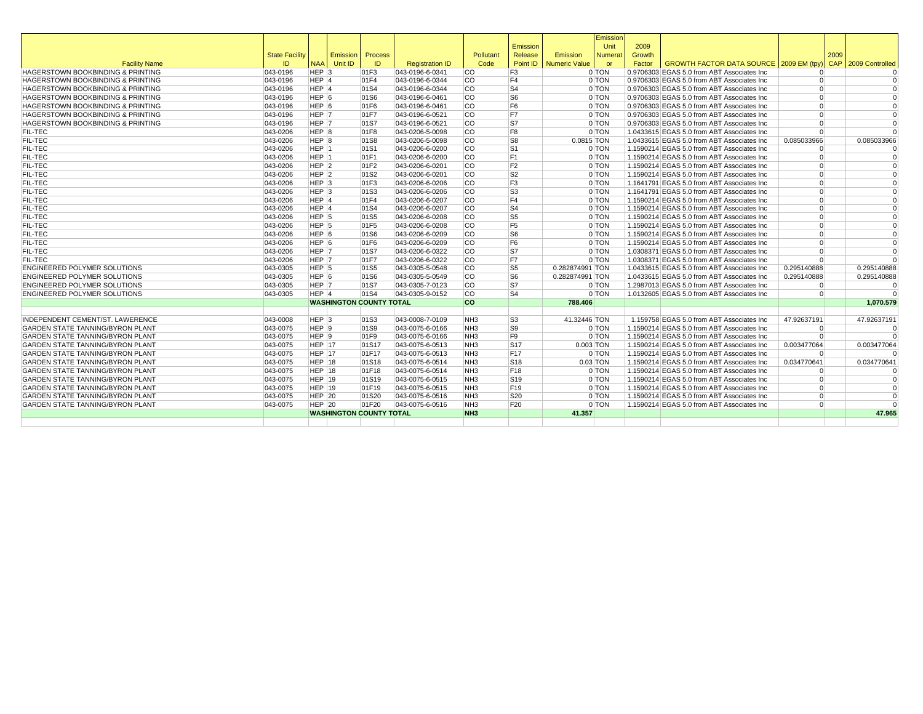|                                              |                       |                    |                                |         |                        |                 |                 |                        | Emission   |        |                                             |                |      |                     |
|----------------------------------------------|-----------------------|--------------------|--------------------------------|---------|------------------------|-----------------|-----------------|------------------------|------------|--------|---------------------------------------------|----------------|------|---------------------|
|                                              |                       |                    |                                |         |                        |                 | Emission        |                        | Unit       | 2009   |                                             |                |      |                     |
|                                              | <b>State Facility</b> |                    | <b>Emission</b>                | Process |                        | Pollutant       | Release         | Emission               | Numerat    | Growth |                                             |                | 2009 |                     |
| <b>Facility Name</b>                         | ID                    | <b>NAA</b>         | Unit ID                        | ID      | <b>Registration ID</b> | Code            |                 | Point ID Numeric Value | <b>or</b>  | Factor | GROWTH FACTOR DATA SOURCE 2009 EM (tpy)     |                |      | CAP 2009 Controlled |
| HAGERSTOWN BOOKBINDING & PRINTING            | 043-0196              | HEP <sub>3</sub>   |                                | 01F3    | 043-0196-6-0341        | ICO.            | F <sub>3</sub>  |                        | 0 TON      |        | 0.9706303 EGAS 5.0 from ABT Associates Inc  | $\Omega$       |      |                     |
| <b>HAGERSTOWN BOOKBINDING &amp; PRINTING</b> | 043-0196              | HEP <sub>1</sub>   |                                | 01F4    | 043-0196-6-0344        | <b>CO</b>       | F <sub>4</sub>  |                        | 0 TON      |        | 0.9706303 EGAS 5.0 from ABT Associates Inc  | $\Omega$       |      | $\Omega$            |
| HAGERSTOWN BOOKBINDING & PRINTING            | 043-0196              | HEP 4              |                                | 01S4    | 043-0196-6-0344        | <b>CO</b>       | S <sub>4</sub>  |                        | 0 TON      |        | 0.9706303 EGAS 5.0 from ABT Associates Inc  | $\Omega$       |      | $\Omega$            |
| <b>HAGERSTOWN BOOKBINDING &amp; PRINTING</b> | 043-0196              | HEP <sub>6</sub>   |                                | 01S6    | 043-0196-6-0461        | <b>CO</b>       | S <sub>6</sub>  |                        | 0 TON      |        | 0.9706303 EGAS 5.0 from ABT Associates Inc  | $\overline{0}$ |      | $\Omega$            |
| HAGERSTOWN BOOKBINDING & PRINTING            | 043-0196              | HEP 6              |                                | 01F6    | 043-0196-6-0461        | lco             | F <sub>6</sub>  |                        | 0 TON      |        | 0.9706303 EGAS 5.0 from ABT Associates Inc  | $\Omega$       |      | $\Omega$            |
| <b>HAGERSTOWN BOOKBINDING &amp; PRINTING</b> | 043-0196              | HEP <sub>7</sub>   |                                | 01F7    | 043-0196-6-0521        | <b>CO</b>       | F7              |                        | 0 TON      |        | 0.9706303 EGAS 5.0 from ABT Associates Inc  | $\Omega$       |      | $\Omega$            |
| HAGERSTOWN BOOKBINDING & PRINTING            | 043-0196              | HEP 7              |                                | 01S7    | 043-0196-6-0521        | lco             | ls7             |                        | 0 TON      |        | 0.9706303 EGAS 5.0 from ABT Associates Inc  | $\overline{0}$ |      | $\Omega$            |
| <b>FIL-TEC</b>                               | 043-0206              | HEP 8              |                                | 01F8    | 043-0206-5-0098        | <b>CO</b>       | F8              |                        | 0 TON      |        | 1.0433615 EGAS 5.0 from ABT Associates Inc  | $\Omega$       |      | $\Omega$            |
| <b>FIL-TEC</b>                               | 043-0206              | HEP <sub>8</sub>   |                                | 01S8    | 043-0206-5-0098        | lco             | S <sub>8</sub>  | $0.0815$ TON           |            |        | 1.0433615 EGAS 5.0 from ABT Associates Inc  | 0.085033966    |      | 0.085033966         |
| <b>FIL-TEC</b>                               | 043-0206              | HEP <sub>1</sub>   |                                | 01S1    | 043-0206-6-0200        | <b>CO</b>       | S <sub>1</sub>  |                        | 0 TON      |        | 1.1590214 EGAS 5.0 from ABT Associates Inc  | $\Omega$       |      | $\Omega$            |
| <b>FIL-TEC</b>                               | 043-0206              | HEP 1              |                                | 01F1    | 043-0206-6-0200        | <b>CO</b>       | F <sub>1</sub>  |                        | 0 TON      |        | 1.1590214 EGAS 5.0 from ABT Associates Inc  | $\Omega$       |      | $\Omega$            |
| <b>FIL-TEC</b>                               | 043-0206              | $HEP$ <sup>2</sup> |                                | 01F2    | 043-0206-6-0201        | <b>CO</b>       | F <sub>2</sub>  |                        | 0 TON      |        | 1.1590214 EGAS 5.0 from ABT Associates Inc  | $\Omega$       |      | $\Omega$            |
| <b>FIL-TEC</b>                               | 043-0206              | HEP <sub>2</sub>   |                                | 01S2    | 043-0206-6-0201        | <b>CO</b>       | S <sub>2</sub>  |                        | 0 TON      |        | 1.1590214 EGAS 5.0 from ABT Associates Inc  | $\Omega$       |      | $\Omega$            |
| <b>FIL-TEC</b>                               | 043-0206              | $HEP$ <sup>3</sup> |                                | 01F3    | 043-0206-6-0206        | <b>CO</b>       | F <sub>3</sub>  |                        | 0 TON      |        | 1.1641791 EGAS 5.0 from ABT Associates Inc  | $\Omega$       |      | $\Omega$            |
| <b>FIL-TEC</b>                               | 043-0206              | $HEP$ <sub>3</sub> |                                | 01S3    | 043-0206-6-0206        | lco             | ls3             |                        | 0 TON      |        | 1.1641791 EGAS 5.0 from ABT Associates Inc  | $\Omega$       |      | $\Omega$            |
| <b>FIL-TEC</b>                               | 043-0206              | HEP 4              |                                | 01F4    | 043-0206-6-0207        | <b>CO</b>       | F <sub>4</sub>  |                        | 0 TON      |        | 1.1590214 EGAS 5.0 from ABT Associates Inc  | $\overline{0}$ |      | $\Omega$            |
| <b>FIL-TEC</b>                               | 043-0206              | HEP <sub>4</sub>   |                                | 01S4    | 043-0206-6-0207        | <b>CO</b>       | S <sub>4</sub>  |                        | 0 TON      |        | 1.1590214 EGAS 5.0 from ABT Associates Inc  | $\Omega$       |      | $\Omega$            |
| <b>FIL-TEC</b>                               | 043-0206              | HEP 5              |                                | 01S5    | 043-0206-6-0208        | <b>CO</b>       | S5              |                        | 0 TON      |        | 1.1590214 EGAS 5.0 from ABT Associates Inc  | $\Omega$       |      | $\Omega$            |
| <b>FIL-TEC</b>                               | 043-0206              | HEP <sub>5</sub>   |                                | 01F5    | 043-0206-6-0208        | <b>CO</b>       | F <sub>5</sub>  |                        | 0 TON      |        | 1.1590214 EGAS 5.0 from ABT Associates Inc  | $\Omega$       |      | $\Omega$            |
| <b>FIL-TEC</b>                               | 043-0206              | $HEP$ 6            |                                | 01S6    | 043-0206-6-0209        | <b>CO</b>       | S <sub>6</sub>  |                        | 0 TON      |        | 1.1590214 EGAS 5.0 from ABT Associates Inc  | $\overline{0}$ |      | $\mathbf 0$         |
| <b>FIL-TEC</b>                               | 043-0206              | HEP 6              |                                | 01F6    | 043-0206-6-0209        | <b>CO</b>       | F <sub>6</sub>  |                        | 0 TON      |        | 1.1590214 EGAS 5.0 from ABT Associates Inc  | $\Omega$       |      | $\Omega$            |
| <b>FIL-TEC</b>                               | 043-0206              | HEP 7              |                                | 01S7    | 043-0206-6-0322        | <b>CO</b>       | S7              |                        | 0 TON      |        | 1.0308371 EGAS 5.0 from ABT Associates Inc  | $\Omega$       |      | $\Omega$            |
| <b>FIL-TEC</b>                               | 043-0206              | HEP 7              |                                | 01F7    | 043-0206-6-0322        | <b>CO</b>       | F7              |                        | 0 TON      |        | 1.0308371 EGAS 5.0 from ABT Associates Inc  | $\Omega$       |      | $\Omega$            |
| <b>ENGINEERED POLYMER SOLUTIONS</b>          | 043-0305              | $HEP$ 5            |                                | 01S5    | 043-0305-5-0548        | lco             | S <sub>5</sub>  | 0.282874991 TON        |            |        | 1.0433615 EGAS 5.0 from ABT Associates Inc  | 0.295140888    |      | 0.295140888         |
| <b>ENGINEERED POLYMER SOLUTIONS</b>          | 043-0305              | HEP <sub>6</sub>   |                                | 01S6    | 043-0305-5-0549        | lco             | S <sub>6</sub>  | 0.282874991 TON        |            |        | 1.0433615 EGAS 5.0 from ABT Associates Inc  | 0.295140888    |      | 0.295140888         |
| <b>ENGINEERED POLYMER SOLUTIONS</b>          | 043-0305              | HEP 7              |                                | 01S7    | 043-0305-7-0123        | lco             | ls7             |                        | 0 TON      |        | 1.2987013 EGAS 5.0 from ABT Associates Inc. | $\Omega$       |      | $\Omega$            |
| <b>ENGINEERED POLYMER SOLUTIONS</b>          | 043-0305              | HEP 4              |                                | 01S4    | 043-0305-9-0152        | lco             | S <sub>4</sub>  |                        | 0 TON      |        | 1.0132605 EGAS 5.0 from ABT Associates Inc. | $\overline{0}$ |      | $\Omega$            |
|                                              |                       |                    | <b>WASHINGTON COUNTY TOTAL</b> |         |                        | <b>CO</b>       |                 | 788.406                |            |        |                                             |                |      | 1.070.579           |
|                                              |                       |                    |                                |         |                        |                 |                 |                        |            |        |                                             |                |      |                     |
| INDEPENDENT CEMENT/ST. LAWERENCE             | 043-0008              | HEP <sub>3</sub>   |                                | 01S3    | 043-0008-7-0109        | NH <sub>3</sub> | S <sub>3</sub>  | 41.32446 TON           |            |        | 1.159758 EGAS 5.0 from ABT Associates Inc.  | 47.92637191    |      | 47.92637191         |
| <b>GARDEN STATE TANNING/BYRON PLANT</b>      | 043-0075              | $HEP$ 9            |                                | 01S9    | 043-0075-6-0166        | NH <sub>3</sub> | S9              |                        | 0 TON      |        | 1.1590214 EGAS 5.0 from ABT Associates Inc  | $\Omega$       |      | $\Omega$            |
| <b>GARDEN STATE TANNING/BYRON PLANT</b>      | 043-0075              | HEP <sub>9</sub>   |                                | 01F9    | 043-0075-6-0166        | NH <sub>3</sub> | F9              |                        | 0 TON      |        | 1.1590214 EGAS 5.0 from ABT Associates Inc  | $\overline{0}$ |      | $\Omega$            |
| <b>GARDEN STATE TANNING/BYRON PLANT</b>      | 043-0075              | HEP 17             |                                | 01S17   | 043-0075-6-0513        | NH <sub>3</sub> | <b>S17</b>      | $0.003$ TON            |            |        | 1.1590214 EGAS 5.0 from ABT Associates Inc  | 0.003477064    |      | 0.003477064         |
| <b>GARDEN STATE TANNING/BYRON PLANT</b>      | 043-0075              | HEP 17             |                                | 01F17   | 043-0075-6-0513        | NH <sub>3</sub> | F17             |                        | 0 TON      |        | 1.1590214 EGAS 5.0 from ABT Associates Inc  | $\Omega$       |      | $\Omega$            |
| <b>GARDEN STATE TANNING/BYRON PLANT</b>      | 043-0075              | HEP 18             |                                | 01S18   | 043-0075-6-0514        | NH <sub>3</sub> | <b>S18</b>      |                        | $0.03$ TON |        | 1.1590214 EGAS 5.0 from ABT Associates Inc  | 0.034770641    |      | 0.034770641         |
| <b>GARDEN STATE TANNING/BYRON PLANT</b>      | 043-0075              | $HEP$ 18           |                                | 01F18   | 043-0075-6-0514        | NH <sub>3</sub> | F18             |                        | 0 TON      |        | 1.1590214 EGAS 5.0 from ABT Associates Inc  | $\Omega$       |      | $\Omega$            |
| <b>GARDEN STATE TANNING/BYRON PLANT</b>      | 043-0075              | HEP 19             |                                | 01S19   | 043-0075-6-0515        | NH <sub>3</sub> | S19             |                        | 0 TON      |        | 1.1590214 EGAS 5.0 from ABT Associates Inc  | $\overline{0}$ |      | $\Omega$            |
| <b>GARDEN STATE TANNING/BYRON PLANT</b>      | 043-0075              | <b>HEP 19</b>      |                                | 01F19   | 043-0075-6-0515        | NH <sub>3</sub> | F19             |                        | 0 TON      |        | 1.1590214 EGAS 5.0 from ABT Associates Inc  | $\Omega$       |      | $\Omega$            |
| <b>GARDEN STATE TANNING/BYRON PLANT</b>      | 043-0075              | $HEP$ 20           |                                | 01S20   | 043-0075-6-0516        | NH <sub>3</sub> | S20             |                        | 0 TON      |        | 1.1590214 EGAS 5.0 from ABT Associates Inc  | $\Omega$       |      | $\Omega$            |
| <b>GARDEN STATE TANNING/BYRON PLANT</b>      | 043-0075              | $HEP$ 20           |                                | 01F20   | 043-0075-6-0516        | NH <sub>3</sub> | F <sub>20</sub> |                        | 0 TON      |        | 1.1590214 EGAS 5.0 from ABT Associates Inc  | $\Omega$       |      | $\Omega$            |
|                                              |                       |                    | <b>WASHINGTON COUNTY TOTAL</b> |         |                        | NH <sub>3</sub> |                 | 41.357                 |            |        |                                             |                |      | 47.965              |
|                                              |                       |                    |                                |         |                        |                 |                 |                        |            |        |                                             |                |      |                     |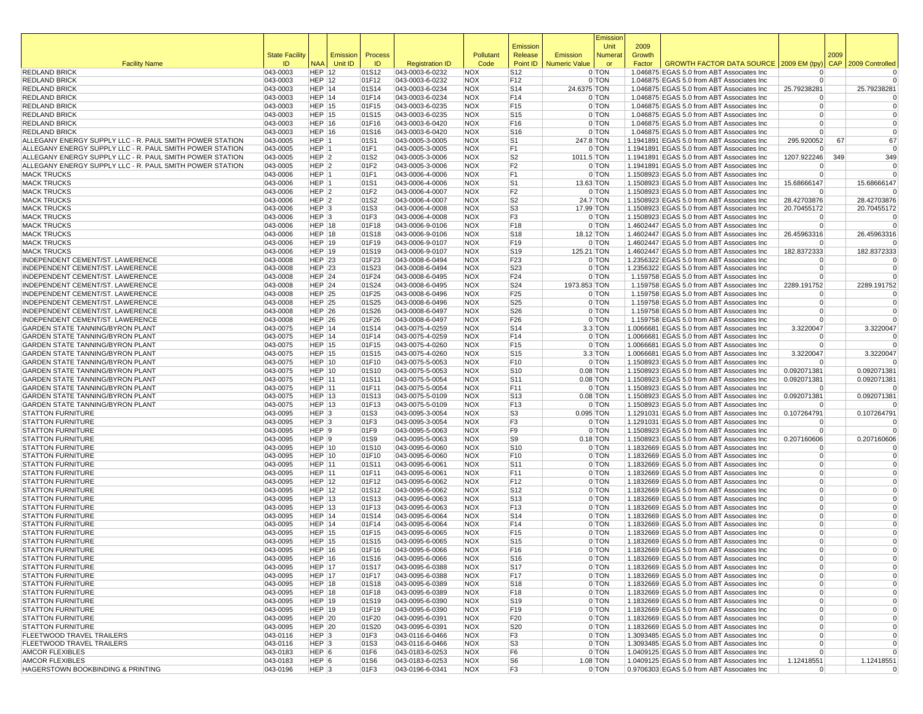|                                                                             |                       |                                |          |                |                                    |                          |                                    |                      | Emissior            |                |                                                                                          |                                   |            |                            |
|-----------------------------------------------------------------------------|-----------------------|--------------------------------|----------|----------------|------------------------------------|--------------------------|------------------------------------|----------------------|---------------------|----------------|------------------------------------------------------------------------------------------|-----------------------------------|------------|----------------------------|
|                                                                             | <b>State Facility</b> |                                | Emission | Process        |                                    | Pollutant                | Emission<br>Release                | Emission             | Unit<br>Numera      | 2009<br>Growth |                                                                                          |                                   | 2009       |                            |
| <b>Facility Name</b>                                                        | ID                    | <b>NAA</b>                     | Unit ID  | ID             | <b>Registration ID</b>             | Code                     | Point ID                           | <b>Numeric Value</b> | <b>or</b>           | Factor         | GROWTH FACTOR DATA SOURCE 2009 EM (tpy                                                   |                                   | <b>CAP</b> | 2009 Controlled            |
| <b>REDLAND BRICK</b>                                                        | 043-0003              | <b>HEP 12</b>                  |          | 01S12          | 043-0003-6-0232                    | <b>NOX</b>               | S12                                |                      | 0 TON               |                | 1.046875 EGAS 5.0 from ABT Associates Inc                                                | $\Omega$                          |            | 0                          |
| <b>REDLAND BRICK</b>                                                        | 043-0003              | <b>HEP 12</b>                  |          | 01F12          | 043-0003-6-0232                    | <b>NOX</b>               | F <sub>12</sub>                    |                      | 0 TON               |                | 1.046875 EGAS 5.0 from ABT Associates Inc                                                | $\overline{0}$                    |            | $\Omega$                   |
| <b>REDLAND BRICK</b>                                                        | 043-0003              | <b>HEP 14</b>                  |          | 01S14          | 043-0003-6-0234                    | <b>NOX</b>               | S14                                | 24.6375 TON          |                     |                | 1.046875 EGAS 5.0 from ABT Associates Inc                                                | 25.79238281                       |            | 25.79238281                |
| <b>REDLAND BRICK</b>                                                        | 043-0003              | <b>HEP 14</b>                  |          | 01F14          | 043-0003-6-0234                    | <b>NOX</b>               | F14                                |                      | 0 TON               |                | 1.046875 EGAS 5.0 from ABT Associates Inc                                                | $\Omega$                          |            |                            |
| <b>REDLAND BRICK</b><br><b>REDLAND BRICK</b>                                | 043-0003<br>043-0003  | <b>HEP 15</b><br><b>HEP 15</b> |          | 01F15<br>01S15 | 043-0003-6-0235<br>043-0003-6-0235 | <b>NOX</b><br><b>NOX</b> | F15<br>S <sub>15</sub>             |                      | 0 TON<br>0 TON      |                | 1.046875 EGAS 5.0 from ABT Associates Inc<br>1.046875 EGAS 5.0 from ABT Associates Inc   | $\overline{0}$<br>$\overline{0}$  |            | $\mathbf 0$<br>$\mathbf 0$ |
| <b>REDLAND BRICK</b>                                                        | 043-0003              | <b>HEP 16</b>                  |          | 01F16          | 043-0003-6-0420                    | <b>NOX</b>               | F <sub>16</sub>                    |                      | 0 TON               |                | 1.046875 EGAS 5.0 from ABT Associates Inc                                                | $\Omega$                          |            | $\mathbf 0$                |
| <b>REDLAND BRICK</b>                                                        | 043-0003              | <b>HEP 16</b>                  |          | 01S16          | 043-0003-6-0420                    | <b>NOX</b>               | S <sub>16</sub>                    |                      | 0 TON               |                | 1.046875 EGAS 5.0 from ABT Associates Inc                                                | $\overline{0}$                    |            | $\Omega$                   |
| ALLEGANY ENERGY SUPPLY LLC - R. PAUL SMITH POWER STATION                    | 043-0005              | HEP 1                          |          | 01S1           | 043-0005-3-0005                    | <b>NOX</b>               | S <sub>1</sub>                     |                      | 247.8 TON           |                | 1.1941891 EGAS 5.0 from ABT Associates Inc                                               | 295.920052                        | 67         | 67                         |
| ALLEGANY ENERGY SUPPLY LLC - R. PAUL SMITH POWER STATION                    | 043-0005              | HEP 1                          |          | 01F1           | 043-0005-3-0005                    | <b>NOX</b>               | F1                                 |                      | 0 TON               |                | 1.1941891 EGAS 5.0 from ABT Associates Inc                                               |                                   |            | $\Omega$                   |
| ALLEGANY ENERGY SUPPLY LLC - R. PAUL SMITH POWER STATION                    | 043-0005              | HEP <sub>2</sub>               |          | 01S2           | 043-0005-3-0006                    | <b>NOX</b>               | S <sub>2</sub>                     | 1011.5 TON           |                     |                | 1.1941891 EGAS 5.0 from ABT Associates Inc                                               | 1207.922246                       | 349        | 349                        |
| ALLEGANY ENERGY SUPPLY LLC - R. PAUL SMITH POWER STATION                    | 043-0005              | HEP <sub>2</sub>               |          | 01F2           | 043-0005-3-0006                    | <b>NOX</b>               | F <sub>2</sub>                     |                      | 0 TON               |                | 1.1941891 EGAS 5.0 from ABT Associates Inc                                               |                                   |            | 0                          |
| <b>MACK TRUCKS</b><br><b>MACK TRUCKS</b>                                    | 043-0006<br>043-0006  | HEP 1<br>HEP 1                 |          | 01F1<br>01S1   | 043-0006-4-0006<br>043-0006-4-0006 | <b>NOX</b><br><b>NOX</b> | F <sub>1</sub><br>S <sub>1</sub>   |                      | 0 TON<br>13.63 TON  |                | 1.1508923 EGAS 5.0 from ABT Associates Inc<br>1.1508923 EGAS 5.0 from ABT Associates Inc | $\Omega$<br>15.68666147           |            | 15.68666147                |
| <b>MACK TRUCKS</b>                                                          | 043-0006              | HEP <sub>2</sub>               |          | 01F2           | 043-0006-4-0007                    | <b>NOX</b>               | F <sub>2</sub>                     |                      | 0 TON               |                | 1.1508923 EGAS 5.0 from ABT Associates Inc                                               |                                   |            |                            |
| <b>MACK TRUCKS</b>                                                          | 043-0006              | HEP <sub>2</sub>               |          | 01S2           | 043-0006-4-0007                    | <b>NOX</b>               | S <sub>2</sub>                     |                      | 24.7 TON            |                | 1.1508923 EGAS 5.0 from ABT Associates Inc                                               | 28.42703876                       |            | 28.42703876                |
| <b>MACK TRUCKS</b>                                                          | 043-0006              | HEP <sub>3</sub>               |          | 01S3           | 043-0006-4-0008                    | <b>NOX</b>               | S3                                 |                      | 17.99 TON           |                | 1.1508923 EGAS 5.0 from ABT Associates Inc                                               | 20.70455172                       |            | 20.70455172                |
| <b>MACK TRUCKS</b>                                                          | 043-0006              | HEP <sub>3</sub>               |          | 01F3           | 043-0006-4-0008                    | <b>NOX</b>               | F3                                 |                      | 0 TON               |                | 1.1508923 EGAS 5.0 from ABT Associates Inc                                               | $\Omega$                          |            |                            |
| <b>MACK TRUCKS</b>                                                          | 043-0006              | <b>HEP 18</b>                  |          | 01F18          | 043-0006-9-0106                    | <b>NOX</b>               | F18                                |                      | 0 TON               |                | 1.4602447 EGAS 5.0 from ABT Associates Inc                                               | $\Omega$                          |            | $\Omega$                   |
| <b>MACK TRUCKS</b>                                                          | 043-0006              | <b>HEP 18</b>                  |          | 01S18          | 043-0006-9-0106                    | <b>NOX</b>               | S <sub>18</sub>                    |                      | 18.12 TON           |                | 1.4602447 EGAS 5.0 from ABT Associates Inc                                               | 26.45963316                       |            | 26.45963316                |
| <b>MACK TRUCKS</b><br><b>MACK TRUCKS</b>                                    | 043-0006<br>043-0006  | <b>HEP 19</b><br><b>HEP 19</b> |          | 01F19<br>01S19 | 043-0006-9-0107<br>043-0006-9-0107 | <b>NOX</b><br><b>NOX</b> | F19<br> S19                        | 125.21 TON           | 0 TON               |                | 1.4602447 EGAS 5.0 from ABT Associates Inc<br>1.4602447 EGAS 5.0 from ABT Associates Inc | $\Omega$<br>182.8372333           |            | 182.8372333                |
| INDEPENDENT CEMENT/ST. LAWERENCE                                            | 043-0008              | <b>HEP 23</b>                  |          | 01F23          | 043-0008-6-0494                    | <b>NOX</b>               | F <sub>23</sub>                    |                      | 0 TON               |                | 1.2356322 EGAS 5.0 from ABT Associates Inc                                               | $\Omega$                          |            |                            |
| INDEPENDENT CEMENT/ST. LAWERENCE                                            | 043-0008              | <b>HEP 23</b>                  |          | 01S23          | 043-0008-6-0494                    | <b>NOX</b>               | S23                                |                      | 0 TON               |                | 1.2356322 EGAS 5.0 from ABT Associates Inc                                               | $\Omega$                          |            | $\mathbf 0$                |
| INDEPENDENT CEMENT/ST. LAWERENCE                                            | 043-0008              | <b>HEP 24</b>                  |          | 01F24          | 043-0008-6-0495                    | <b>NOX</b>               | F24                                |                      | 0 TON               |                | 1.159758 EGAS 5.0 from ABT Associates Inc                                                | $\Omega$                          |            | $\Omega$                   |
| INDEPENDENT CEMENT/ST. LAWERENCE                                            | 043-0008              | $HEP$ 24                       |          | 01S24          | 043-0008-6-0495                    | <b>NOX</b>               | S24                                | 1973.853 TON         |                     |                | 1.159758 EGAS 5.0 from ABT Associates Inc                                                | 2289.191752                       |            | 2289.191752                |
| INDEPENDENT CEMENT/ST. LAWERENCE                                            | 043-0008              | <b>HEP 25</b>                  |          | 01F25          | 043-0008-6-0496                    | <b>NOX</b>               | F <sub>25</sub>                    |                      | 0 TON               |                | 1.159758 EGAS 5.0 from ABT Associates Inc                                                | $\Omega$                          |            |                            |
| INDEPENDENT CEMENT/ST. LAWERENCE                                            | 043-0008              | <b>HEP 25</b>                  |          | 01S25          | 043-0008-6-0496                    | <b>NOX</b>               | S25                                |                      | 0 TON               |                | 1.159758 EGAS 5.0 from ABT Associates Inc                                                | $\Omega$                          |            | $\mathbf 0$                |
| INDEPENDENT CEMENT/ST. LAWERENCE<br>INDEPENDENT CEMENT/ST. LAWERENCE        | 043-0008              | <b>HEP 26</b>                  |          | 01S26          | 043-0008-6-0497<br>043-0008-6-0497 | <b>NOX</b>               | S26                                |                      | 0 TON               |                | 1.159758 EGAS 5.0 from ABT Associates Inc                                                | $\Omega$                          |            | $\mathbf 0$                |
| <b>GARDEN STATE TANNING/BYRON PLANT</b>                                     | 043-0008<br>043-0075  | <b>HEP 26</b><br><b>HEP 14</b> |          | 01F26<br>01S14 | 043-0075-4-0259                    | <b>NOX</b><br><b>NOX</b> | F26<br>S <sub>14</sub>             |                      | 0 TON<br>$3.3$ TON  |                | 1.159758 EGAS 5.0 from ABT Associates Inc<br>1.0066681 EGAS 5.0 from ABT Associates Inc  | 3.3220047                         |            | 3.3220047                  |
| GARDEN STATE TANNING/BYRON PLANT                                            | 043-0075              | HEP 14                         |          | 01F14          | 043-0075-4-0259                    | <b>NOX</b>               | F14                                |                      | 0 TON               |                | 1.0066681 EGAS 5.0 from ABT Associates Inc                                               |                                   |            |                            |
| GARDEN STATE TANNING/BYRON PLANT                                            | 043-0075              | <b>HEP 15</b>                  |          | 01F15          | 043-0075-4-0260                    | <b>NOX</b>               | F <sub>15</sub>                    |                      | 0 TON               |                | 1.0066681 EGAS 5.0 from ABT Associates Inc                                               | $\Omega$                          |            | $\mathbf 0$                |
| GARDEN STATE TANNING/BYRON PLANT                                            | 043-0075              | <b>HEP 15</b>                  |          | 01S15          | 043-0075-4-0260                    | <b>NOX</b>               | S <sub>15</sub>                    |                      | $3.3$ TON           |                | 1.0066681 EGAS 5.0 from ABT Associates Inc                                               | 3.3220047                         |            | 3.3220047                  |
| GARDEN STATE TANNING/BYRON PLANT                                            | 043-0075              | <b>HEP 10</b>                  |          | 01F10          | 043-0075-5-0053                    | <b>NOX</b>               | F <sub>10</sub>                    |                      | 0 TON               |                | 1.1508923 EGAS 5.0 from ABT Associates Inc                                               |                                   |            |                            |
| GARDEN STATE TANNING/BYRON PLANT                                            | 043-0075              | <b>HEP 10</b>                  |          | 01S10          | 043-0075-5-0053                    | <b>NOX</b>               | S <sub>10</sub>                    |                      | $0.08$ TON          |                | 1.1508923 EGAS 5.0 from ABT Associates Inc                                               | 0.092071381                       |            | 0.092071381                |
| GARDEN STATE TANNING/BYRON PLANT<br><b>GARDEN STATE TANNING/BYRON PLANT</b> | 043-0075<br>043-0075  | <b>HEP 11</b><br><b>HEP 11</b> |          | 01S11<br>01F11 | 043-0075-5-0054<br>043-0075-5-0054 | <b>NOX</b><br><b>NOX</b> | S <sub>11</sub><br>F11             |                      | $0.08$ TON<br>0 TON |                | 1.1508923 EGAS 5.0 from ABT Associates Inc<br>1.1508923 EGAS 5.0 from ABT Associates Inc | 0.092071381<br>$\Omega$           |            | 0.092071381                |
| GARDEN STATE TANNING/BYRON PLANT                                            | 043-0075              | <b>HEP 13</b>                  |          | 01S13          | 043-0075-5-0109                    | <b>NOX</b>               | S <sub>13</sub>                    |                      | $0.08$ TON          |                | 1.1508923 EGAS 5.0 from ABT Associates Inc                                               | 0.092071381                       |            | 0.092071381                |
| GARDEN STATE TANNING/BYRON PLANT                                            | 043-0075              | <b>HEP 13</b>                  |          | 01F13          | 043-0075-5-0109                    | <b>NOX</b>               | F13                                |                      | 0 TON               |                | 1.1508923 EGAS 5.0 from ABT Associates Inc                                               | $\Omega$                          |            |                            |
| <b>STATTON FURNITURE</b>                                                    | 043-0095              | $HEP$ 3                        |          | 01S3           | 043-0095-3-0054                    | <b>NOX</b>               | S3                                 |                      | $0.095$ TON         |                | 1.1291031 EGAS 5.0 from ABT Associates Inc                                               | 0.107264791                       |            | 0.107264791                |
| <b>STATTON FURNITURE</b>                                                    | 043-0095              | HEP <sub>3</sub>               |          | 01F3           | 043-0095-3-0054                    | <b>NOX</b>               | F <sub>3</sub>                     |                      | 0 TON               |                | 1.1291031 EGAS 5.0 from ABT Associates Inc                                               | $\Omega$                          |            | 0                          |
| <b>STATTON FURNITURE</b>                                                    | 043-0095              | HEP 9                          |          | 01F9           | 043-0095-5-0063                    | <b>NOX</b>               | F9                                 |                      | 0 TON               |                | 1.1508923 EGAS 5.0 from ABT Associates Inc                                               | $\overline{0}$                    |            | $\Omega$                   |
| <b>STATTON FURNITURE</b>                                                    | 043-0095              | HEP <sub>9</sub>               |          | 01S9           | 043-0095-5-0063                    | <b>NOX</b>               | S9                                 |                      | $0.18$ TON          |                | 1.1508923 EGAS 5.0 from ABT Associates Inc                                               | 0.207160606                       |            | 0.207160606                |
| <b>STATTON FURNITURE</b><br><b>STATTON FURNITURE</b>                        | 043-0095<br>043-0095  | <b>HEP 10</b><br><b>HEP 10</b> |          | 01S10<br>01F10 | 043-0095-6-0060<br>043-0095-6-0060 | <b>NOX</b><br><b>NOX</b> | S <sub>10</sub><br>F <sub>10</sub> |                      | 0 TON<br>0 TON      |                | 1.1832669 EGAS 5.0 from ABT Associates Inc<br>1.1832669 EGAS 5.0 from ABT Associates Inc | $\Omega$<br>$\overline{0}$        |            | 0<br>$\mathbf 0$           |
| <b>STATTON FURNITURE</b>                                                    | 043-0095              | <b>HEP 11</b>                  |          | 01S11          | 043-0095-6-0061                    | <b>NOX</b>               | S <sub>11</sub>                    |                      | 0 TON               |                | 1.1832669 EGAS 5.0 from ABT Associates Inc                                               | $\overline{0}$                    |            | $\mathbf 0$                |
| <b>STATTON FURNITURE</b>                                                    | 043-0095              | <b>HEP 11</b>                  |          | 01F11          | 043-0095-6-0061                    | <b>NOX</b>               | F11                                |                      | 0 TON               |                | 1.1832669 EGAS 5.0 from ABT Associates Inc                                               | $\overline{0}$                    |            | $\mathbf 0$                |
| <b>STATTON FURNITURE</b>                                                    | 043-0095              | <b>HEP 12</b>                  |          | 01F12          | 043-0095-6-0062                    | <b>NOX</b>               | F <sub>12</sub>                    |                      | 0 TON               |                | 1.1832669 EGAS 5.0 from ABT Associates Inc                                               | $\overline{0}$                    |            | $\mathbf 0$                |
| <b>STATTON FURNITURE</b>                                                    | 043-0095              | <b>HEP 12</b>                  |          | 01S12          | 043-0095-6-0062                    | <b>NOX</b>               | S <sub>12</sub>                    |                      | 0 TON               |                | 1.1832669 EGAS 5.0 from ABT Associates Inc                                               | $\overline{0}$                    |            | $\mathbf 0$                |
| <b>STATTON FURNITURE</b>                                                    | 043-0095              | <b>HEP 13</b>                  |          | 01S13          | 043-0095-6-0063                    | <b>NOX</b>               | S <sub>13</sub>                    |                      | 0 TON               |                | 1.1832669 EGAS 5.0 from ABT Associates Inc                                               | $\overline{0}$                    |            | $\mathbf 0$                |
| <b>STATTON FURNITURE</b><br><b>STATTON FURNITURE</b>                        | 043-0095<br>043-0095  | <b>HEP 13</b><br><b>HEP 14</b> |          | 01F13<br>01S14 | 043-0095-6-0063<br>043-0095-6-0064 | <b>NOX</b><br><b>NOX</b> | F13<br>S14                         |                      | 0 TON<br>0 TON      |                | 1.1832669 EGAS 5.0 from ABT Associates Inc<br>1.1832669 EGAS 5.0 from ABT Associates Inc | $\overline{0}$<br>$\overline{0}$  |            | $\Omega$<br>$\Omega$       |
| <b>STATTON FURNITURE</b>                                                    | 043-0095              | <b>HEP 14</b>                  |          | 01F14          | 043-0095-6-0064                    | <b>NOX</b>               | F14                                |                      | 0 TON               |                | 1.1832669 EGAS 5.0 from ABT Associates Inc                                               | $\overline{0}$                    |            |                            |
| <b>STATTON FURNITURE</b>                                                    | 043-0095              | <b>HEP 15</b>                  |          | 01F15          | 043-0095-6-0065                    | <b>NOX</b>               | F15                                |                      | 0 TON               |                | 1.1832669 EGAS 5.0 from ABT Associates Inc                                               | $\Omega$                          |            |                            |
| <b>STATTON FURNITURE</b>                                                    | 043-0095              | <b>HEP 15</b>                  |          | 01S15          | 043-0095-6-0065                    | <b>NOX</b>               | S <sub>15</sub>                    |                      | 0 TON               |                | 1.1832669 EGAS 5.0 from ABT Associates Inc                                               | $\Omega$                          |            | $\mathbf 0$                |
| <b>STATTON FURNITURE</b>                                                    | 043-0095              | <b>HEP 16</b>                  |          | 01F16          | 043-0095-6-0066                    | <b>NOX</b>               | F <sub>16</sub>                    |                      | 0 TON               |                | 1.1832669 EGAS 5.0 from ABT Associates Inc                                               | $\Omega$                          |            |                            |
| <b>STATTON FURNITURE</b>                                                    | 043-0095              | <b>HEP 16</b>                  |          | 01S16          | 043-0095-6-0066                    | <b>NOX</b>               | S <sub>16</sub>                    |                      | 0 TON               |                | 1.1832669 EGAS 5.0 from ABT Associates Inc                                               | 0                                 |            |                            |
| <b>STATTON FURNITURE</b>                                                    | 043-0095              | <b>HEP 17</b>                  |          | 01S17          | 043-0095-6-0388<br>043-0095-6-0388 | <b>NOX</b>               | S <sub>17</sub>                    |                      | 0 TON               |                | 1.1832669 EGAS 5.0 from ABT Associates Inc                                               | $\overline{0}$                    |            | $\mathbf 0$                |
| <b>STATTON FURNITURE</b><br><b>STATTON FURNITURE</b>                        | 043-0095<br>043-0095  | <b>HEP 17</b><br><b>HEP 18</b> |          | 01F17<br>01S18 | 043-0095-6-0389                    | <b>NOX</b><br><b>NOX</b> | F17<br>S <sub>18</sub>             |                      | 0 TON<br>0 TON      |                | 1.1832669 EGAS 5.0 from ABT Associates Inc<br>1.1832669 EGAS 5.0 from ABT Associates Inc | $\overline{0}$<br>$\overline{0}$  |            | $\mathbf 0$<br>$\mathbf 0$ |
| <b>STATTON FURNITURE</b>                                                    | 043-0095              | <b>HEP 18</b>                  |          | 01F18          | 043-0095-6-0389                    | NOX                      | F18                                |                      | 0 TON               |                | 1.1832669 EGAS 5.0 from ABT Associates Inc                                               | $\overline{0}$                    |            | $\mathbf 0$                |
| <b>STATTON FURNITURE</b>                                                    | 043-0095              | <b>HEP 19</b>                  |          | 01S19          | 043-0095-6-0390                    | <b>NOX</b>               | S19                                |                      | 0 TON               |                | 1.1832669 EGAS 5.0 from ABT Associates Inc                                               | $\overline{0}$                    |            | $\mathbf 0$                |
| <b>STATTON FURNITURE</b>                                                    | 043-0095              | HEP   19                       |          | 01F19          | 043-0095-6-0390                    | <b>NOX</b>               | F19                                |                      | 0 TON               |                | 1.1832669 EGAS 5.0 from ABT Associates Inc                                               | $\overline{0}$                    |            |                            |
| <b>STATTON FURNITURE</b>                                                    | 043-0095              | <b>HEP 20</b>                  |          | 01F20          | 043-0095-6-0391                    | <b>NOX</b>               | F20                                |                      | 0 TON               |                | 1.1832669 EGAS 5.0 from ABT Associates Inc                                               | $\overline{0}$                    |            | $\mathbf 0$                |
| <b>STATTON FURNITURE</b>                                                    | 043-0095              | <b>HEP 20</b>                  |          | 01S20          | 043-0095-6-0391                    | <b>NOX</b>               | S <sub>20</sub>                    |                      | 0 TON               |                | 1.1832669 EGAS 5.0 from ABT Associates Inc                                               | $\overline{0}$                    |            | $\mathbf 0$                |
| <b>FLEETWOOD TRAVEL TRAILERS</b><br>FLEETWOOD TRAVEL TRAILERS               | 043-0116<br>043-0116  | $HEP$ 3<br>$HEP$ 3             |          | 01F3           | 043-0116-6-0466                    | <b>NOX</b><br><b>NOX</b> | F <sub>3</sub>                     |                      | 0 TON<br>0 TON      |                | 1.3093485 EGAS 5.0 from ABT Associates Inc<br>1.3093485 EGAS 5.0 from ABT Associates Inc | $\vert 0 \vert$<br>$\overline{0}$ |            | $\mathbf 0$<br>$\mathbf 0$ |
| <b>AMCOR FLEXIBLES</b>                                                      | 043-0183              | HEP 6                          |          | 01S3<br>01F6   | 043-0116-6-0466<br>043-0183-6-0253 | <b>NOX</b>               | S <sub>3</sub><br>F6               |                      | 0 TON               |                | 1.0409125 EGAS 5.0 from ABT Associates Inc                                               | $\overline{0}$                    |            | $\Omega$                   |
| <b>AMCOR FLEXIBLES</b>                                                      | 043-0183              | HEP 6                          |          | 01S6           | 043-0183-6-0253                    | NOX                      | S6                                 |                      | $1.08$ TON          |                | 1.0409125 EGAS 5.0 from ABT Associates Inc                                               | 1.12418551                        |            | 1.12418551                 |
| HAGERSTOWN BOOKBINDING & PRINTING                                           | 043-0196              | HEP <sub>3</sub>               |          | 01F3           | 043-0196-6-0341                    | <b>NOX</b>               | F <sub>3</sub>                     |                      | 0 TON               |                | 0.9706303 EGAS 5.0 from ABT Associates Inc                                               | 0                                 |            | $\mathbf 0$                |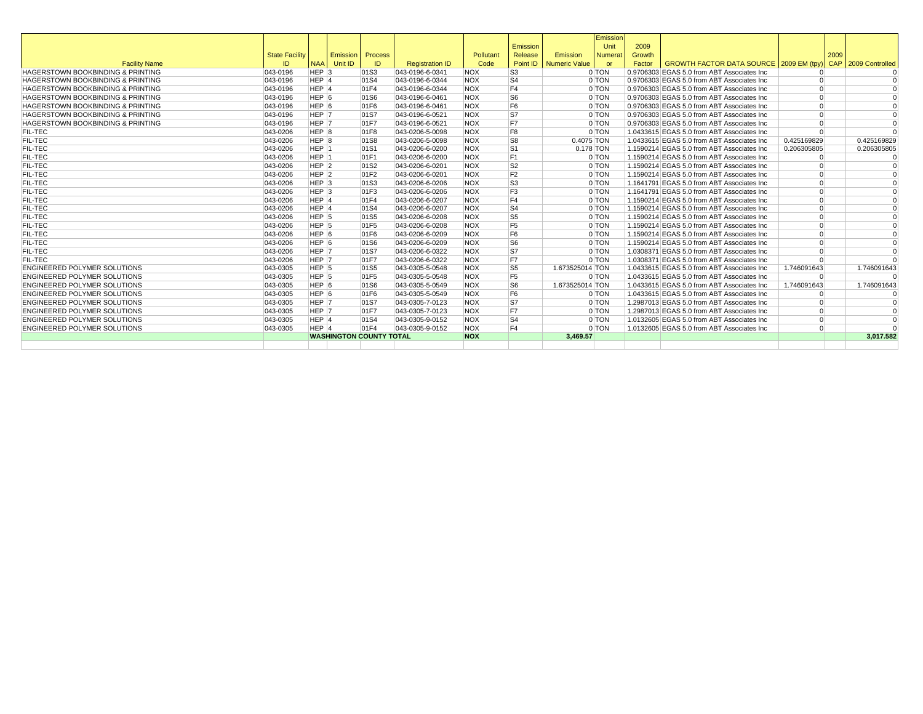|                                              |                       |                  |                    |                                |                        |            |                |                        | Emission       |        |                                             |             |      |                 |
|----------------------------------------------|-----------------------|------------------|--------------------|--------------------------------|------------------------|------------|----------------|------------------------|----------------|--------|---------------------------------------------|-------------|------|-----------------|
|                                              |                       |                  |                    |                                |                        |            | Emission       |                        | Unit           | 2009   |                                             |             |      |                 |
|                                              | <b>State Facility</b> |                  | Emission   Process |                                |                        | Pollutant  | Release        | Emission               | <b>Numerat</b> | Growth |                                             |             | 2009 |                 |
| <b>Facility Name</b>                         | ID                    | <b>NAA</b>       | Unit ID            | ID                             | <b>Registration ID</b> | Code       |                | Point ID Numeric Value | $\alpha$       | Factor | GROWTH FACTOR DATA SOURCE 2009 EM (tpy)     |             | CAP  | 2009 Controlled |
| HAGERSTOWN BOOKBINDING & PRINTING            | 043-0196              | HEP <sub>3</sub> |                    | 01S3                           | 043-0196-6-0341        | <b>NOX</b> | S <sub>3</sub> |                        | $0$ TON        |        | 0.9706303 EGAS 5.0 from ABT Associates Inc  |             |      |                 |
| <b>HAGERSTOWN BOOKBINDING &amp; PRINTING</b> | 043-0196              | HEP <sub>4</sub> |                    | 01S4                           | 043-0196-6-0344        | <b>NOX</b> | S <sub>4</sub> |                        | 0 TON          |        | 0.9706303 EGAS 5.0 from ABT Associates Inc  | $\Omega$    |      |                 |
| <b>HAGERSTOWN BOOKBINDING &amp; PRINTING</b> | 043-0196              | HEP 4            |                    | 01F4                           | 043-0196-6-0344        | <b>NOX</b> | F <sub>4</sub> |                        | 0 TON          |        | 0.9706303 EGAS 5.0 from ABT Associates Inc  | $\Omega$    |      | $\Omega$        |
| <b>HAGERSTOWN BOOKBINDING &amp; PRINTING</b> | 043-0196              | HEP <sub>6</sub> |                    | 01S6                           | 043-0196-6-0461        | <b>NOX</b> | S <sub>6</sub> |                        | 0 TON          |        | 0.9706303 EGAS 5.0 from ABT Associates Inc  | $\Omega$    |      | $\Omega$        |
| <b>HAGERSTOWN BOOKBINDING &amp; PRINTING</b> | 043-0196              | HEP 6            |                    | 01F6                           | 043-0196-6-0461        | <b>NOX</b> | F <sub>6</sub> |                        | $0$ TON        |        | 0.9706303 EGAS 5.0 from ABT Associates Inc  | $\Omega$    |      | $\Omega$        |
| <b>HAGERSTOWN BOOKBINDING &amp; PRINTING</b> | 043-0196              | HEP 7            |                    | 01S7                           | 043-0196-6-0521        | <b>NOX</b> | S7             |                        | 0 TON          |        | 0.9706303 EGAS 5.0 from ABT Associates Inc  | $\Omega$    |      | $\Omega$        |
| <b>HAGERSTOWN BOOKBINDING &amp; PRINTING</b> | 043-0196              | HEP 7            |                    | 01F7                           | 043-0196-6-0521        | <b>NOX</b> | F7             |                        | 0 TON          |        | 0.9706303 EGAS 5.0 from ABT Associates Inc  | $\Omega$    |      | $\Omega$        |
| <b>FIL-TEC</b>                               | 043-0206              | HEP 8            |                    | 01F8                           | 043-0206-5-0098        | <b>NOX</b> | F <sub>8</sub> |                        | $0$ TON        |        | 1.0433615 EGAS 5.0 from ABT Associates Inc  | $\Omega$    |      | $\Omega$        |
| <b>FIL-TEC</b>                               | 043-0206              | HEP <sub>8</sub> |                    | 01S8                           | 043-0206-5-0098        | <b>NOX</b> | S8             | 0.4075 TON             |                |        | 1.0433615 EGAS 5.0 from ABT Associates Inc  | 0.425169829 |      | 0.425169829     |
| <b>FIL-TEC</b>                               | 043-0206              | HEP 1            |                    | 01S1                           | 043-0206-6-0200        | <b>NOX</b> | S <sub>1</sub> | 0.178 TON              |                |        | 1.1590214 EGAS 5.0 from ABT Associates Inc  | 0.206305805 |      | 0.206305805     |
| <b>FIL-TEC</b>                               | 043-0206              | HEP 1            |                    | 01F1                           | 043-0206-6-0200        | <b>NOX</b> | F <sub>1</sub> |                        | 0 TON          |        | 1.1590214 EGAS 5.0 from ABT Associates Inc  | $\Omega$    |      | $\Omega$        |
| <b>FIL-TEC</b>                               | 043-0206              | $HEP$ 2          |                    | 01S2                           | 043-0206-6-0201        | <b>NOX</b> | S <sub>2</sub> |                        | $0$ TON        |        | 1.1590214 EGAS 5.0 from ABT Associates Inc  | $\Omega$    |      | $\Omega$        |
| <b>FIL-TEC</b>                               | 043-0206              | HEP <sub>2</sub> |                    | 01F2                           | 043-0206-6-0201        | <b>NOX</b> | F <sub>2</sub> |                        | $0$ TON        |        | 1.1590214 EGAS 5.0 from ABT Associates Inc. | $\Omega$    |      | $\Omega$        |
| <b>FIL-TEC</b>                               | 043-0206              | HEP <sub>3</sub> |                    | 01S3                           | 043-0206-6-0206        | <b>NOX</b> | S <sub>3</sub> |                        | 0 TON          |        | 1.1641791 EGAS 5.0 from ABT Associates Inc  | $\Omega$    |      | $\Omega$        |
| <b>FIL-TEC</b>                               | 043-0206              | HEP <sub>3</sub> |                    | 01F3                           | 043-0206-6-0206        | <b>NOX</b> | F <sub>3</sub> |                        | 0 TON          |        | 1.1641791 EGAS 5.0 from ABT Associates Inc  | $\Omega$    |      | $\Omega$        |
| <b>FIL-TEC</b>                               | 043-0206              | HEP 4            |                    | 01F4                           | 043-0206-6-0207        | <b>NOX</b> | F <sub>4</sub> |                        | 0 TON          |        | 1.1590214 EGAS 5.0 from ABT Associates Inc  | $\Omega$    |      | $\Omega$        |
| <b>FIL-TEC</b>                               | 043-0206              | HEP 4            |                    | 01S4                           | 043-0206-6-0207        | <b>NOX</b> | S <sub>4</sub> |                        | 0 TON          |        | 1.1590214 EGAS 5.0 from ABT Associates Inc  | $\Omega$    |      | $\Omega$        |
| <b>FIL-TEC</b>                               | 043-0206              | HEP 5            |                    | 01S5                           | 043-0206-6-0208        | <b>NOX</b> | S5             |                        | 0 TON          |        | 1.1590214 EGAS 5.0 from ABT Associates Inc  | $\Omega$    |      | $\Omega$        |
| <b>FIL-TEC</b>                               | 043-0206              | HEP <sub>5</sub> |                    | 01F5                           | 043-0206-6-0208        | <b>NOX</b> | F <sub>5</sub> |                        | 0 TON          |        | 1.1590214 EGAS 5.0 from ABT Associates Inc  | $\Omega$    |      | $\Omega$        |
| <b>FIL-TEC</b>                               | 043-0206              | HEP <sub>6</sub> |                    | 01F6                           | 043-0206-6-0209        | <b>NOX</b> | F <sub>6</sub> |                        | 0 TON          |        | 1.1590214 EGAS 5.0 from ABT Associates Inc  | $\Omega$    |      | $\Omega$        |
| <b>FIL-TEC</b>                               | 043-0206              | HEP <sub>6</sub> |                    | 01S6                           | 043-0206-6-0209        | <b>NOX</b> | S6             |                        | 0 TON          |        | 1.1590214 EGAS 5.0 from ABT Associates Inc  | $\Omega$    |      | $\Omega$        |
| <b>FIL-TEC</b>                               | 043-0206              | HEP <sub>7</sub> |                    | 01S7                           | 043-0206-6-0322        | <b>NOX</b> | S7             |                        | 0 TON          |        | 1.0308371 EGAS 5.0 from ABT Associates Inc  | $\Omega$    |      | $\Omega$        |
| <b>FIL-TEC</b>                               | 043-0206              | HEP 7            |                    | 01F7                           | 043-0206-6-0322        | <b>NOX</b> | F7             |                        | 0 TON          |        | 1.0308371 EGAS 5.0 from ABT Associates Inc  | $\Omega$    |      |                 |
| <b>ENGINEERED POLYMER SOLUTIONS</b>          | 043-0305              | HEP <sub>5</sub> |                    | 01S5                           | 043-0305-5-0548        | <b>NOX</b> | S5             | 1.673525014 TON        |                |        | 1.0433615 EGAS 5.0 from ABT Associates Inc  | 1.746091643 |      | 1.746091643     |
| <b>ENGINEERED POLYMER SOLUTIONS</b>          | 043-0305              | HEP <sub>5</sub> |                    | 01F5                           | 043-0305-5-0548        | <b>NOX</b> | F <sub>5</sub> |                        | 0 TON          |        | 1.0433615 EGAS 5.0 from ABT Associates Inc  | $\Omega$    |      |                 |
| <b>ENGINEERED POLYMER SOLUTIONS</b>          | 043-0305              | HEP 6            |                    | 01S6                           | 043-0305-5-0549        | <b>NOX</b> | S <sub>6</sub> | 1.673525014 TON        |                |        | 1.0433615 EGAS 5.0 from ABT Associates Inc  | 1.746091643 |      | 1.746091643     |
| <b>ENGINEERED POLYMER SOLUTIONS</b>          | 043-0305              | HEP 6            |                    | 01F6                           | 043-0305-5-0549        | <b>NOX</b> | F <sub>6</sub> |                        | 0 TON          |        | 1.0433615 EGAS 5.0 from ABT Associates Inc  | $\Omega$    |      |                 |
| <b>ENGINEERED POLYMER SOLUTIONS</b>          | 043-0305              | HEP 7            |                    | 01S7                           | 043-0305-7-0123        | <b>NOX</b> | S7             |                        | 0 TON          |        | 1.2987013 EGAS 5.0 from ABT Associates Inc. | $\Omega$    |      |                 |
| <b>ENGINEERED POLYMER SOLUTIONS</b>          | 043-0305              | HEP <sub>7</sub> |                    | 01F7                           | 043-0305-7-0123        | <b>NOX</b> | F7             |                        | 0 TON          |        | 1.2987013 EGAS 5.0 from ABT Associates Inc. | $\Omega$    |      |                 |
| <b>ENGINEERED POLYMER SOLUTIONS</b>          | 043-0305              | HEP 4            |                    | 01S4                           | 043-0305-9-0152        | <b>NOX</b> | S <sub>4</sub> |                        | 0 TON          |        | 1.0132605 EGAS 5.0 from ABT Associates Inc  | $\Omega$    |      |                 |
| <b>ENGINEERED POLYMER SOLUTIONS</b>          | 043-0305              | HEP 4            |                    | 01F4                           | 043-0305-9-0152        | <b>NOX</b> | F <sub>4</sub> |                        | 0 TON          |        | 1.0132605 EGAS 5.0 from ABT Associates Inc  | $\Omega$    |      |                 |
|                                              |                       |                  |                    | <b>WASHINGTON COUNTY TOTAL</b> |                        | <b>NOX</b> |                | 3,469.57               |                |        |                                             |             |      | 3.017.582       |
|                                              |                       |                  |                    |                                |                        |            |                |                        |                |        |                                             |             |      |                 |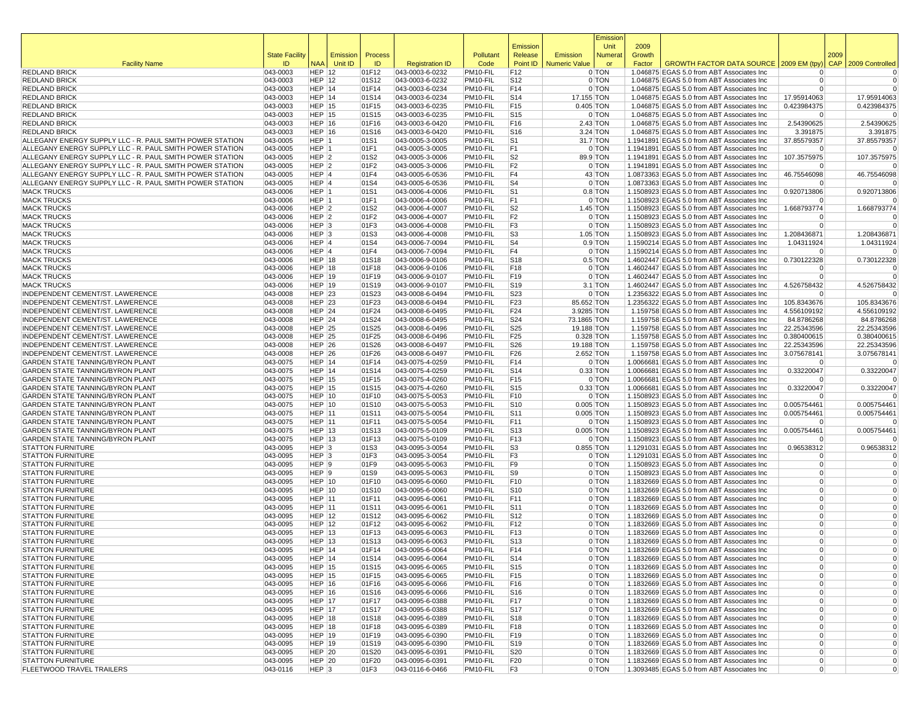|                                                                                                                      |                       |                                      |             |                |                                    |                      |                        |                           | Emissior            |                |                                                                                          |                                  |      |                            |
|----------------------------------------------------------------------------------------------------------------------|-----------------------|--------------------------------------|-------------|----------------|------------------------------------|----------------------|------------------------|---------------------------|---------------------|----------------|------------------------------------------------------------------------------------------|----------------------------------|------|----------------------------|
|                                                                                                                      | <b>State Facility</b> |                                      | Emission    | Process        |                                    | Pollutant            | Emission<br>Release    | Emission                  | Unit<br>Numera      | 2009<br>Growth |                                                                                          |                                  | 2009 |                            |
| <b>Facility Name</b>                                                                                                 | ID                    |                                      | NAA Unit ID | ID             | <b>Registration ID</b>             | Code                 | Point ID               | <b>Numeric Value</b>      | or                  | Factor         | GROWTH FACTOR DATA SOURCE 2009 EM (tpy                                                   |                                  |      | CAP 2009 Controlled        |
| <b>REDLAND BRICK</b>                                                                                                 | 043-0003              | <b>HEP 12</b>                        |             | 01F12          | 043-0003-6-0232                    | PM10-FIL             | F12                    |                           | 0 TON               |                | 1.046875 EGAS 5.0 from ABT Associates Inc                                                | $\Omega$                         |      | 0                          |
| <b>REDLAND BRICK</b>                                                                                                 | 043-0003              | <b>HEP 12</b>                        |             | 01S12          | 043-0003-6-0232                    | PM10-FIL             | S12                    |                           | 0 TON               |                | 1.046875 EGAS 5.0 from ABT Associates Inc                                                | $\overline{0}$                   |      | 0                          |
| <b>REDLAND BRICK</b>                                                                                                 | 043-0003              | HEP 14                               |             | 01F14          | 043-0003-6-0234                    | PM10-FIL             | F14                    |                           | 0 TON               |                | 1.046875 EGAS 5.0 from ABT Associates Inc                                                | $\Omega$                         |      | $\mathbf 0$                |
| <b>REDLAND BRICK</b>                                                                                                 | 043-0003              | HEP 14                               |             | 01S14          | 043-0003-6-0234                    | PM10-FIL             | S14                    | 17.155 TON                |                     |                | 1.046875 EGAS 5.0 from ABT Associates Inc                                                | 17.95914063                      |      | 17.95914063                |
| <b>REDLAND BRICK</b><br><b>REDLAND BRICK</b>                                                                         | 043-0003<br>043-0003  | <b>HEP 15</b><br><b>HEP 15</b>       |             | 01F15<br>01S15 | 043-0003-6-0235<br>043-0003-6-0235 | PM10-FIL<br>PM10-FIL | F15<br>S <sub>15</sub> | $0.405$ TON               | 0 TON               |                | 1.046875 EGAS 5.0 from ABT Associates Inc<br>1.046875 EGAS 5.0 from ABT Associates Inc   | 0.423984375<br>$\Omega$          |      | 0.423984375<br>$\Omega$    |
| <b>REDLAND BRICK</b>                                                                                                 | 043-0003              | <b>HEP 16</b>                        |             | 01F16          | 043-0003-6-0420                    | PM10-FIL             | F16                    |                           | $2.43$ TON          |                | 1.046875 EGAS 5.0 from ABT Associates Inc                                                | 2.54390625                       |      | 2.54390625                 |
| <b>REDLAND BRICK</b>                                                                                                 | 043-0003              | <b>HEP 16</b>                        |             | 01S16          | 043-0003-6-0420                    | PM10-FIL             | S <sub>16</sub>        |                           | 3.24 TON            |                | 1.046875 EGAS 5.0 from ABT Associates Inc                                                | 3.391875                         |      | 3.391875                   |
| ALLEGANY ENERGY SUPPLY LLC - R. PAUL SMITH POWER STATION                                                             | 043-0005              | HEP 1                                |             | 01S1           | 043-0005-3-0005                    | PM10-FIL             | S <sub>1</sub>         |                           | 31.7 TON            |                | 1.1941891 EGAS 5.0 from ABT Associates Inc                                               | 37.85579357                      |      | 37.85579357                |
| ALLEGANY ENERGY SUPPLY LLC - R. PAUL SMITH POWER STATION                                                             | 043-0005              | HEP 1                                |             | 01F1           | 043-0005-3-0005                    | PM10-FIL             | F1                     |                           | 0 TON               |                | 1.1941891 EGAS 5.0 from ABT Associates Inc                                               | $\Omega$                         |      | 0                          |
| ALLEGANY ENERGY SUPPLY LLC - R. PAUL SMITH POWER STATION<br>ALLEGANY ENERGY SUPPLY LLC - R. PAUL SMITH POWER STATION | 043-0005              | HEP <sub>2</sub><br>HEP 2            |             | 01S2           | 043-0005-3-0006                    | PM10-FIL<br>PM10-FIL | S2<br>F2               |                           | 89.9 TON<br>0 TON   |                | 1.1941891 EGAS 5.0 from ABT Associates Inc                                               | 107.3575975<br>$\Omega$          |      | 107.3575975<br>$\Omega$    |
| ALLEGANY ENERGY SUPPLY LLC - R. PAUL SMITH POWER STATION                                                             | 043-0005<br>043-0005  | HEP 4                                |             | 01F2<br>01F4   | 043-0005-3-0006<br>043-0005-6-0536 | PM10-FIL             | F4                     |                           | $43$ TON            |                | 1.1941891 EGAS 5.0 from ABT Associates Inc<br>1.0873363 EGAS 5.0 from ABT Associates Inc | 46.75546098                      |      | 46.75546098                |
| ALLEGANY ENERGY SUPPLY LLC - R. PAUL SMITH POWER STATION                                                             | 043-0005              | HEP 4                                |             | 01S4           | 043-0005-6-0536                    | PM10-FIL             | S <sub>4</sub>         |                           | 0 TON               |                | 1.0873363 EGAS 5.0 from ABT Associates Inc                                               | $\Omega$                         |      |                            |
| <b>MACK TRUCKS</b>                                                                                                   | 043-0006              | HEP 1                                |             | 01S1           | 043-0006-4-0006                    | PM10-FIL             | S <sub>1</sub>         |                           | $0.8$ TON           |                | 1.1508923 EGAS 5.0 from ABT Associates Inc                                               | 0.920713806                      |      | 0.920713806                |
| <b>MACK TRUCKS</b>                                                                                                   | 043-0006              | HEP 1                                |             | 01F1           | 043-0006-4-0006                    | PM10-FIL             | F1                     |                           | 0 TON               |                | 1.1508923 EGAS 5.0 from ABT Associates Inc                                               | 0                                |      | $\Omega$                   |
| <b>MACK TRUCKS</b>                                                                                                   | 043-0006              | HEP <sub>2</sub>                     |             | 01S2           | 043-0006-4-0007                    | PM10-FIL             | S <sub>2</sub>         |                           | $1.45$ TON          |                | 1.1508923 EGAS 5.0 from ABT Associates Inc                                               | 1.668793774                      |      | 1.668793774                |
| <b>MACK TRUCKS</b>                                                                                                   | 043-0006              | HEP <sub>2</sub>                     |             | 01F2           | 043-0006-4-0007                    | PM10-FIL             | F2                     |                           | 0 TON               |                | 1.1508923 EGAS 5.0 from ABT Associates Inc                                               | $\Omega$<br>$\Omega$             |      | $\Omega$<br>$\mathbf 0$    |
| <b>MACK TRUCKS</b><br><b>MACK TRUCKS</b>                                                                             | 043-0006<br>043-0006  | HEP <sub>3</sub><br>HEP <sub>3</sub> |             | 01F3<br>01S3   | 043-0006-4-0008<br>043-0006-4-0008 | PM10-FIL<br>PM10-FIL | F3<br>S <sub>3</sub>   |                           | 0 TON<br>$1.05$ TON |                | 1.1508923 EGAS 5.0 from ABT Associates Inc<br>1.1508923 EGAS 5.0 from ABT Associates Inc | 1.208436871                      |      | 1.208436871                |
| <b>MACK TRUCKS</b>                                                                                                   | 043-0006              | HEP 4                                |             | 01S4           | 043-0006-7-0094                    | PM10-FIL             | S4                     |                           | $0.9$ TON           |                | 1.1590214 EGAS 5.0 from ABT Associates Inc                                               | 1.04311924                       |      | 1.04311924                 |
| <b>MACK TRUCKS</b>                                                                                                   | 043-0006              | HEP 4                                |             | 01F4           | 043-0006-7-0094                    | PM10-FIL             | F4                     |                           | 0 TON               |                | 1.1590214 EGAS 5.0 from ABT Associates Inc                                               | $\Omega$                         |      | $\Omega$                   |
| <b>MACK TRUCKS</b>                                                                                                   | 043-0006              | <b>HEP 18</b>                        |             | 01S18          | 043-0006-9-0106                    | PM10-FIL             | S <sub>18</sub>        |                           | $0.5$ TON           |                | 1.4602447 EGAS 5.0 from ABT Associates Inc                                               | 0.730122328                      |      | 0.730122328                |
| <b>MACK TRUCKS</b>                                                                                                   | 043-0006              | <b>HEP 18</b>                        |             | 01F18          | 043-0006-9-0106                    | PM10-FIL             | F18                    |                           | 0 TON               |                | 1.4602447 EGAS 5.0 from ABT Associates Inc                                               | $\Omega$                         |      | $\Omega$                   |
| <b>MACK TRUCKS</b>                                                                                                   | 043-0006              | <b>HEP 19</b>                        |             | 01F19          | 043-0006-9-0107                    | PM10-FIL             | F19                    |                           | 0 TON               |                | 1.4602447 EGAS 5.0 from ABT Associates Inc                                               | $\Omega$                         |      | $\Omega$                   |
| <b>MACK TRUCKS</b><br>INDEPENDENT CEMENT/ST. LAWERENCE                                                               | 043-0006<br>043-0008  | <b>HEP 19</b><br><b>HEP 23</b>       |             | 01S19<br>01S23 | 043-0006-9-0107<br>043-0008-6-0494 | PM10-FIL<br>PM10-FIL | S <sub>19</sub><br>S23 |                           | $3.1$ TON<br>0 TON  |                | 1.4602447 EGAS 5.0 from ABT Associates Inc<br>1.2356322 EGAS 5.0 from ABT Associates Inc | 4.526758432<br>$\Omega$          |      | 4.526758432<br>$\Omega$    |
| INDEPENDENT CEMENT/ST. LAWERENCE                                                                                     | 043-0008              | <b>HEP 23</b>                        |             | 01F23          | 043-0008-6-0494                    | PM10-FIL             | F <sub>23</sub>        | 85.652 TON                |                     |                | 1.2356322 EGAS 5.0 from ABT Associates Inc                                               | 105.8343676                      |      | 105.8343676                |
| INDEPENDENT CEMENT/ST. LAWERENCE                                                                                     | 043-0008              | <b>HEP 24</b>                        |             | 01F24          | 043-0008-6-0495                    | PM10-FIL             | F24                    | 3.9285 TON                |                     |                | 1.159758 EGAS 5.0 from ABT Associates Inc                                                | 4.556109192                      |      | 4.556109192                |
| INDEPENDENT CEMENT/ST. LAWERENCE                                                                                     | 043-0008              | <b>HEP 24</b>                        |             | 01S24          | 043-0008-6-0495                    | PM10-FIL             | S24                    | 73.1865 TON               |                     |                | 1.159758 EGAS 5.0 from ABT Associates Inc                                                | 84.8786268                       |      | 84.8786268                 |
| INDEPENDENT CEMENT/ST. LAWERENCE                                                                                     | 043-0008              | <b>HEP 25</b>                        |             | 01S25          | 043-0008-6-0496                    | PM10-FIL             | S <sub>25</sub>        | 19.188 TON                |                     |                | 1.159758 EGAS 5.0 from ABT Associates Inc                                                | 22.25343596                      |      | 22.25343596                |
| INDEPENDENT CEMENT/ST. LAWERENCE<br><b>INDEPENDENT CEMENT/ST. LAWERENCE</b>                                          | 043-0008              | <b>HEP 25</b>                        |             | 01F25          | 043-0008-6-0496                    | PM10-FIL             | F <sub>25</sub>        | $0.328$ TON<br>19.188 TON |                     |                | 1.159758 EGAS 5.0 from ABT Associates Inc                                                | 0.380400615                      |      | 0.380400615                |
| <b>INDEPENDENT CEMENT/ST, LAWERENCE</b>                                                                              | 043-0008<br>043-0008  | <b>HEP 26</b><br><b>HEP 26</b>       |             | 01S26<br>01F26 | 043-0008-6-0497<br>043-0008-6-0497 | PM10-FIL<br>PM10-FIL | S26<br>F <sub>26</sub> | 2.652 TON                 |                     |                | 1.159758 EGAS 5.0 from ABT Associates Inc<br>1.159758 EGAS 5.0 from ABT Associates Inc   | 22.25343596<br>3.075678141       |      | 22.25343596<br>3.075678141 |
| GARDEN STATE TANNING/BYRON PLANT                                                                                     | 043-0075              | <b>HEP 14</b>                        |             | 01F14          | 043-0075-4-0259                    | PM10-FIL             | F14                    |                           | 0 TON               |                | 1.0066681 EGAS 5.0 from ABT Associates Inc                                               | $\Omega$                         |      | $\Omega$                   |
| GARDEN STATE TANNING/BYRON PLANT                                                                                     | 043-0075              | <b>HEP 14</b>                        |             | 01S14          | 043-0075-4-0259                    | PM10-FIL             | S14                    |                           | $0.33$ TON          |                | 1.0066681 EGAS 5.0 from ABT Associates Inc                                               | 0.33220047                       |      | 0.33220047                 |
| GARDEN STATE TANNING/BYRON PLANT                                                                                     | 043-0075              | <b>HEP 15</b>                        |             | 01F15          | 043-0075-4-0260                    | PM10-FIL             | F15                    |                           | 0 TON               |                | 1.0066681 EGAS 5.0 from ABT Associates Inc                                               | $\Omega$                         |      | $\Omega$                   |
| <b>GARDEN STATE TANNING/BYRON PLANT</b>                                                                              | 043-0075              | <b>HEP 15</b>                        |             | 01S15          | 043-0075-4-0260                    | PM10-FIL             | S <sub>15</sub>        |                           | $0.33$ TON          |                | 1.0066681 EGAS 5.0 from ABT Associates Inc                                               | 0.33220047                       |      | 0.33220047                 |
| <b>GARDEN STATE TANNING/BYRON PLANT</b>                                                                              | 043-0075              | <b>HEP 10</b><br><b>HEP 10</b>       |             | 01F10          | 043-0075-5-0053                    | PM10-FIL             | F10<br>S <sub>10</sub> | $0.005$ TON               | 0 TON               |                | 1.1508923 EGAS 5.0 from ABT Associates Inc                                               | $\Omega$<br>0.005754461          |      | $\Omega$<br>0.005754461    |
| GARDEN STATE TANNING/BYRON PLANT<br><b>GARDEN STATE TANNING/BYRON PLANT</b>                                          | 043-0075<br>043-0075  | <b>HEP 11</b>                        |             | 01S10<br>01S11 | 043-0075-5-0053<br>043-0075-5-0054 | PM10-FIL<br>PM10-FIL | S11                    | $0.005$ TON               |                     |                | 1.1508923 EGAS 5.0 from ABT Associates Inc<br>1.1508923 EGAS 5.0 from ABT Associates Inc | 0.005754461                      |      | 0.005754461                |
| <b>GARDEN STATE TANNING/BYRON PLANT</b>                                                                              | 043-0075              | <b>HEP 11</b>                        |             | 01F11          | 043-0075-5-0054                    | PM10-FIL             | F11                    |                           | 0 TON               |                | 1.1508923 EGAS 5.0 from ABT Associates Inc                                               | $\Omega$                         |      | $\Omega$                   |
| <b>GARDEN STATE TANNING/BYRON PLANT</b>                                                                              | 043-0075              | <b>HEP 13</b>                        |             | 01S13          | 043-0075-5-0109                    | PM10-FIL             | S <sub>13</sub>        | $0.005$ TON               |                     |                | 1.1508923 EGAS 5.0 from ABT Associates Inc                                               | 0.005754461                      |      | 0.005754461                |
| <b>GARDEN STATE TANNING/BYRON PLANT</b>                                                                              | 043-0075              | <b>HEP 13</b>                        |             | 01F13          | 043-0075-5-0109                    | PM10-FIL             | F13                    |                           | 0 TON               |                | 1.1508923 EGAS 5.0 from ABT Associates Inc                                               | $\Omega$                         |      | $\Omega$                   |
| <b>STATTON FURNITURE</b>                                                                                             | 043-0095              | HEP <sub>3</sub>                     |             | 01S3           | 043-0095-3-0054                    | PM10-FIL             | S3                     | $0.855$ TON               |                     |                | 1.1291031 EGAS 5.0 from ABT Associates Inc                                               | 0.96538312                       |      | 0.96538312                 |
| <b>STATTON FURNITURE</b><br><b>STATTON FURNITURE</b>                                                                 | 043-0095<br>043-0095  | HEP <sub>3</sub><br>HEP 9            |             | 01F3<br>01F9   | 043-0095-3-0054<br>043-0095-5-0063 | PM10-FIL<br>PM10-FIL | F3<br>F9               |                           | 0 TON<br>0 TON      |                | 1.1291031 EGAS 5.0 from ABT Associates Inc<br>1.1508923 EGAS 5.0 from ABT Associates Inc | $\Omega$<br>$\Omega$             |      | $\Omega$<br>0              |
| <b>STATTON FURNITURE</b>                                                                                             | 043-0095              | HEP 9                                |             | 01S9           | 043-0095-5-0063                    | PM10-FIL             | S9                     |                           | 0 TON               |                | 1.1508923 EGAS 5.0 from ABT Associates Inc                                               | $\Omega$                         |      | $\Omega$                   |
| <b>STATTON FURNITURE</b>                                                                                             | 043-0095              | <b>HEP 10</b>                        |             | 01F10          | 043-0095-6-0060                    | PM10-FIL             | F <sub>10</sub>        |                           | 0 TON               |                | 1.1832669 EGAS 5.0 from ABT Associates Inc                                               | $\overline{0}$                   |      | $\Omega$                   |
| <b>STATTON FURNITURE</b>                                                                                             | 043-0095              | <b>HEP 10</b>                        |             | 01S10          | 043-0095-6-0060                    | PM10-FIL             | S10                    |                           | 0 TON               |                | 1.1832669 EGAS 5.0 from ABT Associates Inc                                               | $\Omega$                         |      | $\Omega$                   |
| <b>STATTON FURNITURE</b>                                                                                             | 043-0095              | <b>HEP 11</b>                        |             | 01F11          | 043-0095-6-0061                    | PM10-FIL             | F11                    |                           | 0 TON               |                | 1.1832669 EGAS 5.0 from ABT Associates Inc                                               | $\overline{0}$                   |      | $\Omega$                   |
| <b>STATTON FURNITURE</b>                                                                                             | 043-0095              | <b>HEP 11</b>                        |             | 01S11          | 043-0095-6-0061                    | PM10-FIL             | S11                    |                           | 0 TON               |                | 1.1832669 EGAS 5.0 from ABT Associates Inc                                               | $\Omega$                         |      | $\Omega$                   |
| <b>STATTON FURNITURE</b><br><b>STATTON FURNITURE</b>                                                                 | 043-0095<br>043-0095  | <b>HEP 12</b><br><b>HEP 12</b>       |             | 01S12<br>01F12 | 043-0095-6-0062<br>043-0095-6-0062 | PM10-FIL<br>PM10-FIL | S <sub>12</sub><br>F12 |                           | 0 TON<br>0 TON      |                | 1.1832669 EGAS 5.0 from ABT Associates Inc<br>1.1832669 EGAS 5.0 from ABT Associates Inc | $\Omega$<br>$\Omega$             |      | $\Omega$<br>$\Omega$       |
| <b>STATTON FURNITURE</b>                                                                                             | 043-0095              | <b>HEP 13</b>                        |             | 01F13          | 043-0095-6-0063                    | PM10-FIL             | F13                    |                           | 0 TON               |                | 1.1832669 EGAS 5.0 from ABT Associates Inc                                               | $\Omega$                         |      | $\Omega$                   |
| <b>STATTON FURNITURE</b>                                                                                             | 043-0095              | <b>HEP 13</b>                        |             | 01S13          | 043-0095-6-0063                    | PM10-FIL             | S <sub>13</sub>        |                           | 0 TON               |                | 1.1832669 EGAS 5.0 from ABT Associates Inc                                               | $\Omega$                         |      | $\Omega$                   |
| <b>STATTON FURNITURE</b>                                                                                             | 043-0095              | HEP 14                               |             | 01F14          | 043-0095-6-0064                    | PM10-FIL             | F <sub>14</sub>        |                           | 0 TON               |                | 1.1832669 EGAS 5.0 from ABT Associates Inc                                               | $\Omega$                         |      | $\Omega$                   |
| <b>STATTON FURNITURE</b>                                                                                             | 043-0095              | <b>HEP 14</b>                        |             | 01S14          | 043-0095-6-0064                    | PM10-FIL             | S14                    |                           | 0 TON               |                | 1.1832669 EGAS 5.0 from ABT Associates Inc                                               |                                  |      |                            |
| <b>STATTON FURNITURE</b>                                                                                             | 043-0095              | <b>HEP 15</b>                        |             | 01S15          | 043-0095-6-0065<br>043-0095-6-0065 | PM10-FIL             | S <sub>15</sub>        |                           | 0 TON               |                | 1.1832669 EGAS 5.0 from ABT Associates Inc                                               | $\overline{0}$<br>$\overline{0}$ |      | $\mathbf 0$                |
| <b>STATTON FURNITURE</b><br><b>STATTON FURNITURE</b>                                                                 | 043-0095<br>043-0095  | <b>HEP 15</b><br><b>HEP 16</b>       |             | 01F15<br>01F16 | 043-0095-6-0066                    | PM10-FIL<br>PM10-FIL | F <sub>15</sub><br>F16 |                           | 0 TON<br>0 TON      |                | 1.1832669 EGAS 5.0 from ABT Associates Inc<br>1.1832669 EGAS 5.0 from ABT Associates Inc | $\overline{0}$                   |      | 0<br>$\Omega$              |
| <b>STATTON FURNITURE</b>                                                                                             | 043-0095              | <b>HEP 16</b>                        |             | 01S16          | 043-0095-6-0066                    | PM10-FIL             | S16                    |                           | $0$ TON             |                | 1.1832669 EGAS 5.0 from ABT Associates Inc                                               | $\overline{0}$                   |      | 0                          |
| <b>STATTON FURNITURE</b>                                                                                             | 043-0095              | <b>HEP 17</b>                        |             | 01F17          | 043-0095-6-0388                    | PM10-FIL             | F17                    |                           | 0 TON               |                | 1.1832669 EGAS 5.0 from ABT Associates Inc                                               | $\Omega$                         |      | $\Omega$                   |
| <b>STATTON FURNITURE</b>                                                                                             | 043-0095              | HEP   17                             |             | 01S17          | 043-0095-6-0388                    | PM10-FIL             | <b>S17</b>             |                           | 0 TON               |                | 1.1832669 EGAS 5.0 from ABT Associates Inc                                               | $\overline{0}$                   |      | $\Omega$                   |
| <b>STATTON FURNITURE</b>                                                                                             | 043-0095              | <b>HEP 18</b>                        |             | 01S18          | 043-0095-6-0389                    | PM10-FIL             | S18                    |                           | 0 TON               |                | 1.1832669 EGAS 5.0 from ABT Associates Inc                                               | $\overline{0}$                   |      | $\Omega$                   |
| <b>STATTON FURNITURE</b><br><b>STATTON FURNITURE</b>                                                                 | 043-0095<br>043-0095  | <b>HEP 18</b><br><b>HEP 19</b>       |             | 01F18<br>01F19 | 043-0095-6-0389<br>043-0095-6-0390 | PM10-FIL<br>PM10-FIL | F18<br>F19             |                           | $0$ TON<br>0 TON    |                | 1.1832669 EGAS 5.0 from ABT Associates Inc<br>1.1832669 EGAS 5.0 from ABT Associates Inc | $\overline{0}$<br>$\overline{0}$ |      | 0<br>0                     |
| <b>STATTON FURNITURE</b>                                                                                             | 043-0095              | HEP 19                               |             | 01S19          | 043-0095-6-0390                    | PM10-FIL             | S <sub>19</sub>        |                           | 0 TON               |                | 1.1832669 EGAS 5.0 from ABT Associates Inc                                               | $\overline{0}$                   |      | $\Omega$                   |
| <b>STATTON FURNITURE</b>                                                                                             | 043-0095              | <b>HEP 20</b>                        |             | 01S20          | 043-0095-6-0391                    | PM10-FIL             | S20                    |                           | 0 TON               |                | 1.1832669 EGAS 5.0 from ABT Associates Inc                                               | $\overline{0}$                   |      | 0                          |
| <b>STATTON FURNITURE</b>                                                                                             | 043-0095              | <b>HEP 20</b>                        |             | 01F20          | 043-0095-6-0391                    | PM10-FIL             | F20                    |                           | 0 TON               |                | 1.1832669 EGAS 5.0 from ABT Associates Inc                                               | $\overline{0}$                   |      | 0                          |
| <b>FLEETWOOD TRAVEL TRAILERS</b>                                                                                     | 043-0116              | $HEP$ 3                              |             | 01F3           | 043-0116-6-0466                    | PM10-FIL             | F3                     |                           | $0$ TON             |                | 1.3093485 EGAS 5.0 from ABT Associates Inc                                               | 0                                |      | $\Omega$                   |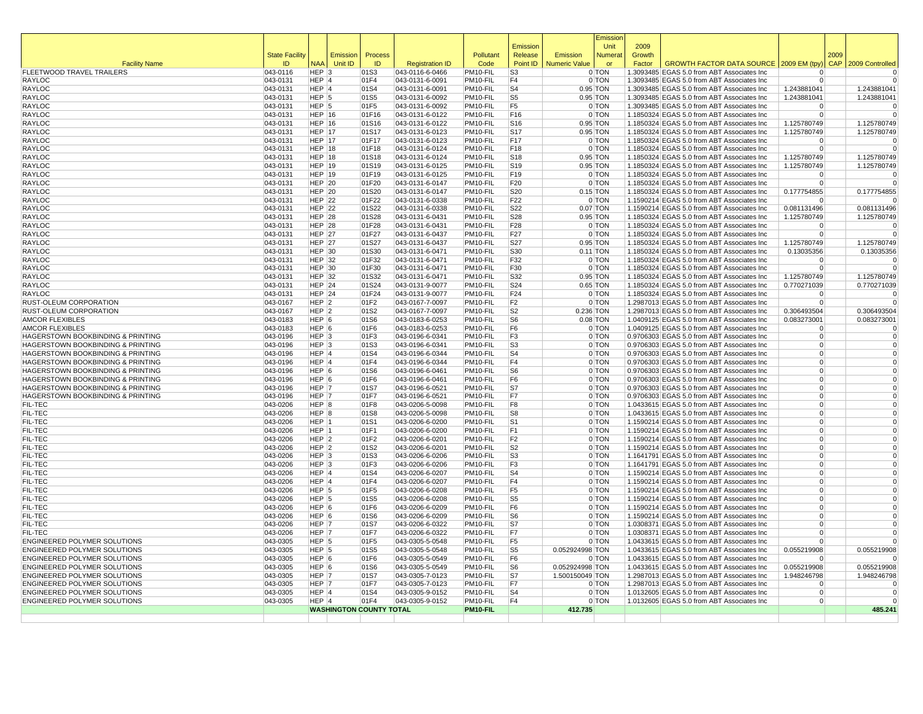|                                                                        |                       |                           |                                |                |                                    |                      | Emission                         |                      | Emissior<br>Unit         | 2009   |                                                                                          |                                  |      |                               |
|------------------------------------------------------------------------|-----------------------|---------------------------|--------------------------------|----------------|------------------------------------|----------------------|----------------------------------|----------------------|--------------------------|--------|------------------------------------------------------------------------------------------|----------------------------------|------|-------------------------------|
|                                                                        | <b>State Facility</b> |                           | Emission                       | Process        |                                    | Pollutant            | Release                          | Emission             | <b>Numera</b>            | Growth |                                                                                          |                                  | 2009 |                               |
| <b>Facility Name</b>                                                   | ID                    | <b>NAA</b>                | Unit ID                        | ID             | <b>Registration ID</b>             | Code                 | Point ID                         | <b>Numeric Value</b> | or                       | Factor | GROWTH FACTOR DATA SOURCE   2009 EM (tpy                                                 |                                  |      | CAP 2009 Controlled           |
| FLEETWOOD TRAVEL TRAILERS                                              | 043-0116              | $HEP$ 3                   |                                | 01S3           | 043-0116-6-0466                    | PM10-FIL             | S <sub>3</sub>                   |                      | 0 TON                    |        | 1.3093485 EGAS 5.0 from ABT Associates Inc                                               |                                  |      | $\mathbf 0$                   |
| RAYLOC                                                                 | 043-0131              | HEP 4                     |                                | 01F4           | 043-0131-6-0091                    | PM10-FIL             | F <sub>4</sub>                   |                      | 0 TON                    |        | 1.3093485 EGAS 5.0 from ABT Associates Inc                                               | $\Omega$                         |      | $\overline{0}$                |
| RAYLOC<br>RAYLOC                                                       | 043-0131              | $HEP$ 4<br>$HEP$ 5        |                                | 01S4<br>01S5   | 043-0131-6-0091<br>043-0131-6-0092 | PM10-FIL<br>PM10-FIL | S <sub>4</sub><br>S <sub>5</sub> |                      | $0.95$ TON<br>$0.95$ TON |        | 1.3093485 EGAS 5.0 from ABT Associates Inc<br>1.3093485 EGAS 5.0 from ABT Associates Inc | 1.243881041<br>1.243881041       |      | 1.243881041<br>1.243881041    |
| RAYLOC                                                                 | 043-0131<br>043-0131  | HEP <sup>5</sup>          |                                | 01F5           | 043-0131-6-0092                    | PM10-FIL             | F <sub>5</sub>                   |                      | $0$ TON                  |        | 1.3093485 EGAS 5.0 from ABT Associates Inc                                               | $\Omega$                         |      | $\mathbf 0$                   |
| RAYLOC                                                                 | $ 043 - 0131$         | HEP $ 16$                 |                                | 01F16          | 043-0131-6-0122                    | PM10-FIL             | F16                              |                      | 0 TON                    |        | 1.1850324 EGAS 5.0 from ABT Associates Inc                                               | $\overline{0}$                   |      | $\mathbf 0$                   |
| <b>RAYLOC</b>                                                          | 043-0131              | $HEP$ 16                  |                                | 01S16          | 043-0131-6-0122                    | PM10-FIL             | S16                              |                      | $0.95$ TON               |        | 1.1850324 EGAS 5.0 from ABT Associates Inc                                               | 1.125780749                      |      | 1.125780749                   |
| RAYLOC                                                                 | 043-0131              | HEP $ 17$                 |                                | 01S17          | 043-0131-6-0123                    | PM10-FIL             | <b>S17</b>                       |                      | $0.95$ TON               |        | 1.1850324 EGAS 5.0 from ABT Associates Inc                                               | 1.125780749                      |      | 1.125780749                   |
| RAYLOC                                                                 | 043-0131              | <b>HEP 17</b>             |                                | 01F17          | 043-0131-6-0123                    | PM10-FIL             | F17                              |                      | 0 TON                    |        | 1.1850324 EGAS 5.0 from ABT Associates Inc                                               | $\Omega$                         |      | 0                             |
| RAYLOC                                                                 | 043-0131              | HEP $ 18$                 |                                | 01F18          | 043-0131-6-0124                    | PM10-FIL             | F <sub>18</sub>                  |                      | 0 TON                    |        | 1.1850324 EGAS 5.0 from ABT Associates Inc                                               | $\overline{0}$                   |      | $\Omega$                      |
| RAYLOC                                                                 | 043-0131              | HEP $ 18$                 |                                | 01S18          | 043-0131-6-0124                    | PM10-FIL             | S <sub>18</sub>                  |                      | $0.95$ TON               |        | 1.1850324 EGAS 5.0 from ABT Associates Inc                                               | 1.125780749                      |      | 1.125780749                   |
| RAYLOC                                                                 | 043-0131              | HEP $ 19$                 |                                | 01S19          | 043-0131-6-0125                    | PM10-FIL             | S <sub>19</sub>                  |                      | $0.95$ TON               |        | 1.1850324 EGAS 5.0 from ABT Associates Inc                                               | 1.125780749                      |      | 1.125780749                   |
| <b>RAYLOC</b>                                                          | 043-0131              | HEP $ 19$                 |                                | 01F19          | 043-0131-6-0125                    | PM10-FIL             | F19                              |                      | 0 TON                    |        | 1.1850324 EGAS 5.0 from ABT Associates Inc                                               | $\Omega$                         |      | $\Omega$                      |
| RAYLOC                                                                 | 043-0131              | $HEP$ 20                  |                                | 01F20          | 043-0131-6-0147                    | PM10-FIL             | F20                              |                      | $0$ TON                  |        | 1.1850324 EGAS 5.0 from ABT Associates Inc                                               | $\Omega$                         |      | $\Omega$                      |
| RAYLOC                                                                 | 043-0131              | HEP $ 20$                 |                                | 01S20          | 043-0131-6-0147                    | PM10-FIL             | S20                              |                      | $0.15$ TON               |        | 1.1850324 EGAS 5.0 from ABT Associates Inc                                               | 0.177754855                      |      | 0.177754855                   |
| RAYLOC                                                                 | 043-0131              | $HEP$ 22                  |                                | 01F22          | 043-0131-6-0338                    | PM10-FIL             | F <sub>22</sub>                  |                      | 0 TON                    |        | 1.1590214 EGAS 5.0 from ABT Associates Inc                                               | $\Omega$                         |      |                               |
| RAYLOC                                                                 | 043-0131              | HEP $ 22$                 |                                | 01S22          | 043-0131-6-0338                    | PM10-FIL             | S22                              |                      | $0.07$ TON               |        | 1.1590214 EGAS 5.0 from ABT Associates Inc                                               | 0.081131496                      |      | 0.081131496                   |
| RAYLOC                                                                 | 043-0131              | $HEP$ 28                  |                                | 01S28          | 043-0131-6-0431                    | PM10-FIL             | S28                              |                      | $0.95$ TON<br>0 TON      |        | 1.1850324 EGAS 5.0 from ABT Associates Inc                                               | 1.125780749                      |      | 1.125780749                   |
| <b>RAYLOC</b><br>RAYLOC                                                | 043-0131<br>043-0131  | $HEP$ 28<br><b>HEP 27</b> |                                | 01F28<br>01F27 | 043-0131-6-0431<br>043-0131-6-0437 | PM10-FIL<br>PM10-FIL | F28<br>F27                       |                      | 0 TON                    |        | 1.1850324 EGAS 5.0 from ABT Associates Inc<br>1.1850324 EGAS 5.0 from ABT Associates Inc | $\Omega$<br>0                    |      | $\overline{0}$                |
| RAYLOC                                                                 | 043-0131              | HEP $ 27$                 |                                | 01S27          | 043-0131-6-0437                    | PM10-FIL             | <b>S27</b>                       |                      | 0.95 TON                 |        | 1.1850324 EGAS 5.0 from ABT Associates Inc                                               | 1.125780749                      |      | 1.125780749                   |
| RAYLOC                                                                 | 043-0131              | HEP $ 30$                 |                                | 01S30          | 043-0131-6-0471                    | PM10-FIL             | S30                              |                      | $0.11$ TON               |        | 1.1850324 EGAS 5.0 from ABT Associates Inc                                               | 0.13035356                       |      | 0.13035356                    |
| RAYLOC                                                                 | 043-0131              | HEP $ 32$                 |                                | 01F32          | 043-0131-6-0471                    | PM10-FIL             | F32                              |                      | 0 TON                    |        | 1.1850324 EGAS 5.0 from ABT Associates Inc                                               | $\Omega$                         |      | $\mathbf 0$                   |
| RAYLOC                                                                 | 043-0131              | HEP $30$                  |                                | 01F30          | 043-0131-6-0471                    | PM10-FIL             | F30                              |                      | 0 TON                    |        | 1.1850324 EGAS 5.0 from ABT Associates Inc                                               | $\Omega$                         |      | $\Omega$                      |
| RAYLOC                                                                 | 043-0131              | HEP $ 32$                 |                                | 01S32          | 043-0131-6-0471                    | PM10-FIL             | S32                              |                      | $0.95$ TON               |        | 1.1850324 EGAS 5.0 from ABT Associates Inc                                               | 1.125780749                      |      | 1.125780749                   |
| <b>RAYLOC</b>                                                          | 043-0131              | $HEP$ 24                  |                                | 01S24          | 043-0131-9-0077                    | PM10-FIL             | S24                              |                      | $0.65$ TON               |        | 1.1850324 EGAS 5.0 from ABT Associates Inc                                               | 0.770271039                      |      | 0.770271039                   |
| RAYLOC                                                                 | 043-0131              | $HEP$ 24                  |                                | 01F24          | 043-0131-9-0077                    | PM10-FIL             | F24                              |                      | 0 TON                    |        | 1.1850324 EGAS 5.0 from ABT Associates Inc                                               | $\Omega$                         |      | $\mathbf 0$                   |
| RUST-OLEUM CORPORATION                                                 | 043-0167              | $HEP$ 2                   |                                | 01F2           | 043-0167-7-0097                    | PM10-FIL             | F <sub>2</sub>                   |                      | 0 TON                    |        | 1.2987013 EGAS 5.0 from ABT Associates Inc                                               | $\Omega$                         |      | $\Omega$                      |
| RUST-OLEUM CORPORATION                                                 | 043-0167              | $HEP$ 2                   |                                | 01S2           | 043-0167-7-0097                    | PM10-FIL             | S <sub>2</sub>                   | 0.236 TON            |                          |        | 1.2987013 EGAS 5.0 from ABT Associates Inc                                               | 0.306493504                      |      | 0.306493504                   |
| <b>AMCOR FLEXIBLES</b>                                                 | 043-0183              | $HEP$ 6                   |                                | 01S6           | 043-0183-6-0253                    | PM10-FIL             | S <sub>6</sub>                   |                      | $0.08$ TON               |        | 1.0409125 EGAS 5.0 from ABT Associates Inc                                               | 0.083273001                      |      | 0.083273001                   |
| <b>AMCOR FLEXIBLES</b>                                                 | 043-0183              | $HEP$ 6                   |                                | 01F6           | 043-0183-6-0253                    | PM10-FIL             | F <sub>6</sub>                   |                      | 0 TON                    |        | 1.0409125 EGAS 5.0 from ABT Associates Inc                                               | $\Omega$                         |      |                               |
| HAGERSTOWN BOOKBINDING & PRINTING                                      | 043-0196              | $HEP$ 3                   |                                | 01F3           | 043-0196-6-0341                    | PM10-FIL             | F <sub>3</sub>                   |                      | 0 TON                    |        | 0.9706303 EGAS 5.0 from ABT Associates Inc                                               | $\overline{0}$                   |      | $\mathbf 0$<br>$\overline{0}$ |
| HAGERSTOWN BOOKBINDING & PRINTING<br>HAGERSTOWN BOOKBINDING & PRINTING | 043-0196<br>043-0196  | $HEP$ 3<br>$HEP$ 4        |                                | 01S3<br>01S4   | 043-0196-6-0341<br>043-0196-6-0344 | PM10-FIL<br>PM10-FIL | S <sub>3</sub><br>S <sub>4</sub> |                      | 0 TON<br>0 TON           |        | 0.9706303 EGAS 5.0 from ABT Associates Inc<br>0.9706303 EGAS 5.0 from ABT Associates Inc | $\overline{0}$<br>$\overline{0}$ |      | $\mathbf 0$                   |
| HAGERSTOWN BOOKBINDING & PRINTING                                      | 043-0196              | $HEP$ <sup>4</sup>        |                                | 01F4           | 043-0196-6-0344                    | PM10-FIL             | F <sub>4</sub>                   |                      | 0 TON                    |        | 0.9706303 EGAS 5.0 from ABT Associates Inc                                               | $\overline{0}$                   |      | $\Omega$                      |
| HAGERSTOWN BOOKBINDING & PRINTING                                      | 043-0196              | $HEP$ 6                   |                                | 01S6           | 043-0196-6-0461                    | PM10-FIL             | S <sub>6</sub>                   |                      | 0 TON                    |        | 0.9706303 EGAS 5.0 from ABT Associates Inc                                               | $\overline{0}$                   |      | $\mathbf 0$                   |
| HAGERSTOWN BOOKBINDING & PRINTING                                      | 043-0196              | $HEP$ 6                   |                                | 01F6           | 043-0196-6-0461                    | PM10-FIL             | F6                               |                      | 0 TON                    |        | 0.9706303 EGAS 5.0 from ABT Associates Inc                                               | $\Omega$                         |      | $\Omega$                      |
| HAGERSTOWN BOOKBINDING & PRINTING                                      | 043-0196              | HEP 7                     |                                | 01S7           | 043-0196-6-0521                    | PM10-FIL             | S7                               |                      | 0 TON                    |        | 0.9706303 EGAS 5.0 from ABT Associates Inc                                               | $\overline{0}$                   |      | $\Omega$                      |
| HAGERSTOWN BOOKBINDING & PRINTING                                      | $ 043 - 0196$         | HEP 7                     |                                | 01F7           | 043-0196-6-0521                    | PM10-FIL             | F7                               |                      | 0 TON                    |        | 0.9706303 EGAS 5.0 from ABT Associates Inc                                               | $\Omega$                         |      | $\mathbf 0$                   |
| FIL-TEC                                                                | 043-0206              | HEP 8                     |                                | 01F8           | 043-0206-5-0098                    | PM10-FIL             | F8                               |                      | 0 TON                    |        | 1.0433615 EGAS 5.0 from ABT Associates Inc                                               | $\overline{0}$                   |      | $\Omega$                      |
| FIL-TEC                                                                | 043-0206              | HEP 8                     |                                | 01S8           | 043-0206-5-0098                    | PM10-FIL             | S8                               |                      | 0 TON                    |        | 1.0433615 EGAS 5.0 from ABT Associates Inc                                               | $\Omega$                         |      | $\Omega$                      |
| FIL-TEC                                                                | 043-0206              | HEP 1                     |                                | 01S1           | 043-0206-6-0200                    | PM10-FIL             | S <sub>1</sub>                   |                      | 0 TON                    |        | 1.1590214 EGAS 5.0 from ABT Associates Inc                                               | $\Omega$                         |      |                               |
| FIL-TEC                                                                | 043-0206              | HEP 1                     |                                | 01F1           | 043-0206-6-0200                    | PM10-FIL             | F <sub>1</sub>                   |                      | 0 TON                    |        | 1.1590214 EGAS 5.0 from ABT Associates Inc                                               | $\overline{0}$                   |      | $\Omega$                      |
| FIL-TEC                                                                | 043-0206              | $HEP$ 2                   |                                | 01F2           | 043-0206-6-0201                    | PM10-FIL             | F <sub>2</sub>                   |                      | 0 TON                    |        | 1.1590214 EGAS 5.0 from ABT Associates Inc                                               | $\overline{0}$                   |      | $\Omega$                      |
| FIL-TEC                                                                | 043-0206              | $HEP$ 2                   |                                | 01S2           | 043-0206-6-0201                    | PM10-FIL             | S2                               |                      | 0 TON                    |        | 1.1590214 EGAS 5.0 from ABT Associates Inc                                               | $\overline{0}$                   |      | $\Omega$                      |
| FIL-TEC                                                                | 043-0206              | $HEP$ 3                   |                                | 01S3           | 043-0206-6-0206                    | PM10-FIL             | S <sub>3</sub><br>F <sub>3</sub> |                      | 0 TON<br>0 TON           |        | 1.1641791 EGAS 5.0 from ABT Associates Inc                                               | $\Omega$<br>$\Omega$             |      | $\Omega$<br>$\mathbf 0$       |
| FIL-TEC<br>FIL-TEC                                                     | 043-0206<br>043-0206  | $HEP$ 3<br>$HEP$ 4        |                                | 01F3<br>01S4   | 043-0206-6-0206<br>043-0206-6-0207 | PM10-FIL<br>PM10-FIL | S <sub>4</sub>                   |                      | 0 TON                    |        | 1.1641791 EGAS 5.0 from ABT Associates Inc<br>1.1590214 EGAS 5.0 from ABT Associates Inc | $\Omega$                         |      | $\mathbf 0$                   |
| FIL-TEC                                                                | 043-0206              | $HEP$ 4                   |                                | 01F4           | 043-0206-6-0207                    | PM10-FIL             | F <sub>4</sub>                   |                      | 0 TON                    |        | 1.1590214 EGAS 5.0 from ABT Associates Inc                                               | $\overline{0}$                   |      | $\Omega$                      |
| FIL-TEC                                                                | 043-0206              | $HEP$ 5                   |                                | 01F5           | 043-0206-6-0208                    | PM10-FIL             | F <sub>5</sub>                   |                      | 0 TON                    |        | 1.1590214 EGAS 5.0 from ABT Associates Inc                                               | $\Omega$                         |      | $\mathbf 0$                   |
| FIL-TEC                                                                | 043-0206              | $HEP$ 5                   |                                | 01S5           | 043-0206-6-0208                    | PM10-FIL             | S <sub>5</sub>                   |                      | 0 TON                    |        | 1.1590214 EGAS 5.0 from ABT Associates Inc                                               | $\overline{0}$                   |      | $\Omega$                      |
| FIL-TEC                                                                | 043-0206              | $HEP$ 6                   |                                | 01F6           | 043-0206-6-0209                    | PM10-FIL             | F <sub>6</sub>                   |                      | 0 TON                    |        | 1.1590214 EGAS 5.0 from ABT Associates Inc                                               | $\mathbf 0$                      |      | $\mathbf 0$                   |
| FIL-TEC                                                                | 043-0206              | $HEP$ 6                   |                                | 01S6           | 043-0206-6-0209                    | PM10-FIL             | S <sub>6</sub>                   |                      | 0 TON                    |        | 1.1590214 EGAS 5.0 from ABT Associates Inc                                               | $\Omega$                         |      |                               |
| FIL-TEC                                                                | 043-0206              | HEP 7                     |                                | 01S7           | 043-0206-6-0322                    | PM10-FIL             | S7                               |                      | 0 TON                    |        | 1.0308371 EGAS 5.0 from ABT Associates Inc                                               | $\overline{0}$                   |      | $\Omega$                      |
| FIL-TEC                                                                | 043-0206              | HEP 7                     |                                | 01F7           | 043-0206-6-0322                    | PM10-FIL             | F7                               |                      | 0 TON                    |        | 1.0308371 EGAS 5.0 from ABT Associates Inc                                               | $\Omega$                         |      | $\mathbf 0$                   |
| ENGINEERED POLYMER SOLUTIONS                                           | 043-0305              | $HEP$ 5                   |                                | 01F5           | 043-0305-5-0548                    | PM10-FIL             | F <sub>5</sub>                   |                      | 0 TON                    |        | 1.0433615 EGAS 5.0 from ABT Associates Inc                                               | $\Omega$                         |      | $\Omega$                      |
| ENGINEERED POLYMER SOLUTIONS                                           | 043-0305              | $HEP$ 5                   |                                | 01S5           | 043-0305-5-0548                    | PM10-FIL             | S <sub>5</sub>                   | 0.052924998 TON      |                          |        | 1.0433615 EGAS 5.0 from ABT Associates Inc                                               | 0.055219908                      |      | 0.055219908                   |
| ENGINEERED POLYMER SOLUTIONS                                           | 043-0305              | $HEP$ 6                   |                                | 01F6           | 043-0305-5-0549                    | PM10-FIL             | F <sub>6</sub>                   |                      | 0 TON                    |        | 1.0433615 EGAS 5.0 from ABT Associates Inc                                               | $\Omega$                         |      |                               |
| ENGINEERED POLYMER SOLUTIONS                                           | 043-0305              | HEP 6                     |                                | 01S6           | 043-0305-5-0549                    | PM10-FIL             | S <sub>6</sub>                   | 0.052924998 TON      |                          |        | 1.0433615 EGAS 5.0 from ABT Associates Inc                                               | 0.055219908                      |      | 0.055219908                   |
| ENGINEERED POLYMER SOLUTIONS                                           | 043-0305              | HEP 7                     |                                | 01S7           | 043-0305-7-0123                    | PM10-FIL             | S7                               | 1.500150049 TON      |                          |        | 1.2987013 EGAS 5.0 from ABT Associates Inc                                               | 1.948246798                      |      | 1.948246798                   |
| ENGINEERED POLYMER SOLUTIONS<br>ENGINEERED POLYMER SOLUTIONS           | 043-0305<br>043-0305  | HEP 7<br>$HEP$ 4          |                                | 01F7<br>01S4   | 043-0305-7-0123<br>043-0305-9-0152 | PM10-FIL<br>PM10-FIL | F7<br>S <sub>4</sub>             |                      | 0 TON<br>0 TON           |        | 1.2987013 EGAS 5.0 from ABT Associates Inc<br>1.0132605 EGAS 5.0 from ABT Associates Inc | $\Omega$<br>$\Omega$             |      | $\Omega$                      |
| ENGINEERED POLYMER SOLUTIONS                                           | 043-0305              | $HEP$ <sup>4</sup>        |                                | 01F4           | 043-0305-9-0152                    | PM10-FIL             | F <sub>4</sub>                   |                      | 0 TON                    |        | 1.0132605 EGAS 5.0 from ABT Associates Inc                                               | $\overline{0}$                   |      | $\Omega$                      |
|                                                                        |                       |                           | <b>WASHINGTON COUNTY TOTAL</b> |                |                                    | PM10-FIL             |                                  | 412.735              |                          |        |                                                                                          |                                  |      | 485.241                       |
|                                                                        |                       |                           |                                |                |                                    |                      |                                  |                      |                          |        |                                                                                          |                                  |      |                               |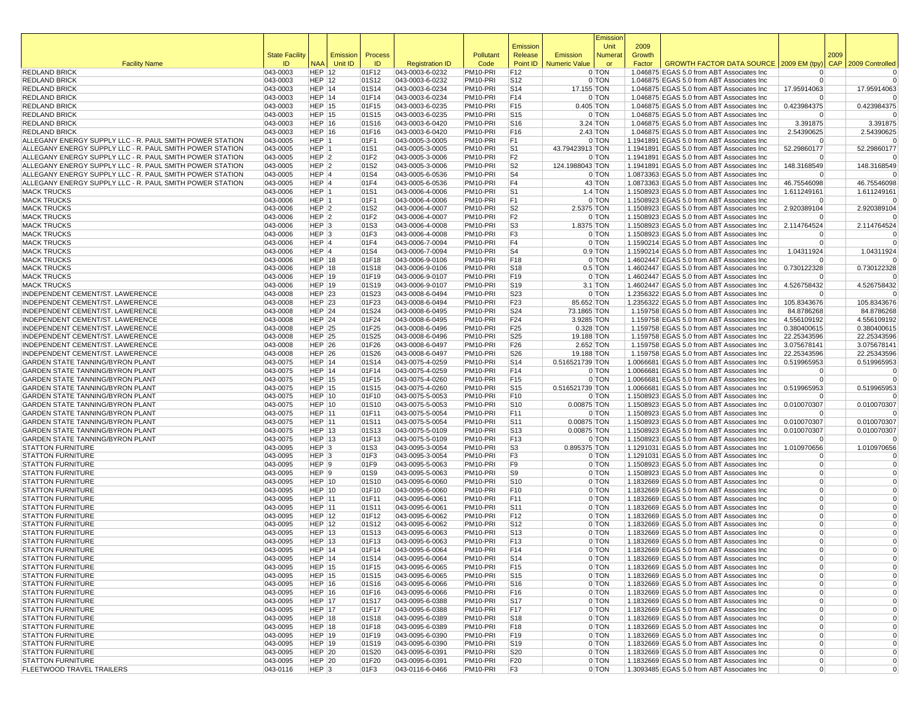|                                                                                    |                             |                                |                     |                |                                    |                      |                                    |                                  | Emissior                 |                  |                                                                                          |                                  |      |                            |
|------------------------------------------------------------------------------------|-----------------------------|--------------------------------|---------------------|----------------|------------------------------------|----------------------|------------------------------------|----------------------------------|--------------------------|------------------|------------------------------------------------------------------------------------------|----------------------------------|------|----------------------------|
|                                                                                    |                             |                                |                     |                |                                    |                      | Emission                           |                                  | Unit                     | 2009             |                                                                                          |                                  |      |                            |
| <b>Facility Name</b>                                                               | <b>State Facility</b><br>ID | <b>NAA</b>                     | Emission<br>Unit ID | Process<br>ID  | <b>Registration ID</b>             | Pollutant<br>Code    | Release<br>Point ID                | Emission<br><b>Numeric Value</b> | Numera<br>or             | Growth<br>Factor | GROWTH FACTOR DATA SOURCE 2009 EM (tpy)                                                  |                                  | 2009 | CAP 2009 Controlled        |
| <b>REDLAND BRICK</b>                                                               | 043-0003                    | HEP $ 12$                      |                     | 01F12          | 043-0003-6-0232                    | PM10-PRI             | F12                                |                                  | 0 TON                    |                  | 1.046875 EGAS 5.0 from ABT Associates Inc                                                | $\Omega$                         |      | $\Omega$                   |
| <b>REDLAND BRICK</b>                                                               | 043-0003                    | HEP $ 12$                      |                     | 01S12          | 043-0003-6-0232                    | PM10-PRI             | S <sub>12</sub>                    |                                  | 0 TON                    |                  | 1.046875 EGAS 5.0 from ABT Associates Inc                                                | $\Omega$                         |      | $\Omega$                   |
| <b>REDLAND BRICK</b>                                                               | 043-0003                    | HEP 14                         |                     | 01S14          | 043-0003-6-0234                    | PM10-PRI             | S <sub>14</sub>                    | 17.155 TON                       |                          |                  | 1.046875 EGAS 5.0 from ABT Associates Inc                                                | 17.95914063                      |      | 17.95914063                |
| <b>REDLAND BRICK</b>                                                               | 043-0003                    | $HEP$ 14                       |                     | 01F14          | 043-0003-6-0234                    | PM10-PRI             | F14                                |                                  | 0 TON                    |                  | 1.046875 EGAS 5.0 from ABT Associates Inc                                                | $\Omega$                         |      | $\Omega$                   |
| <b>REDLAND BRICK</b>                                                               | 043-0003                    | $HEP$ 15                       |                     | 01F15          | 043-0003-6-0235                    | PM10-PRI             | F15                                | 0.405 TON                        |                          |                  | 1.046875 EGAS 5.0 from ABT Associates Inc                                                | 0.423984375                      |      | 0.423984375                |
| <b>REDLAND BRICK</b>                                                               | 043-0003                    | <b>HEP 15</b>                  |                     | 01S15          | 043-0003-6-0235                    | PM10-PRI             | S <sub>15</sub>                    |                                  | 0 TON                    |                  | 1.046875 EGAS 5.0 from ABT Associates Inc                                                | $\Omega$                         |      | $\Omega$                   |
| <b>REDLAND BRICK</b><br><b>REDLAND BRICK</b>                                       | 043-0003<br>043-0003        | HEP 16<br>HEP 16               |                     | 01S16<br>01F16 | 043-0003-6-0420<br>043-0003-6-0420 | PM10-PRI<br>PM10-PRI | S <sub>16</sub><br>F <sub>16</sub> |                                  | $3.24$ TON<br>$2.43$ TON |                  | 1.046875 EGAS 5.0 from ABT Associates Inc<br>1.046875 EGAS 5.0 from ABT Associates Inc   | 3.391875<br>2.54390625           |      | 3.391875<br>2.54390625     |
| ALLEGANY ENERGY SUPPLY LLC - R. PAUL SMITH POWER STATION                           | 043-0005                    | $HEP$  1                       |                     | 01F1           | 043-0005-3-0005                    | PM10-PRI             | F1                                 |                                  | 0 TON                    |                  | 1.1941891 EGAS 5.0 from ABT Associates Inc                                               | $\Omega$                         |      | $\Omega$                   |
| ALLEGANY ENERGY SUPPLY LLC - R. PAUL SMITH POWER STATION                           | 043-0005                    | HEP 1                          |                     | 01S1           | 043-0005-3-0005                    | PM10-PRI             | S <sub>1</sub>                     | 43.79423913 TON                  |                          |                  | 1.1941891 EGAS 5.0 from ABT Associates Inc                                               | 52.29860177                      |      | 52.29860177                |
| ALLEGANY ENERGY SUPPLY LLC - R. PAUL SMITH POWER STATION                           | 043-0005                    | $HEP$ 2                        |                     | 01F2           | 043-0005-3-0006                    | PM10-PRI             | F <sub>2</sub>                     |                                  | 0 TON                    |                  | 1.1941891 EGAS 5.0 from ABT Associates Inc                                               | $\Omega$                         |      | $\Omega$                   |
| ALLEGANY ENERGY SUPPLY LLC - R. PAUL SMITH POWER STATION                           | 043-0005                    | HEP <sub>2</sub>               |                     | 01S2           | 043-0005-3-0006                    | PM10-PRI             | S <sub>2</sub>                     | 124.1988043 TON                  |                          |                  | 1.1941891 EGAS 5.0 from ABT Associates Inc                                               | 148.3168549                      |      | 148.3168549                |
| ALLEGANY ENERGY SUPPLY LLC - R. PAUL SMITH POWER STATION                           | 043-0005                    | $HEP$ 4                        |                     | 01S4           | 043-0005-6-0536                    | PM10-PRI             | S <sub>4</sub>                     |                                  | 0 TON                    |                  | 1.0873363 EGAS 5.0 from ABT Associates Inc                                               | $\Omega$                         |      |                            |
| ALLEGANY ENERGY SUPPLY LLC - R. PAUL SMITH POWER STATION                           | 043-0005                    | HEP 4                          |                     | 01F4           | 043-0005-6-0536                    | PM10-PRI             | F <sub>4</sub>                     |                                  | 43 TON                   |                  | 1.0873363 EGAS 5.0 from ABT Associates Inc                                               | 46.75546098                      |      | 46.75546098                |
| <b>MACK TRUCKS</b><br><b>MACK TRUCKS</b>                                           | 043-0006<br>043-0006        | HEP 1<br>HEP 1                 |                     | 01S1<br>01F1   | 043-0006-4-0006<br>043-0006-4-0006 | PM10-PRI<br>PM10-PRI | S <sub>1</sub><br>F1               |                                  | $1.4$ TON<br>0 TON       |                  | 1.1508923 EGAS 5.0 from ABT Associates Inc<br>1.1508923 EGAS 5.0 from ABT Associates Inc | 1.611249161<br>0                 |      | 1.611249161<br>$\Omega$    |
| <b>MACK TRUCKS</b>                                                                 | 043-0006                    | HEP <sub>2</sub>               |                     | 01S2           | 043-0006-4-0007                    | PM10-PRI             | S <sub>2</sub>                     | 2.5375 TON                       |                          |                  | 1.1508923 EGAS 5.0 from ABT Associates Inc                                               | 2.920389104                      |      | 2.920389104                |
| <b>MACK TRUCKS</b>                                                                 | 043-0006                    | $HEP$ 2                        |                     | 01F2           | 043-0006-4-0007                    | PM10-PRI             | F <sub>2</sub>                     |                                  | 0 TON                    |                  | 1.1508923 EGAS 5.0 from ABT Associates Inc                                               | $\Omega$                         |      |                            |
| <b>MACK TRUCKS</b>                                                                 | 043-0006                    | HEP <sub>3</sub>               |                     | 01S3           | 043-0006-4-0008                    | PM10-PRI             | S <sub>3</sub>                     | 1.8375 TON                       |                          |                  | 1.1508923 EGAS 5.0 from ABT Associates Inc                                               | 2.114764524                      |      | 2.114764524                |
| <b>MACK TRUCKS</b>                                                                 | 043-0006                    | $HEP$ 3                        |                     | 01F3           | 043-0006-4-0008                    | PM10-PRI             | F3                                 |                                  | 0 TON                    |                  | 1.1508923 EGAS 5.0 from ABT Associates Inc                                               | $\Omega$                         |      | $\Omega$                   |
| <b>MACK TRUCKS</b>                                                                 | 043-0006                    | HEP 4                          |                     | 01F4           | 043-0006-7-0094                    | PM10-PRI             | F <sub>4</sub>                     |                                  | 0 TON                    |                  | 1.1590214 EGAS 5.0 from ABT Associates Inc                                               | $\Omega$                         |      | $\Omega$                   |
| <b>MACK TRUCKS</b>                                                                 | 043-0006                    | HEP 4                          |                     | 01S4           | 043-0006-7-0094                    | PM10-PRI             | S <sub>4</sub>                     |                                  | $0.9$ TON                |                  | 1.1590214 EGAS 5.0 from ABT Associates Inc                                               | 1.04311924                       |      | 1.04311924                 |
| <b>MACK TRUCKS</b>                                                                 | 043-0006                    | $HEP$ 18                       |                     | 01F18          | 043-0006-9-0106                    | PM10-PRI             | F18                                |                                  | 0 TON                    |                  | 1.4602447 EGAS 5.0 from ABT Associates Inc                                               | $\Omega$                         |      |                            |
| <b>MACK TRUCKS</b><br><b>MACK TRUCKS</b>                                           | 043-0006<br>043-0006        | $HEP$ 18<br><b>HEP 19</b>      |                     | 01S18<br>01F19 | 043-0006-9-0106                    | PM10-PRI<br>PM10-PRI | S <sub>18</sub><br>F19             |                                  | $0.5$ TON<br>0 TON       |                  | 1.4602447 EGAS 5.0 from ABT Associates Inc                                               | 0.730122328<br>$\Omega$          |      | 0.730122328<br>$\Omega$    |
| <b>MACK TRUCKS</b>                                                                 | 043-0006                    | <b>HEP 19</b>                  |                     | 01S19          | 043-0006-9-0107<br>043-0006-9-0107 | PM10-PRI             | S <sub>19</sub>                    |                                  | $3.1$ TON                |                  | 1.4602447 EGAS 5.0 from ABT Associates Inc<br>1.4602447 EGAS 5.0 from ABT Associates Inc | 4.526758432                      |      | 4.526758432                |
| INDEPENDENT CEMENT/ST. LAWERENCE                                                   | 043-0008                    | HEP $ 23$                      |                     | 01S23          | 043-0008-6-0494                    | PM10-PRI             | S23                                |                                  | 0 TON                    |                  | 1.2356322 EGAS 5.0 from ABT Associates Inc                                               | $\Omega$                         |      | $\Omega$                   |
| INDEPENDENT CEMENT/ST. LAWERENCE                                                   | 043-0008                    | <b>HEP 23</b>                  |                     | 01F23          | 043-0008-6-0494                    | PM10-PRI             | F23                                | 85.652 TON                       |                          |                  | 1.2356322 EGAS 5.0 from ABT Associates Inc                                               | 105.8343676                      |      | 105.8343676                |
| INDEPENDENT CEMENT/ST. LAWERENCE                                                   | 043-0008                    | $HEP$ 24                       |                     | 01S24          | 043-0008-6-0495                    | PM10-PRI             | S24                                | 73.1865 TON                      |                          |                  | 1.159758 EGAS 5.0 from ABT Associates Inc                                                | 84.8786268                       |      | 84.8786268                 |
| INDEPENDENT CEMENT/ST. LAWERENCE                                                   | 043-0008                    | <b>HEP 24</b>                  |                     | 01F24          | 043-0008-6-0495                    | PM10-PRI             | F24                                | 3.9285 TON                       |                          |                  | 1.159758 EGAS 5.0 from ABT Associates Inc                                                | 4.556109192                      |      | 4.556109192                |
| INDEPENDENT CEMENT/ST. LAWERENCE                                                   | 043-0008                    | <b>HEP 25</b>                  |                     | 01F25          | 043-0008-6-0496                    | PM10-PRI             | F <sub>25</sub>                    | 0.328 TON                        |                          |                  | 1.159758 EGAS 5.0 from ABT Associates Inc                                                | 0.380400615                      |      | 0.380400615                |
| INDEPENDENT CEMENT/ST. LAWERENCE<br><b>INDEPENDENT CEMENT/ST, LAWERENCE</b>        | 043-0008                    | $HEP$ 25                       |                     | 01S25          | 043-0008-6-0496                    | PM10-PRI             | S <sub>25</sub>                    | 19.188 TON                       |                          |                  | 1.159758 EGAS 5.0 from ABT Associates Inc                                                | 22.25343596                      |      | 22.25343596                |
| INDEPENDENT CEMENT/ST. LAWERENCE                                                   | 043-0008<br>043-0008        | <b>HEP 26</b><br>$HEP$ 26      |                     | 01F26<br>01S26 | 043-0008-6-0497<br>043-0008-6-0497 | PM10-PRI<br>PM10-PRI | F <sub>26</sub><br>S26             | 2.652 TON<br>19.188 TON          |                          |                  | 1.159758 EGAS 5.0 from ABT Associates Inc<br>1.159758 EGAS 5.0 from ABT Associates Inc   | 3.075678141<br>22.25343596       |      | 3.075678141<br>22.25343596 |
| GARDEN STATE TANNING/BYRON PLANT                                                   | 043-0075                    | HEP 14                         |                     | 01S14          | 043-0075-4-0259                    | PM10-PRI             | S <sub>14</sub>                    | 0.516521739 TON                  |                          |                  | 1.0066681 EGAS 5.0 from ABT Associates Inc                                               | 0.519965953                      |      | 0.519965953                |
| GARDEN STATE TANNING/BYRON PLANT                                                   | 043-0075                    | $HEP$ 14                       |                     | 01F14          | 043-0075-4-0259                    | PM10-PRI             | F14                                |                                  | 0 TON                    |                  | 1.0066681 EGAS 5.0 from ABT Associates Inc                                               | $\Omega$                         |      | 0                          |
| GARDEN STATE TANNING/BYRON PLANT                                                   | 043-0075                    | <b>HEP 15</b>                  |                     | 01F15          | 043-0075-4-0260                    | PM10-PRI             | F <sub>15</sub>                    |                                  | 0 TON                    |                  | 1.0066681 EGAS 5.0 from ABT Associates Inc                                               | $\Omega$                         |      | $\Omega$                   |
| <b>GARDEN STATE TANNING/BYRON PLANT</b>                                            | 043-0075                    | HEP $ 15$                      |                     | 01S15          | 043-0075-4-0260                    | PM10-PRI             | S <sub>15</sub>                    | 0.516521739 TON                  |                          |                  | 1.0066681 EGAS 5.0 from ABT Associates Inc                                               | 0.519965953                      |      | 0.519965953                |
| GARDEN STATE TANNING/BYRON PLANT                                                   | 043-0075                    | <b>HEP 10</b>                  |                     | 01F10          | 043-0075-5-0053                    | PM10-PRI             | F10                                |                                  | 0 TON                    |                  | 1.1508923 EGAS 5.0 from ABT Associates Inc                                               | $\Omega$                         |      | $\Omega$                   |
| <b>GARDEN STATE TANNING/BYRON PLANT</b>                                            | 043-0075                    | $HEP$ 10                       |                     | 01S10          | 043-0075-5-0053                    | PM10-PRI             | S <sub>10</sub>                    | 0.00875 TON                      |                          |                  | 1.1508923 EGAS 5.0 from ABT Associates Inc                                               | 0.010070307                      |      | 0.010070307                |
| <b>GARDEN STATE TANNING/BYRON PLANT</b><br><b>GARDEN STATE TANNING/BYRON PLANT</b> | 043-0075<br>043-0075        | $HEP$ 11<br>$HEP$ 11           |                     | 01F11<br>01S11 | 043-0075-5-0054<br>043-0075-5-0054 | PM10-PRI<br>PM10-PRI | F11<br>S <sub>11</sub>             | 0.00875 TON                      | 0 TON                    |                  | 1.1508923 EGAS 5.0 from ABT Associates Inc<br>1.1508923 EGAS 5.0 from ABT Associates Inc | 0<br>0.010070307                 |      | 0.010070307                |
| GARDEN STATE TANNING/BYRON PLANT                                                   | 043-0075                    | $HEP$ 13                       |                     | 01S13          | 043-0075-5-0109                    | PM10-PRI             | S <sub>13</sub>                    | 0.00875 TON                      |                          |                  | 1.1508923 EGAS 5.0 from ABT Associates Inc                                               | 0.010070307                      |      | 0.010070307                |
| GARDEN STATE TANNING/BYRON PLANT                                                   | 043-0075                    | <b>HEP 13</b>                  |                     | 01F13          | 043-0075-5-0109                    | PM10-PRI             | F13                                |                                  | 0 TON                    |                  | 1.1508923 EGAS 5.0 from ABT Associates Inc                                               | $\Omega$                         |      | $\Omega$                   |
| <b>STATTON FURNITURE</b>                                                           | 043-0095                    | $HEP$ 3                        |                     | 01S3           | 043-0095-3-0054                    | PM10-PRI             | S3                                 | 0.895375 TON                     |                          |                  | 1.1291031 EGAS 5.0 from ABT Associates Inc                                               | 1.010970656                      |      | 1.010970656                |
| <b>STATTON FURNITURE</b>                                                           | 043-0095                    | $HEP$ 3                        |                     | 01F3           | 043-0095-3-0054                    | PM10-PRI             | F3                                 |                                  | 0 TON                    |                  | 1.1291031 EGAS 5.0 from ABT Associates Inc                                               | $\Omega$                         |      | $\Omega$                   |
| <b>STATTON FURNITURE</b>                                                           | 043-0095                    | HEP 9                          |                     | 01F9           | 043-0095-5-0063                    | PM10-PRI             | F9                                 |                                  | 0 TON                    |                  | 1.1508923 EGAS 5.0 from ABT Associates Inc                                               | $\overline{0}$                   |      | 0                          |
| <b>STATTON FURNITURE</b>                                                           | 043-0095                    | HEP <sub>9</sub>               |                     | 01S9           | 043-0095-5-0063                    | PM10-PRI             | S <sub>9</sub>                     |                                  | 0 TON                    |                  | 1.1508923 EGAS 5.0 from ABT Associates Inc                                               | $\overline{0}$                   |      | $\Omega$                   |
| <b>STATTON FURNITURE</b><br><b>STATTON FURNITURE</b>                               | 043-0095<br>043-0095        | <b>HEP 10</b><br>$HEP$ 10      |                     | 01S10<br>01F10 | 043-0095-6-0060<br>043-0095-6-0060 | PM10-PRI<br>PM10-PRI | S <sub>10</sub><br>F <sub>10</sub> |                                  | 0 TON<br>0 TON           |                  | 1.1832669 EGAS 5.0 from ABT Associates Inc<br>1.1832669 EGAS 5.0 from ABT Associates Inc | $\overline{0}$<br>$\overline{0}$ |      | $\Omega$<br>$\Omega$       |
| <b>STATTON FURNITURE</b>                                                           | 043-0095                    | <b>HEP 11</b>                  |                     | 01F11          | 043-0095-6-0061                    | PM10-PRI             | F11                                |                                  | 0 TON                    |                  | 1.1832669 EGAS 5.0 from ABT Associates Inc                                               | $\overline{0}$                   |      | $\mathbf 0$                |
| <b>STATTON FURNITURE</b>                                                           | 043-0095                    | $HEP$ 11                       |                     | 01S11          | 043-0095-6-0061                    | PM10-PRI             | S11                                |                                  | 0 TON                    |                  | 1.1832669 EGAS 5.0 from ABT Associates Inc                                               | $\overline{0}$                   |      | $\Omega$                   |
| <b>STATTON FURNITURE</b>                                                           | 043-0095                    | <b>HEP 12</b>                  |                     | 01F12          | 043-0095-6-0062                    | PM10-PRI             | F12                                |                                  | 0 TON                    |                  | 1.1832669 EGAS 5.0 from ABT Associates Inc                                               | $\Omega$                         |      | $\Omega$                   |
| <b>STATTON FURNITURE</b>                                                           | 043-0095                    | $HEP$ 12                       |                     | 01S12          | 043-0095-6-0062                    | PM10-PRI             | S12                                |                                  | $0$ TON                  |                  | 1.1832669 EGAS 5.0 from ABT Associates Inc                                               | $\Omega$                         |      | $\Omega$                   |
| <b>STATTON FURNITURE</b>                                                           | 043-0095                    | HEP $13$                       |                     | 01S13          | 043-0095-6-0063                    | PM10-PRI             | S13                                |                                  | 0 TON                    |                  | 1.1832669 EGAS 5.0 from ABT Associates Inc                                               | $\Omega$                         |      | $\Omega$                   |
| <b>STATTON FURNITURE</b>                                                           | 043-0095                    | $HEP$  13                      |                     | 01F13          | 043-0095-6-0063                    | PM10-PRI             | F13                                |                                  | 0 TON                    |                  | 1.1832669 EGAS 5.0 from ABT Associates Inc                                               | $\Omega$                         |      | $\Omega$                   |
| <b>STATTON FURNITURE</b>                                                           | 043-0095                    | $HEP$ 14<br>HEP   14           |                     | 01F14          | 043-0095-6-0064                    | PM10-PRI             | F <sub>14</sub>                    |                                  | 0 TON                    |                  | 1.1832669 EGAS 5.0 from ABT Associates Inc                                               | $\Omega$                         |      | $\Omega$                   |
| STATTON FURNITURE<br><b>STATTON FURNITURE</b>                                      | 043-0095<br>043-0095        | <b>HEP 15</b>                  |                     | 01S14<br>01F15 | 043-0095-6-0064<br>043-0095-6-0065 | PM10-PRI<br>PM10-PRI | S14<br>F15                         |                                  | 0 TON<br>$0$ TON         |                  | 1.1832669 EGAS 5.0 from ABT Associates Inc<br>1.1832669 EGAS 5.0 from ABT Associates Inc | $\overline{0}$                   |      | $\mathbf 0$                |
| <b>STATTON FURNITURE</b>                                                           | 043-0095                    | <b>HEP 15</b>                  |                     | 01S15          | 043-0095-6-0065                    | PM10-PRI             | S <sub>15</sub>                    |                                  | $0$ TON                  |                  | 1.1832669 EGAS 5.0 from ABT Associates Inc                                               | $\overline{0}$                   |      | 0                          |
| <b>STATTON FURNITURE</b>                                                           | 043-0095                    | <b>HEP 16</b>                  |                     | 01S16          | 043-0095-6-0066                    | PM10-PRI             | S <sub>16</sub>                    |                                  | $0$ TON                  |                  | 1.1832669 EGAS 5.0 from ABT Associates Inc                                               | $\overline{0}$                   |      | $\Omega$                   |
| <b>STATTON FURNITURE</b>                                                           | 043-0095                    | <b>HEP 16</b>                  |                     | 01F16          | 043-0095-6-0066                    | PM10-PRI             | F16                                |                                  | $0$ TON                  |                  | 1.1832669 EGAS 5.0 from ABT Associates Inc                                               | $\overline{0}$                   |      | 0                          |
| <b>STATTON FURNITURE</b>                                                           | 043-0095                    | <b>HEP 17</b>                  |                     | 01S17          | 043-0095-6-0388                    | PM10-PRI             | S17                                |                                  | 0 TON                    |                  | 1.1832669 EGAS 5.0 from ABT Associates Inc                                               | $\overline{0}$                   |      | $\Omega$                   |
| <b>STATTON FURNITURE</b>                                                           | 043-0095                    | HEP 17                         |                     | 01F17          | 043-0095-6-0388                    | PM10-PRI             | F17                                |                                  | 0 TON                    |                  | 1.1832669 EGAS 5.0 from ABT Associates Inc                                               | $\overline{0}$                   |      | $\Omega$                   |
| <b>STATTON FURNITURE</b>                                                           | 043-0095                    | <b>HEP 18</b>                  |                     | 01S18          | 043-0095-6-0389                    | PM10-PRI             | S <sub>18</sub>                    |                                  | $0$ TON                  |                  | 1.1832669 EGAS 5.0 from ABT Associates Inc<br>1.1832669 EGAS 5.0 from ABT Associates Inc | 0<br>$\overline{0}$              |      | $\Omega$<br>0              |
| <b>STATTON FURNITURE</b><br><b>STATTON FURNITURE</b>                               | 043-0095<br>043-0095        | <b>HEP 18</b><br><b>HEP 19</b> |                     | 01F18<br>01F19 | 043-0095-6-0389<br>043-0095-6-0390 | PM10-PRI<br>PM10-PRI | F18<br>F <sub>19</sub>             |                                  | $0$ TON<br>0 TON         |                  | 1.1832669 EGAS 5.0 from ABT Associates Inc                                               | $\overline{0}$                   |      | 0                          |
| <b>STATTON FURNITURE</b>                                                           | 043-0095                    | HEP 19                         |                     | 01S19          | 043-0095-6-0390                    | PM10-PRI             | S <sub>19</sub>                    |                                  | 0 TON                    |                  | 1.1832669 EGAS 5.0 from ABT Associates Inc                                               | $\overline{0}$                   |      | 0                          |
| <b>STATTON FURNITURE</b>                                                           | 043-0095                    | <b>HEP 20</b>                  |                     | 01S20          | 043-0095-6-0391                    | PM10-PRI             | S <sub>20</sub>                    |                                  | $0$ TON                  |                  | 1.1832669 EGAS 5.0 from ABT Associates Inc                                               | $\overline{0}$                   |      | 0                          |
| <b>STATTON FURNITURE</b>                                                           | 043-0095                    | <b>HEP 20</b>                  |                     | 01F20          | 043-0095-6-0391                    | PM10-PRI             | F20                                |                                  | $0$ TON                  |                  | 1.1832669 EGAS 5.0 from ABT Associates Inc                                               | $\overline{0}$                   |      | 0                          |
| <b>FLEETWOOD TRAVEL TRAILERS</b>                                                   | 043-0116                    | $HEP$ 3                        |                     | 01F3           | 043-0116-6-0466                    | PM10-PRI             | F <sub>3</sub>                     |                                  | $0$ TON                  |                  | 1.3093485 EGAS 5.0 from ABT Associates Inc                                               | 0                                |      | 0                          |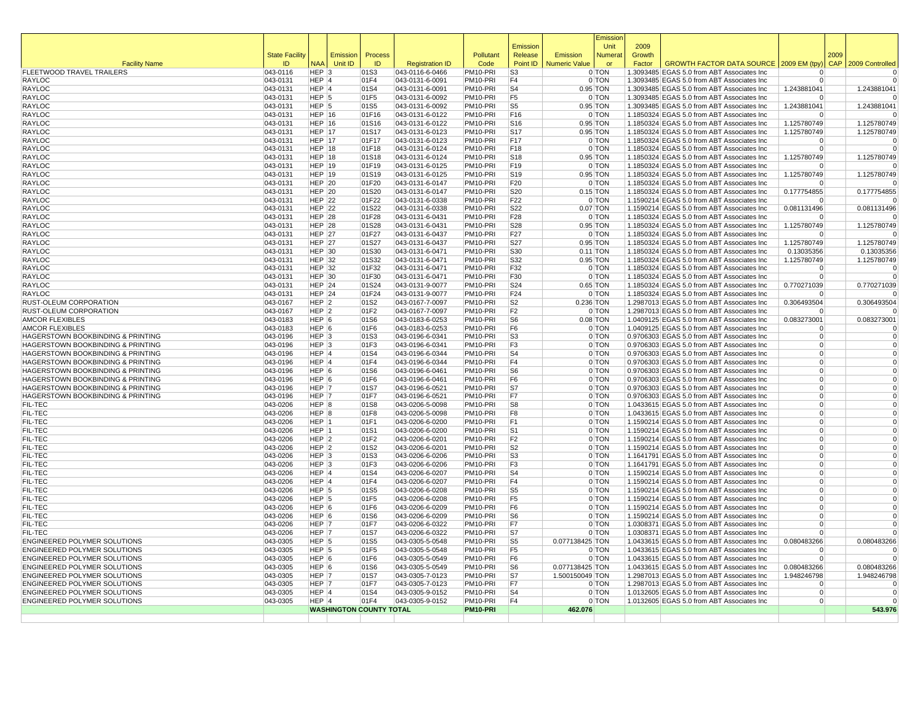|                                                              |                       |                        |                                |                |                                    |                      | Emission                           |                      | Emissior<br>Unit         | 2009   |                                                                                          |                            |      |                               |
|--------------------------------------------------------------|-----------------------|------------------------|--------------------------------|----------------|------------------------------------|----------------------|------------------------------------|----------------------|--------------------------|--------|------------------------------------------------------------------------------------------|----------------------------|------|-------------------------------|
|                                                              | <b>State Facility</b> |                        | Emission                       | Process        |                                    | Pollutant            | Release                            | Emission             | <b>Numera</b>            | Growth |                                                                                          |                            | 2009 |                               |
| <b>Facility Name</b>                                         | ID                    | <b>NAA</b>             | Unit ID                        | ID             | <b>Registration ID</b>             | Code                 | Point ID                           | <b>Numeric Value</b> | or                       | Factor | GROWTH FACTOR DATA SOURCE   2009 EM (tpy                                                 |                            |      | CAP 2009 Controlled           |
| FLEETWOOD TRAVEL TRAILERS                                    | 043-0116              | $HEP$ 3                |                                | 01S3           | 043-0116-6-0466                    | PM10-PRI             | S <sub>3</sub>                     |                      | 0 TON                    |        | 1.3093485 EGAS 5.0 from ABT Associates Inc                                               | $\Omega$                   |      | 0                             |
| RAYLOC<br>RAYLOC                                             | 043-0131<br>043-0131  | HEP 4<br>$HEP$ 4       |                                | 01F4<br>01S4   | 043-0131-6-0091<br>043-0131-6-0091 | PM10-PRI<br>PM10-PRI | F <sub>4</sub><br>S <sub>4</sub>   |                      | 0 TON<br>$0.95$ TON      |        | 1.3093485 EGAS 5.0 from ABT Associates Inc<br>1.3093485 EGAS 5.0 from ABT Associates Inc | $\Omega$<br>1.243881041    |      | $\overline{0}$<br>1.243881041 |
| RAYLOC                                                       | 043-0131              | $HEP$ 5                |                                | 01F5           | 043-0131-6-0092                    | PM10-PRI             | F <sub>5</sub>                     |                      | 0 TON                    |        | 1.3093485 EGAS 5.0 from ABT Associates Inc                                               | $\Omega$                   |      |                               |
| RAYLOC                                                       | 043-0131              | HEP <sup>5</sup>       |                                | 01S5           | 043-0131-6-0092                    | PM10-PRI             | S <sub>5</sub>                     |                      | $0.95$ TON               |        | 1.3093485 EGAS 5.0 from ABT Associates Inc                                               | 1.243881041                |      | 1.243881041                   |
| RAYLOC                                                       | $ 043 - 0131$         | HEP $ 16$              |                                | 01F16          | 043-0131-6-0122                    | PM10-PRI             | F16                                |                      | 0 TON                    |        | 1.1850324 EGAS 5.0 from ABT Associates Inc                                               | $\mathbf 0$                |      |                               |
| <b>RAYLOC</b>                                                | 043-0131              | $HEP$ 16               |                                | 01S16          | 043-0131-6-0122                    | PM10-PRI             | S16                                |                      | $0.95$ TON               |        | 1.1850324 EGAS 5.0 from ABT Associates Inc                                               | 1.125780749                |      | 1.125780749                   |
| RAYLOC                                                       | $ 043 - 0131$         | HEP $ 17$              |                                | 01S17          | 043-0131-6-0123                    | PM10-PRI             | <b>S17</b>                         |                      | $0.95$ TON               |        | 1.1850324 EGAS 5.0 from ABT Associates Inc                                               | 1.125780749                |      | 1.125780749                   |
| RAYLOC                                                       | 043-0131              | <b>HEP 17</b>          |                                | 01F17          | 043-0131-6-0123                    | PM10-PRI             | F <sub>17</sub>                    |                      | 0 TON                    |        | 1.1850324 EGAS 5.0 from ABT Associates Inc                                               | $\Omega$                   |      |                               |
| RAYLOC                                                       | 043-0131              | HEP $ 18$              |                                | 01F18          | 043-0131-6-0124                    | PM10-PRI             | F <sub>18</sub>                    |                      | 0 TON                    |        | 1.1850324 EGAS 5.0 from ABT Associates Inc                                               | $\overline{0}$             |      | $\Omega$                      |
| RAYLOC<br>RAYLOC                                             | 043-0131<br>043-0131  | HEP $ 18$<br>HEP $ 19$ |                                | 01S18<br>01F19 | 043-0131-6-0124<br>043-0131-6-0125 | PM10-PRI<br>PM10-PRI | S <sub>18</sub><br>F <sub>19</sub> |                      | $0.95$ TON<br>0 TON      |        | 1.1850324 EGAS 5.0 from ABT Associates Inc<br>1.1850324 EGAS 5.0 from ABT Associates Inc | 1.125780749                |      | 1.125780749                   |
| <b>RAYLOC</b>                                                | 043-0131              | HEP $ 19$              |                                | 01S19          | 043-0131-6-0125                    | PM10-PRI             | S19                                |                      | $0.95$ TON               |        | 1.1850324 EGAS 5.0 from ABT Associates Inc                                               | 1.125780749                |      | 1.125780749                   |
| RAYLOC                                                       | 043-0131              | $HEP$ 20               |                                | 01F20          | 043-0131-6-0147                    | PM10-PRI             | F <sub>20</sub>                    |                      | $0$ TON                  |        | 1.1850324 EGAS 5.0 from ABT Associates Inc                                               | $\Omega$                   |      | $\Omega$                      |
| RAYLOC                                                       | 043-0131              | HEP $ 20$              |                                | 01S20          | 043-0131-6-0147                    | PM10-PRI             | S20                                |                      | $0.15$ TON               |        | 1.1850324 EGAS 5.0 from ABT Associates Inc                                               | 0.177754855                |      | 0.177754855                   |
| RAYLOC                                                       | 043-0131              | $HEP$ 22               |                                | 01F22          | 043-0131-6-0338                    | PM10-PRI             | F <sub>22</sub>                    |                      | 0 TON                    |        | 1.1590214 EGAS 5.0 from ABT Associates Inc                                               | $\Omega$                   |      |                               |
| RAYLOC                                                       | 043-0131              | HEP $ 22$              |                                | 01S22          | 043-0131-6-0338                    | PM10-PRI             | S22                                |                      | $0.07$ TON               |        | 1.1590214 EGAS 5.0 from ABT Associates Inc                                               | 0.081131496                |      | 0.081131496                   |
| RAYLOC                                                       | 043-0131              | $HEP$ 28               |                                | 01F28          | 043-0131-6-0431                    | PM10-PRI             | F <sub>28</sub>                    |                      | 0 TON                    |        | 1.1850324 EGAS 5.0 from ABT Associates Inc                                               | $\mathbf 0$                |      | o                             |
| RAYLOC                                                       | $ 043 - 0131$         | $HEP$ 28               |                                | 01S28          | 043-0131-6-0431                    | PM10-PRI             | S28                                |                      | 0.95 TON                 |        | 1.1850324 EGAS 5.0 from ABT Associates Inc                                               | 1.125780749                |      | 1.125780749                   |
| RAYLOC                                                       | 043-0131              | <b>HEP 27</b>          |                                | 01F27          | 043-0131-6-0437                    | PM10-PRI             | F27                                |                      | 0 TON                    |        | 1.1850324 EGAS 5.0 from ABT Associates Inc                                               | $\Omega$                   |      |                               |
| RAYLOC<br>RAYLOC                                             | 043-0131<br>043-0131  | HEP $ 27$<br>HEP $ 30$ |                                | 01S27<br>01S30 | 043-0131-6-0437<br>043-0131-6-0471 | PM10-PRI<br>PM10-PRI | S27<br>S30                         |                      | $0.95$ TON<br>$0.11$ TON |        | 1.1850324 EGAS 5.0 from ABT Associates Inc<br>1.1850324 EGAS 5.0 from ABT Associates Inc | 1.125780749<br>0.13035356  |      | 1.125780749<br>0.13035356     |
| RAYLOC                                                       | 043-0131              | HEP $ 32$              |                                | 01S32          | 043-0131-6-0471                    | PM10-PRI             | S32                                |                      | $0.95$ TON               |        | 1.1850324 EGAS 5.0 from ABT Associates Inc                                               | 1.125780749                |      | 1.125780749                   |
| RAYLOC                                                       | 043-0131              | $HEP$ 32               |                                | 01F32          | 043-0131-6-0471                    | PM10-PRI             | F32                                |                      | 0 TON                    |        | 1.1850324 EGAS 5.0 from ABT Associates Inc                                               | $\Omega$                   |      | $\mathbf 0$                   |
| RAYLOC                                                       | 043-0131              | HEP $ 30$              |                                | 01F30          | 043-0131-6-0471                    | PM10-PRI             | F30                                |                      | 0 TON                    |        | 1.1850324 EGAS 5.0 from ABT Associates Inc                                               | $\overline{0}$             |      | $\overline{0}$                |
| <b>RAYLOC</b>                                                | 043-0131              | $HEP$ 24               |                                | 01S24          | 043-0131-9-0077                    | PM10-PRI             | S24                                |                      | $0.65$ TON               |        | 1.1850324 EGAS 5.0 from ABT Associates Inc                                               | 0.770271039                |      | 0.770271039                   |
| RAYLOC                                                       | 043-0131              | $HEP$ 24               |                                | 01F24          | 043-0131-9-0077                    | PM10-PRI             | F24                                |                      | 0 TON                    |        | 1.1850324 EGAS 5.0 from ABT Associates Inc                                               | $\Omega$                   |      |                               |
| RUST-OLEUM CORPORATION                                       | 043-0167              | $HEP$ 2                |                                | 01S2           | 043-0167-7-0097                    | PM10-PRI             | S <sub>2</sub>                     | 0.236 TON            |                          |        | 1.2987013 EGAS 5.0 from ABT Associates Inc                                               | 0.306493504                |      | 0.306493504                   |
| RUST-OLEUM CORPORATION                                       | 043-0167              | $HEP$ 2                |                                | 01F2           | 043-0167-7-0097                    | PM10-PRI             | F <sub>2</sub>                     |                      | 0 TON                    |        | 1.2987013 EGAS 5.0 from ABT Associates Inc                                               | $\Omega$                   |      | $\Omega$                      |
| <b>AMCOR FLEXIBLES</b>                                       | 043-0183              | $HEP$ 6                |                                | 01S6           | 043-0183-6-0253                    | PM10-PRI             | S <sub>6</sub>                     |                      | $0.08$ TON               |        | 1.0409125 EGAS 5.0 from ABT Associates Inc                                               | 0.083273001<br>$\Omega$    |      | 0.083273001                   |
| <b>AMCOR FLEXIBLES</b><br>HAGERSTOWN BOOKBINDING & PRINTING  | 043-0183<br>043-0196  | $HEP$ 6<br>$HEP$ 3     |                                | 01F6<br>01S3   | 043-0183-6-0253<br>043-0196-6-0341 | PM10-PRI<br>PM10-PRI | F <sub>6</sub><br>S <sub>3</sub>   |                      | 0 TON<br>0 TON           |        | 1.0409125 EGAS 5.0 from ABT Associates Inc<br>0.9706303 EGAS 5.0 from ABT Associates Inc | $\overline{0}$             |      | $\overline{0}$                |
| HAGERSTOWN BOOKBINDING & PRINTING                            | 043-0196              | $HEP$ 3                |                                | 01F3           | 043-0196-6-0341                    | PM10-PRI             | F <sub>3</sub>                     |                      | 0 TON                    |        | 0.9706303 EGAS 5.0 from ABT Associates Inc                                               | $\overline{0}$             |      | $\overline{0}$                |
| HAGERSTOWN BOOKBINDING & PRINTING                            | 043-0196              | $HEP$ 4                |                                | 01S4           | 043-0196-6-0344                    | PM10-PRI             | S <sub>4</sub>                     |                      | 0 TON                    |        | 0.9706303 EGAS 5.0 from ABT Associates Inc                                               | $\overline{0}$             |      | $\mathbf 0$                   |
| HAGERSTOWN BOOKBINDING & PRINTING                            | 043-0196              | $HEP$ <sup>4</sup>     |                                | 01F4           | 043-0196-6-0344                    | PM10-PRI             | F <sub>4</sub>                     |                      | 0 TON                    |        | 0.9706303 EGAS 5.0 from ABT Associates Inc                                               | $\overline{0}$             |      | $\Omega$                      |
| HAGERSTOWN BOOKBINDING & PRINTING                            | 043-0196              | $HEP$ 6                |                                | 01S6           | 043-0196-6-0461                    | PM10-PRI             | S <sub>6</sub>                     |                      | 0 TON                    |        | 0.9706303 EGAS 5.0 from ABT Associates Inc                                               | $\overline{0}$             |      | $\mathbf 0$                   |
| HAGERSTOWN BOOKBINDING & PRINTING                            | 043-0196              | $HEP$ 6                |                                | 01F6           | 043-0196-6-0461                    | PM10-PRI             | F6                                 |                      | 0 TON                    |        | 0.9706303 EGAS 5.0 from ABT Associates Inc                                               | $\Omega$                   |      |                               |
| HAGERSTOWN BOOKBINDING & PRINTING                            | 043-0196              | HEP 7                  |                                | 01S7           | 043-0196-6-0521                    | PM10-PRI             | S7                                 |                      | 0 TON                    |        | 0.9706303 EGAS 5.0 from ABT Associates Inc                                               | $\overline{0}$             |      |                               |
| HAGERSTOWN BOOKBINDING & PRINTING                            | $ 043 - 0196$         | HEP 7<br>HEP 8         |                                | 01F7           | 043-0196-6-0521                    | PM10-PRI             | F7<br>S8                           |                      | 0 TON                    |        | 0.9706303 EGAS 5.0 from ABT Associates Inc                                               | $\Omega$                   |      | $\Omega$                      |
| FIL-TEC<br>FIL-TEC                                           | 043-0206<br>043-0206  | HEP 8                  |                                | 01S8<br>01F8   | 043-0206-5-0098<br>043-0206-5-0098 | PM10-PRI<br>PM10-PRI | F8                                 |                      | 0 TON<br>0 TON           |        | 1.0433615 EGAS 5.0 from ABT Associates Inc<br>1.0433615 EGAS 5.0 from ABT Associates Inc | $\overline{0}$<br>$\Omega$ |      | $\Omega$                      |
| FIL-TEC                                                      | 043-0206              | HEP 1                  |                                | 01F1           | 043-0206-6-0200                    | PM10-PRI             | F <sub>1</sub>                     |                      | 0 TON                    |        | 1.1590214 EGAS 5.0 from ABT Associates Inc                                               | $\Omega$                   |      |                               |
| FIL-TEC                                                      | 043-0206              | HEP 1                  |                                | 01S1           | 043-0206-6-0200                    | PM10-PRI             | S <sub>1</sub>                     |                      | 0 TON                    |        | 1.1590214 EGAS 5.0 from ABT Associates Inc                                               | $\overline{0}$             |      |                               |
| FIL-TEC                                                      | 043-0206              | $HEP$ 2                |                                | 01F2           | 043-0206-6-0201                    | PM10-PRI             | F <sub>2</sub>                     |                      | 0 TON                    |        | 1.1590214 EGAS 5.0 from ABT Associates Inc                                               | $\overline{0}$             |      |                               |
| FIL-TEC                                                      | 043-0206              | $HEP$ 2                |                                | 01S2           | 043-0206-6-0201                    | PM10-PRI             | S <sub>2</sub>                     |                      | 0 TON                    |        | 1.1590214 EGAS 5.0 from ABT Associates Inc                                               | $\overline{0}$             |      | $\Omega$                      |
| FIL-TEC                                                      | 043-0206              | $HEP$ 3                |                                | 01S3           | 043-0206-6-0206                    | PM10-PRI             | S <sub>3</sub>                     |                      | 0 TON                    |        | 1.1641791 EGAS 5.0 from ABT Associates Inc                                               | $\Omega$                   |      | $\Omega$                      |
| FIL-TEC                                                      | 043-0206              | $HEP$ 3                |                                | 01F3           | 043-0206-6-0206                    | PM10-PRI             | F <sub>3</sub>                     |                      | 0 TON                    |        | 1.1641791 EGAS 5.0 from ABT Associates Inc                                               | $\Omega$                   |      | $\mathbf 0$                   |
| FIL-TEC                                                      | 043-0206              | $HEP$ 4                |                                | 01S4           | 043-0206-6-0207                    | PM10-PRI             | S <sub>4</sub><br>F <sub>4</sub>   |                      | 0 TON                    |        | 1.1590214 EGAS 5.0 from ABT Associates Inc                                               | $\Omega$<br>$\overline{0}$ |      | $\mathbf 0$<br>$\Omega$       |
| FIL-TEC<br>FIL-TEC                                           | 043-0206<br>043-0206  | $HEP$ 4<br>$HEP$ 5     |                                | 01F4<br> 01S5  | 043-0206-6-0207<br>043-0206-6-0208 | PM10-PRI<br>PM10-PRI | S <sub>5</sub>                     |                      | 0 TON<br>0 TON           |        | 1.1590214 EGAS 5.0 from ABT Associates Inc<br>1.1590214 EGAS 5.0 from ABT Associates Inc | $\Omega$                   |      |                               |
| FIL-TEC                                                      | 043-0206              | $HEP$ 5                |                                | 01F5           | 043-0206-6-0208                    | PM10-PRI             | F <sub>5</sub>                     |                      | 0 TON                    |        | 1.1590214 EGAS 5.0 from ABT Associates Inc                                               | $\Omega$                   |      | $\Omega$                      |
| FIL-TEC                                                      | $ 043 - 0206$         | $HEP$ 6                |                                | 01F6           | 043-0206-6-0209                    | PM10-PRI             | F <sub>6</sub>                     |                      | 0 TON                    |        | 1.1590214 EGAS 5.0 from ABT Associates Inc                                               | 0                          |      | $\mathbf 0$                   |
| FIL-TEC                                                      | 043-0206              | $HEP$ 6                |                                | 01S6           | 043-0206-6-0209                    | PM10-PRI             | S <sub>6</sub>                     |                      | 0 TON                    |        | 1.1590214 EGAS 5.0 from ABT Associates Inc                                               | $\Omega$                   |      | $\Omega$                      |
| FIL-TEC                                                      | 043-0206              | HEP 7                  |                                | 01F7           | 043-0206-6-0322                    | PM10-PRI             | F7                                 |                      | 0 TON                    |        | 1.0308371 EGAS 5.0 from ABT Associates Inc                                               | $\Omega$                   |      | $\Omega$                      |
| FIL-TEC                                                      | 043-0206              | HEP 7                  |                                | 01S7           | 043-0206-6-0322                    | PM10-PRI             | S7                                 |                      | 0 TON                    |        | 1.0308371 EGAS 5.0 from ABT Associates Inc                                               | $\Omega$                   |      | $\Omega$                      |
| ENGINEERED POLYMER SOLUTIONS                                 | 043-0305              | $HEP$ 5                |                                | 01S5           | 043-0305-5-0548                    | PM10-PRI             | S <sub>5</sub>                     | 0.077138425 TON      |                          |        | 1.0433615 EGAS 5.0 from ABT Associates Inc                                               | 0.080483266                |      | 0.080483266                   |
| ENGINEERED POLYMER SOLUTIONS                                 | 043-0305              | $HEP$ 5                |                                | 01F5           | 043-0305-5-0548                    | PM10-PRI             | F <sub>5</sub>                     |                      | 0 TON                    |        | 1.0433615 EGAS 5.0 from ABT Associates Inc                                               | $\Omega$                   |      | $\mathbf 0$                   |
| ENGINEERED POLYMER SOLUTIONS<br>ENGINEERED POLYMER SOLUTIONS | 043-0305              | $HEP$ 6<br>HEP 6       |                                | 01F6           | 043-0305-5-0549                    | PM10-PRI<br>PM10-PRI | F <sub>6</sub><br>S <sub>6</sub>   | 0.077138425 TON      | 0 TON                    |        | 1.0433615 EGAS 5.0 from ABT Associates Inc                                               | $\Omega$<br>0.080483266    |      | $\Omega$<br>0.080483266       |
| ENGINEERED POLYMER SOLUTIONS                                 | 043-0305<br>043-0305  | HEP 7                  |                                | 01S6<br>01S7   | 043-0305-5-0549<br>043-0305-7-0123 | PM10-PRI             | S7                                 | 1.500150049 TON      |                          |        | 1.0433615 EGAS 5.0 from ABT Associates Inc<br>1.2987013 EGAS 5.0 from ABT Associates Inc | 1.948246798                |      | 1.948246798                   |
| ENGINEERED POLYMER SOLUTIONS                                 | 043-0305              | HEP 7                  |                                | 01F7           | 043-0305-7-0123                    | PM10-PRI             | F7                                 |                      | 0 TON                    |        | 1.2987013 EGAS 5.0 from ABT Associates Inc                                               | $\Omega$                   |      |                               |
| ENGINEERED POLYMER SOLUTIONS                                 | 043-0305              | $HEP$ 4                |                                | 01S4           | 043-0305-9-0152                    | PM10-PRI             | S4                                 |                      | 0 TON                    |        | 1.0132605 EGAS 5.0 from ABT Associates Inc                                               | $\Omega$                   |      | $\Omega$                      |
| ENGINEERED POLYMER SOLUTIONS                                 | 043-0305              | $HEP$ <sup>4</sup>     |                                | 01F4           | 043-0305-9-0152                    | PM10-PRI             | F <sub>4</sub>                     |                      | 0 TON                    |        | 1.0132605 EGAS 5.0 from ABT Associates Inc                                               | $\overline{0}$             |      | $\Omega$                      |
|                                                              |                       |                        | <b>WASHINGTON COUNTY TOTAL</b> |                |                                    | PM10-PRI             |                                    | 462.076              |                          |        |                                                                                          |                            |      | 543.976                       |
|                                                              |                       |                        |                                |                |                                    |                      |                                    |                      |                          |        |                                                                                          |                            |      |                               |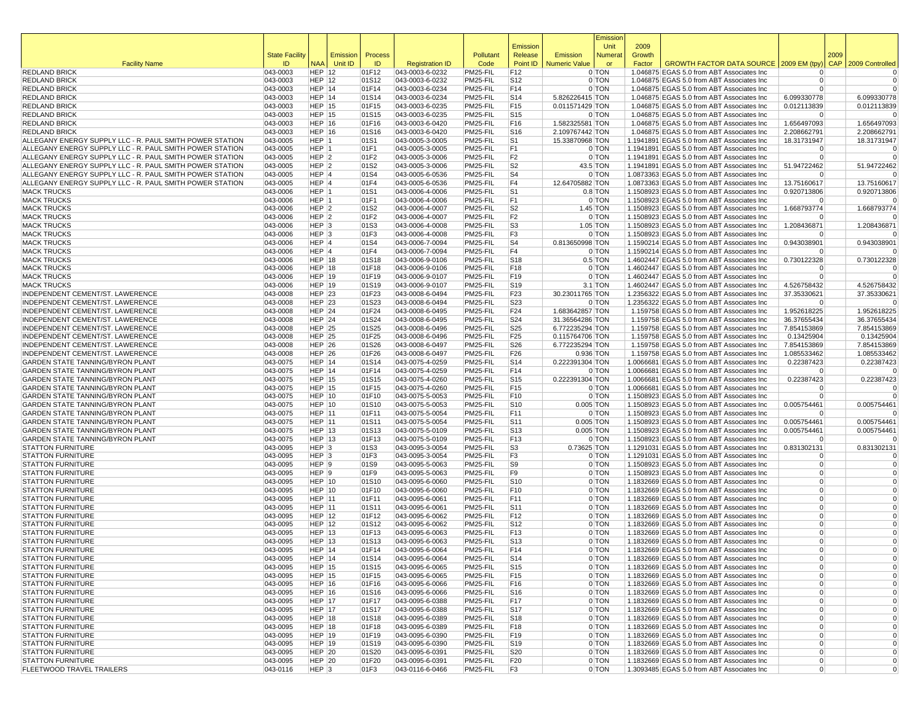|                                                                      |                             |                                |                     |                |                                    |                      |                                     |                                    | Emissior            |                  |                                                                                          |                            |      |                            |
|----------------------------------------------------------------------|-----------------------------|--------------------------------|---------------------|----------------|------------------------------------|----------------------|-------------------------------------|------------------------------------|---------------------|------------------|------------------------------------------------------------------------------------------|----------------------------|------|----------------------------|
|                                                                      |                             |                                |                     |                |                                    |                      | Emission                            |                                    | Unit                | 2009             |                                                                                          |                            |      |                            |
| <b>Facility Name</b>                                                 | <b>State Facility</b><br>ID | <b>NAA</b>                     | Emission<br>Unit ID | Process<br>ID. | <b>Registration ID</b>             | Pollutant<br>Code    | Release<br>Point ID                 | Emission<br><b>Numeric Value</b>   | Numera<br>or        | Growth<br>Factor | GROWTH FACTOR DATA SOURCE 2009 EM (tpy)                                                  |                            | 2009 | CAP 2009 Controlled        |
| <b>REDLAND BRICK</b>                                                 | 043-0003                    | HEP $ 12$                      |                     | 01F12          | 043-0003-6-0232                    | PM25-FIL             | F <sub>12</sub>                     |                                    | 0 TON               |                  | 1.046875 EGAS 5.0 from ABT Associates Inc                                                | $\Omega$                   |      | 0                          |
| <b>REDLAND BRICK</b>                                                 | 043-0003                    | HEP $ 12$                      |                     | 01S12          | 043-0003-6-0232                    | PM25-FIL             | S <sub>12</sub>                     |                                    | 0 TON               |                  | 1.046875 EGAS 5.0 from ABT Associates Inc                                                | $\overline{0}$             |      | 0                          |
| <b>REDLAND BRICK</b>                                                 | 043-0003                    | HEP 14                         |                     | 01F14          | 043-0003-6-0234                    | PM25-FIL             | F14                                 |                                    | 0 TON               |                  | 1.046875 EGAS 5.0 from ABT Associates Inc                                                | $\Omega$                   |      | 0                          |
| <b>REDLAND BRICK</b>                                                 | 043-0003                    | $HEP$ 14                       |                     | 01S14          | 043-0003-6-0234                    | PM25-FIL             | S <sub>14</sub>                     | 5.826226415 TON                    |                     |                  | 1.046875 EGAS 5.0 from ABT Associates Inc                                                | 6.099330778                |      | 6.099330778                |
| <b>REDLAND BRICK</b>                                                 | 043-0003                    | $HEP$ 15                       |                     | 01F15          | 043-0003-6-0235                    | PM25-FIL             | F <sub>15</sub>                     | 0.011571429 TON                    |                     |                  | 1.046875 EGAS 5.0 from ABT Associates Inc                                                | 0.012113839                |      | 0.012113839                |
| <b>REDLAND BRICK</b>                                                 | 043-0003                    | <b>HEP 15</b>                  |                     | 01S15          | 043-0003-6-0235                    | PM25-FIL             | S <sub>15</sub>                     |                                    | 0 TON               |                  | 1.046875 EGAS 5.0 from ABT Associates Inc                                                | $\Omega$                   |      | $\Omega$                   |
| <b>REDLAND BRICK</b><br><b>REDLAND BRICK</b>                         | 043-0003<br>043-0003        | HEP 16<br>HEP 16               |                     | 01F16<br>01S16 | 043-0003-6-0420<br>043-0003-6-0420 | PM25-FIL<br>PM25-FIL | F16<br>S <sub>16</sub>              | 1.582325581 TON<br>2.109767442 TON |                     |                  | 1.046875 EGAS 5.0 from ABT Associates Inc<br>1.046875 EGAS 5.0 from ABT Associates Inc   | 1.656497093<br>2.208662791 |      | 1.656497093<br>2.208662791 |
| ALLEGANY ENERGY SUPPLY LLC - R. PAUL SMITH POWER STATION             | 043-0005                    | $HEP$  1                       |                     | 01S1           | 043-0005-3-0005                    | PM25-FIL             | S <sub>1</sub>                      | 15.33870968 TON                    |                     |                  | 1.1941891 EGAS 5.0 from ABT Associates Inc                                               | 18.31731947                |      | 18.31731947                |
| ALLEGANY ENERGY SUPPLY LLC - R. PAUL SMITH POWER STATION             | 043-0005                    | HEP 1                          |                     | 01F1           | 043-0005-3-0005                    | PM25-FIL             | F1                                  |                                    | 0 TON               |                  | 1.1941891 EGAS 5.0 from ABT Associates Inc                                               | $\Omega$                   |      | 0                          |
| ALLEGANY ENERGY SUPPLY LLC - R. PAUL SMITH POWER STATION             | 043-0005                    | $HEP$ 2                        |                     | 01F2           | 043-0005-3-0006                    | PM25-FIL             | F <sub>2</sub>                      |                                    | 0 TON               |                  | 1.1941891 EGAS 5.0 from ABT Associates Inc                                               | $\Omega$                   |      | $\Omega$                   |
| ALLEGANY ENERGY SUPPLY LLC - R. PAUL SMITH POWER STATION             | 043-0005                    | HEP <sub>2</sub>               |                     | 01S2           | 043-0005-3-0006                    | PM25-FIL             | S <sub>2</sub>                      |                                    | 43.5 TON            |                  | 1.1941891 EGAS 5.0 from ABT Associates Inc                                               | 51.94722462                |      | 51.94722462                |
| ALLEGANY ENERGY SUPPLY LLC - R. PAUL SMITH POWER STATION             | 043-0005                    | $HEP$ 4                        |                     | 01S4           | 043-0005-6-0536                    | PM25-FIL             | S <sub>4</sub>                      |                                    | 0 TON               |                  | 1.0873363 EGAS 5.0 from ABT Associates Inc                                               | $\Omega$                   |      |                            |
| ALLEGANY ENERGY SUPPLY LLC - R. PAUL SMITH POWER STATION             | 043-0005                    | HEP 4                          |                     | 01F4           | 043-0005-6-0536                    | PM25-FIL             | F <sub>4</sub>                      | 12.64705882 TON                    |                     |                  | 1.0873363 EGAS 5.0 from ABT Associates Inc                                               | 13.75160617                |      | 13.75160617                |
| <b>MACK TRUCKS</b>                                                   | 043-0006                    | HEP 1                          |                     | 01S1           | 043-0006-4-0006                    | PM25-FIL             | S <sub>1</sub>                      |                                    | $0.8$ TON           |                  | 1.1508923 EGAS 5.0 from ABT Associates Inc                                               | 0.920713806                |      | 0.920713806                |
| <b>MACK TRUCKS</b><br><b>MACK TRUCKS</b>                             | 043-0006<br>043-0006        | HEP 1<br>HEP <sub>2</sub>      |                     | 01F1<br>01S2   | 043-0006-4-0006<br>043-0006-4-0007 | PM25-FIL<br>PM25-FIL | F <sub>1</sub><br>S <sub>2</sub>    |                                    | 0 TON<br>$1.45$ TON |                  | 1.1508923 EGAS 5.0 from ABT Associates Inc<br>1.1508923 EGAS 5.0 from ABT Associates Inc | 0<br>1.668793774           |      | $\Omega$<br>1.668793774    |
| <b>MACK TRUCKS</b>                                                   | 043-0006                    | $HEP$ 2                        |                     | 01F2           | 043-0006-4-0007                    | PM25-FIL             | F <sub>2</sub>                      |                                    | 0 TON               |                  | 1.1508923 EGAS 5.0 from ABT Associates Inc                                               | $\Omega$                   |      |                            |
| <b>MACK TRUCKS</b>                                                   | 043-0006                    | HEP <sub>3</sub>               |                     | 01S3           | 043-0006-4-0008                    | PM25-FIL             | S <sub>3</sub>                      |                                    | $1.05$ TON          |                  | 1.1508923 EGAS 5.0 from ABT Associates Inc                                               | 1.208436871                |      | 1.208436871                |
| <b>MACK TRUCKS</b>                                                   | 043-0006                    | $HEP$ 3                        |                     | 01F3           | 043-0006-4-0008                    | PM25-FIL             | F <sub>3</sub>                      |                                    | 0 TON               |                  | 1.1508923 EGAS 5.0 from ABT Associates Inc                                               | $\Omega$                   |      | $\Omega$                   |
| <b>MACK TRUCKS</b>                                                   | 043-0006                    | HEP 4                          |                     | 01S4           | 043-0006-7-0094                    | PM25-FIL             | S <sub>4</sub>                      | 0.813650998 TON                    |                     |                  | 1.1590214 EGAS 5.0 from ABT Associates Inc                                               | 0.943038901                |      | 0.943038901                |
| <b>MACK TRUCKS</b>                                                   | 043-0006                    | HEP 4                          |                     | 01F4           | 043-0006-7-0094                    | PM25-FIL             | F <sub>4</sub>                      |                                    | 0 TON               |                  | 1.1590214 EGAS 5.0 from ABT Associates Inc                                               | $\Omega$                   |      | $\Omega$                   |
| <b>MACK TRUCKS</b>                                                   | 043-0006                    | $HEP$ 18                       |                     | 01S18          | 043-0006-9-0106                    | PM25-FIL             | S <sub>18</sub>                     |                                    | $0.5$ TON           |                  | 1.4602447 EGAS 5.0 from ABT Associates Inc                                               | 0.730122328                |      | 0.730122328                |
| <b>MACK TRUCKS</b>                                                   | 043-0006                    | $HEP$ 18                       |                     | 01F18          | 043-0006-9-0106                    | PM25-FIL             | F <sub>18</sub>                     |                                    | 0 TON               |                  | 1.4602447 EGAS 5.0 from ABT Associates Inc                                               | $\Omega$                   |      | $\Omega$                   |
| <b>MACK TRUCKS</b>                                                   | 043-0006                    | <b>HEP 19</b>                  |                     | 01F19          | 043-0006-9-0107                    | PM25-FIL             | F <sub>19</sub>                     |                                    | 0 TON               |                  | 1.4602447 EGAS 5.0 from ABT Associates Inc                                               | $\Omega$                   |      | $\Omega$                   |
| <b>MACK TRUCKS</b><br>INDEPENDENT CEMENT/ST. LAWERENCE               | 043-0006                    | <b>HEP 19</b>                  |                     | 01S19          | 043-0006-9-0107<br>043-0008-6-0494 | PM25-FIL             | S <sub>19</sub>                     |                                    | $3.1$ TON           |                  | 1.4602447 EGAS 5.0 from ABT Associates Inc                                               | 4.526758432                |      | 4.526758432<br>37.35330621 |
| INDEPENDENT CEMENT/ST. LAWERENCE                                     | 043-0008<br>043-0008        | HEP $ 23$<br><b>HEP 23</b>     |                     | 01F23<br>01S23 | 043-0008-6-0494                    | PM25-FIL<br>PM25-FIL | F <sub>23</sub><br>S <sub>2</sub> 3 | 30.23011765 TON                    | 0 TON               |                  | 1.2356322 EGAS 5.0 from ABT Associates Inc<br>1.2356322 EGAS 5.0 from ABT Associates Inc | 37.35330621<br>$\Omega$    |      | 0                          |
| INDEPENDENT CEMENT/ST. LAWERENCE                                     | 043-0008                    | $HEP$ 24                       |                     | 01F24          | 043-0008-6-0495                    | PM25-FIL             | F <sub>24</sub>                     | 1.683642857 TON                    |                     |                  | 1.159758 EGAS 5.0 from ABT Associates Inc                                                | 1.952618225                |      | 1.952618225                |
| INDEPENDENT CEMENT/ST. LAWERENCE                                     | 043-0008                    | <b>HEP 24</b>                  |                     | 01S24          | 043-0008-6-0495                    | PM25-FIL             | S24                                 | 31.36564286 TON                    |                     |                  | 1.159758 EGAS 5.0 from ABT Associates Inc                                                | 36.37655434                |      | 36.37655434                |
| INDEPENDENT CEMENT/ST. LAWERENCE                                     | 043-0008                    | <b>HEP 25</b>                  |                     | 01S25          | 043-0008-6-0496                    | PM25-FIL             | S <sub>25</sub>                     | 6.772235294 TON                    |                     |                  | 1.159758 EGAS 5.0 from ABT Associates Inc                                                | 7.854153869                |      | 7.854153869                |
| INDEPENDENT CEMENT/ST. LAWERENCE                                     | 043-0008                    | $HEP$ 25                       |                     | 01F25          | 043-0008-6-0496                    | PM25-FIL             | F <sub>25</sub>                     | 0.115764706 TON                    |                     |                  | 1.159758 EGAS 5.0 from ABT Associates Inc                                                | 0.13425904                 |      | 0.13425904                 |
| <b>INDEPENDENT CEMENT/ST, LAWERENCE</b>                              | 043-0008                    | <b>HEP 26</b>                  |                     | 01S26          | 043-0008-6-0497                    | PM25-FIL             | S26                                 | 6.772235294 TON                    |                     |                  | 1.159758 EGAS 5.0 from ABT Associates Inc                                                | 7.854153869                |      | 7.854153869                |
| INDEPENDENT CEMENT/ST. LAWERENCE                                     | 043-0008                    | $HEP$ 26                       |                     | 01F26          | 043-0008-6-0497                    | PM25-FIL             | F26                                 | 0.936 TON                          |                     |                  | 1.159758 EGAS 5.0 from ABT Associates Inc                                                | 1.085533462                |      | 1.085533462                |
| GARDEN STATE TANNING/BYRON PLANT                                     | 043-0075                    | HEP 14                         |                     | 01S14          | 043-0075-4-0259                    | PM25-FIL             | S <sub>14</sub>                     | 0.222391304 TON                    |                     |                  | 1.0066681 EGAS 5.0 from ABT Associates Inc                                               | 0.22387423                 |      | 0.22387423                 |
| GARDEN STATE TANNING/BYRON PLANT<br>GARDEN STATE TANNING/BYRON PLANT | 043-0075<br>043-0075        | $HEP$ 14<br><b>HEP 15</b>      |                     | 01F14<br>01S15 | 043-0075-4-0259<br>043-0075-4-0260 | PM25-FIL<br>PM25-FIL | F14<br>S <sub>15</sub>              | 0.222391304 TON                    | 0 TON               |                  | 1.0066681 EGAS 5.0 from ABT Associates Inc<br>1.0066681 EGAS 5.0 from ABT Associates Inc | $\Omega$<br>0.22387423     |      | $\Omega$<br>0.22387423     |
| <b>GARDEN STATE TANNING/BYRON PLANT</b>                              | 043-0075                    | HEP $ 15$                      |                     | 01F15          | 043-0075-4-0260                    | PM25-FIL             | F15                                 |                                    | 0 TON               |                  | 1.0066681 EGAS 5.0 from ABT Associates Inc                                               | $\Omega$                   |      | $\Omega$                   |
| GARDEN STATE TANNING/BYRON PLANT                                     | 043-0075                    | <b>HEP 10</b>                  |                     | 01F10          | 043-0075-5-0053                    | PM25-FIL             | F10                                 |                                    | 0 TON               |                  | 1.1508923 EGAS 5.0 from ABT Associates Inc                                               | $\Omega$                   |      | $\Omega$                   |
| <b>GARDEN STATE TANNING/BYRON PLANT</b>                              | 043-0075                    | $HEP$ 10                       |                     | 01S10          | 043-0075-5-0053                    | PM25-FIL             | S <sub>10</sub>                     | $0.005$ TON                        |                     |                  | 1.1508923 EGAS 5.0 from ABT Associates Inc                                               | 0.005754461                |      | 0.005754461                |
| <b>GARDEN STATE TANNING/BYRON PLANT</b>                              | 043-0075                    | $HEP$ 11                       |                     | 01F11          | 043-0075-5-0054                    | PM25-FIL             | F11                                 |                                    | 0 TON               |                  | 1.1508923 EGAS 5.0 from ABT Associates Inc                                               | 0                          |      |                            |
| <b>GARDEN STATE TANNING/BYRON PLANT</b>                              | 043-0075                    | $HEP$ 11                       |                     | 01S11          | 043-0075-5-0054                    | PM25-FIL             | S <sub>11</sub>                     | $0.005$ TON                        |                     |                  | 1.1508923 EGAS 5.0 from ABT Associates Inc                                               | 0.005754461                |      | 0.005754461                |
| GARDEN STATE TANNING/BYRON PLANT                                     | 043-0075                    | $HEP$ 13                       |                     | 01S13          | 043-0075-5-0109                    | PM25-FIL             | S <sub>13</sub>                     | $0.005$ TON                        |                     |                  | 1.1508923 EGAS 5.0 from ABT Associates Inc                                               | 0.005754461                |      | 0.005754461                |
| GARDEN STATE TANNING/BYRON PLANT                                     | 043-0075                    | <b>HEP 13</b>                  |                     | 01F13          | 043-0075-5-0109                    | PM25-FIL             | F <sub>13</sub>                     |                                    | 0 TON               |                  | 1.1508923 EGAS 5.0 from ABT Associates Inc                                               | $\Omega$                   |      | $\Omega$                   |
| <b>STATTON FURNITURE</b><br><b>STATTON FURNITURE</b>                 | 043-0095<br>043-0095        | $HEP$ 3<br>$HEP$ 3             |                     | 01S3           | 043-0095-3-0054                    | PM25-FIL<br>PM25-FIL | S <sub>3</sub><br>F3                | 0.73625 TON                        | 0 TON               |                  | 1.1291031 EGAS 5.0 from ABT Associates Inc<br>1.1291031 EGAS 5.0 from ABT Associates Inc | 0.831302131<br>$\Omega$    |      | 0.831302131<br>$\Omega$    |
| <b>STATTON FURNITURE</b>                                             | 043-0095                    | HEP 9                          |                     | 01F3<br>01S9   | 043-0095-3-0054<br>043-0095-5-0063 | PM25-FIL             | S <sub>9</sub>                      |                                    | 0 TON               |                  | 1.1508923 EGAS 5.0 from ABT Associates Inc                                               | $\overline{0}$             |      | 0                          |
| <b>STATTON FURNITURE</b>                                             | 043-0095                    | HEP <sub>9</sub>               |                     | 01F9           | 043-0095-5-0063                    | PM25-FIL             | F9                                  |                                    | 0 TON               |                  | 1.1508923 EGAS 5.0 from ABT Associates Inc                                               | $\overline{0}$             |      | $\Omega$                   |
| <b>STATTON FURNITURE</b>                                             | 043-0095                    | <b>HEP 10</b>                  |                     | 01S10          | 043-0095-6-0060                    | PM25-FIL             | S <sub>10</sub>                     |                                    | 0 TON               |                  | 1.1832669 EGAS 5.0 from ABT Associates Inc                                               | $\overline{0}$             |      | $\Omega$                   |
| <b>STATTON FURNITURE</b>                                             | 043-0095                    | $HEP$ 10                       |                     | 01F10          | 043-0095-6-0060                    | PM25-FIL             | F <sub>10</sub>                     |                                    | 0 TON               |                  | 1.1832669 EGAS 5.0 from ABT Associates Inc                                               | $\overline{0}$             |      | $\Omega$                   |
| <b>STATTON FURNITURE</b>                                             | 043-0095                    | <b>HEP 11</b>                  |                     | 01F11          | 043-0095-6-0061                    | PM25-FIL             | F11                                 |                                    | 0 TON               |                  | 1.1832669 EGAS 5.0 from ABT Associates Inc                                               | $\overline{0}$             |      | $\mathbf 0$                |
| <b>STATTON FURNITURE</b>                                             | 043-0095                    | $HEP$ 11                       |                     | 01S11          | 043-0095-6-0061                    | PM25-FIL             | S <sub>11</sub>                     |                                    | 0 TON               |                  | 1.1832669 EGAS 5.0 from ABT Associates Inc                                               | $\overline{0}$             |      | $\Omega$                   |
| <b>STATTON FURNITURE</b>                                             | 043-0095                    | <b>HEP 12</b>                  |                     | 01F12          | 043-0095-6-0062                    | PM25-FIL             | F <sub>12</sub>                     |                                    | 0 TON               |                  | 1.1832669 EGAS 5.0 from ABT Associates Inc                                               | $\Omega$                   |      | $\Omega$                   |
| <b>STATTON FURNITURE</b>                                             | 043-0095                    | $HEP$ 12                       |                     | 01S12          | 043-0095-6-0062<br>043-0095-6-0063 | PM25-FIL             | S <sub>12</sub>                     |                                    | 0 TON               |                  | 1.1832669 EGAS 5.0 from ABT Associates Inc                                               | $\Omega$                   |      | $\Omega$                   |
| <b>STATTON FURNITURE</b><br><b>STATTON FURNITURE</b>                 | 043-0095<br>043-0095        | HEP $13$<br>$HEP$  13          |                     | 01F13<br>01S13 | 043-0095-6-0063                    | PM25-FIL<br>PM25-FIL | F13<br>S <sub>13</sub>              |                                    | 0 TON<br>0 TON      |                  | 1.1832669 EGAS 5.0 from ABT Associates Inc<br>1.1832669 EGAS 5.0 from ABT Associates Inc | $\Omega$<br>$\Omega$       |      | $\Omega$<br>$\Omega$       |
| <b>STATTON FURNITURE</b>                                             | 043-0095                    | $HEP$ 14                       |                     | 01F14          | 043-0095-6-0064                    | PM25-FIL             | F <sub>14</sub>                     |                                    | 0 TON               |                  | 1.1832669 EGAS 5.0 from ABT Associates Inc                                               | $\Omega$                   |      | $\Omega$                   |
| STATTON FURNITURE                                                    | 043-0095                    | HEP   14                       |                     | 01S14          | 043-0095-6-0064                    | PM25-FIL             | S14                                 |                                    | 0 TON               |                  | 1.1832669 EGAS 5.0 from ABT Associates Inc                                               |                            |      |                            |
| <b>STATTON FURNITURE</b>                                             | 043-0095                    | <b>HEP 15</b>                  |                     | 01S15          | 043-0095-6-0065                    | PM25-FIL             | S <sub>15</sub>                     |                                    | $0$ TON             |                  | 1.1832669 EGAS 5.0 from ABT Associates Inc                                               | $\overline{0}$             |      | $\mathbf 0$                |
| <b>STATTON FURNITURE</b>                                             | 043-0095                    | <b>HEP 15</b>                  |                     | 01F15          | 043-0095-6-0065                    | PM25-FIL             | F15                                 |                                    | $0$ TON             |                  | 1.1832669 EGAS 5.0 from ABT Associates Inc                                               | $\overline{0}$             |      | 0                          |
| <b>STATTON FURNITURE</b>                                             | 043-0095                    | <b>HEP 16</b>                  |                     | 01F16          | 043-0095-6-0066                    | PM25-FIL             | F16                                 |                                    | $0$ TON             |                  | 1.1832669 EGAS 5.0 from ABT Associates Inc                                               | $\overline{0}$             |      | $\mathbf 0$                |
| <b>STATTON FURNITURE</b>                                             | 043-0095                    | <b>HEP 16</b>                  |                     | 01S16          | 043-0095-6-0066                    | PM25-FIL             | S16                                 |                                    | $0$ TON             |                  | 1.1832669 EGAS 5.0 from ABT Associates Inc                                               | $\overline{0}$             |      | 0                          |
| <b>STATTON FURNITURE</b>                                             | 043-0095                    | <b>HEP 17</b>                  |                     | 01F17          | 043-0095-6-0388                    | PM25-FIL             | F <sub>17</sub>                     |                                    | 0 TON               |                  | 1.1832669 EGAS 5.0 from ABT Associates Inc                                               | $\overline{0}$             |      | $\Omega$                   |
| <b>STATTON FURNITURE</b>                                             | 043-0095                    | HEP 17                         |                     | 01S17          | 043-0095-6-0388                    | PM25-FIL             | <b>S17</b>                          |                                    | 0 TON               |                  | 1.1832669 EGAS 5.0 from ABT Associates Inc                                               | $\overline{0}$             |      | 0                          |
| <b>STATTON FURNITURE</b><br><b>STATTON FURNITURE</b>                 | 043-0095<br>043-0095        | <b>HEP 18</b><br><b>HEP 18</b> |                     | 01S18<br>01F18 | 043-0095-6-0389<br>043-0095-6-0389 | PM25-FIL<br>PM25-FIL | S <sub>18</sub><br>F18              |                                    | $0$ TON<br>$0$ TON  |                  | 1.1832669 EGAS 5.0 from ABT Associates Inc<br>1.1832669 EGAS 5.0 from ABT Associates Inc | 0<br>$\overline{0}$        |      | $\Omega$<br>0              |
| <b>STATTON FURNITURE</b>                                             | 043-0095                    | <b>HEP 19</b>                  |                     | 01F19          | 043-0095-6-0390                    | PM25-FIL             | F <sub>19</sub>                     |                                    | 0 TON               |                  | 1.1832669 EGAS 5.0 from ABT Associates Inc                                               | $\overline{0}$             |      | 0                          |
| <b>STATTON FURNITURE</b>                                             | 043-0095                    | HEP 19                         |                     | 01S19          | 043-0095-6-0390                    | PM25-FIL             | S <sub>19</sub>                     |                                    | 0 TON               |                  | 1.1832669 EGAS 5.0 from ABT Associates Inc                                               | $\overline{0}$             |      | 0                          |
| <b>STATTON FURNITURE</b>                                             | 043-0095                    | <b>HEP 20</b>                  |                     | 01S20          | 043-0095-6-0391                    | PM25-FIL             | S <sub>20</sub>                     |                                    | $0$ TON             |                  | 1.1832669 EGAS 5.0 from ABT Associates Inc                                               | $\overline{0}$             |      | 0                          |
| <b>STATTON FURNITURE</b>                                             | 043-0095                    | <b>HEP 20</b>                  |                     | 01F20          | 043-0095-6-0391                    | PM25-FIL             | F20                                 |                                    | $0$ TON             |                  | 1.1832669 EGAS 5.0 from ABT Associates Inc                                               | $\overline{0}$             |      | 0                          |
| <b>FLEETWOOD TRAVEL TRAILERS</b>                                     | 043-0116                    | $HEP$ 3                        |                     | 01F3           | 043-0116-6-0466                    | PM25-FIL             | F <sub>3</sub>                      |                                    | $0$ TON             |                  | 1.3093485 EGAS 5.0 from ABT Associates Inc                                               | 0                          |      | 0                          |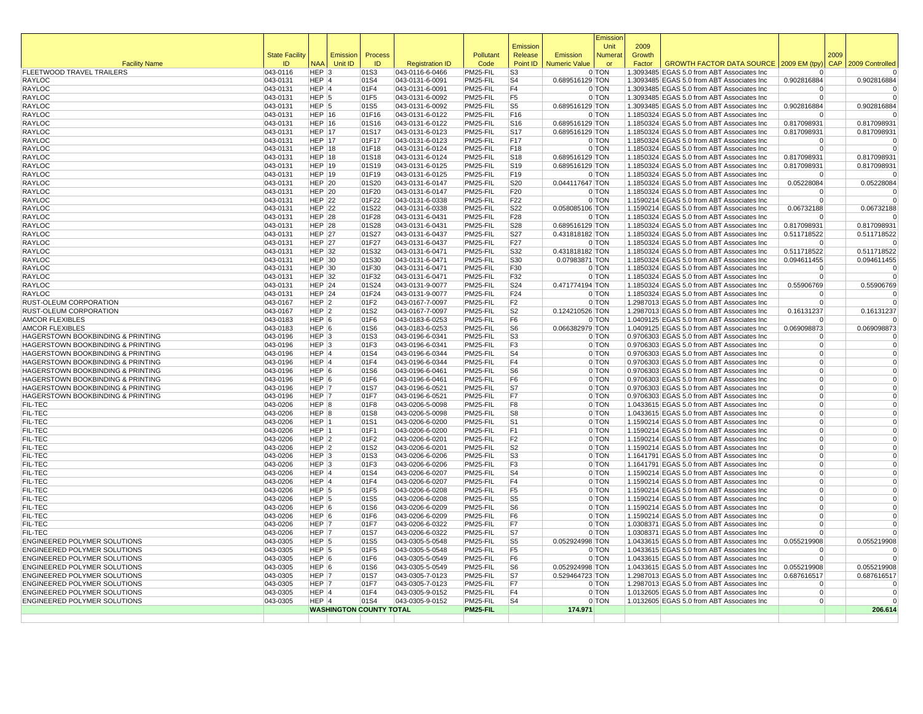|                                                                        |                       |                        |                                |                |                                    |                      | Emission                           |                                    | Emissior<br>Unit | 2009   |                                                                                          |                                  |      |                            |
|------------------------------------------------------------------------|-----------------------|------------------------|--------------------------------|----------------|------------------------------------|----------------------|------------------------------------|------------------------------------|------------------|--------|------------------------------------------------------------------------------------------|----------------------------------|------|----------------------------|
|                                                                        | <b>State Facility</b> |                        | Emission                       | Process        |                                    | Pollutant            | Release                            | Emission                           | <b>Numera</b>    | Growth |                                                                                          |                                  | 2009 |                            |
| <b>Facility Name</b>                                                   | ID                    | <b>NAA</b>             | Unit ID                        | ID             | <b>Registration ID</b>             | Code                 | Point ID                           | <b>Numeric Value</b>               | or               | Factor | GROWTH FACTOR DATA SOURCE   2009 EM (tpy)                                                |                                  |      | CAP 2009 Controlled        |
| FLEETWOOD TRAVEL TRAILERS                                              | 043-0116              | $HEP$ 3                |                                | 01S3           | 043-0116-6-0466                    | PM25-FIL             | S <sub>3</sub>                     |                                    | 0 TON            |        | 1.3093485 EGAS 5.0 from ABT Associates Inc                                               |                                  |      | $\mathbf 0$                |
| RAYLOC<br>RAYLOC                                                       | 043-0131              | HEP 4<br>$HEP$ 4       |                                | 01S4<br>01F4   | 043-0131-6-0091                    | PM25-FIL<br>PM25-FIL | S <sub>4</sub><br>F4               | 0.689516129 TON                    | 0 TON            |        | 1.3093485 EGAS 5.0 from ABT Associates Inc<br>1.3093485 EGAS 5.0 from ABT Associates Inc | 0.902816884                      |      | 0.902816884                |
| RAYLOC                                                                 | 043-0131<br>043-0131  | $HEP$ 5                |                                | 01F5           | 043-0131-6-0091<br>043-0131-6-0092 | PM25-FIL             | F <sub>5</sub>                     |                                    | 0 TON            |        | 1.3093485 EGAS 5.0 from ABT Associates Inc                                               | 0<br>$\Omega$                    |      |                            |
| RAYLOC                                                                 | 043-0131              | HEP <sup>5</sup>       |                                | 01S5           | 043-0131-6-0092                    | PM25-FIL             | S <sub>5</sub>                     | 0.689516129 TON                    |                  |        | 1.3093485 EGAS 5.0 from ABT Associates Inc                                               | 0.902816884                      |      | 0.902816884                |
| RAYLOC                                                                 | $ 043 - 0131$         | HEP $ 16$              |                                | 01F16          | 043-0131-6-0122                    | PM25-FIL             | F16                                |                                    | 0 TON            |        | 1.1850324 EGAS 5.0 from ABT Associates Inc                                               | $\mathbf 0$                      |      |                            |
| <b>RAYLOC</b>                                                          | 043-0131              | $HEP$ 16               |                                | 01S16          | 043-0131-6-0122                    | PM25-FIL             | S16                                | 0.689516129 TON                    |                  |        | 1.1850324 EGAS 5.0 from ABT Associates Inc                                               | 0.817098931                      |      | 0.817098931                |
| RAYLOC                                                                 | $ 043 - 0131$         | HEP $ 17$              |                                | 01S17          | 043-0131-6-0123                    | PM25-FIL             | S <sub>17</sub>                    | 0.689516129 TON                    |                  |        | 1.1850324 EGAS 5.0 from ABT Associates Inc                                               | 0.817098931                      |      | 0.817098931                |
| RAYLOC                                                                 | 043-0131              | <b>HEP 17</b>          |                                | 01F17          | 043-0131-6-0123                    | PM25-FIL             | F17                                |                                    | 0 TON            |        | 1.1850324 EGAS 5.0 from ABT Associates Inc                                               | $\Omega$                         |      |                            |
| RAYLOC                                                                 | 043-0131              | HEP $ 18$              |                                | 01F18          | 043-0131-6-0124                    | PM25-FIL             | F <sub>18</sub>                    |                                    | 0 TON            |        | 1.1850324 EGAS 5.0 from ABT Associates Inc                                               | $\Omega$                         |      | $\Omega$                   |
| RAYLOC<br>RAYLOC                                                       | 043-0131<br>043-0131  | HEP $ 18$<br>HEP $ 19$ |                                | 01S18<br>01S19 | 043-0131-6-0124<br>043-0131-6-0125 | PM25-FIL<br>PM25-FIL | S <sub>18</sub><br>S <sub>19</sub> | 0.689516129 TON<br>0.689516129 TON |                  |        | 1.1850324 EGAS 5.0 from ABT Associates Inc<br>1.1850324 EGAS 5.0 from ABT Associates Inc | 0.817098931<br>0.817098931       |      | 0.817098931<br>0.817098931 |
| <b>RAYLOC</b>                                                          | 043-0131              | HEP $ 19$              |                                | 01F19          | 043-0131-6-0125                    | PM25-FIL             | F19                                |                                    | 0 TON            |        | 1.1850324 EGAS 5.0 from ABT Associates Inc                                               | $\Omega$                         |      | $\Omega$                   |
| RAYLOC                                                                 | 043-0131              | $HEP$ 20               |                                | 01S20          | 043-0131-6-0147                    | PM25-FIL             | S20                                | 0.044117647 TON                    |                  |        | 1.1850324 EGAS 5.0 from ABT Associates Inc                                               | 0.05228084                       |      | 0.05228084                 |
| RAYLOC                                                                 | 043-0131              | HEP $ 20$              |                                | 01F20          | 043-0131-6-0147                    | PM25-FIL             | F <sub>20</sub>                    |                                    | 0 TON            |        | 1.1850324 EGAS 5.0 from ABT Associates Inc                                               | $\Omega$                         |      | $\Omega$                   |
| RAYLOC                                                                 | 043-0131              | $HEP$ 22               |                                | 01F22          | 043-0131-6-0338                    | PM25-FIL             | F <sub>22</sub>                    |                                    | 0 TON            |        | 1.1590214 EGAS 5.0 from ABT Associates Inc                                               | $\Omega$                         |      | $\Omega$                   |
| RAYLOC                                                                 | 043-0131              | HEP $ 22$              |                                | 01S22          | 043-0131-6-0338                    | PM25-FIL             | S22                                | 0.058085106 TON                    |                  |        | 1.1590214 EGAS 5.0 from ABT Associates Inc                                               | 0.06732188                       |      | 0.06732188                 |
| RAYLOC                                                                 | 043-0131              | $HEP$ 28               |                                | 01F28          | 043-0131-6-0431                    | PM25-FIL             | F28                                |                                    | 0 TON            |        | 1.1850324 EGAS 5.0 from ABT Associates Inc                                               | $\mathbf 0$                      |      | 0                          |
| <b>RAYLOC</b>                                                          | $ 043 - 0131$         | $HEP$ 28               |                                | 01S28          | 043-0131-6-0431                    | PM25-FIL             | S28                                | 0.689516129 TON                    |                  |        | 1.1850324 EGAS 5.0 from ABT Associates Inc                                               | 0.817098931                      |      | 0.817098931                |
| RAYLOC                                                                 | 043-0131              | <b>HEP 27</b>          |                                | 01S27          | 043-0131-6-0437                    | PM25-FIL             | <b>S27</b>                         | 0.431818182 TON                    |                  |        | 1.1850324 EGAS 5.0 from ABT Associates Inc                                               | 0.511718522                      |      | 0.511718522                |
| RAYLOC                                                                 | 043-0131              | HEP $ 27$              |                                | 01F27          | 043-0131-6-0437                    | PM25-FIL             | F27                                |                                    | 0 TON            |        | 1.1850324 EGAS 5.0 from ABT Associates Inc                                               | $\Omega$                         |      | $\Omega$                   |
| RAYLOC<br>RAYLOC                                                       | 043-0131<br>043-0131  | HEP $ 32$<br>HEP $ 30$ |                                | 01S32<br>01S30 | 043-0131-6-0471<br>043-0131-6-0471 | PM25-FIL<br>PM25-FIL | S32<br>S30                         | 0.431818182 TON<br>0.07983871 TON  |                  |        | 1.1850324 EGAS 5.0 from ABT Associates Inc<br>1.1850324 EGAS 5.0 from ABT Associates Inc | 0.511718522<br>0.094611455       |      | 0.511718522<br>0.094611455 |
| RAYLOC                                                                 | 043-0131              | HEP $30$               |                                | 01F30          | 043-0131-6-0471                    | PM25-FIL             | F30                                |                                    | 0 TON            |        | 1.1850324 EGAS 5.0 from ABT Associates Inc                                               | $\Omega$                         |      | $\mathbf 0$                |
| RAYLOC                                                                 | 043-0131              | HEP $ 32$              |                                | 01F32          | 043-0131-6-0471                    | PM25-FIL             | F32                                |                                    | 0 TON            |        | 1.1850324 EGAS 5.0 from ABT Associates Inc                                               | $\overline{0}$                   |      | $\mathbf 0$                |
| <b>RAYLOC</b>                                                          | 043-0131              | $HEP$ 24               |                                | 01S24          | 043-0131-9-0077                    | PM25-FIL             | S24                                | 0.471774194 TON                    |                  |        | 1.1850324 EGAS 5.0 from ABT Associates Inc                                               | 0.55906769                       |      | 0.55906769                 |
| RAYLOC                                                                 | 043-0131              | $HEP$ 24               |                                | 01F24          | 043-0131-9-0077                    | PM25-FIL             | F24                                |                                    | 0 TON            |        | 1.1850324 EGAS 5.0 from ABT Associates Inc                                               | $\Omega$                         |      | $\mathbf 0$                |
| RUST-OLEUM CORPORATION                                                 | 043-0167              | $HEP$ 2                |                                | 01F2           | 043-0167-7-0097                    | PM25-FIL             | F <sub>2</sub>                     |                                    | 0 TON            |        | 1.2987013 EGAS 5.0 from ABT Associates Inc                                               | $\Omega$                         |      |                            |
| RUST-OLEUM CORPORATION                                                 | 043-0167              | $HEP$ 2                |                                | 01S2           | 043-0167-7-0097                    | PM25-FIL             | S <sub>2</sub>                     | 0.124210526 TON                    |                  |        | 1.2987013 EGAS 5.0 from ABT Associates Inc                                               | 0.16131237                       |      | 0.16131237                 |
| <b>AMCOR FLEXIBLES</b>                                                 | 043-0183              | $HEP$ 6                |                                | 01F6           | 043-0183-6-0253                    | PM25-FIL             | F <sub>6</sub>                     |                                    | 0 TON            |        | 1.0409125 EGAS 5.0 from ABT Associates Inc                                               | $\Omega$                         |      |                            |
| <b>AMCOR FLEXIBLES</b>                                                 | 043-0183              | $HEP$ 6                |                                | 01S6           | 043-0183-6-0253                    | PM25-FIL             | S <sub>6</sub>                     | 0.066382979 TON                    |                  |        | 1.0409125 EGAS 5.0 from ABT Associates Inc                                               | 0.069098873                      |      | 0.069098873                |
| HAGERSTOWN BOOKBINDING & PRINTING<br>HAGERSTOWN BOOKBINDING & PRINTING | 043-0196<br>043-0196  | $HEP$ 3<br>$HEP$ 3     |                                | 01S3<br>01F3   | 043-0196-6-0341<br>043-0196-6-0341 | PM25-FIL<br>PM25-FIL | S <sub>3</sub><br>F3               |                                    | 0 TON<br>0 TON   |        | 0.9706303 EGAS 5.0 from ABT Associates Inc<br>0.9706303 EGAS 5.0 from ABT Associates Inc | $\overline{0}$<br>$\overline{0}$ |      | $\mathbf 0$                |
| HAGERSTOWN BOOKBINDING & PRINTING                                      | 043-0196              | $HEP$ 4                |                                | 01S4           | 043-0196-6-0344                    | PM25-FIL             | S <sub>4</sub>                     |                                    | 0 TON            |        | 0.9706303 EGAS 5.0 from ABT Associates Inc                                               | $\overline{0}$                   |      | $\mathbf 0$                |
| HAGERSTOWN BOOKBINDING & PRINTING                                      | 043-0196              | $HEP$ <sup>4</sup>     |                                | 01F4           | 043-0196-6-0344                    | PM25-FIL             | F <sub>4</sub>                     |                                    | 0 TON            |        | 0.9706303 EGAS 5.0 from ABT Associates Inc                                               | $\overline{0}$                   |      | $\Omega$                   |
| HAGERSTOWN BOOKBINDING & PRINTING                                      | 043-0196              | $HEP$ 6                |                                | 01S6           | 043-0196-6-0461                    | PM25-FIL             | S <sub>6</sub>                     |                                    | 0 TON            |        | 0.9706303 EGAS 5.0 from ABT Associates Inc                                               | $\overline{0}$                   |      | $\mathbf 0$                |
| HAGERSTOWN BOOKBINDING & PRINTING                                      | 043-0196              | $HEP$ 6                |                                | 01F6           | 043-0196-6-0461                    | PM25-FIL             | F6                                 |                                    | 0 TON            |        | 0.9706303 EGAS 5.0 from ABT Associates Inc                                               | $\Omega$                         |      | $\Omega$                   |
| HAGERSTOWN BOOKBINDING & PRINTING                                      | 043-0196              | HEP 7                  |                                | 01S7           | 043-0196-6-0521                    | PM25-FIL             | S7                                 |                                    | 0 TON            |        | 0.9706303 EGAS 5.0 from ABT Associates Inc                                               | $\overline{0}$                   |      | $\Omega$                   |
| HAGERSTOWN BOOKBINDING & PRINTING                                      | $ 043 - 0196$         | HEP 7                  |                                | 01F7           | 043-0196-6-0521                    | PM25-FIL             | F7                                 |                                    | 0 TON            |        | 0.9706303 EGAS 5.0 from ABT Associates Inc                                               | $\Omega$                         |      | $\mathbf 0$                |
| FIL-TEC                                                                | 043-0206              | HEP 8                  |                                | 01F8           | 043-0206-5-0098                    | PM25-FIL             | F8                                 |                                    | 0 TON            |        | 1.0433615 EGAS 5.0 from ABT Associates Inc                                               | $\overline{0}$                   |      | $\Omega$                   |
| FIL-TEC                                                                | 043-0206              | HEP 8                  |                                | 01S8           | 043-0206-5-0098                    | PM25-FIL             | S8                                 |                                    | 0 TON            |        | 1.0433615 EGAS 5.0 from ABT Associates Inc                                               | $\Omega$                         |      | $\Omega$                   |
| FIL-TEC<br>FIL-TEC                                                     | 043-0206<br>043-0206  | HEP 1<br>HEP 1         |                                | 01S1<br>01F1   | 043-0206-6-0200<br>043-0206-6-0200 | PM25-FIL<br>PM25-FIL | S <sub>1</sub><br>F <sub>1</sub>   |                                    | 0 TON<br>0 TON   |        | 1.1590214 EGAS 5.0 from ABT Associates Inc<br>1.1590214 EGAS 5.0 from ABT Associates Inc | $\Omega$<br>$\overline{0}$       |      | $\Omega$                   |
| FIL-TEC                                                                | 043-0206              | $HEP$ 2                |                                | 01F2           | 043-0206-6-0201                    | PM25-FIL             | F <sub>2</sub>                     |                                    | 0 TON            |        | 1.1590214 EGAS 5.0 from ABT Associates Inc                                               | $\overline{0}$                   |      | $\Omega$                   |
| FIL-TEC                                                                | 043-0206              | $HEP$ 2                |                                | 01S2           | 043-0206-6-0201                    | PM25-FIL             | S2                                 |                                    | 0 TON            |        | 1.1590214 EGAS 5.0 from ABT Associates Inc                                               | $\overline{0}$                   |      | $\Omega$                   |
| FIL-TEC                                                                | 043-0206              | $HEP$ 3                |                                | 01S3           | 043-0206-6-0206                    | PM25-FIL             | S <sub>3</sub>                     |                                    | 0 TON            |        | 1.1641791 EGAS 5.0 from ABT Associates Inc                                               | $\Omega$                         |      | $\Omega$                   |
| FIL-TEC                                                                | 043-0206              | $HEP$ 3                |                                | 01F3           | 043-0206-6-0206                    | PM25-FIL             | F <sub>3</sub>                     |                                    | 0 TON            |        | 1.1641791 EGAS 5.0 from ABT Associates Inc                                               | $\Omega$                         |      | $\mathbf 0$                |
| FIL-TEC                                                                | 043-0206              | $HEP$ 4                |                                | 01S4           | 043-0206-6-0207                    | PM25-FIL             | S <sub>4</sub>                     |                                    | 0 TON            |        | 1.1590214 EGAS 5.0 from ABT Associates Inc                                               | $\Omega$                         |      | $\mathbf 0$                |
| FIL-TEC                                                                | 043-0206              | $HEP$ 4                |                                | 01F4           | 043-0206-6-0207                    | PM25-FIL             | F <sub>4</sub>                     |                                    | 0 TON            |        | 1.1590214 EGAS 5.0 from ABT Associates Inc                                               | $\overline{0}$                   |      | $\Omega$                   |
| FIL-TEC                                                                | 043-0206              | $HEP$ 5                |                                | 01F5           | 043-0206-6-0208                    | PM25-FIL             | F <sub>5</sub>                     |                                    | 0 TON            |        | 1.1590214 EGAS 5.0 from ABT Associates Inc                                               | $\Omega$                         |      | $\mathbf 0$                |
| FIL-TEC                                                                | 043-0206              | $HEP$ 5                |                                | 01S5           | 043-0206-6-0208                    | PM25-FIL             | S <sub>5</sub>                     |                                    | 0 TON            |        | 1.1590214 EGAS 5.0 from ABT Associates Inc                                               | $\Omega$                         |      | $\Omega$<br>$\mathbf 0$    |
| FIL-TEC<br>FIL-TEC                                                     | 043-0206<br>043-0206  | $HEP$ 6<br>$HEP$ 6     |                                | 01S6<br>01F6   | 043-0206-6-0209<br>043-0206-6-0209 | PM25-FIL<br>PM25-FIL | S <sub>6</sub><br>F <sub>6</sub>   |                                    | 0 TON<br>0 TON   |        | 1.1590214 EGAS 5.0 from ABT Associates Inc<br>1.1590214 EGAS 5.0 from ABT Associates Inc | $\mathbf 0$<br>$\Omega$          |      | $\Omega$                   |
| FIL-TEC                                                                | 043-0206              | HEP 7                  |                                | 01F7           | 043-0206-6-0322                    | PM25-FIL             | F7                                 |                                    | 0 TON            |        | 1.0308371 EGAS 5.0 from ABT Associates Inc                                               | $\Omega$                         |      | $\Omega$                   |
| FIL-TEC                                                                | 043-0206              | HEP 7                  |                                | 01S7           | 043-0206-6-0322                    | PM25-FIL             | S7                                 |                                    | 0 TON            |        | 1.0308371 EGAS 5.0 from ABT Associates Inc                                               | $\Omega$                         |      | $\mathbf 0$                |
| ENGINEERED POLYMER SOLUTIONS                                           | 043-0305              | $HEP$ 5                |                                | 01S5           | 043-0305-5-0548                    | PM25-FIL             | S <sub>5</sub>                     | 0.052924998 TON                    |                  |        | 1.0433615 EGAS 5.0 from ABT Associates Inc                                               | 0.055219908                      |      | 0.055219908                |
| ENGINEERED POLYMER SOLUTIONS                                           | 043-0305              | $HEP$ 5                |                                | 01F5           | 043-0305-5-0548                    | PM25-FIL             | F <sub>5</sub>                     |                                    | 0 TON            |        | 1.0433615 EGAS 5.0 from ABT Associates Inc                                               | $\Omega$                         |      | $\mathbf 0$                |
| ENGINEERED POLYMER SOLUTIONS                                           | 043-0305              | $HEP$ 6                |                                | 01F6           | 043-0305-5-0549                    | PM25-FIL             | F <sub>6</sub>                     |                                    | 0 TON            |        | 1.0433615 EGAS 5.0 from ABT Associates Inc                                               | $\Omega$                         |      | $\overline{0}$             |
| ENGINEERED POLYMER SOLUTIONS                                           | 043-0305              | HEP 6                  |                                | 01S6           | 043-0305-5-0549                    | PM25-FIL             | S <sub>6</sub>                     | 0.052924998 TON                    |                  |        | 1.0433615 EGAS 5.0 from ABT Associates Inc                                               | 0.055219908                      |      | 0.055219908                |
| ENGINEERED POLYMER SOLUTIONS                                           | 043-0305              | HEP 7                  |                                | 01S7           | 043-0305-7-0123                    | PM25-FIL             | S7                                 | 0.529464723 TON                    |                  |        | 1.2987013 EGAS 5.0 from ABT Associates Inc                                               | 0.687616517                      |      | 0.687616517                |
| ENGINEERED POLYMER SOLUTIONS<br>ENGINEERED POLYMER SOLUTIONS           | 043-0305<br>043-0305  | HEP 7<br>$HEP$ 4       |                                | 01F7<br>01F4   | 043-0305-7-0123<br>043-0305-9-0152 | PM25-FIL<br>PM25-FIL | F7<br>F4                           |                                    | 0 TON<br>0 TON   |        | 1.2987013 EGAS 5.0 from ABT Associates Inc<br>1.0132605 EGAS 5.0 from ABT Associates Inc | $\overline{0}$<br>$\Omega$       |      | $\Omega$                   |
| ENGINEERED POLYMER SOLUTIONS                                           | 043-0305              | $HEP$ <sup>4</sup>     |                                | 01S4           | 043-0305-9-0152                    | PM25-FIL             | S <sub>4</sub>                     |                                    | 0 TON            |        | 1.0132605 EGAS 5.0 from ABT Associates Inc                                               | $\overline{0}$                   |      | $\Omega$                   |
|                                                                        |                       |                        | <b>WASHINGTON COUNTY TOTAL</b> |                |                                    | PM25-FIL             |                                    | 174.971                            |                  |        |                                                                                          |                                  |      | 206.614                    |
|                                                                        |                       |                        |                                |                |                                    |                      |                                    |                                    |                  |        |                                                                                          |                                  |      |                            |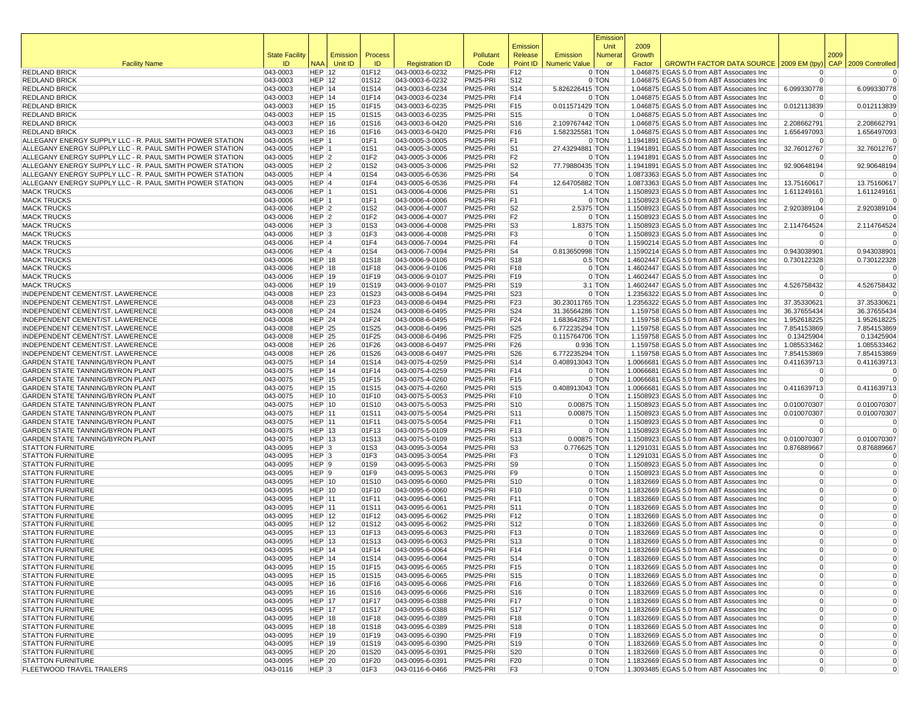|                                                                                                                      |                       |                                      |             |                |                                    |                      |                        |                      | Emissior       |                |                                                                                          |                                  |            |                            |
|----------------------------------------------------------------------------------------------------------------------|-----------------------|--------------------------------------|-------------|----------------|------------------------------------|----------------------|------------------------|----------------------|----------------|----------------|------------------------------------------------------------------------------------------|----------------------------------|------------|----------------------------|
|                                                                                                                      | <b>State Facility</b> |                                      | Emission    | Process        |                                    | Pollutant            | Emission<br>Release    | Emission             | Unit<br>Numera | 2009<br>Growth |                                                                                          |                                  | 2009       |                            |
| <b>Facility Name</b>                                                                                                 | ID                    |                                      | NAA Unit ID | ID             | <b>Registration ID</b>             | Code                 | Point ID               | <b>Numeric Value</b> | or             | Factor         | <b>GROWTH FACTOR DATA SOURCE</b>                                                         | 2009 EM (tpy)                    | <b>CAP</b> | 2009 Controlled            |
| <b>REDLAND BRICK</b>                                                                                                 | 043-0003              | <b>HEP 12</b>                        |             | 01F12          | 043-0003-6-0232                    | PM25-PRI             | F12                    |                      | 0 TON          |                | 1.046875 EGAS 5.0 from ABT Associates Inc                                                | $\Omega$                         |            | $\Omega$                   |
| <b>REDLAND BRICK</b>                                                                                                 | 043-0003              | <b>HEP 12</b>                        |             | 01S12          | 043-0003-6-0232                    | PM25-PRI             | S12                    |                      | 0 TON          |                | 1.046875 EGAS 5.0 from ABT Associates Inc                                                | $\overline{0}$                   |            | $\Omega$                   |
| <b>REDLAND BRICK</b>                                                                                                 | 043-0003              | HEP 14                               |             | 01S14          | 043-0003-6-0234                    | PM25-PRI             | S14                    | 5.826226415 TON      |                |                | 1.046875 EGAS 5.0 from ABT Associates Inc                                                | 6.099330778                      |            | 6.099330778                |
| <b>REDLAND BRICK</b>                                                                                                 | 043-0003              | HEP 14                               |             | 01F14          | 043-0003-6-0234                    | PM25-PRI             | F14                    |                      | 0 TON          |                | 1.046875 EGAS 5.0 from ABT Associates Inc                                                | $\Omega$                         |            |                            |
| <b>REDLAND BRICK</b><br><b>REDLAND BRICK</b>                                                                         | 043-0003<br>043-0003  | <b>HEP 15</b><br><b>HEP 15</b>       |             | 01F15<br>01S15 | 043-0003-6-0235<br>043-0003-6-0235 | PM25-PRI<br>PM25-PRI | F15<br>S15             | 0.011571429 TON      | 0 TON          |                | 1.046875 EGAS 5.0 from ABT Associates Inc<br>1.046875 EGAS 5.0 from ABT Associates Inc   | 0.012113839<br>$\Omega$          |            | 0.012113839<br>$\Omega$    |
| <b>REDLAND BRICK</b>                                                                                                 | 043-0003              | <b>HEP 16</b>                        |             | 01S16          | 043-0003-6-0420                    | PM25-PRI             | S16                    | 2.109767442 TON      |                |                | 1.046875 EGAS 5.0 from ABT Associates Inc                                                | 2.208662791                      |            | 2.208662791                |
| <b>REDLAND BRICK</b>                                                                                                 | 043-0003              | <b>HEP 16</b>                        |             | 01F16          | 043-0003-6-0420                    | PM25-PRI             | F16                    | 1.582325581 TON      |                |                | 1.046875 EGAS 5.0 from ABT Associates Inc                                                | 1.656497093                      |            | 1.656497093                |
| ALLEGANY ENERGY SUPPLY LLC - R. PAUL SMITH POWER STATION                                                             | 043-0005              | HEP 1                                |             | 01F1           | 043-0005-3-0005                    | PM25-PRI             | F1                     |                      | 0 TON          |                | 1.1941891 EGAS 5.0 from ABT Associates Inc                                               | 0                                |            | $\Omega$                   |
| ALLEGANY ENERGY SUPPLY LLC - R. PAUL SMITH POWER STATION                                                             | 043-0005              | HEP 1                                |             | 01S1           | 043-0005-3-0005                    | PM25-PRI             | S <sub>1</sub>         | 27.43294881 TON      |                |                | 1.1941891 EGAS 5.0 from ABT Associates Inc                                               | 32.76012767                      |            | 32.76012767                |
| ALLEGANY ENERGY SUPPLY LLC - R. PAUL SMITH POWER STATION<br>ALLEGANY ENERGY SUPPLY LLC - R. PAUL SMITH POWER STATION | 043-0005              | HEP <sub>2</sub>                     |             | 01F2           | 043-0005-3-0006                    | PM25-PRI             | F2                     |                      | 0 TON          |                | 1.1941891 EGAS 5.0 from ABT Associates Inc                                               | $\Omega$                         |            | $\Omega$                   |
| ALLEGANY ENERGY SUPPLY LLC - R. PAUL SMITH POWER STATION                                                             | 043-0005<br>043-0005  | HEP 2<br>HEP 4                       |             | 01S2<br>01S4   | 043-0005-3-0006<br>043-0005-6-0536 | PM25-PRI<br>PM25-PRI | S <sub>2</sub><br>S4   | 77.79880435 TON      | 0 TON          |                | 1.1941891 EGAS 5.0 from ABT Associates Inc<br>1.0873363 EGAS 5.0 from ABT Associates Inc | 92.90648194<br>$\Omega$          |            | 92.90648194                |
| ALLEGANY ENERGY SUPPLY LLC - R. PAUL SMITH POWER STATION                                                             | 043-0005              | HEP 4                                |             | 01F4           | 043-0005-6-0536                    | PM25-PRI             | F4                     | 12.64705882 TON      |                |                | 1.0873363 EGAS 5.0 from ABT Associates Inc                                               | 13.75160617                      |            | 13.75160617                |
| <b>MACK TRUCKS</b>                                                                                                   | 043-0006              | HEP 1                                |             | 01S1           | 043-0006-4-0006                    | PM25-PRI             | S <sub>1</sub>         |                      | $1.4$ TON      |                | 1.1508923 EGAS 5.0 from ABT Associates Inc                                               | 1.611249161                      |            | 1.611249161                |
| <b>MACK TRUCKS</b>                                                                                                   | 043-0006              | HEP 1                                |             | 01F1           | 043-0006-4-0006                    | PM25-PRI             | F1                     |                      | 0 TON          |                | 1.1508923 EGAS 5.0 from ABT Associates Inc                                               | 0                                |            | $\Omega$                   |
| <b>MACK TRUCKS</b>                                                                                                   | 043-0006              | HEP <sub>2</sub>                     |             | 01S2           | 043-0006-4-0007                    | PM25-PRI             | S <sub>2</sub>         | 2.5375 TON           |                |                | 1.1508923 EGAS 5.0 from ABT Associates Inc                                               | 2.920389104                      |            | 2.920389104                |
| <b>MACK TRUCKS</b>                                                                                                   | 043-0006              | HEP <sub>2</sub>                     |             | 01F2           | 043-0006-4-0007                    | PM25-PRI             | F2                     |                      | 0 TON          |                | 1.1508923 EGAS 5.0 from ABT Associates Inc                                               | $\Omega$                         |            |                            |
| <b>MACK TRUCKS</b><br><b>MACK TRUCKS</b>                                                                             | 043-0006<br>043-0006  | HEP <sub>3</sub><br>HEP <sub>3</sub> |             | 01S3<br>01F3   | 043-0006-4-0008                    | PM25-PRI<br>PM25-PRI | S3<br>F3               | 1.8375 TON           | 0 TON          |                | 1.1508923 EGAS 5.0 from ABT Associates Inc                                               | 2.114764524<br>$\Omega$          |            | 2.114764524<br>$\Omega$    |
| <b>MACK TRUCKS</b>                                                                                                   | 043-0006              | HEP 4                                |             | 01F4           | 043-0006-4-0008<br>043-0006-7-0094 | PM25-PRI             | F4                     |                      | 0 TON          |                | 1.1508923 EGAS 5.0 from ABT Associates Inc<br>1.1590214 EGAS 5.0 from ABT Associates Inc | $\Omega$                         |            | $\Omega$                   |
| <b>MACK TRUCKS</b>                                                                                                   | 043-0006              | HEP 4                                |             | 01S4           | 043-0006-7-0094                    | PM25-PRI             | S4                     | 0.813650998 TON      |                |                | 1.1590214 EGAS 5.0 from ABT Associates Inc                                               | 0.943038901                      |            | 0.943038901                |
| <b>MACK TRUCKS</b>                                                                                                   | 043-0006              | <b>HEP 18</b>                        |             | 01S18          | 043-0006-9-0106                    | PM25-PRI             | S <sub>18</sub>        |                      | $0.5$ TON      |                | 1.4602447 EGAS 5.0 from ABT Associates Inc.                                              | 0.730122328                      |            | 0.730122328                |
| <b>MACK TRUCKS</b>                                                                                                   | 043-0006              | <b>HEP 18</b>                        |             | 01F18          | 043-0006-9-0106                    | PM25-PRI             | F18                    |                      | 0 TON          |                | 1.4602447 EGAS 5.0 from ABT Associates Inc                                               | $\Omega$                         |            | $\Omega$                   |
| <b>MACK TRUCKS</b>                                                                                                   | 043-0006              | <b>HEP 19</b>                        |             | 01F19          | 043-0006-9-0107                    | PM25-PRI             | F19                    |                      | 0 TON          |                | 1.4602447 EGAS 5.0 from ABT Associates Inc                                               | 0                                |            | $\Omega$                   |
| <b>MACK TRUCKS</b>                                                                                                   | 043-0006              | <b>HEP 19</b>                        |             | 01S19          | 043-0006-9-0107                    | PM25-PRI             | S19                    |                      | $3.1$ TON      |                | 1.4602447 EGAS 5.0 from ABT Associates Inc                                               | 4.526758432                      |            | 4.526758432                |
| INDEPENDENT CEMENT/ST. LAWERENCE<br>INDEPENDENT CEMENT/ST. LAWERENCE                                                 | 043-0008              | <b>HEP 23</b>                        |             | 01S23          | 043-0008-6-0494                    | PM25-PRI             | S23                    | 30.23011765 TON      | 0 TON          |                | 1.2356322 EGAS 5.0 from ABT Associates Inc                                               | $\Omega$                         |            |                            |
| <b>INDEPENDENT CEMENT/ST, LAWERENCE</b>                                                                              | 043-0008<br>043-0008  | <b>HEP 23</b><br><b>HEP 24</b>       |             | 01F23<br>01S24 | 043-0008-6-0494<br>043-0008-6-0495 | PM25-PRI<br>PM25-PRI | F <sub>23</sub><br>S24 | 31.36564286 TON      |                |                | 1.2356322 EGAS 5.0 from ABT Associates Inc<br>1.159758 EGAS 5.0 from ABT Associates Inc  | 37.35330621<br>36.37655434       |            | 37.35330621<br>36.37655434 |
| INDEPENDENT CEMENT/ST. LAWERENCE                                                                                     | 043-0008              | <b>HEP 24</b>                        |             | 01F24          | 043-0008-6-0495                    | PM25-PRI             | F24                    | 1.683642857 TON      |                |                | 1.159758 EGAS 5.0 from ABT Associates Inc                                                | 1.952618225                      |            | 1.952618225                |
| INDEPENDENT CEMENT/ST. LAWERENCE                                                                                     | 043-0008              | <b>HEP 25</b>                        |             | 01S25          | 043-0008-6-0496                    | PM25-PRI             | S <sub>25</sub>        | 6.772235294 TON      |                |                | 1.159758 EGAS 5.0 from ABT Associates Inc                                                | 7.854153869                      |            | 7.854153869                |
| INDEPENDENT CEMENT/ST. LAWERENCE                                                                                     | 043-0008              | <b>HEP 25</b>                        |             | 01F25          | 043-0008-6-0496                    | PM25-PRI             | F <sub>25</sub>        | 0.115764706 TON      |                |                | 1.159758 EGAS 5.0 from ABT Associates Inc                                                | 0.13425904                       |            | 0.13425904                 |
| <b>INDEPENDENT CEMENT/ST. LAWERENCE</b>                                                                              | 043-0008              | <b>HEP 26</b>                        |             | 01F26          | 043-0008-6-0497                    | PM25-PRI             | F26                    | 0.936 TON            |                |                | 1.159758 EGAS 5.0 from ABT Associates Inc                                                | 1.085533462                      |            | 1.085533462                |
| <b>INDEPENDENT CEMENT/ST, LAWERENCE</b>                                                                              | 043-0008              | <b>HEP 26</b>                        |             | 01S26          | 043-0008-6-0497                    | PM25-PRI             | S26                    | 6.772235294 TON      |                |                | 1.159758 EGAS 5.0 from ABT Associates Inc                                                | 7.854153869                      |            | 7.854153869                |
| <b>GARDEN STATE TANNING/BYRON PLANT</b>                                                                              | 043-0075              | <b>HEP 14</b>                        |             | 01S14          | 043-0075-4-0259                    | PM25-PRI             | S14                    | 0.408913043 TON      |                |                | 1.0066681 EGAS 5.0 from ABT Associates Inc                                               | 0.411639713<br>$\Omega$          |            | 0.411639713                |
| <b>GARDEN STATE TANNING/BYRON PLANT</b><br>GARDEN STATE TANNING/BYRON PLANT                                          | 043-0075<br>043-0075  | <b>HEP 14</b><br><b>HEP 15</b>       |             | 01F14<br>01F15 | 043-0075-4-0259<br>043-0075-4-0260 | PM25-PRI<br>PM25-PRI | F14<br>F15             |                      | 0 TON<br>0 TON |                | 1.0066681 EGAS 5.0 from ABT Associates Inc<br>1.0066681 EGAS 5.0 from ABT Associates Inc | $\Omega$                         |            | 0<br>0                     |
| <b>GARDEN STATE TANNING/BYRON PLANT</b>                                                                              | 043-0075              | <b>HEP 15</b>                        |             | 01S15          | 043-0075-4-0260                    | PM25-PRI             | S15                    | 0.408913043 TON      |                |                | 1.0066681 EGAS 5.0 from ABT Associates Inc                                               | 0.411639713                      |            | 0.411639713                |
| <b>GARDEN STATE TANNING/BYRON PLANT</b>                                                                              | 043-0075              | <b>HEP 10</b>                        |             | 01F10          | 043-0075-5-0053                    | PM25-PRI             | F10                    |                      | 0 TON          |                | 1.1508923 EGAS 5.0 from ABT Associates Inc                                               | $\Omega$                         |            | $\Omega$                   |
| GARDEN STATE TANNING/BYRON PLANT                                                                                     | 043-0075              | <b>HEP 10</b>                        |             | 01S10          | 043-0075-5-0053                    | PM25-PRI             | S10                    | 0.00875 TON          |                |                | 1.1508923 EGAS 5.0 from ABT Associates Inc                                               | 0.010070307                      |            | 0.010070307                |
| <b>GARDEN STATE TANNING/BYRON PLANT</b>                                                                              | 043-0075              | <b>HEP 11</b>                        |             | 01S11          | 043-0075-5-0054                    | PM25-PRI             | S11                    | 0.00875 TON          |                |                | 1.1508923 EGAS 5.0 from ABT Associates Inc                                               | 0.010070307                      |            | 0.010070307                |
| <b>GARDEN STATE TANNING/BYRON PLANT</b>                                                                              | 043-0075              | <b>HEP 11</b>                        |             | 01F11          | 043-0075-5-0054                    | PM25-PRI             | F11                    |                      | 0 TON          |                | 1.1508923 EGAS 5.0 from ABT Associates Inc                                               | 0                                |            | 0<br>$\Omega$              |
| <b>GARDEN STATE TANNING/BYRON PLANT</b><br><b>GARDEN STATE TANNING/BYRON PLANT</b>                                   | 043-0075<br>043-0075  | <b>HEP 13</b><br><b>HEP 13</b>       |             | 01F13<br>01S13 | 043-0075-5-0109<br>043-0075-5-0109 | PM25-PRI<br>PM25-PRI | F13<br>S13             | 0.00875 TON          | 0 TON          |                | 1.1508923 EGAS 5.0 from ABT Associates Inc<br>1.1508923 EGAS 5.0 from ABT Associates Inc | $\overline{0}$<br>0.010070307    |            | 0.010070307                |
| <b>STATTON FURNITURE</b>                                                                                             | 043-0095              | HEP <sub>3</sub>                     |             | 01S3           | 043-0095-3-0054                    | PM25-PRI             | S3                     | 0.776625 TON         |                |                | 1.1291031 EGAS 5.0 from ABT Associates Inc                                               | 0.876889667                      |            | 0.876889667                |
| <b>STATTON FURNITURE</b>                                                                                             | 043-0095              | HEP <sub>3</sub>                     |             | 01F3           | 043-0095-3-0054                    | PM25-PRI             | F3                     |                      | 0 TON          |                | 1.1291031 EGAS 5.0 from ABT Associates Inc                                               | $\Omega$                         |            | $\Omega$                   |
| <b>STATTON FURNITURE</b>                                                                                             | 043-0095              | HEP 9                                |             | 01S9           | 043-0095-5-0063                    | PM25-PRI             | S9                     |                      | 0 TON          |                | 1.1508923 EGAS 5.0 from ABT Associates Inc                                               | $\overline{0}$                   |            | 0                          |
| <b>STATTON FURNITURE</b>                                                                                             | 043-0095              | HEP 9                                |             | 01F9           | 043-0095-5-0063                    | PM25-PRI             | F9                     |                      | 0 TON          |                | 1.1508923 EGAS 5.0 from ABT Associates Inc                                               | $\Omega$                         |            | $\Omega$                   |
| <b>STATTON FURNITURE</b>                                                                                             | 043-0095              | <b>HEP 10</b>                        |             | 01S10          | 043-0095-6-0060                    | PM25-PRI             | S <sub>10</sub>        |                      | 0 TON          |                | 1.1832669 EGAS 5.0 from ABT Associates Inc                                               | $\overline{0}$                   |            | $\Omega$                   |
| <b>STATTON FURNITURE</b><br><b>STATTON FURNITURE</b>                                                                 | 043-0095<br>043-0095  | <b>HEP 10</b><br><b>HEP 11</b>       |             | 01F10<br>01F11 | 043-0095-6-0060<br>043-0095-6-0061 | PM25-PRI<br>PM25-PRI | F10<br>F11             |                      | 0 TON<br>0 TON |                | 1.1832669 EGAS 5.0 from ABT Associates Inc<br>1.1832669 EGAS 5.0 from ABT Associates Inc | $\Omega$<br>$\overline{0}$       |            | $\Omega$<br>$\Omega$       |
| <b>STATTON FURNITURE</b>                                                                                             | 043-0095              | <b>HEP 11</b>                        |             | 01S11          | 043-0095-6-0061                    | PM25-PRI             | S11                    |                      | 0 TON          |                | 1.1832669 EGAS 5.0 from ABT Associates Inc                                               | $\Omega$                         |            | $\Omega$                   |
| <b>STATTON FURNITURE</b>                                                                                             | 043-0095              | <b>HEP 12</b>                        |             | 01F12          | 043-0095-6-0062                    | PM25-PRI             | F12                    |                      | 0 TON          |                | 1.1832669 EGAS 5.0 from ABT Associates Inc                                               | $\Omega$                         |            | $\Omega$                   |
| <b>STATTON FURNITURE</b>                                                                                             | 043-0095              | <b>HEP 12</b>                        |             | 01S12          | 043-0095-6-0062                    | PM25-PRI             | S12                    |                      | 0 TON          |                | 1.1832669 EGAS 5.0 from ABT Associates Inc                                               | $\Omega$                         |            | $\Omega$                   |
| <b>STATTON FURNITURE</b>                                                                                             | 043-0095              | <b>HEP 13</b>                        |             | 01F13          | 043-0095-6-0063                    | PM25-PRI             | F13                    |                      | 0 TON          |                | 1.1832669 EGAS 5.0 from ABT Associates Inc                                               | $\Omega$                         |            | $\Omega$                   |
| <b>STATTON FURNITURE</b>                                                                                             | 043-0095              | <b>HEP 13</b>                        |             | 01S13          | 043-0095-6-0063                    | PM25-PRI             | S13                    |                      | 0 TON          |                | 1.1832669 EGAS 5.0 from ABT Associates Inc                                               | $\Omega$                         |            | $\Omega$                   |
| <b>STATTON FURNITURE</b>                                                                                             | 043-0095              | HEP 14                               |             | 01F14          | 043-0095-6-0064                    | PM25-PRI             | F <sub>14</sub>        |                      | 0 TON          |                | 1.1832669 EGAS 5.0 from ABT Associates Inc                                               | $\Omega$                         |            | $\Omega$                   |
| <b>STATTON FURNITURE</b><br><b>STATTON FURNITURE</b>                                                                 | 043-0095<br>043-0095  | <b>HEP 14</b><br><b>HEP 15</b>       |             | 01S14<br>01F15 | 043-0095-6-0064<br>043-0095-6-0065 | PM25-PRI<br>PM25-PRI | S14<br>F15             |                      | 0 TON<br>0 TON |                | 1.1832669 EGAS 5.0 from ABT Associates Inc<br>1.1832669 EGAS 5.0 from ABT Associates Inc | $\overline{0}$                   |            | $\mathbf 0$                |
| <b>STATTON FURNITURE</b>                                                                                             | 043-0095              | <b>HEP 15</b>                        |             | 01S15          | 043-0095-6-0065                    | PM25-PRI             | S <sub>15</sub>        |                      | 0 TON          |                | 1.1832669 EGAS 5.0 from ABT Associates Inc                                               | $\overline{0}$                   |            | 0                          |
| <b>STATTON FURNITURE</b>                                                                                             | 043-0095              | <b>HEP 16</b>                        |             | 01F16          | 043-0095-6-0066                    | PM25-PRI             | F16                    |                      | 0 TON          |                | 1.1832669 EGAS 5.0 from ABT Associates Inc                                               | $\overline{0}$                   |            | $\Omega$                   |
| <b>STATTON FURNITURE</b>                                                                                             | 043-0095              | <b>HEP 16</b>                        |             | 01S16          | 043-0095-6-0066                    | PM25-PRI             | S <sub>16</sub>        |                      | $0$ TON        |                | 1.1832669 EGAS 5.0 from ABT Associates Inc                                               | $\overline{0}$                   |            | 0                          |
| <b>STATTON FURNITURE</b>                                                                                             | 043-0095              | <b>HEP 17</b>                        |             | 01F17          | 043-0095-6-0388                    | PM25-PRI             | F17                    |                      | 0 TON          |                | 1.1832669 EGAS 5.0 from ABT Associates Inc                                               | $\Omega$                         |            | $\Omega$                   |
| <b>STATTON FURNITURE</b>                                                                                             | 043-0095              | HEP   17                             |             | 01S17          | 043-0095-6-0388                    | PM25-PRI             | <b>S17</b>             |                      | 0 TON          |                | 1.1832669 EGAS 5.0 from ABT Associates Inc                                               | $\overline{0}$                   |            | $\Omega$                   |
| <b>STATTON FURNITURE</b>                                                                                             | 043-0095              | <b>HEP 18</b>                        |             | 01F18          | 043-0095-6-0389                    | PM25-PRI             | F18                    |                      | 0 TON          |                | 1.1832669 EGAS 5.0 from ABT Associates Inc<br>1.1832669 EGAS 5.0 from ABT Associates Inc | $\overline{0}$<br>$\overline{0}$ |            | $\Omega$<br>0              |
| <b>STATTON FURNITURE</b><br><b>STATTON FURNITURE</b>                                                                 | 043-0095<br>043-0095  | <b>HEP 18</b><br><b>HEP 19</b>       |             | 01S18<br>01F19 | 043-0095-6-0389<br>043-0095-6-0390 | PM25-PRI<br>PM25-PRI | S18<br>F19             |                      | 0 TON<br>0 TON |                | 1.1832669 EGAS 5.0 from ABT Associates Inc                                               | $\overline{0}$                   |            | 0                          |
| <b>STATTON FURNITURE</b>                                                                                             | 043-0095              | HEP 19                               |             | 01S19          | 043-0095-6-0390                    | PM25-PRI             | S <sub>19</sub>        |                      | 0 TON          |                | 1.1832669 EGAS 5.0 from ABT Associates Inc                                               | $\overline{0}$                   |            | $\Omega$                   |
| <b>STATTON FURNITURE</b>                                                                                             | 043-0095              | <b>HEP 20</b>                        |             | 01S20          | 043-0095-6-0391                    | PM25-PRI             | S20                    |                      | 0 TON          |                | 1.1832669 EGAS 5.0 from ABT Associates Inc                                               | $\overline{0}$                   |            | 0                          |
| <b>STATTON FURNITURE</b>                                                                                             | 043-0095              | <b>HEP 20</b>                        |             | 01F20          | 043-0095-6-0391                    | PM25-PRI             | F20                    |                      | 0 TON          |                | 1.1832669 EGAS 5.0 from ABT Associates Inc                                               | $\overline{0}$                   |            | 0                          |
| <b>FLEETWOOD TRAVEL TRAILERS</b>                                                                                     | 043-0116              | $HEP$ 3                              |             | 01F3           | 043-0116-6-0466                    | PM25-PRI             | F <sub>3</sub>         |                      | $0$ TON        |                | 1.3093485 EGAS 5.0 from ABT Associates Inc                                               | 0                                |            | $\Omega$                   |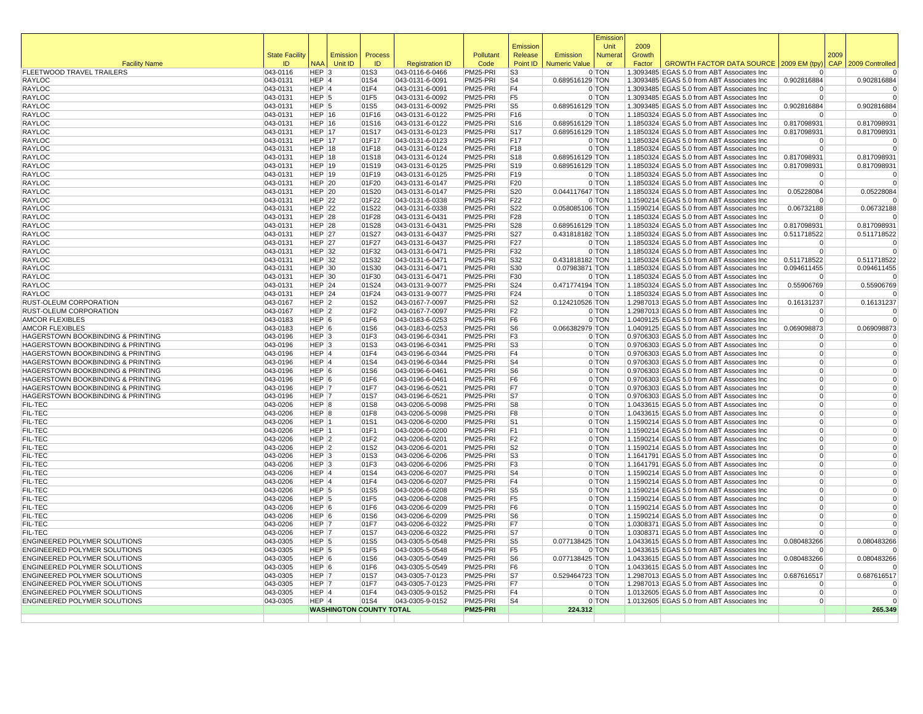|                                                              |                       |                       |                                |                |                                    |                      | Emission                         |                      | Emissior<br>Unit | 2009   |                                                                                          |                                  |      |                         |
|--------------------------------------------------------------|-----------------------|-----------------------|--------------------------------|----------------|------------------------------------|----------------------|----------------------------------|----------------------|------------------|--------|------------------------------------------------------------------------------------------|----------------------------------|------|-------------------------|
|                                                              | <b>State Facility</b> |                       | Emission                       | Process        |                                    | Pollutant            | Release                          | Emission             | <b>Numera</b>    | Growth |                                                                                          |                                  | 2009 |                         |
| <b>Facility Name</b>                                         | ID                    | <b>NAA</b>            | Unit ID                        | ID             | <b>Registration ID</b>             | Code                 | Point ID                         | <b>Numeric Value</b> | or               | Factor | GROWTH FACTOR DATA SOURCE   2009 EM (tpy                                                 |                                  |      | CAP 2009 Controlled     |
| FLEETWOOD TRAVEL TRAILERS                                    | 043-0116              | $HEP$ 3               |                                | 01S3           | 043-0116-6-0466                    | PM25-PRI             | S <sub>3</sub>                   |                      | 0 TON            |        | 1.3093485 EGAS 5.0 from ABT Associates Inc                                               |                                  |      | $\mathbf 0$             |
| RAYLOC<br>RAYLOC                                             | 043-0131              | HEP 4<br>$HEP$ 4      |                                | 01S4<br>01F4   | 043-0131-6-0091                    | PM25-PRI<br>PM25-PRI | S <sub>4</sub><br>F <sub>4</sub> | 0.689516129 TON      | 0 TON            |        | 1.3093485 EGAS 5.0 from ABT Associates Inc<br>1.3093485 EGAS 5.0 from ABT Associates Inc | 0.902816884                      |      | 0.902816884             |
| RAYLOC                                                       | 043-0131<br>043-0131  | $HEP$ 5               |                                | 01F5           | 043-0131-6-0091<br>043-0131-6-0092 | PM25-PRI             | F <sub>5</sub>                   |                      | 0 TON            |        | 1.3093485 EGAS 5.0 from ABT Associates Inc                                               | 0<br>$\Omega$                    |      |                         |
| RAYLOC                                                       | 043-0131              | HEP <sup>5</sup>      |                                | 01S5           | 043-0131-6-0092                    | PM25-PRI             | S <sub>5</sub>                   | 0.689516129 TON      |                  |        | 1.3093485 EGAS 5.0 from ABT Associates Inc                                               | 0.902816884                      |      | 0.902816884             |
| RAYLOC                                                       | $ 043 - 0131$         | HEP $ 16$             |                                | 01F16          | 043-0131-6-0122                    | PM25-PRI             | F16                              |                      | 0 TON            |        | 1.1850324 EGAS 5.0 from ABT Associates Inc                                               | $\mathbf 0$                      |      |                         |
| <b>RAYLOC</b>                                                | 043-0131              | $HEP$ 16              |                                | 01S16          | 043-0131-6-0122                    | PM25-PRI             | S16                              | 0.689516129 TON      |                  |        | 1.1850324 EGAS 5.0 from ABT Associates Inc                                               | 0.817098931                      |      | 0.817098931             |
| RAYLOC                                                       | $ 043 - 0131$         | HEP $ 17$             |                                | 01S17          | 043-0131-6-0123                    | PM25-PRI             | <b>S17</b>                       | 0.689516129 TON      |                  |        | 1.1850324 EGAS 5.0 from ABT Associates Inc                                               | 0.817098931                      |      | 0.817098931             |
| RAYLOC                                                       | 043-0131              | <b>HEP 17</b>         |                                | 01F17          | 043-0131-6-0123                    | PM25-PRI             | F <sub>17</sub>                  |                      | 0 TON            |        | 1.1850324 EGAS 5.0 from ABT Associates Inc                                               | $\Omega$                         |      | $\Omega$                |
| RAYLOC                                                       | 043-0131              | HEP $ 18$             |                                | 01F18          | 043-0131-6-0124                    | PM25-PRI             | F <sub>18</sub>                  |                      | 0 TON            |        | 1.1850324 EGAS 5.0 from ABT Associates Inc                                               | $\Omega$                         |      | $\Omega$                |
| RAYLOC                                                       | 043-0131              | HEP $ 18$             |                                | 01S18          | 043-0131-6-0124                    | PM25-PRI             | S <sub>18</sub>                  | 0.689516129 TON      |                  |        | 1.1850324 EGAS 5.0 from ABT Associates Inc                                               | 0.817098931                      |      | 0.817098931             |
| RAYLOC                                                       | 043-0131              | HEP $ 19$             |                                | 01S19          | 043-0131-6-0125                    | PM25-PRI             | S <sub>19</sub>                  | 0.689516129 TON      |                  |        | 1.1850324 EGAS 5.0 from ABT Associates Inc                                               | 0.817098931                      |      | 0.817098931             |
| <b>RAYLOC</b>                                                | 043-0131              | HEP $ 19$             |                                | 01F19          | 043-0131-6-0125                    | PM25-PRI             | F19                              |                      | 0 TON            |        | 1.1850324 EGAS 5.0 from ABT Associates Inc                                               | $\Omega$                         |      | $\Omega$                |
| RAYLOC                                                       | 043-0131              | $HEP$ 20              |                                | 01F20          | 043-0131-6-0147                    | PM25-PRI             | F <sub>20</sub>                  |                      | 0 TON            |        | 1.1850324 EGAS 5.0 from ABT Associates Inc                                               | $\Omega$                         |      | $\overline{0}$          |
| RAYLOC                                                       | 043-0131              | HEP $ 20$             |                                | 01S20<br>01F22 | 043-0131-6-0147                    | PM25-PRI             | S20<br>F <sub>22</sub>           | 0.044117647 TON      | 0 TON            |        | 1.1850324 EGAS 5.0 from ABT Associates Inc                                               | 0.05228084<br>$\Omega$           |      | 0.05228084<br>$\Omega$  |
| RAYLOC<br>RAYLOC                                             | 043-0131<br>043-0131  | $HEP$ 22<br>HEP $ 22$ |                                | 01S22          | 043-0131-6-0338<br>043-0131-6-0338 | PM25-PRI<br>PM25-PRI | S22                              | 0.058085106 TON      |                  |        | 1.1590214 EGAS 5.0 from ABT Associates Inc<br>1.1590214 EGAS 5.0 from ABT Associates Inc | 0.06732188                       |      | 0.06732188              |
| RAYLOC                                                       | 043-0131              | $HEP$ 28              |                                | 01F28          | 043-0131-6-0431                    | PM25-PRI             | F28                              |                      | 0 TON            |        | 1.1850324 EGAS 5.0 from ABT Associates Inc                                               | $\mathbf 0$                      |      | 0                       |
| <b>RAYLOC</b>                                                | $ 043 - 0131$         | $HEP$ 28              |                                | 01S28          | 043-0131-6-0431                    | PM25-PRI             | S28                              | 0.689516129 TON      |                  |        | 1.1850324 EGAS 5.0 from ABT Associates Inc                                               | 0.817098931                      |      | 0.817098931             |
| RAYLOC                                                       | 043-0131              | <b>HEP 27</b>         |                                | 01S27          | 043-0131-6-0437                    | PM25-PRI             | <b>S27</b>                       | 0.431818182 TON      |                  |        | 1.1850324 EGAS 5.0 from ABT Associates Inc                                               | 0.511718522                      |      | 0.511718522             |
| RAYLOC                                                       | 043-0131              | HEP $ 27$             |                                | 01F27          | 043-0131-6-0437                    | PM25-PRI             | F27                              |                      | 0 TON            |        | 1.1850324 EGAS 5.0 from ABT Associates Inc                                               | $\Omega$                         |      | 0                       |
| RAYLOC                                                       | 043-0131              | HEP $ 32$             |                                | 01F32          | 043-0131-6-0471                    | PM25-PRI             | F32                              |                      | 0 TON            |        | 1.1850324 EGAS 5.0 from ABT Associates Inc                                               | $\Omega$                         |      | $\overline{0}$          |
| RAYLOC                                                       | 043-0131              | HEP $ 32$             |                                | 01S32          | 043-0131-6-0471                    | PM25-PRI             | S32                              | 0.431818182 TON      |                  |        | 1.1850324 EGAS 5.0 from ABT Associates Inc                                               | 0.511718522                      |      | 0.511718522             |
| RAYLOC                                                       | 043-0131              | HEP $30$              |                                | 01S30          | 043-0131-6-0471                    | PM25-PRI             | S30                              | 0.07983871 TON       |                  |        | 1.1850324 EGAS 5.0 from ABT Associates Inc                                               | 0.094611455                      |      | 0.094611455             |
| RAYLOC                                                       | 043-0131              | HEP $ 30$             |                                | 01F30          | 043-0131-6-0471                    | PM25-PRI             | F30                              |                      | 0 TON            |        | 1.1850324 EGAS 5.0 from ABT Associates Inc                                               | $\Omega$                         |      |                         |
| <b>RAYLOC</b>                                                | 043-0131              | $HEP$ 24              |                                | 01S24          | 043-0131-9-0077                    | PM25-PRI             | S24                              | 0.471774194 TON      |                  |        | 1.1850324 EGAS 5.0 from ABT Associates Inc                                               | 0.55906769                       |      | 0.55906769              |
| RAYLOC                                                       | 043-0131              | $HEP$ 24              |                                | 01F24          | 043-0131-9-0077                    | PM25-PRI             | F24                              |                      | 0 TON            |        | 1.1850324 EGAS 5.0 from ABT Associates Inc                                               | $\Omega$                         |      |                         |
| RUST-OLEUM CORPORATION                                       | 043-0167              | $HEP$ 2               |                                | 01S2           | 043-0167-7-0097                    | PM25-PRI             | S <sub>2</sub>                   | 0.124210526 TON      |                  |        | 1.2987013 EGAS 5.0 from ABT Associates Inc                                               | 0.16131237                       |      | 0.16131237              |
| RUST-OLEUM CORPORATION                                       | 043-0167              | $HEP$ 2               |                                | 01F2           | 043-0167-7-0097                    | PM25-PRI             | F <sub>2</sub>                   |                      | 0 TON            |        | 1.2987013 EGAS 5.0 from ABT Associates Inc                                               | $\Omega$                         |      | $\Omega$                |
| <b>AMCOR FLEXIBLES</b><br><b>AMCOR FLEXIBLES</b>             | 043-0183              | $HEP$ 6<br>$HEP$ 6    |                                | 01F6<br>01S6   | 043-0183-6-0253                    | PM25-PRI             | F <sub>6</sub><br>S <sub>6</sub> | 0.066382979 TON      | 0 TON            |        | 1.0409125 EGAS 5.0 from ABT Associates Inc                                               | $\overline{0}$<br>0.069098873    |      | $\Omega$<br>0.069098873 |
| HAGERSTOWN BOOKBINDING & PRINTING                            | 043-0183<br>043-0196  | $HEP$ 3               |                                | 01F3           | 043-0183-6-0253<br>043-0196-6-0341 | PM25-PRI<br>PM25-PRI | F <sub>3</sub>                   |                      | 0 TON            |        | 1.0409125 EGAS 5.0 from ABT Associates Inc<br>0.9706303 EGAS 5.0 from ABT Associates Inc | $\overline{0}$                   |      |                         |
| HAGERSTOWN BOOKBINDING & PRINTING                            | 043-0196              | $HEP$ 3               |                                | 01S3           | 043-0196-6-0341                    | PM25-PRI             | S <sub>3</sub>                   |                      | 0 TON            |        | 0.9706303 EGAS 5.0 from ABT Associates Inc                                               | $\overline{0}$                   |      | $\mathbf 0$             |
| HAGERSTOWN BOOKBINDING & PRINTING                            | 043-0196              | $HEP$ 4               |                                | 01F4           | 043-0196-6-0344                    | PM25-PRI             | F <sub>4</sub>                   |                      | 0 TON            |        | 0.9706303 EGAS 5.0 from ABT Associates Inc                                               | $\overline{0}$                   |      | $\mathbf 0$             |
| HAGERSTOWN BOOKBINDING & PRINTING                            | 043-0196              | $HEP$ <sup>4</sup>    |                                | 01S4           | 043-0196-6-0344                    | PM25-PRI             | S <sub>4</sub>                   |                      | 0 TON            |        | 0.9706303 EGAS 5.0 from ABT Associates Inc                                               | $\overline{0}$                   |      | $\Omega$                |
| HAGERSTOWN BOOKBINDING & PRINTING                            | 043-0196              | $HEP$ 6               |                                | 01S6           | 043-0196-6-0461                    | PM25-PRI             | S <sub>6</sub>                   |                      | 0 TON            |        | 0.9706303 EGAS 5.0 from ABT Associates Inc                                               | $\overline{0}$                   |      | $\mathbf 0$             |
| HAGERSTOWN BOOKBINDING & PRINTING                            | 043-0196              | $HEP$ 6               |                                | 01F6           | 043-0196-6-0461                    | PM25-PRI             | F6                               |                      | 0 TON            |        | 0.9706303 EGAS 5.0 from ABT Associates Inc                                               | $\Omega$                         |      | $\Omega$                |
| HAGERSTOWN BOOKBINDING & PRINTING                            | 043-0196              | HEP 7                 |                                | 01F7           | 043-0196-6-0521                    | PM25-PRI             | F7                               |                      | 0 TON            |        | 0.9706303 EGAS 5.0 from ABT Associates Inc                                               | $\overline{0}$                   |      | $\Omega$                |
| HAGERSTOWN BOOKBINDING & PRINTING                            | $ 043 - 0196$         | HEP 7                 |                                | 01S7           | 043-0196-6-0521                    | PM25-PRI             | S7                               |                      | 0 TON            |        | 0.9706303 EGAS 5.0 from ABT Associates Inc                                               | $\Omega$                         |      | $\mathbf 0$             |
| FIL-TEC                                                      | 043-0206              | HEP 8                 |                                | 01S8           | 043-0206-5-0098                    | PM25-PRI             | S <sub>8</sub>                   |                      | 0 TON            |        | 1.0433615 EGAS 5.0 from ABT Associates Inc                                               | $\overline{0}$                   |      | $\Omega$                |
| FIL-TEC                                                      | 043-0206              | HEP 8                 |                                | 01F8           | 043-0206-5-0098                    | PM25-PRI             | F8                               |                      | 0 TON            |        | 1.0433615 EGAS 5.0 from ABT Associates Inc                                               | $\Omega$                         |      | $\Omega$                |
| FIL-TEC                                                      | 043-0206              | HEP 1                 |                                | 01S1           | 043-0206-6-0200                    | PM25-PRI             | S <sub>1</sub>                   |                      | 0 TON            |        | 1.1590214 EGAS 5.0 from ABT Associates Inc                                               | $\Omega$                         |      |                         |
| FIL-TEC                                                      | 043-0206              | HEP 1                 |                                | 01F1           | 043-0206-6-0200                    | PM25-PRI             | F <sub>1</sub>                   |                      | 0 TON            |        | 1.1590214 EGAS 5.0 from ABT Associates Inc                                               | $\overline{0}$                   |      | $\Omega$                |
| FIL-TEC<br>FIL-TEC                                           | 043-0206<br>043-0206  | $HEP$ 2<br>$HEP$ 2    |                                | 01F2<br>01S2   | 043-0206-6-0201<br>043-0206-6-0201 | PM25-PRI<br>PM25-PRI | F <sub>2</sub><br>S <sub>2</sub> |                      | 0 TON<br>0 TON   |        | 1.1590214 EGAS 5.0 from ABT Associates Inc<br>1.1590214 EGAS 5.0 from ABT Associates Inc | $\overline{0}$<br>$\overline{0}$ |      | $\Omega$                |
| FIL-TEC                                                      | 043-0206              | $HEP$ 3               |                                | 01S3           | 043-0206-6-0206                    | PM25-PRI             | S <sub>3</sub>                   |                      | 0 TON            |        | 1.1641791 EGAS 5.0 from ABT Associates Inc                                               | $\Omega$                         |      | $\Omega$                |
| FIL-TEC                                                      | 043-0206              | $HEP$ 3               |                                | 01F3           | 043-0206-6-0206                    | PM25-PRI             | F <sub>3</sub>                   |                      | 0 TON            |        | 1.1641791 EGAS 5.0 from ABT Associates Inc                                               | $\Omega$                         |      | $\mathbf 0$             |
| FIL-TEC                                                      | 043-0206              | $HEP$ 4               |                                | 01S4           | 043-0206-6-0207                    | PM25-PRI             | S <sub>4</sub>                   |                      | 0 TON            |        | 1.1590214 EGAS 5.0 from ABT Associates Inc                                               | $\Omega$                         |      | $\mathbf 0$             |
| FIL-TEC                                                      | 043-0206              | $HEP$ 4               |                                | 01F4           | 043-0206-6-0207                    | PM25-PRI             | F <sub>4</sub>                   |                      | 0 TON            |        | 1.1590214 EGAS 5.0 from ABT Associates Inc                                               | $\overline{0}$                   |      | $\Omega$                |
| FIL-TEC                                                      | 043-0206              | $HEP$ 5               |                                | 01S5           | 043-0206-6-0208                    | PM25-PRI             | S5                               |                      | 0 TON            |        | 1.1590214 EGAS 5.0 from ABT Associates Inc                                               | $\Omega$                         |      | $\mathbf 0$             |
| FIL-TEC                                                      | 043-0206              | $HEP$ 5               |                                | 01F5           | 043-0206-6-0208                    | PM25-PRI             | F <sub>5</sub>                   |                      | 0 TON            |        | 1.1590214 EGAS 5.0 from ABT Associates Inc                                               | $\Omega$                         |      | $\Omega$                |
| FIL-TEC                                                      | 043-0206              | $HEP$ 6               |                                | 01F6           | 043-0206-6-0209                    | PM25-PRI             | F <sub>6</sub>                   |                      | 0 TON            |        | 1.1590214 EGAS 5.0 from ABT Associates Inc                                               | 0                                |      | $\mathbf 0$             |
| FIL-TEC                                                      | 043-0206              | $HEP$ 6               |                                | 01S6           | 043-0206-6-0209                    | PM25-PRI             | S <sub>6</sub>                   |                      | 0 TON            |        | 1.1590214 EGAS 5.0 from ABT Associates Inc                                               | $\Omega$                         |      |                         |
| FIL-TEC                                                      | 043-0206              | HEP 7                 |                                | 01F7           | 043-0206-6-0322                    | PM25-PRI             | F7                               |                      | 0 TON            |        | 1.0308371 EGAS 5.0 from ABT Associates Inc                                               | $\Omega$                         |      | $\Omega$                |
| FIL-TEC                                                      | 043-0206              | HEP 7                 |                                | 01S7           | 043-0206-6-0322                    | PM25-PRI             | S7                               |                      | 0 TON            |        | 1.0308371 EGAS 5.0 from ABT Associates Inc                                               | $\Omega$                         |      | $\Omega$                |
| ENGINEERED POLYMER SOLUTIONS                                 | 043-0305              | $HEP$ 5               |                                | 01S5           | 043-0305-5-0548                    | PM25-PRI             | S <sub>5</sub>                   | 0.077138425 TON      |                  |        | 1.0433615 EGAS 5.0 from ABT Associates Inc                                               | 0.080483266                      |      | 0.080483266             |
| ENGINEERED POLYMER SOLUTIONS                                 | 043-0305              | $HEP$ 5               |                                | 01F5           | 043-0305-5-0548                    | PM25-PRI             | F <sub>5</sub>                   |                      | 0 TON            |        | 1.0433615 EGAS 5.0 from ABT Associates Inc                                               | $\Omega$                         |      | $\Omega$                |
| ENGINEERED POLYMER SOLUTIONS<br>ENGINEERED POLYMER SOLUTIONS | 043-0305              | $HEP$ 6<br>HEP 6      |                                | 01S6           | 043-0305-5-0549<br>043-0305-5-0549 | PM25-PRI<br>PM25-PRI | S <sub>6</sub>                   | 0.077138425 TON      | 0 TON            |        | 1.0433615 EGAS 5.0 from ABT Associates Inc                                               | 0.080483266<br>$\Omega$          |      | 0.080483266             |
| ENGINEERED POLYMER SOLUTIONS                                 | 043-0305<br>043-0305  | HEP 7                 |                                | 01F6<br>01S7   | 043-0305-7-0123                    | PM25-PRI             | F <sub>6</sub><br> S7            | 0.529464723 TON      |                  |        | 1.0433615 EGAS 5.0 from ABT Associates Inc<br>1.2987013 EGAS 5.0 from ABT Associates Inc | 0.687616517                      |      | 0.687616517             |
| ENGINEERED POLYMER SOLUTIONS                                 | 043-0305              | HEP 7                 |                                | 01F7           | 043-0305-7-0123                    | PM25-PRI             | F7                               |                      | 0 TON            |        | 1.2987013 EGAS 5.0 from ABT Associates Inc                                               | $\Omega$                         |      |                         |
| ENGINEERED POLYMER SOLUTIONS                                 | 043-0305              | $HEP$ 4               |                                | 01F4           | 043-0305-9-0152                    | PM25-PRI             | F4                               |                      | 0 TON            |        | 1.0132605 EGAS 5.0 from ABT Associates Inc                                               | $\Omega$                         |      | $\Omega$                |
| ENGINEERED POLYMER SOLUTIONS                                 | 043-0305              | $HEP$ <sup>4</sup>    |                                | 01S4           | 043-0305-9-0152                    | PM25-PRI             | S <sub>4</sub>                   |                      | 0 TON            |        | 1.0132605 EGAS 5.0 from ABT Associates Inc                                               | $\overline{0}$                   |      | $\Omega$                |
|                                                              |                       |                       | <b>WASHINGTON COUNTY TOTAL</b> |                |                                    | PM25-PRI             |                                  | 224.312              |                  |        |                                                                                          |                                  |      | 265.349                 |
|                                                              |                       |                       |                                |                |                                    |                      |                                  |                      |                  |        |                                                                                          |                                  |      |                         |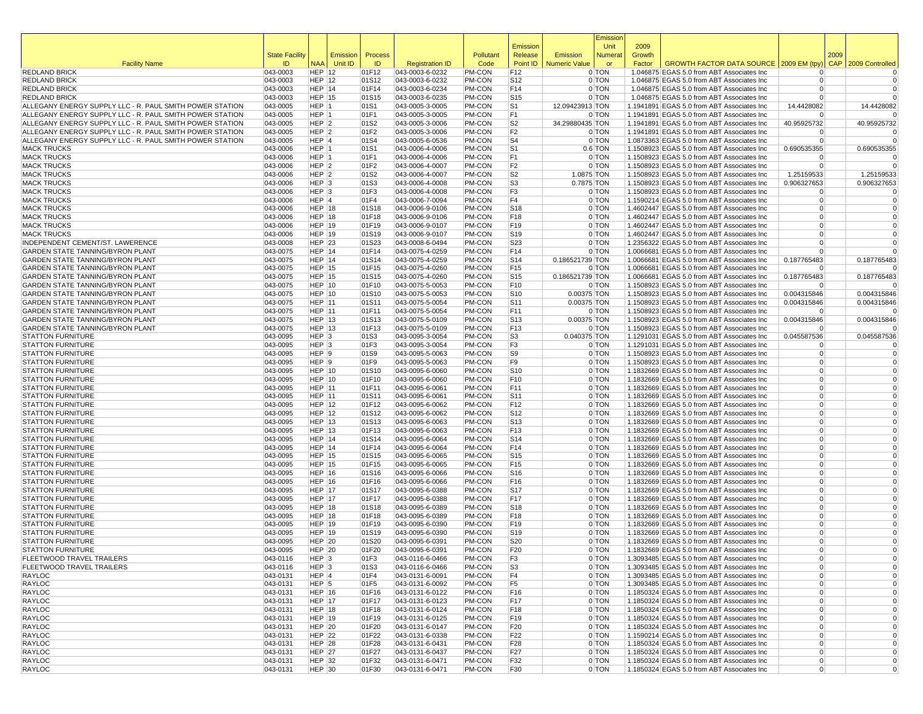|                                                                                    |                       |                                |                     |                |                                    |                   |                                    |                      | Emissior           |        |                                                                                          |                                  |      |                         |
|------------------------------------------------------------------------------------|-----------------------|--------------------------------|---------------------|----------------|------------------------------------|-------------------|------------------------------------|----------------------|--------------------|--------|------------------------------------------------------------------------------------------|----------------------------------|------|-------------------------|
|                                                                                    |                       |                                |                     |                |                                    |                   | Emission                           |                      | Unit               | 2009   |                                                                                          |                                  |      |                         |
|                                                                                    | <b>State Facility</b> |                                | Emission<br>Unit ID | Process<br>ID  | <b>Registration ID</b>             | Pollutant<br>Code | Release<br>Point ID                | Emission             | Numera             | Growth | GROWTH FACTOR DATA SOURCE 2009 EM (tpy                                                   |                                  | 2009 | CAP 2009 Controlled     |
| <b>Facility Name</b><br><b>REDLAND BRICK</b>                                       | ID<br>043-0003        | <b>NAA</b><br><b>HEP 12</b>    |                     | 01F12          | 043-0003-6-0232                    | PM-CON            | F12                                | <b>Numeric Value</b> | or<br>0 TON        | Factor | 1.046875 EGAS 5.0 from ABT Associates Inc                                                | $\Omega$                         |      | $\Omega$                |
| <b>REDLAND BRICK</b>                                                               | 043-0003              | <b>HEP 12</b>                  |                     | 01S12          | 043-0003-6-0232                    | PM-CON            | S <sub>12</sub>                    |                      | 0 TON              |        | 1.046875 EGAS 5.0 from ABT Associates Inc                                                | $\overline{0}$                   |      | 0                       |
| <b>REDLAND BRICK</b>                                                               | 043-0003              | HEP 14                         |                     | 01F14          | 043-0003-6-0234                    | PM-CON            | F14                                |                      | 0 TON              |        | 1.046875 EGAS 5.0 from ABT Associates Inc                                                | $\Omega$                         |      | 0                       |
| <b>REDLAND BRICK</b>                                                               | 043-0003              | <b>HEP 15</b>                  |                     | 01S15          | 043-0003-6-0235                    | PM-CON            | S <sub>15</sub>                    |                      | 0 TON              |        | 1.046875 EGAS 5.0 from ABT Associates Inc                                                | $\Omega$                         |      | $\Omega$                |
| ALLEGANY ENERGY SUPPLY LLC - R. PAUL SMITH POWER STATION                           | 043-0005              | HEP 1                          |                     | 01S1           | 043-0005-3-0005                    | PM-CON            | S1                                 | 12.09423913 TON      |                    |        | 1.1941891 EGAS 5.0 from ABT Associates Inc.                                              | 14.4428082                       |      | 14.4428082              |
| ALLEGANY ENERGY SUPPLY LLC - R. PAUL SMITH POWER STATION                           | 043-0005              | HEP 1                          |                     | 01F1           | 043-0005-3-0005                    | <b>PM-CON</b>     | F1                                 |                      | 0 TON              |        | 1.1941891 EGAS 5.0 from ABT Associates Inc.                                              | $\Omega$                         |      | $\Omega$                |
| ALLEGANY ENERGY SUPPLY LLC - R. PAUL SMITH POWER STATION                           | 043-0005              | HEP 2                          |                     | 01S2           | 043-0005-3-0006                    | PM-CON            | S <sub>2</sub>                     | 34.29880435 TON      |                    |        | 1.1941891 EGAS 5.0 from ABT Associates Inc.                                              | 40.95925732                      |      | 40.95925732             |
| ALLEGANY ENERGY SUPPLY LLC - R. PAUL SMITH POWER STATION                           | 043-0005              | HEP <sub>2</sub>               |                     | 01F2           | 043-0005-3-0006                    | PM-CON<br>PM-CON  | F <sub>2</sub><br>S <sub>4</sub>   |                      | 0 TON              |        | 1.1941891 EGAS 5.0 from ABT Associates Inc                                               | $\Omega$<br>$\overline{0}$       |      | 0<br>$\Omega$           |
| ALLEGANY ENERGY SUPPLY LLC - R. PAUL SMITH POWER STATION<br><b>MACK TRUCKS</b>     | 043-0005<br>043-0006  | HEP 4<br>HEP 1                 |                     | 01S4<br>01S1   | 043-0005-6-0536<br>043-0006-4-0006 | PM-CON            | S <sub>1</sub>                     |                      | 0 TON<br>$0.6$ TON |        | 1.0873363 EGAS 5.0 from ABT Associates Inc<br>1.1508923 EGAS 5.0 from ABT Associates Inc | 0.690535355                      |      | 0.690535355             |
| <b>MACK TRUCKS</b>                                                                 | 043-0006              | HEP 1                          |                     | 01F1           | 043-0006-4-0006                    | PM-CON            | F1                                 |                      | 0 TON              |        | 1.1508923 EGAS 5.0 from ABT Associates Inc                                               | $\Omega$                         |      | 0                       |
| <b>MACK TRUCKS</b>                                                                 | 043-0006              | HEP 2                          |                     | 01F2           | 043-0006-4-0007                    | PM-CON            | F2                                 |                      | 0 TON              |        | 1.1508923 EGAS 5.0 from ABT Associates Inc                                               | $\Omega$                         |      | $\Omega$                |
| <b>MACK TRUCKS</b>                                                                 | 043-0006              | HEP <sub>2</sub>               |                     | 01S2           | 043-0006-4-0007                    | PM-CON            | S2                                 | 1.0875 TON           |                    |        | 1.1508923 EGAS 5.0 from ABT Associates Inc                                               | 1.25159533                       |      | 1.25159533              |
| <b>MACK TRUCKS</b>                                                                 | 043-0006              | HEP <sub>3</sub>               |                     | 01S3           | 043-0006-4-0008                    | PM-CON            | S <sub>3</sub>                     | 0.7875 TON           |                    |        | 1.1508923 EGAS 5.0 from ABT Associates Inc                                               | 0.906327653                      |      | 0.906327653             |
| <b>MACK TRUCKS</b>                                                                 | 043-0006              | HEP <sub>3</sub>               |                     | 01F3           | 043-0006-4-0008                    | PM-CON            | F <sub>3</sub>                     |                      | 0 TON              |        | 1.1508923 EGAS 5.0 from ABT Associates Inc                                               | $\Omega$                         |      | $\Omega$                |
| <b>MACK TRUCKS</b>                                                                 | 043-0006              | HEP 4                          |                     | 01F4           | 043-0006-7-0094                    | PM-CON            | F4                                 |                      | 0 TON              |        | 1.1590214 EGAS 5.0 from ABT Associates Inc                                               | $\overline{0}$                   |      | 0                       |
| <b>MACK TRUCKS</b>                                                                 | 043-0006              | <b>HEP 18</b>                  |                     | 01S18          | 043-0006-9-0106                    | PM-CON            | S <sub>18</sub>                    |                      | 0 TON              |        | 1.4602447 EGAS 5.0 from ABT Associates Inc                                               | $\Omega$                         |      | $\Omega$                |
| <b>MACK TRUCKS</b>                                                                 | 043-0006              | <b>HEP 18</b>                  |                     | 01F18          | 043-0006-9-0106                    | PM-CON            | F18                                |                      | 0 TON              |        | 1.4602447 EGAS 5.0 from ABT Associates Inc                                               | $\Omega$<br>$\Omega$             |      | $\Omega$<br>$\Omega$    |
| <b>MACK TRUCKS</b><br><b>MACK TRUCKS</b>                                           | 043-0006<br>043-0006  | <b>HEP 19</b><br>HEP 19        |                     | 01F19<br>01S19 | 043-0006-9-0107<br>043-0006-9-0107 | PM-CON<br>PM-CON  | F19<br>S <sub>19</sub>             |                      | 0 TON<br>0 TON     |        | 1.4602447 EGAS 5.0 from ABT Associates Inc<br>1.4602447 EGAS 5.0 from ABT Associates Inc | $\Omega$                         |      | $\Omega$                |
| INDEPENDENT CEMENT/ST. LAWERENCE                                                   | 043-0008              | <b>HEP 23</b>                  |                     | 01S23          | 043-0008-6-0494                    | PM-CON            | S23                                |                      | 0 TON              |        | 1.2356322 EGAS 5.0 from ABT Associates Inc                                               | $\Omega$                         |      | $\Omega$                |
| <b>GARDEN STATE TANNING/BYRON PLANT</b>                                            | 043-0075              | HEP 14                         |                     | 01F14          | 043-0075-4-0259                    | <b>PM-CON</b>     | F14                                |                      | 0 TON              |        | 1.0066681 EGAS 5.0 from ABT Associates Inc                                               | $\Omega$                         |      | $\Omega$                |
| <b>GARDEN STATE TANNING/BYRON PLANT</b>                                            | 043-0075              | <b>HEP 14</b>                  |                     | 01S14          | 043-0075-4-0259                    | PM-CON            | S <sub>14</sub>                    | 0.186521739 TON      |                    |        | 1.0066681 EGAS 5.0 from ABT Associates Inc                                               | 0.187765483                      |      | 0.187765483             |
| <b>GARDEN STATE TANNING/BYRON PLANT</b>                                            | 043-0075              | <b>HEP 15</b>                  |                     | 01F15          | 043-0075-4-0260                    | <b>PM-CON</b>     | F <sub>15</sub>                    |                      | 0 TON              |        | 1.0066681 EGAS 5.0 from ABT Associates Inc                                               | $\Omega$                         |      | $\Omega$                |
| <b>GARDEN STATE TANNING/BYRON PLANT</b>                                            | 043-0075              | <b>HEP 15</b>                  |                     | 01S15          | 043-0075-4-0260                    | PM-CON            | S <sub>15</sub>                    | 0.186521739 TON      |                    |        | 1.0066681 EGAS 5.0 from ABT Associates Inc                                               | 0.187765483                      |      | 0.187765483             |
| <b>GARDEN STATE TANNING/BYRON PLANT</b>                                            | 043-0075              | <b>HEP 10</b>                  |                     | 01F10          | 043-0075-5-0053                    | PM-CON            | F <sub>10</sub>                    |                      | 0 TON              |        | 1.1508923 EGAS 5.0 from ABT Associates Inc                                               | $\Omega$                         |      | $\Omega$                |
| GARDEN STATE TANNING/BYRON PLANT                                                   | 043-0075              | <b>HEP 10</b>                  |                     | 01S10          | 043-0075-5-0053                    | PM-CON            | S <sub>10</sub>                    | 0.00375 TON          |                    |        | 1.1508923 EGAS 5.0 from ABT Associates Inc                                               | 0.004315846                      |      | 0.004315846             |
| <b>GARDEN STATE TANNING/BYRON PLANT</b>                                            | 043-0075              | <b>HEP 11</b>                  |                     | 01S11          | 043-0075-5-0054                    | PM-CON            | S11                                | 0.00375 TON          |                    |        | 1.1508923 EGAS 5.0 from ABT Associates Inc                                               | 0.004315846                      |      | 0.004315846             |
| <b>GARDEN STATE TANNING/BYRON PLANT</b><br><b>GARDEN STATE TANNING/BYRON PLANT</b> | 043-0075              | <b>HEP 11</b>                  |                     | 01F11          | 043-0075-5-0054                    | PM-CON            | F11                                |                      | $0$ TON            |        | 1.1508923 EGAS 5.0 from ABT Associates Inc                                               | $\Omega$<br>0.004315846          |      | $\Omega$                |
| GARDEN STATE TANNING/BYRON PLANT                                                   | 043-0075<br>043-0075  | <b>HEP 13</b><br><b>HEP 13</b> |                     | 01S13<br>01F13 | 043-0075-5-0109<br>043-0075-5-0109 | PM-CON<br>PM-CON  | S <sub>13</sub><br>F13             | 0.00375 TON          | 0 TON              |        | 1.1508923 EGAS 5.0 from ABT Associates Inc<br>1.1508923 EGAS 5.0 from ABT Associates Inc | $\Omega$                         |      | 0.004315846<br>$\Omega$ |
| <b>STATTON FURNITURE</b>                                                           | 043-0095              | HEP <sub>3</sub>               |                     | 01S3           | 043-0095-3-0054                    | PM-CON            | S <sub>3</sub>                     | 0.040375 TON         |                    |        | 1.1291031 EGAS 5.0 from ABT Associates Inc                                               | 0.045587536                      |      | 0.045587536             |
| <b>STATTON FURNITURE</b>                                                           | 043-0095              | HEP <sub>3</sub>               |                     | 01F3           | 043-0095-3-0054                    | PM-CON            | F3                                 |                      | 0 TON              |        | 1.1291031 EGAS 5.0 from ABT Associates Inc.                                              | 0                                |      | 0                       |
| <b>STATTON FURNITURE</b>                                                           | 043-0095              | HEP 9                          |                     | 01S9           | 043-0095-5-0063                    | PM-CON            | S9                                 |                      | 0 TON              |        | 1.1508923 EGAS 5.0 from ABT Associates Inc                                               | $\overline{0}$                   |      | $\mathbf 0$             |
| <b>STATTON FURNITURE</b>                                                           | 043-0095              | HEP 9                          |                     | 01F9           | 043-0095-5-0063                    | PM-CON            | F9                                 |                      | 0 TON              |        | 1.1508923 EGAS 5.0 from ABT Associates Inc                                               | $\Omega$                         |      | $\mathbf 0$             |
| <b>STATTON FURNITURE</b>                                                           | 043-0095              | <b>HEP 10</b>                  |                     | 01S10          | 043-0095-6-0060                    | PM-CON            | S <sub>10</sub>                    |                      | 0 TON              |        | 1.1832669 EGAS 5.0 from ABT Associates Inc                                               | $\Omega$                         |      | $\Omega$                |
| <b>STATTON FURNITURE</b>                                                           | 043-0095              | <b>HEP 10</b>                  |                     | 01F10          | 043-0095-6-0060                    | PM-CON            | F10                                |                      | 0 TON              |        | 1.1832669 EGAS 5.0 from ABT Associates Inc                                               | $\Omega$                         |      | $\Omega$                |
| <b>STATTON FURNITURE</b>                                                           | 043-0095              | <b>HEP 11</b>                  |                     | 01F11          | 043-0095-6-0061                    | PM-CON            | F11                                |                      | 0 TON              |        | 1.1832669 EGAS 5.0 from ABT Associates Inc                                               | $\Omega$                         |      | $\Omega$                |
| <b>STATTON FURNITURE</b>                                                           | 043-0095              | <b>HEP 11</b>                  |                     | 01S11          | 043-0095-6-0061                    | <b>PM-CON</b>     | S11                                |                      | 0 TON              |        | 1.1832669 EGAS 5.0 from ABT Associates Inc                                               | $\Omega$                         |      | $\Omega$                |
| <b>STATTON FURNITURE</b>                                                           | 043-0095<br>043-0095  | <b>HEP 12</b><br><b>HEP 12</b> |                     | 01F12<br>01S12 | 043-0095-6-0062<br>043-0095-6-0062 | PM-CON<br>PM-CON  | F12<br>S <sub>12</sub>             |                      | 0 TON<br>0 TON     |        | 1.1832669 EGAS 5.0 from ABT Associates Inc                                               | $\Omega$<br>$\Omega$             |      | $\Omega$<br>$\Omega$    |
| <b>STATTON FURNITURE</b><br><b>STATTON FURNITURE</b>                               | 043-0095              | <b>HEP 13</b>                  |                     | 01S13          | 043-0095-6-0063                    | PM-CON            | S <sub>13</sub>                    |                      | 0 TON              |        | 1.1832669 EGAS 5.0 from ABT Associates Inc<br>1.1832669 EGAS 5.0 from ABT Associates Inc | $\Omega$                         |      | $\Omega$                |
| <b>STATTON FURNITURE</b>                                                           | 043-0095              | <b>HEP 13</b>                  |                     | 01F13          | 043-0095-6-0063                    | PM-CON            | F13                                |                      | 0 TON              |        | 1.1832669 EGAS 5.0 from ABT Associates Inc                                               | $\Omega$                         |      | $\Omega$                |
| <b>STATTON FURNITURE</b>                                                           | 043-0095              | HEP 14                         |                     | 01S14          | 043-0095-6-0064                    | PM-CON            | S <sub>14</sub>                    |                      | 0 TON              |        | 1.1832669 EGAS 5.0 from ABT Associates Inc                                               | $\Omega$                         |      | $\Omega$                |
| <b>STATTON FURNITURE</b>                                                           | 043-0095              | HEP 14                         |                     | 01F14          | 043-0095-6-0064                    | PM-CON            | F14                                |                      | 0 TON              |        | 1.1832669 EGAS 5.0 from ABT Associates Inc                                               | $\Omega$                         |      | $\Omega$                |
| <b>STATTON FURNITURE</b>                                                           | 043-0095              | <b>HEP 15</b>                  |                     | 01S15          | 043-0095-6-0065                    | PM-CON            | S <sub>15</sub>                    |                      | 0 TON              |        | 1.1832669 EGAS 5.0 from ABT Associates Inc                                               | $\Omega$                         |      | $\Omega$                |
| <b>STATTON FURNITURE</b>                                                           | 043-0095              | <b>HEP 15</b>                  |                     | 01F15          | 043-0095-6-0065                    | <b>PM-CON</b>     | F <sub>15</sub>                    |                      | 0 TON              |        | 1.1832669 EGAS 5.0 from ABT Associates Inc                                               | $\Omega$                         |      | $\Omega$                |
| <b>STATTON FURNITURE</b>                                                           | 043-0095              | <b>HEP 16</b>                  |                     | 01S16          | 043-0095-6-0066                    | <b>PM-CON</b>     | S <sub>16</sub>                    |                      | 0 TON              |        | 1.1832669 EGAS 5.0 from ABT Associates Inc                                               | $\Omega$                         |      | $\Omega$                |
| <b>STATTON FURNITURE</b>                                                           | 043-0095              | <b>HEP 16</b>                  |                     | 01F16          | 043-0095-6-0066                    | PM-CON            | F16                                |                      | 0 TON              |        | 1.1832669 EGAS 5.0 from ABT Associates Inc                                               | 0                                |      | $\Omega$                |
| <b>STATTON FURNITURE</b>                                                           | 043-0095              | <b>HEP 17</b>                  |                     | 01S17          | 043-0095-6-0388<br>043-0095-6-0388 | PM-CON            | S <sub>17</sub>                    |                      | 0 TON              |        | 1.1832669 EGAS 5.0 from ABT Associates Inc<br>1.1832669 EGAS 5.0 from ABT Associates Inc | $\Omega$                         |      | $\Omega$<br>$\Omega$    |
| <b>STATTON FURNITURE</b><br><b>STATTON FURNITURE</b>                               | 043-0095<br>043-0095  | <b>HEP 17</b><br><b>HEP 18</b> |                     | 01F17<br>01S18 | 043-0095-6-0389                    | PM-CON<br>PM-CON  | F <sub>17</sub><br>S <sub>18</sub> |                      | 0 TON<br>0 TON     |        | 1.1832669 EGAS 5.0 from ABT Associates Inc                                               | 0<br>$\Omega$                    |      | $\Omega$                |
| <b>STATTON FURNITURE</b>                                                           | 043-0095              | <b>HEP 18</b>                  |                     | 01F18          | 043-0095-6-0389                    | PM-CON            | F18                                |                      | 0 TON              |        | 1.1832669 EGAS 5.0 from ABT Associates Inc                                               | $\Omega$                         |      | $\Omega$                |
| <b>STATTON FURNITURE</b>                                                           | 043-0095              | <b>HEP 19</b>                  |                     | 01F19          | 043-0095-6-0390                    | PM-CON            | F19                                |                      | 0 TON              |        | 1.1832669 EGAS 5.0 from ABT Associates Inc                                               | $\Omega$                         |      | $\Omega$                |
| <b>STATTON FURNITURE</b>                                                           | 043-0095              | <b>HEP 19</b>                  |                     | 01S19          | 043-0095-6-0390                    | PM-CON            | S <sub>19</sub>                    |                      | 0 TON              |        | 1.1832669 EGAS 5.0 from ABT Associates Inc                                               | $\Omega$                         |      | $\Omega$                |
| <b>STATTON FURNITURE</b>                                                           | 043-0095              | <b>HEP 20</b>                  |                     | 01S20          | 043-0095-6-0391                    | <b>PM-CON</b>     | S20                                |                      | 0 TON              |        | 1.1832669 EGAS 5.0 from ABT Associates Inc                                               | $\Omega$                         |      | $\Omega$                |
| <b>STATTON FURNITURE</b>                                                           | 043-0095              | <b>HEP 20</b>                  |                     | 01F20          | 043-0095-6-0391                    | PM-CON            | F20                                |                      | 0 TON              |        | 1.1832669 EGAS 5.0 from ABT Associates Inc                                               | $\Omega$                         |      | $\Omega$                |
| FLEETWOOD TRAVEL TRAILERS                                                          | 043-0116              | HEP 3                          |                     | 01F3           | 043-0116-6-0466                    | PM-CON            | F3                                 |                      | 0 TON              |        | 1.3093485 EGAS 5.0 from ABT Associates Inc                                               |                                  |      |                         |
| <b>FLEETWOOD TRAVEL TRAILERS</b>                                                   | 043-0116              | $HEP$ 3                        |                     | 01S3           | 043-0116-6-0466                    | PM-CON            | S <sub>3</sub>                     |                      | 0 TON              |        | 1.3093485 EGAS 5.0 from ABT Associates Inc                                               | $\overline{0}$                   |      | $\mathbf 0$             |
| RAYLOC                                                                             | 043-0131              | HEP 4                          |                     | 01F4           | 043-0131-6-0091                    | PM-CON            | F4                                 |                      | $0$ TON            |        | 1.3093485 EGAS 5.0 from ABT Associates Inc                                               | $\overline{0}$                   |      | 0                       |
| RAYLOC                                                                             | 043-0131              | HEP 5                          |                     | 01F5<br>01F16  | 043-0131-6-0092<br>043-0131-6-0122 | PM-CON            | F <sub>5</sub>                     |                      | $0$ TON            |        | 1.3093485 EGAS 5.0 from ABT Associates Inc                                               | $\overline{0}$<br>$\overline{0}$ |      | $\mathbf 0$<br>0        |
| RAYLOC<br>RAYLOC                                                                   | 043-0131<br>043-0131  | <b>HEP 16</b><br><b>HEP 17</b> |                     | 01F17          | 043-0131-6-0123                    | PM-CON<br>PM-CON  | F16<br>F17                         |                      | $0$ TON<br>0 TON   |        | 1.1850324 EGAS 5.0 from ABT Associates Inc<br>1.1850324 EGAS 5.0 from ABT Associates Inc | $\Omega$                         |      | $\Omega$                |
| RAYLOC                                                                             | 043-0131              | <b>HEP 18</b>                  |                     | 01F18          | 043-0131-6-0124                    | PM-CON            | F18                                |                      | 0 TON              |        | 1.1850324 EGAS 5.0 from ABT Associates Inc                                               | $\overline{0}$                   |      | 0                       |
| RAYLOC                                                                             | 043-0131              | <b>HEP 19</b>                  |                     | 01F19          | 043-0131-6-0125                    | PM-CON            | F <sub>19</sub>                    |                      | 0 TON              |        | 1.1850324 EGAS 5.0 from ABT Associates Inc                                               | $\overline{0}$                   |      | 0                       |
| RAYLOC                                                                             | 043-0131              | <b>HEP 20</b>                  |                     | 01F20          | 043-0131-6-0147                    | PM-CON            | F <sub>20</sub>                    |                      | $0$ TON            |        | 1.1850324 EGAS 5.0 from ABT Associates Inc                                               | $\overline{0}$                   |      | 0                       |
| RAYLOC                                                                             | 043-0131              | <b>HEP 22</b>                  |                     | 01F22          | 043-0131-6-0338                    | PM-CON            | F22                                |                      | 0 TON              |        | 1.1590214 EGAS 5.0 from ABT Associates Inc                                               | $\overline{0}$                   |      | 0                       |
| RAYLOC                                                                             | 043-0131              | <b>HEP 28</b>                  |                     | 01F28          | 043-0131-6-0431                    | PM-CON            | F28                                |                      | $0$ TON            |        | 1.1850324 EGAS 5.0 from ABT Associates Inc                                               | $\overline{0}$                   |      | 0                       |
| RAYLOC                                                                             | 043-0131              | <b>HEP 27</b>                  |                     | 01F27          | 043-0131-6-0437                    | PM-CON            | F27                                |                      | 0 TON              |        | 1.1850324 EGAS 5.0 from ABT Associates Inc                                               | $\overline{0}$                   |      | 0                       |
| RAYLOC                                                                             | 043-0131              | <b>HEP 32</b>                  |                     | 01F32          | 043-0131-6-0471                    | PM-CON            | F32                                |                      | 0 TON              |        | 1.1850324 EGAS 5.0 from ABT Associates Inc                                               | $\overline{0}$                   |      | 0                       |
| RAYLOC                                                                             | 043-0131              | $HEP$ 30                       |                     | 01F30          | 043-0131-6-0471                    | PM-CON            | F30                                |                      | $0$ TON            |        | 1.1850324 EGAS 5.0 from ABT Associates Inc                                               | 0                                |      | 0                       |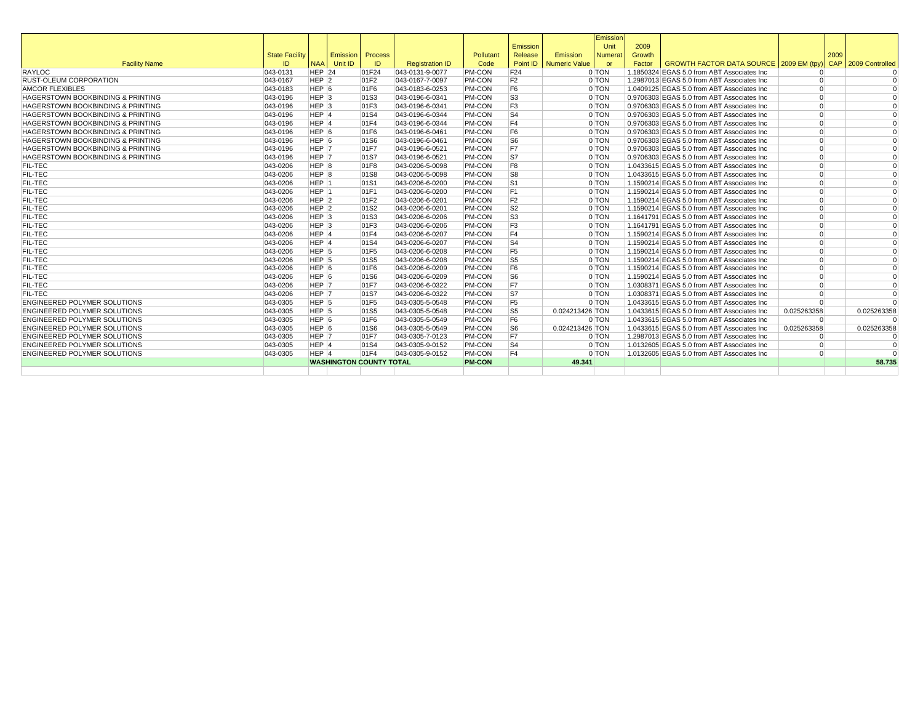|                                              |                       |                    |                           |                                |                        |               |                          |                 | Emission |        |                                             |                |      |                     |
|----------------------------------------------|-----------------------|--------------------|---------------------------|--------------------------------|------------------------|---------------|--------------------------|-----------------|----------|--------|---------------------------------------------|----------------|------|---------------------|
|                                              |                       |                    |                           |                                |                        |               | Emission                 |                 | Unit     | 2009   |                                             |                |      |                     |
|                                              | <b>State Facility</b> |                    | <b>Emission   Process</b> |                                |                        | Pollutant     | Release                  | Emission        | Numerat  | Growth |                                             |                | 2009 |                     |
| <b>Facility Name</b>                         | ID                    |                    | NAA Unit ID               | ID                             | <b>Registration ID</b> | Code          | Point ID                 | Numeric Value   | or       | Factor | GROWTH FACTOR DATA SOURCE 2009 EM (tpy)     |                |      | CAP 2009 Controlled |
| RAYLOC                                       | 043-0131              | $HEP$ 24           |                           | 01F24                          | 043-0131-9-0077        | <b>PM-CON</b> | F24                      |                 | 0 TON    |        | 1.1850324 EGAS 5.0 from ABT Associates Inc  | $\Omega$       |      |                     |
| <b>RUST-OLEUM CORPORATION</b>                | 043-0167              | $HEP$ 2            |                           | 01F2                           | 043-0167-7-0097        | <b>PM-CON</b> | F <sub>2</sub>           |                 | 0 TON    |        | 1.2987013 EGAS 5.0 from ABT Associates Inc. | $\Omega$       |      |                     |
| <b>AMCOR FLEXIBLES</b>                       | 043-0183              | HEP 6              |                           | 01F6                           | 043-0183-6-0253        | <b>PM-CON</b> | F <sub>6</sub>           |                 | 0 TON    |        | 1.0409125 EGAS 5.0 from ABT Associates Inc  | $\Omega$       |      |                     |
| <b>HAGERSTOWN BOOKBINDING &amp; PRINTING</b> | 043-0196              | HEP <sub>3</sub>   |                           | 01S3                           | 043-0196-6-0341        | <b>PM-CON</b> | S3                       |                 | 0 TON    |        | 0.9706303 EGAS 5.0 from ABT Associates Inc  | $\Omega$       |      |                     |
| <b>HAGERSTOWN BOOKBINDING &amp; PRINTING</b> | 043-0196              | $HEP$ <sub>3</sub> |                           | 01F3                           | 043-0196-6-0341        | <b>PM-CON</b> | F <sub>3</sub>           |                 | $0$ TON  |        | 0.9706303 EGAS 5.0 from ABT Associates Inc  | $\Omega$       |      |                     |
| <b>HAGERSTOWN BOOKBINDING &amp; PRINTING</b> | 043-0196              | HEP <sub>4</sub>   |                           | 01S4                           | 043-0196-6-0344        | <b>PM-CON</b> | $\overline{\mathsf{S}4}$ |                 | 0 TON    |        | 0.9706303 EGAS 5.0 from ABT Associates Inc  | $\Omega$       |      | $\Omega$            |
| <b>HAGERSTOWN BOOKBINDING &amp; PRINTING</b> | 043-0196              | HEP 4              |                           | 01F4                           | 043-0196-6-0344        | <b>PM-CON</b> | F4                       |                 | 0 TON    |        | 0.9706303 EGAS 5.0 from ABT Associates Inc  | $\Omega$       |      | $\Omega$            |
| HAGERSTOWN BOOKBINDING & PRINTING            | 043-0196              | HEP <sub>6</sub>   |                           | 01F6                           | 043-0196-6-0461        | <b>PM-CON</b> | F <sub>6</sub>           |                 | $0$ TON  |        | 0.9706303 EGAS 5.0 from ABT Associates Inc  | $\Omega$       |      | $\Omega$            |
| <b>HAGERSTOWN BOOKBINDING &amp; PRINTING</b> | 043-0196              | HEP 6              |                           | 01S6                           | 043-0196-6-0461        | <b>PM-CON</b> | S6                       |                 | 0 TON    |        | 0.9706303 EGAS 5.0 from ABT Associates Inc  | $\Omega$       |      | $\Omega$            |
| HAGERSTOWN BOOKBINDING & PRINTING            | 043-0196              | HEP <sub>7</sub>   |                           | 01F7                           | 043-0196-6-0521        | <b>PM-CON</b> | F7                       |                 | 0 TON    |        | 0.9706303 EGAS 5.0 from ABT Associates Inc  | $\overline{0}$ |      |                     |
| HAGERSTOWN BOOKBINDING & PRINTING            | 043-0196              | HEP 7              |                           | 01S7                           | 043-0196-6-0521        | <b>PM-CON</b> | S7                       |                 | 0 TON    |        | 0.9706303 EGAS 5.0 from ABT Associates Inc  | $\overline{0}$ |      |                     |
| <b>FIL-TEC</b>                               | 043-0206              | HEP 8              |                           | 01F8                           | 043-0206-5-0098        | <b>PM-CON</b> | F <sub>8</sub>           |                 | 0 TON    |        | 1.0433615 EGAS 5.0 from ABT Associates Inc  | $\Omega$       |      |                     |
| <b>FIL-TEC</b>                               | 043-0206              | HEP <sub>8</sub>   |                           | 01S8                           | 043-0206-5-0098        | <b>PM-CON</b> | S <sub>8</sub>           |                 | 0 TON    |        | 1.0433615 EGAS 5.0 from ABT Associates Inc  | $\Omega$       |      | $\Omega$            |
| <b>FIL-TEC</b>                               | 043-0206              | HEP 1              |                           | 01S1                           | 043-0206-6-0200        | <b>PM-CON</b> | S <sub>1</sub>           |                 | 0 TON    |        | 1.1590214 EGAS 5.0 from ABT Associates Inc  | $\Omega$       |      | $\Omega$            |
| <b>FIL-TEC</b>                               | 043-0206              | HEP 1              |                           | 01F1                           | 043-0206-6-0200        | <b>PM-CON</b> | F <sub>1</sub>           |                 | 0 TON    |        | 1.1590214 EGAS 5.0 from ABT Associates Inc  | $\Omega$       |      | $\Omega$            |
| <b>FIL-TEC</b>                               | 043-0206              | $HEP$ 2            |                           | 01F2                           | 043-0206-6-0201        | <b>PM-CON</b> | F <sub>2</sub>           |                 | 0 TON    |        | 1.1590214 EGAS 5.0 from ABT Associates Inc  | $\Omega$       |      | $\Omega$            |
| <b>FIL-TEC</b>                               | 043-0206              | $HEP$ 2            |                           | 01S2                           | 043-0206-6-0201        | <b>PM-CON</b> | S <sub>2</sub>           |                 | 0 TON    |        | 1.1590214 EGAS 5.0 from ABT Associates Inc  | $\overline{0}$ |      | $\Omega$            |
| <b>FIL-TEC</b>                               | 043-0206              | HEP <sub>3</sub>   |                           | 01S3                           | 043-0206-6-0206        | <b>PM-CON</b> | S <sub>3</sub>           |                 | 0 TON    |        | 1.1641791 EGAS 5.0 from ABT Associates Inc  | $\overline{0}$ |      |                     |
| <b>FIL-TEC</b>                               | 043-0206              | HEP <sub>3</sub>   |                           | 01F3                           | 043-0206-6-0206        | <b>PM-CON</b> | F <sub>3</sub>           |                 | 0 TON    |        | 1.1641791 EGAS 5.0 from ABT Associates Inc  | $\Omega$       |      |                     |
| <b>FIL-TEC</b>                               | 043-0206              | HEP 4              |                           | 01F4                           | 043-0206-6-0207        | <b>PM-CON</b> | F <sub>4</sub>           |                 | 0 TON    |        | 1.1590214 EGAS 5.0 from ABT Associates Inc  | $\Omega$       |      |                     |
| <b>FIL-TEC</b>                               | 043-0206              | HEP <sub>4</sub>   |                           | 01S4                           | 043-0206-6-0207        | <b>PM-CON</b> | S <sub>4</sub>           |                 | 0 TON    |        | 1.1590214 EGAS 5.0 from ABT Associates Inc  | $\Omega$       |      | $\Omega$            |
| <b>FIL-TEC</b>                               | 043-0206              | HEP <sub>5</sub>   |                           | 01F5                           | 043-0206-6-0208        | <b>PM-CON</b> | F <sub>5</sub>           |                 | 0 TON    |        | 1.1590214 EGAS 5.0 from ABT Associates Inc  | $\Omega$       |      | $\Omega$            |
| <b>FIL-TEC</b>                               | 043-0206              | HEP <sub>5</sub>   |                           | 01S5                           | 043-0206-6-0208        | <b>PM-CON</b> | S <sub>5</sub>           |                 | $0$ TON  |        | 1.1590214 EGAS 5.0 from ABT Associates Inc. | $\Omega$       |      | $\Omega$            |
| <b>FIL-TEC</b>                               | 043-0206              | HEP 6              |                           | 01F6                           | 043-0206-6-0209        | <b>PM-CON</b> | F <sub>6</sub>           |                 | 0 TON    |        | 1.1590214 EGAS 5.0 from ABT Associates Inc  | $\Omega$       |      | $\Omega$            |
| <b>FIL-TEC</b>                               | 043-0206              | HEP <sub>6</sub>   |                           | 01S6                           | 043-0206-6-0209        | <b>PM-CON</b> | S <sub>6</sub>           |                 | 0 TON    |        | 1.1590214 EGAS 5.0 from ABT Associates Inc  | $\Omega$       |      | $\Omega$            |
| <b>FIL-TEC</b>                               | 043-0206              | HEP 7              |                           | 01F7                           | 043-0206-6-0322        | <b>PM-CON</b> | F7                       |                 | 0 TON    |        | 1.0308371 EGAS 5.0 from ABT Associates Inc  | $\Omega$       |      |                     |
| <b>FIL-TEC</b>                               | 043-0206              | HEP 7              |                           | 01S7                           | 043-0206-6-0322        | <b>PM-CON</b> | S7                       |                 | 0 TON    |        | 1.0308371 EGAS 5.0 from ABT Associates Inc  | $\Omega$       |      | $\Omega$            |
| <b>ENGINEERED POLYMER SOLUTIONS</b>          | 043-0305              | HEP 5              |                           | 01F5                           | 043-0305-5-0548        | PM-CON        | F <sub>5</sub>           |                 | 0 TON    |        | 1.0433615 EGAS 5.0 from ABT Associates Inc  | $\Omega$       |      |                     |
| <b>ENGINEERED POLYMER SOLUTIONS</b>          | 043-0305              | HEP <sub>5</sub>   |                           | 01S5                           | 043-0305-5-0548        | <b>PM-CON</b> | S5                       | 0.024213426 TON |          |        | 1.0433615 EGAS 5.0 from ABT Associates Inc  | 0.025263358    |      | 0.025263358         |
| <b>ENGINEERED POLYMER SOLUTIONS</b>          | 043-0305              | HEP 6              |                           | 01F6                           | 043-0305-5-0549        | <b>PM-CON</b> | F6                       |                 | $0$ TON  |        | 1.0433615 EGAS 5.0 from ABT Associates Inc  | $\Omega$       |      | $\Omega$            |
| <b>ENGINEERED POLYMER SOLUTIONS</b>          | 043-0305              | HEP <sub>6</sub>   |                           | 01S6                           | 043-0305-5-0549        | <b>PM-CON</b> | S <sub>6</sub>           | 0.024213426 TON |          |        | 1.0433615 EGAS 5.0 from ABT Associates Inc  | 0.025263358    |      | 0.025263358         |
| <b>ENGINEERED POLYMER SOLUTIONS</b>          | 043-0305              | HEP 7              |                           | 01F7                           | 043-0305-7-0123        | <b>PM-CON</b> | F7                       |                 | 0 TON    |        | 1.2987013 EGAS 5.0 from ABT Associates Inc. | $\overline{0}$ |      | $\Omega$            |
| <b>ENGINEERED POLYMER SOLUTIONS</b>          | 043-0305              | HEP 4              |                           | 01S4                           | 043-0305-9-0152        | <b>PM-CON</b> | S <sub>4</sub>           |                 | 0 TON    |        | 1.0132605 EGAS 5.0 from ABT Associates Inc  | $\Omega$       |      | $\Omega$            |
| <b>ENGINEERED POLYMER SOLUTIONS</b>          | 043-0305              | HEP 4              |                           | 01F4                           | 043-0305-9-0152        | <b>PM-CON</b> | F <sub>4</sub>           |                 | 0 TON    |        | 1.0132605 EGAS 5.0 from ABT Associates Inc  | $\Omega$       |      |                     |
|                                              |                       |                    |                           | <b>WASHINGTON COUNTY TOTAL</b> |                        | <b>PM-CON</b> |                          | 49.341          |          |        |                                             |                |      | 58.735              |
|                                              |                       |                    |                           |                                |                        |               |                          |                 |          |        |                                             |                |      |                     |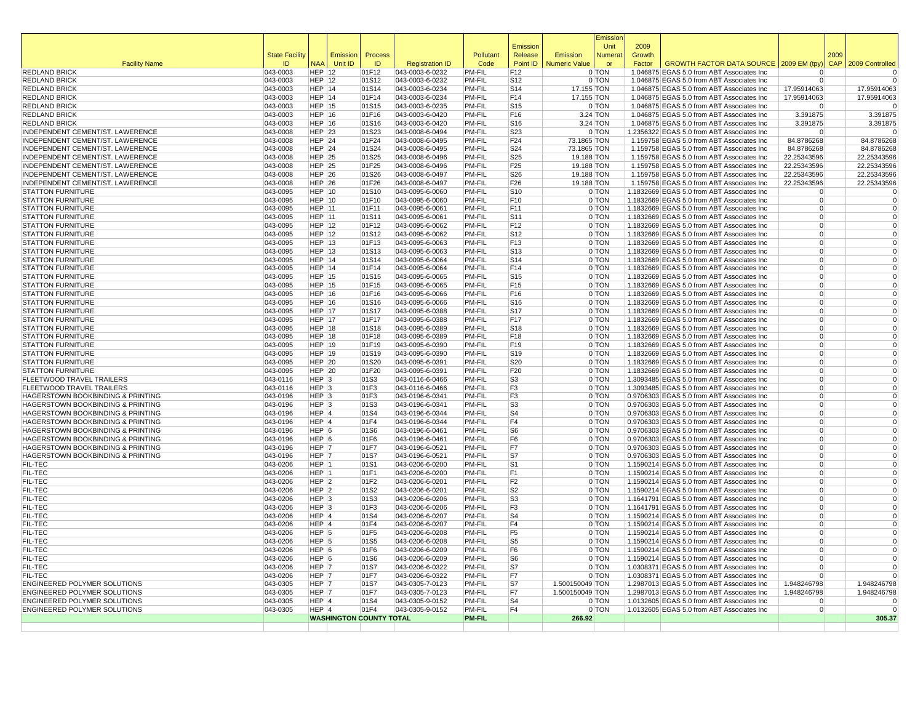|                                                              |                             |                                |                                |                |                                    |                                |                                  |                                  | Emission       |                  |                                                                                          |                         |      |                         |
|--------------------------------------------------------------|-----------------------------|--------------------------------|--------------------------------|----------------|------------------------------------|--------------------------------|----------------------------------|----------------------------------|----------------|------------------|------------------------------------------------------------------------------------------|-------------------------|------|-------------------------|
|                                                              |                             |                                |                                |                |                                    |                                | Emission                         |                                  | Unit           | 2009             |                                                                                          |                         |      |                         |
| <b>Facility Name</b>                                         | <b>State Facility</b><br>ID | <b>NAA</b>                     | Emission<br>Unit ID            | Process<br>ID  | <b>Registration ID</b>             | Pollutant<br>Code              | Release<br>Point ID              | Emission<br><b>Numeric Value</b> | Numera<br>or   | Growth<br>Factor | GROWTH FACTOR DATA SOURCE   2009 EM (tpy) CAP                                            |                         | 2009 | 2009 Controlled         |
| <b>REDLAND BRICK</b>                                         | 043-0003                    | $HEP$ 12                       |                                | 01F12          | 043-0003-6-0232                    | <b>PM-FIL</b>                  | F12                              |                                  | 0 TON          |                  | 1.046875 EGAS 5.0 from ABT Associates Inc                                                | <sup>0</sup>            |      |                         |
| <b>REDLAND BRICK</b>                                         | 043-0003                    | <b>HEP 12</b>                  |                                | 01S12          | 043-0003-6-0232                    | <b>PM-FIL</b>                  | S12                              |                                  | $0$ TON        |                  | 1.046875 EGAS 5.0 from ABT Associates Inc                                                | $\Omega$                |      |                         |
| <b>REDLAND BRICK</b>                                         | 043-0003                    | HEP 14                         |                                | 01S14          | 043-0003-6-0234                    | PM-FIL                         | S14                              | 17.155 TON                       |                |                  | 1.046875 EGAS 5.0 from ABT Associates Inc                                                | 17.95914063             |      | 17.95914063             |
| <b>REDLAND BRICK</b>                                         | 043-0003                    | <b>HEP 14</b>                  |                                | 01F14          | 043-0003-6-0234                    | PM-FIL                         | F14                              | 17.155 TON                       |                |                  | 1.046875 EGAS 5.0 from ABT Associates Inc                                                | 17.95914063             |      | 17.95914063             |
| <b>REDLAND BRICK</b>                                         | 043-0003                    | $HEP$ 15                       |                                | 01S15          | 043-0003-6-0235                    | <b>PM-FIL</b>                  | S <sub>15</sub>                  |                                  | 0 TON          |                  | 1.046875 EGAS 5.0 from ABT Associates Inc                                                | $\Omega$                |      |                         |
| <b>REDLAND BRICK</b>                                         | 043-0003                    | $HEP$ 16                       |                                | 01F16          | 043-0003-6-0420                    | <b>PM-FIL</b>                  | F16                              |                                  | 3.24 TON       |                  | 1.046875 EGAS 5.0 from ABT Associates Inc                                                | 3.391875                |      | 3.391875                |
| <b>REDLAND BRICK</b>                                         | 043-0003                    | $HEP$ 16                       |                                | 01S16          | 043-0003-6-0420                    | <b>PM-FIL</b>                  | S16                              |                                  | 3.24 TON       |                  | 1.046875 EGAS 5.0 from ABT Associates Inc                                                | 3.391875                |      | 3.391875                |
| INDEPENDENT CEMENT/ST. LAWERENCE                             | 043-0008                    | <b>HEP 23</b>                  |                                | 01S23          | 043-0008-6-0494                    | PM-FIL                         | S23                              |                                  | $0$ TON        |                  | 1.2356322 EGAS 5.0 from ABT Associates Inc                                               | $^{\circ}$              |      | $\Omega$                |
| INDEPENDENT CEMENT/ST. LAWERENCE                             | 043-0008                    | <b>HEP 24</b>                  |                                | 01F24          | 043-0008-6-0495                    | PM-FIL                         | F24                              | 73.1865 TON                      |                |                  | 1.159758 EGAS 5.0 from ABT Associates Inc                                                | 84.8786268              |      | 84.8786268              |
| INDEPENDENT CEMENT/ST. LAWERENCE                             | 043-0008                    | <b>HEP 24</b>                  |                                | 01S24          | 043-0008-6-0495                    | <b>PM-FIL</b>                  | S24                              | 73.1865 TON                      |                |                  | 1.159758 EGAS 5.0 from ABT Associates Inc                                                | 84.8786268              |      | 84.8786268              |
| INDEPENDENT CEMENT/ST. LAWERENCE                             | 043-0008                    | <b>HEP 25</b>                  |                                | 01S25          | 043-0008-6-0496                    | <b>PM-FIL</b>                  | S <sub>25</sub>                  | 19.188 TON                       |                |                  | 1.159758 EGAS 5.0 from ABT Associates Inc                                                | 22.25343596             |      | 22.25343596             |
| INDEPENDENT CEMENT/ST. LAWERENCE                             | 043-0008                    | $HEP$ 25                       |                                | 01F25          | 043-0008-6-0496                    | PM-FIL                         | F25                              | 19.188 TON                       |                |                  | 1.159758 EGAS 5.0 from ABT Associates Inc                                                | 22.25343596             |      | 22.25343596             |
| INDEPENDENT CEMENT/ST. LAWERENCE                             | 043-0008                    | $HEP$ 26                       |                                | 01S26          | 043-0008-6-0497                    | <b>PM-FIL</b>                  | S26                              | 19.188 TON                       |                |                  | 1.159758 EGAS 5.0 from ABT Associates Inc                                                | 22.25343596             |      | 22.25343596             |
| INDEPENDENT CEMENT/ST. LAWERENCE<br><b>STATTON FURNITURE</b> | 043-0008<br>043-0095        | <b>HEP 26</b><br><b>HEP 10</b> |                                | 01F26<br>01S10 | 043-0008-6-0497<br>043-0095-6-0060 | <b>PM-FIL</b><br>PM-FIL        | F26<br>S10                       | 19.188 TON                       | 0 TON          |                  | 1.159758 EGAS 5.0 from ABT Associates Inc                                                | 22.25343596<br>$\Omega$ |      | 22.25343596<br>$\Omega$ |
| <b>STATTON FURNITURE</b>                                     | 043-0095                    | <b>HEP 10</b>                  |                                | 01F10          | 043-0095-6-0060                    | <b>PM-FIL</b>                  | F10                              |                                  | 0 TON          |                  | 1.1832669 EGAS 5.0 from ABT Associates Inc<br>1.1832669 EGAS 5.0 from ABT Associates Inc | $\Omega$                |      | $\overline{0}$          |
| <b>STATTON FURNITURE</b>                                     | 043-0095                    | <b>HEP 11</b>                  |                                | 01F11          | 043-0095-6-0061                    | PM-FIL                         | F11                              |                                  | 0 TON          |                  | 1.1832669 EGAS 5.0 from ABT Associates Inc                                               | $\Omega$                |      | $\Omega$                |
| <b>STATTON FURNITURE</b>                                     | 043-0095                    | HEP $ 11$                      |                                | 01S11          | 043-0095-6-0061                    | PM-FIL                         | S11                              |                                  | $0$ TON        |                  | 1.1832669 EGAS 5.0 from ABT Associates Inc                                               | $\overline{0}$          |      | $\Omega$                |
| <b>STATTON FURNITURE</b>                                     | 043-0095                    | $HEP$ 12                       |                                | 01F12          | 043-0095-6-0062                    | PM-FIL                         | F12                              |                                  | 0 TON          |                  | 1.1832669 EGAS 5.0 from ABT Associates Inc                                               | $\Omega$                |      | $\Omega$                |
| <b>STATTON FURNITURE</b>                                     | 043-0095                    | <b>HEP 12</b>                  |                                | 01S12          | 043-0095-6-0062                    | PM-FIL                         | S <sub>12</sub>                  |                                  | 0 TON          |                  | 1.1832669 EGAS 5.0 from ABT Associates Inc                                               | $\overline{0}$          |      | $\Omega$                |
| <b>STATTON FURNITURE</b>                                     | 043-0095                    | <b>HEP 13</b>                  |                                | 01F13          | 043-0095-6-0063                    | <b>PM-FIL</b>                  | F13                              |                                  | 0 TON          |                  | 1.1832669 EGAS 5.0 from ABT Associates Inc                                               | $\Omega$                |      | $\Omega$                |
| <b>STATTON FURNITURE</b>                                     | 043-0095                    | HEP $13$                       |                                | 01S13          | 043-0095-6-0063                    | <b>PM-FIL</b>                  | S <sub>13</sub>                  |                                  | 0 TON          |                  | 1.1832669 EGAS 5.0 from ABT Associates Inc                                               | $\Omega$                |      | $\Omega$                |
| <b>STATTON FURNITURE</b>                                     | 043-0095                    | HEP $ 14$                      |                                | 01S14          | 043-0095-6-0064                    | <b>PM-FIL</b>                  | S14                              |                                  | $0$ TON        |                  | 1.1832669 EGAS 5.0 from ABT Associates Inc                                               | $\overline{0}$          |      | $\Omega$                |
| <b>STATTON FURNITURE</b>                                     | 043-0095                    | $HEP$ 14                       |                                | 01F14          | 043-0095-6-0064                    | <b>PM-FIL</b>                  | F14                              |                                  | 0 TON          |                  | 1.1832669 EGAS 5.0 from ABT Associates Inc                                               | $\Omega$                |      | $\Omega$                |
| <b>STATTON FURNITURE</b>                                     | 043-0095                    | <b>HEP 15</b>                  |                                | 01S15          | 043-0095-6-0065                    | <b>PM-FIL</b>                  | S <sub>15</sub>                  |                                  | 0 TON          |                  | 1.1832669 EGAS 5.0 from ABT Associates Inc                                               | $\Omega$                |      | $\Omega$                |
| <b>STATTON FURNITURE</b>                                     | 043-0095                    | <b>HEP 15</b>                  |                                | 01F15          | 043-0095-6-0065                    | <b>PM-FIL</b>                  | F15                              |                                  | 0 TON          |                  | 1.1832669 EGAS 5.0 from ABT Associates Inc                                               | $\Omega$                |      |                         |
| <b>STATTON FURNITURE</b>                                     | 043-0095                    | <b>HEP 16</b>                  |                                | 01F16          | 043-0095-6-0066                    | PM-FIL                         | F16                              |                                  | 0 TON          |                  | 1.1832669 EGAS 5.0 from ABT Associates Inc                                               | $\Omega$                |      | $\Omega$                |
| <b>STATTON FURNITURE</b>                                     | 043-0095                    | HEP 16                         |                                | 01S16          | 043-0095-6-0066                    | <b>PM-FIL</b>                  | S <sub>16</sub>                  |                                  | $0$ TON        |                  | 1.1832669 EGAS 5.0 from ABT Associates Inc                                               | $\Omega$                |      | $\overline{0}$          |
| <b>STATTON FURNITURE</b>                                     | 043-0095                    | <b>HEP 17</b>                  |                                | 01S17          | 043-0095-6-0388                    | PM-FIL                         | <b>S17</b>                       |                                  | 0 TON          |                  | 1.1832669 EGAS 5.0 from ABT Associates Inc                                               | $\overline{0}$          |      | $\Omega$                |
| <b>STATTON FURNITURE</b>                                     | 043-0095                    | HEP $17$                       |                                | 01F17          | 043-0095-6-0388                    | <b>PM-FIL</b>                  | F17                              |                                  | 0 TON          |                  | 1.1832669 EGAS 5.0 from ABT Associates Inc                                               | $\Omega$                |      | $\Omega$                |
| <b>STATTON FURNITURE</b>                                     | 043-0095                    | $HEP$ 18                       |                                | 01S18          | 043-0095-6-0389                    | PM-FIL                         | S <sub>18</sub>                  |                                  | 0 TON          |                  | 1.1832669 EGAS 5.0 from ABT Associates Inc                                               | $\Omega$                |      | $\Omega$                |
| <b>STATTON FURNITURE</b>                                     | 043-0095                    | <b>HEP 18</b>                  |                                | 01F18          | 043-0095-6-0389                    | PM-FIL                         | F18                              |                                  | 0 TON          |                  | 1.1832669 EGAS 5.0 from ABT Associates Inc                                               | $\Omega$                |      | $\Omega$                |
| <b>STATTON FURNITURE</b>                                     | 043-0095                    | <b>HEP 19</b>                  |                                | 01F19          | 043-0095-6-0390                    | PM-FIL                         | F19                              |                                  | 0 TON          |                  | 1.1832669 EGAS 5.0 from ABT Associates Inc                                               | $\Omega$                |      | $\Omega$                |
| <b>STATTON FURNITURE</b>                                     | 043-0095                    | <b>HEP 19</b>                  |                                | 01S19          | 043-0095-6-0390                    | <b>PM-FIL</b>                  | S19                              |                                  | 0 TON          |                  | 1.1832669 EGAS 5.0 from ABT Associates Inc                                               | $\Omega$                |      | $\Omega$                |
| <b>STATTON FURNITURE</b>                                     | 043-0095                    | <b>HEP 20</b>                  |                                | 01S20          | 043-0095-6-0391                    | <b>PM-FIL</b>                  | S <sub>20</sub>                  |                                  | 0 TON          |                  | 1.1832669 EGAS 5.0 from ABT Associates Inc                                               | $\Omega$                |      | $\Omega$<br>$\Omega$    |
| <b>STATTON FURNITURE</b><br>FLEETWOOD TRAVEL TRAILERS        | 043-0095<br>043-0116        | HEP $ 20$<br>$HEP$ 3           |                                | 01F20<br>01S3  | 043-0095-6-0391                    | <b>PM-FIL</b><br><b>PM-FIL</b> | F20                              |                                  | 0 TON<br>0 TON |                  | 1.1832669 EGAS 5.0 from ABT Associates Inc<br>1.3093485 EGAS 5.0 from ABT Associates Inc | $\Omega$<br>$\Omega$    |      | $\Omega$                |
| FLEETWOOD TRAVEL TRAILERS                                    | 043-0116                    | $HEP$ 3                        |                                | 01F3           | 043-0116-6-0466<br>043-0116-6-0466 | PM-FIL                         | S <sub>3</sub><br>F <sub>3</sub> |                                  | 0 TON          |                  | 1.3093485 EGAS 5.0 from ABT Associates Inc                                               | $\overline{0}$          |      | $\Omega$                |
| HAGERSTOWN BOOKBINDING & PRINTING                            | 043-0196                    | HEP <sub>3</sub>               |                                | 01F3           | 043-0196-6-0341                    | PM-FIL                         | F <sub>3</sub>                   |                                  | 0 TON          |                  | 0.9706303 EGAS 5.0 from ABT Associates Inc                                               | $\Omega$                |      |                         |
| <b>HAGERSTOWN BOOKBINDING &amp; PRINTING</b>                 | 043-0196                    | HEP <sub>3</sub>               |                                | 01S3           | 043-0196-6-0341                    | PM-FIL                         | S <sub>3</sub>                   |                                  | 0 TON          |                  | 0.9706303 EGAS 5.0 from ABT Associates Inc                                               | $\Omega$                |      | $\Omega$                |
| HAGERSTOWN BOOKBINDING & PRINTING                            | 043-0196                    | $HEP$ <sup>4</sup>             |                                | 01S4           | 043-0196-6-0344                    | <b>PM-FIL</b>                  | S <sub>4</sub>                   |                                  | 0 TON          |                  | 0.9706303 EGAS 5.0 from ABT Associates Inc                                               | $\Omega$                |      | $\overline{0}$          |
| HAGERSTOWN BOOKBINDING & PRINTING                            | 043-0196                    | $HEP$ 4                        |                                | 01F4           | 043-0196-6-0344                    | PM-FIL                         | F <sub>4</sub>                   |                                  | $0$ TON        |                  | 0.9706303 EGAS 5.0 from ABT Associates Inc                                               | $\Omega$                |      | $\Omega$                |
| HAGERSTOWN BOOKBINDING & PRINTING                            | 043-0196                    | HEP 6                          |                                | 01S6           | 043-0196-6-0461                    | PM-FIL                         | S <sub>6</sub>                   |                                  | 0 TON          |                  | 0.9706303 EGAS 5.0 from ABT Associates Inc                                               | $\Omega$                |      | $\Omega$                |
| <b>HAGERSTOWN BOOKBINDING &amp; PRINTING</b>                 | 043-0196                    | HEP 6                          |                                | 01F6           | 043-0196-6-0461                    | PM-FIL                         | F6                               |                                  | 0 TON          |                  | 0.9706303 EGAS 5.0 from ABT Associates Inc                                               | $\Omega$                |      | $\Omega$                |
| HAGERSTOWN BOOKBINDING & PRINTING                            | 043-0196                    | HEP 7                          |                                | 01F7           | 043-0196-6-0521                    | PM-FIL                         | F7                               |                                  | 0 TON          |                  | 0.9706303 EGAS 5.0 from ABT Associates Inc                                               | $\Omega$                |      | $\Omega$                |
| HAGERSTOWN BOOKBINDING & PRINTING                            | 043-0196                    | HEP 7                          |                                | 01S7           | 043-0196-6-0521                    | PM-FIL                         | S7                               |                                  | 0 TON          |                  | 0.9706303 EGAS 5.0 from ABT Associates Inc                                               | $\Omega$                |      | $\Omega$                |
| <b>FIL-TEC</b>                                               | 043-0206                    | HEP 1                          |                                | 01S1           | 043-0206-6-0200                    | <b>PM-FIL</b>                  | S <sub>1</sub>                   |                                  | 0 TON          |                  | 1.1590214 EGAS 5.0 from ABT Associates Inc                                               | $\Omega$                |      | $\Omega$                |
| <b>FIL-TEC</b>                                               | 043-0206                    | $HEP$ 1                        |                                | 01F1           | 043-0206-6-0200                    | PM-FIL                         | F <sub>1</sub>                   |                                  | 0 TON          |                  | 1.1590214 EGAS 5.0 from ABT Associates Inc                                               | $\Omega$                |      | $\Omega$                |
| <b>FIL-TEC</b>                                               | 043-0206                    | $HEP$ 2                        |                                | 01F2           | 043-0206-6-0201                    | <b>PM-FIL</b>                  | F <sub>2</sub>                   |                                  | 0 TON          |                  | 1.1590214 EGAS 5.0 from ABT Associates Inc                                               | $\overline{0}$          |      | $\Omega$                |
| <b>FIL-TEC</b>                                               | 043-0206                    | HEP <sub>2</sub>               |                                | 01S2           | 043-0206-6-0201                    | <b>PM-FIL</b>                  | S <sub>2</sub>                   |                                  | 0 TON          |                  | 1.1590214 EGAS 5.0 from ABT Associates Inc                                               | $\Omega$                |      | $\Omega$                |
| <b>FIL-TEC</b>                                               | 043-0206                    | $HEP$ 3                        |                                | 01S3           | 043-0206-6-0206                    | PM-FIL                         | S <sub>3</sub>                   |                                  | 0 TON          |                  | 1.1641791 EGAS 5.0 from ABT Associates Inc                                               | $\Omega$                |      | $\Omega$                |
| <b>FIL-TEC</b>                                               | 043-0206                    | HEP <sub>3</sub>               |                                | 01F3           | 043-0206-6-0206                    | PM-FIL                         | F <sub>3</sub>                   |                                  | 0 TON          |                  | 1.1641791 EGAS 5.0 from ABT Associates Inc                                               | $\Omega$                |      | $\Omega$                |
| <b>FIL-TEC</b>                                               | 043-0206                    | HEP 4                          |                                | 01S4           | 043-0206-6-0207                    | PM-FIL                         | S <sub>4</sub>                   |                                  | 0 TON          |                  | 1.1590214 EGAS 5.0 from ABT Associates Inc                                               | $\Omega$                |      | $\Omega$                |
| <b>FIL-TEC</b>                                               | 043-0206                    | HEP 4                          |                                | 01F4           | 043-0206-6-0207                    | <b>PM-FIL</b><br>PM-FIL        | F <sub>4</sub>                   |                                  | 0 TON          |                  | 1.1590214 EGAS 5.0 from ABT Associates Inc                                               | $\Omega$<br>$\Omega$    |      | $\Omega$<br>$\Omega$    |
| <b>FIL-TEC</b><br><b>FIL-TEC</b>                             | 043-0206<br>043-0206        | $HEP$ 5<br>HEP <sub>5</sub>    |                                | 01F5<br>01S5   | 043-0206-6-0208<br>043-0206-6-0208 | PM-FIL                         | F <sub>5</sub><br>S <sub>5</sub> |                                  | 0 TON<br>0 TON |                  | 1.1590214 EGAS 5.0 from ABT Associates Inc<br>1.1590214 EGAS 5.0 from ABT Associates Inc | $\Omega$                |      | $\Omega$                |
| <b>FIL-TEC</b>                                               | 043-0206                    | $HEP$ 6                        |                                | 01F6           | 043-0206-6-0209                    | PM-FIL                         | F <sub>6</sub>                   |                                  | 0 TON          |                  | 1.1590214 EGAS 5.0 from ABT Associates Inc                                               | $\Omega$                |      | $\Omega$                |
| <b>FIL-TEC</b>                                               | 043-0206                    | HEP 6                          |                                | 01S6           | 043-0206-6-0209                    | PM-FIL                         | S <sub>6</sub>                   |                                  | 0 TON          |                  | 1.1590214 EGAS 5.0 from ABT Associates Inc                                               | $\Omega$                |      | $\overline{0}$          |
| <b>FIL-TEC</b>                                               | 043-0206                    | HEP 7                          |                                | 01S7           | 043-0206-6-0322                    | <b>PM-FIL</b>                  | S7                               |                                  | 0 TON          |                  | 1.0308371 EGAS 5.0 from ABT Associates Inc                                               | $\Omega$                |      | $\Omega$                |
| <b>FIL-TEC</b>                                               | 043-0206                    | HEP 7                          |                                | 01F7           | 043-0206-6-0322                    | <b>PM-FIL</b>                  | F7                               |                                  | 0 TON          |                  | 1.0308371 EGAS 5.0 from ABT Associates Inc                                               | $\Omega$                |      | $\Omega$                |
| <b>ENGINEERED POLYMER SOLUTIONS</b>                          | 043-0305                    | HEP 7                          |                                | 01S7           | 043-0305-7-0123                    | <b>PM-FIL</b>                  | S7                               | 1.500150049 TON                  |                |                  | 1.2987013 EGAS 5.0 from ABT Associates Inc                                               | 1.948246798             |      | 1.948246798             |
| ENGINEERED POLYMER SOLUTIONS                                 | 043-0305                    | HEP 7                          |                                | 01F7           | 043-0305-7-0123                    | PM-FIL                         | F7                               | 1.500150049 TON                  |                |                  | 1.2987013 EGAS 5.0 from ABT Associates Inc                                               | 1.948246798             |      | 1.948246798             |
| ENGINEERED POLYMER SOLUTIONS                                 | 043-0305                    | HEP 4                          |                                | 01S4           | 043-0305-9-0152                    | <b>PM-FIL</b>                  | S <sub>4</sub>                   |                                  | 0 TON          |                  | 1.0132605 EGAS 5.0 from ABT Associates Inc                                               | $\Omega$                |      | $\Omega$                |
| ENGINEERED POLYMER SOLUTIONS                                 | 043-0305                    | HEP 4                          |                                | 01F4           | 043-0305-9-0152                    | PM-FIL                         | F <sub>4</sub>                   |                                  | 0 TON          |                  | 1.0132605 EGAS 5.0 from ABT Associates Inc                                               | $\overline{0}$          |      | $\overline{0}$          |
|                                                              |                             |                                | <b>WASHINGTON COUNTY TOTAL</b> |                |                                    | <b>PM-FIL</b>                  |                                  | 266.92                           |                |                  |                                                                                          |                         |      | 305.37                  |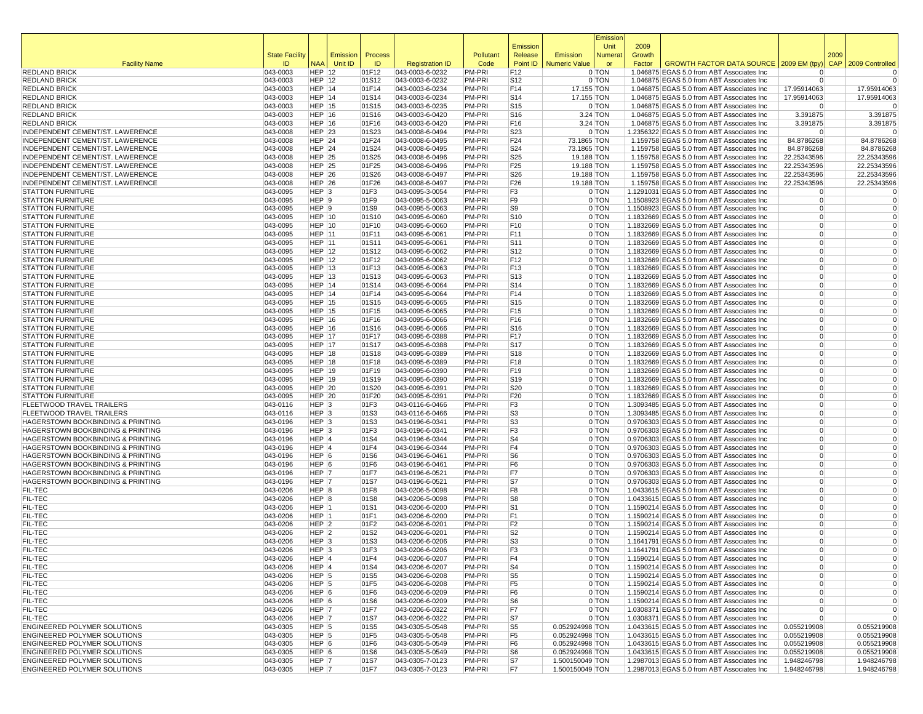|                                                                                              |                           |                                |          |                |                                    |                  |                                    |                                    | Emissior           |                |                                                                                          |                                  |            |                            |
|----------------------------------------------------------------------------------------------|---------------------------|--------------------------------|----------|----------------|------------------------------------|------------------|------------------------------------|------------------------------------|--------------------|----------------|------------------------------------------------------------------------------------------|----------------------------------|------------|----------------------------|
|                                                                                              | <b>State Facility</b>     |                                | Emission | Process        |                                    | Pollutant        | Emission<br>Release                | Emission                           | Unit<br>Numera     | 2009<br>Growth |                                                                                          |                                  | 2009       |                            |
| <b>Facility Name</b>                                                                         | ID                        | <b>NAA</b>                     | Unit ID  | ID             | <b>Registration ID</b>             | Code             | Point ID                           | <b>Numeric Value</b>               | or                 | Factor         | GROWTH FACTOR DATA SOURCE   2009 EM (tpy)                                                |                                  | <b>CAP</b> | 2009 Controlled            |
| <b>REDLAND BRICK</b>                                                                         | 043-0003                  | $HEP$ 12                       |          | 01F12          | 043-0003-6-0232                    | PM-PRI           | F12                                |                                    | 0 TON              |                | 1.046875 EGAS 5.0 from ABT Associates Inc                                                | $\Omega$                         |            | 0                          |
| <b>REDLAND BRICK</b>                                                                         | 043-0003                  | <b>HEP 12</b>                  |          | 01S12          | 043-0003-6-0232                    | PM-PRI           | S <sub>12</sub>                    |                                    | 0 TON              |                | 1.046875 EGAS 5.0 from ABT Associates Inc                                                | $\Omega$                         |            | $\Omega$                   |
| <b>REDLAND BRICK</b>                                                                         | 043-0003                  | <b>HEP 14</b>                  |          | 01F14          | 043-0003-6-0234                    | PM-PRI           | F14                                | 17.155 TON                         |                    |                | 1.046875 EGAS 5.0 from ABT Associates Inc                                                | 17.95914063                      |            | 17.95914063                |
| <b>REDLAND BRICK</b>                                                                         | 043-0003                  | $HEP$ 14                       |          | 01S14          | 043-0003-6-0234                    | PM-PRI           | S <sub>14</sub>                    | 17.155 TON                         |                    |                | 1.046875 EGAS 5.0 from ABT Associates Inc                                                | 17.95914063                      |            | 17.95914063                |
| <b>REDLAND BRICK</b><br><b>REDLAND BRICK</b>                                                 | 043-0003<br>043-0003      | $HEP$ 15<br><b>HEP 16</b>      |          | 01S15<br>01S16 | 043-0003-6-0235<br>043-0003-6-0420 | PM-PRI<br>PM-PRI | S <sub>15</sub><br>S <sub>16</sub> |                                    | 0 TON<br>3.24 TON  |                | 1.046875 EGAS 5.0 from ABT Associates Inc<br>1.046875 EGAS 5.0 from ABT Associates Inc   | $\Omega$<br>3.391875             |            | $\Omega$<br>3.391875       |
| <b>REDLAND BRICK</b>                                                                         | 043-0003                  | <b>HEP 16</b>                  |          | 01F16          | 043-0003-6-0420                    | PM-PRI           | F16                                |                                    | 3.24 TON           |                | 1.046875 EGAS 5.0 from ABT Associates Inc                                                | 3.391875                         |            | 3.391875                   |
| INDEPENDENT CEMENT/ST. LAWERENCE                                                             | 043-0008                  | <b>HEP 23</b>                  |          | 01S23          | 043-0008-6-0494                    | PM-PRI           | S23                                |                                    | 0 TON              |                | 1.2356322 EGAS 5.0 from ABT Associates Inc                                               | $\Omega$                         |            | $\Omega$                   |
| INDEPENDENT CEMENT/ST. LAWERENCE                                                             | 043-0008                  | <b>HEP 24</b>                  |          | 01F24          | 043-0008-6-0495                    | PM-PRI           | F24                                | 73.1865 TON                        |                    |                | 1.159758 EGAS 5.0 from ABT Associates Inc                                                | 84.8786268                       |            | 84.8786268                 |
| INDEPENDENT CEMENT/ST. LAWERENCE                                                             | 043-0008                  | <b>HEP 24</b>                  |          | 01S24          | 043-0008-6-0495                    | PM-PRI           | S24                                | 73.1865 TON                        |                    |                | 1.159758 EGAS 5.0 from ABT Associates Inc                                                | 84.8786268                       |            | 84.8786268                 |
| INDEPENDENT CEMENT/ST. LAWERENCE                                                             | 043-0008                  | <b>HEP 25</b>                  |          | 01S25          | 043-0008-6-0496                    | PM-PRI           | S25                                | 19.188 TON                         |                    |                | 1.159758 EGAS 5.0 from ABT Associates Inc                                                | 22.25343596                      |            | 22.25343596                |
| INDEPENDENT CEMENT/ST. LAWERENCE<br>INDEPENDENT CEMENT/ST. LAWERENCE                         | 043-0008<br>043-0008      | <b>HEP 25</b><br><b>HEP 26</b> |          | 01F25<br>01S26 | 043-0008-6-0496<br>043-0008-6-0497 | PM-PRI<br>PM-PRI | F <sub>25</sub><br>S26             | 19.188 TON<br>19.188 TON           |                    |                | 1.159758 EGAS 5.0 from ABT Associates Inc<br>1.159758 EGAS 5.0 from ABT Associates Inc   | 22.25343596<br>22.25343596       |            | 22.25343596<br>22.25343596 |
| INDEPENDENT CEMENT/ST. LAWERENCE                                                             | 043-0008                  | <b>HEP 26</b>                  |          | 01F26          | 043-0008-6-0497                    | PM-PRI           | F26                                | 19.188 TON                         |                    |                | 1.159758 EGAS 5.0 from ABT Associates Inc                                                | 22.25343596                      |            | 22.25343596                |
| <b>STATTON FURNITURE</b>                                                                     | 043-0095                  | HEP <sub>3</sub>               |          | 01F3           | 043-0095-3-0054                    | PM-PRI           | F3                                 |                                    | 0 TON              |                | 1.1291031 EGAS 5.0 from ABT Associates Inc                                               | $\overline{0}$                   |            | 0                          |
| <b>STATTON FURNITURE</b>                                                                     | 043-0095                  | HEP 9                          |          | 01F9           | 043-0095-5-0063                    | PM-PRI           | F9                                 |                                    | 0 TON              |                | 1.1508923 EGAS 5.0 from ABT Associates Inc                                               | $\overline{0}$                   |            | $\mathbf 0$                |
| <b>STATTON FURNITURE</b>                                                                     | 043-0095                  | HEP 9                          |          | 01S9           | 043-0095-5-0063                    | PM-PRI           | S <sub>9</sub>                     |                                    | 0 TON              |                | 1.1508923 EGAS 5.0 from ABT Associates Inc                                               | $\Omega$                         |            | $\mathbf 0$                |
| <b>STATTON FURNITURE</b>                                                                     | 043-0095                  | $HEP$ 10                       |          | 01S10          | 043-0095-6-0060                    | PM-PRI           | S <sub>10</sub>                    |                                    | 0 TON              |                | 1.1832669 EGAS 5.0 from ABT Associates Inc                                               | $\overline{0}$                   |            | $\mathbf 0$                |
| <b>STATTON FURNITURE</b><br><b>STATTON FURNITURE</b>                                         | 043-0095<br>043-0095      | <b>HEP 10</b><br><b>HEP 11</b> |          | 01F10<br>01F11 | 043-0095-6-0060<br>043-0095-6-0061 | PM-PRI<br>PM-PRI | F <sub>10</sub><br>F11             |                                    | 0 TON<br>0 TON     |                | 1.1832669 EGAS 5.0 from ABT Associates Inc<br>1.1832669 EGAS 5.0 from ABT Associates Inc | $\Omega$<br>$\Omega$             |            | $\mathbf 0$<br>$\mathbf 0$ |
| <b>STATTON FURNITURE</b>                                                                     | 043-0095                  | <b>HEP 11</b>                  |          | 01S11          | 043-0095-6-0061                    | PM-PRI           | S <sub>11</sub>                    |                                    | 0 TON              |                | 1.1832669 EGAS 5.0 from ABT Associates Inc                                               | $\Omega$                         |            | $\Omega$                   |
| <b>STATTON FURNITURE</b>                                                                     | 043-0095                  | <b>HEP 12</b>                  |          | 01S12          | 043-0095-6-0062                    | PM-PRI           | S <sub>12</sub>                    |                                    | 0 TON              |                | 1.1832669 EGAS 5.0 from ABT Associates Inc                                               | $\Omega$                         |            | $\mathbf 0$                |
| <b>STATTON FURNITURE</b>                                                                     | 043-0095                  | <b>HEP 12</b>                  |          | 01F12          | 043-0095-6-0062                    | PM-PRI           | F12                                |                                    | 0 TON              |                | 1.1832669 EGAS 5.0 from ABT Associates Inc                                               | $\Omega$                         |            | $\Omega$                   |
| <b>STATTON FURNITURE</b>                                                                     | 043-0095                  | <b>HEP 13</b>                  |          | 01F13          | 043-0095-6-0063                    | PM-PRI           | F <sub>13</sub>                    |                                    | 0 TON              |                | 1.1832669 EGAS 5.0 from ABT Associates Inc                                               | $\Omega$                         |            | $\mathbf 0$                |
| <b>STATTON FURNITURE</b>                                                                     | 043-0095                  | <b>HEP 13</b>                  |          | 01S13          | 043-0095-6-0063                    | PM-PRI           | S <sub>13</sub>                    |                                    | 0 TON              |                | 1.1832669 EGAS 5.0 from ABT Associates Inc                                               | $\Omega$                         |            | $\mathbf 0$                |
| <b>STATTON FURNITURE</b>                                                                     | 043-0095                  | <b>HEP 14</b>                  |          | 01S14          | 043-0095-6-0064<br>043-0095-6-0064 | PM-PRI           | S14                                |                                    | 0 TON              |                | 1.1832669 EGAS 5.0 from ABT Associates Inc                                               | $\Omega$<br>$\overline{0}$       |            | $\mathbf 0$<br>$\mathbf 0$ |
| <b>STATTON FURNITURE</b><br><b>STATTON FURNITURE</b>                                         | 043-0095<br>043-0095      | $HEP$ 14<br><b>HEP 15</b>      |          | 01F14<br>01S15 | 043-0095-6-0065                    | PM-PRI<br>PM-PRI | F14<br>S <sub>15</sub>             |                                    | 0 TON<br>0 TON     |                | 1.1832669 EGAS 5.0 from ABT Associates Inc<br>1.1832669 EGAS 5.0 from ABT Associates Inc | $\Omega$                         |            | $\mathbf 0$                |
| <b>STATTON FURNITURE</b>                                                                     | 043-0095                  | <b>HEP 15</b>                  |          | 01F15          | 043-0095-6-0065                    | PM-PRI           | F15                                |                                    | 0 TON              |                | 1.1832669 EGAS 5.0 from ABT Associates Inc                                               | $\Omega$                         |            | $\Omega$                   |
| <b>STATTON FURNITURE</b>                                                                     | 043-0095                  | <b>HEP 16</b>                  |          | 01F16          | 043-0095-6-0066                    | PM-PRI           | F <sub>16</sub>                    |                                    | 0 TON              |                | 1.1832669 EGAS 5.0 from ABT Associates Inc                                               | $\Omega$                         |            | $\Omega$                   |
| <b>STATTON FURNITURE</b>                                                                     | 043-0095                  | <b>HEP 16</b>                  |          | 01S16          | 043-0095-6-0066                    | PM-PRI           | S <sub>16</sub>                    |                                    | 0 TON              |                | 1.1832669 EGAS 5.0 from ABT Associates Inc                                               | $\Omega$                         |            | $\mathbf 0$                |
| <b>STATTON FURNITURE</b>                                                                     | 043-0095                  | <b>HEP 17</b>                  |          | 01F17          | 043-0095-6-0388                    | PM-PRI           | F <sub>17</sub>                    |                                    | 0 TON              |                | 1.1832669 EGAS 5.0 from ABT Associates Inc                                               | $\Omega$                         |            | $\Omega$                   |
| <b>STATTON FURNITURE</b>                                                                     | 043-0095                  | <b>HEP 17</b>                  |          | 01S17          | 043-0095-6-0388                    | PM-PRI           | S <sub>17</sub>                    |                                    | 0 TON              |                | 1.1832669 EGAS 5.0 from ABT Associates Inc                                               | $\Omega$                         |            | $\mathbf 0$                |
| <b>STATTON FURNITURE</b><br><b>STATTON FURNITURE</b>                                         | 043-0095<br>043-0095      | <b>HEP 18</b><br><b>HEP 18</b> |          | 01S18<br>01F18 | 043-0095-6-0389<br>043-0095-6-0389 | PM-PRI<br>PM-PRI | S <sub>18</sub><br>F18             |                                    | 0 TON<br>0 TON     |                | 1.1832669 EGAS 5.0 from ABT Associates Inc<br>1.1832669 EGAS 5.0 from ABT Associates Inc | $\overline{0}$<br>$\Omega$       |            | $\mathbf 0$<br>$\mathbf 0$ |
| <b>STATTON FURNITURE</b>                                                                     | 043-0095                  | $HEP$ 19                       |          | 01F19          | 043-0095-6-0390                    | PM-PRI           | F <sub>19</sub>                    |                                    | 0 TON              |                | 1.1832669 EGAS 5.0 from ABT Associates Inc                                               | $\overline{0}$                   |            | $\mathbf 0$                |
| <b>STATTON FURNITURE</b>                                                                     | 043-0095                  | <b>HEP 19</b>                  |          | 01S19          | 043-0095-6-0390                    | PM-PRI           | S <sub>19</sub>                    |                                    | 0 TON              |                | 1.1832669 EGAS 5.0 from ABT Associates Inc                                               | $\Omega$                         |            | $\Omega$                   |
| <b>STATTON FURNITURE</b>                                                                     | 043-0095                  | <b>HEP 20</b>                  |          | 01S20          | 043-0095-6-0391                    | PM-PRI           | S20                                |                                    | 0 TON              |                | 1.1832669 EGAS 5.0 from ABT Associates Inc                                               | $\Omega$                         |            | $\mathbf 0$                |
| <b>STATTON FURNITURE</b>                                                                     | 043-0095                  | <b>HEP 20</b>                  |          | 01F20          | 043-0095-6-0391                    | PM-PRI           | F <sub>20</sub>                    |                                    | 0 TON              |                | 1.1832669 EGAS 5.0 from ABT Associates Inc                                               | $\Omega$                         |            | $\mathbf 0$                |
| <b>FLEETWOOD TRAVEL TRAILERS</b><br>FLEETWOOD TRAVEL TRAILERS                                | 043-0116                  | HEP <sub>3</sub><br>$HEP$ 3    |          | 01F3           | 043-0116-6-0466                    | PM-PRI<br>PM-PRI | F3<br>S <sub>3</sub>               |                                    | 0 TON<br>0 TON     |                | 1.3093485 EGAS 5.0 from ABT Associates Inc                                               | $\Omega$<br>$\overline{0}$       |            | $\mathbf 0$<br>$\mathbf 0$ |
| HAGERSTOWN BOOKBINDING & PRINTING                                                            | $ 043 - 0116$<br>043-0196 | HEP <sub>3</sub>               |          | 01S3<br>01S3   | 043-0116-6-0466<br>043-0196-6-0341 | PM-PRI           | S <sub>3</sub>                     |                                    | 0 TON              |                | 1.3093485 EGAS 5.0 from ABT Associates Inc<br>0.9706303 EGAS 5.0 from ABT Associates Inc | $\Omega$                         |            | $\mathbf 0$                |
| HAGERSTOWN BOOKBINDING & PRINTING                                                            | 043-0196                  | $HEP$ 3                        |          | 01F3           | 043-0196-6-0341                    | PM-PRI           | F3                                 |                                    | 0 TON              |                | 0.9706303 EGAS 5.0 from ABT Associates Inc                                               | $\Omega$                         |            | $\mathbf 0$                |
| HAGERSTOWN BOOKBINDING & PRINTING                                                            | 043-0196                  | HEP 4                          |          | 01S4           | 043-0196-6-0344                    | PM-PRI           | S <sub>4</sub>                     |                                    | 0 TON              |                | 0.9706303 EGAS 5.0 from ABT Associates Inc                                               | $\Omega$                         |            | $\mathbf 0$                |
| HAGERSTOWN BOOKBINDING & PRINTING                                                            | $ 043 - 0196$             | HEP 4                          |          | 01F4           | 043-0196-6-0344                    | PM-PRI           | F4                                 |                                    | 0 TON              |                | 0.9706303 EGAS 5.0 from ABT Associates Inc                                               | $\Omega$                         |            | $\mathbf 0$                |
| HAGERSTOWN BOOKBINDING & PRINTING                                                            | 043-0196                  | HEP 6                          |          | 01S6           | 043-0196-6-0461                    | PM-PRI           | S6                                 |                                    | 0 TON              |                | 0.9706303 EGAS 5.0 from ABT Associates Inc                                               | $\Omega$                         |            | $\Omega$                   |
| <b>HAGERSTOWN BOOKBINDING &amp; PRINTING</b><br><b>HAGERSTOWN BOOKBINDING &amp; PRINTING</b> | 043-0196<br>043-0196      | HEP 6<br>HEP 7                 |          | 01F6<br>01F7   | 043-0196-6-0461<br>043-0196-6-0521 | PM-PRI<br>PM-PRI | F6<br>F7                           |                                    | 0 TON<br>0 TON     |                | 0.9706303 EGAS 5.0 from ABT Associates Inc<br>0.9706303 EGAS 5.0 from ABT Associates Inc | $\Omega$<br>$\Omega$             |            | $\mathbf 0$<br>$\mathbf 0$ |
| HAGERSTOWN BOOKBINDING & PRINTING                                                            | 043-0196                  | HEP 7                          |          | 01S7           | 043-0196-6-0521                    | PM-PRI           | S7                                 |                                    | 0 TON              |                | 0.9706303 EGAS 5.0 from ABT Associates Inc                                               | $\overline{0}$                   |            | $\mathbf 0$                |
| <b>FIL-TEC</b>                                                                               | 043-0206                  | HEP 8                          |          | 01F8           | 043-0206-5-0098                    | PM-PRI           | F <sub>8</sub>                     |                                    | 0 TON              |                | 1.0433615 EGAS 5.0 from ABT Associates Inc                                               | $\overline{0}$                   |            | $\mathbf 0$                |
| <b>FIL-TEC</b>                                                                               | 043-0206                  | HEP 8                          |          | 01S8           | 043-0206-5-0098                    | PM-PRI           | S <sub>8</sub>                     |                                    | 0 TON              |                | 1.0433615 EGAS 5.0 from ABT Associates Inc                                               | $\Omega$                         |            | $\mathbf 0$                |
| <b>FIL-TEC</b>                                                                               | 043-0206                  | HEP 1                          |          | 01S1           | 043-0206-6-0200                    | PM-PRI           | S <sub>1</sub>                     |                                    | 0 TON              |                | 1.1590214 EGAS 5.0 from ABT Associates Inc                                               | $\overline{0}$                   |            | $\mathbf 0$                |
| <b>FIL-TEC</b>                                                                               | 043-0206                  | HEP 1                          |          | 01F1           | 043-0206-6-0200                    | PM-PRI           | F1                                 |                                    | 0 TON              |                | 1.1590214 EGAS 5.0 from ABT Associates Inc                                               | $\Omega$                         |            | $\mathbf 0$<br>$\Omega$    |
| <b>FIL-TEC</b><br><b>FIL-TEC</b>                                                             | 043-0206<br>043-0206      | HEP <sub>2</sub><br>$HEP$ 2    |          | 01F2<br>01S2   | 043-0206-6-0201<br>043-0206-6-0201 | PM-PRI<br>PM-PRI | F2<br>S2                           |                                    | 0 TON<br>0 TON     |                | 1.1590214 EGAS 5.0 from ABT Associates Inc<br>1.1590214 EGAS 5.0 from ABT Associates Inc | $\overline{0}$<br>$\Omega$       |            | $\Omega$                   |
| <b>FIL-TEC</b>                                                                               | 043-0206                  | HEP 3                          |          | 01S3           | 043-0206-6-0206                    | <b>PM-PRI</b>    | S <sub>3</sub>                     |                                    | 0 TON              |                | 1.1641791 EGAS 5.0 from ABT Associates Inc                                               | $\Omega$                         |            | $\mathbf 0$                |
| <b>FIL-TEC</b>                                                                               | 043-0206                  | HEP <sub>3</sub>               |          | 01F3           | 043-0206-6-0206                    | PM-PRI           | F3                                 |                                    | 0 TON              |                | 1.1641791 EGAS 5.0 from ABT Associates Inc                                               | $\overline{0}$                   |            | $\Omega$                   |
| FIL-TEC                                                                                      | 043-0206                  | HEP 4                          |          | 01F4           | 043-0206-6-0207                    | PM-PRI           | F4                                 |                                    | 0 TON              |                | 1.1590214 EGAS 5.0 from ABT Associates Inc                                               | $\Omega$                         |            |                            |
| <b>FIL-TEC</b>                                                                               | 043-0206                  | HEP 4                          |          | 01S4           | 043-0206-6-0207                    | PM-PRI           | S <sub>4</sub>                     |                                    | 0 TON              |                | 1.1590214 EGAS 5.0 from ABT Associates Inc                                               | $\overline{0}$                   |            | $\mathbf 0$                |
| <b>FIL-TEC</b>                                                                               | 043-0206                  | HEP 5                          |          | 01S5           | 043-0206-6-0208                    | PM-PRI           | S <sub>5</sub>                     |                                    | $0$ TON            |                | 1.1590214 EGAS 5.0 from ABT Associates Inc                                               | $\overline{0}$                   |            | $\mathbf 0$                |
| <b>FIL-TEC</b><br><b>FIL-TEC</b>                                                             | 043-0206<br>043-0206      | HEP <sub>5</sub><br>HEP 6      |          | 01F5<br>01F6   | 043-0206-6-0208<br>043-0206-6-0209 | PM-PRI<br>PM-PRI | F <sub>5</sub><br>F <sub>6</sub>   |                                    | $0$ TON<br>$0$ TON |                | 1.1590214 EGAS 5.0 from ABT Associates Inc<br>1.1590214 EGAS 5.0 from ABT Associates Inc | $\overline{0}$<br>$\overline{0}$ |            | $\mathbf 0$<br>0           |
| <b>FIL-TEC</b>                                                                               | 043-0206                  | HEP 6                          |          | 01S6           | 043-0206-6-0209                    | PM-PRI           | S <sub>6</sub>                     |                                    | 0 TON              |                | 1.1590214 EGAS 5.0 from ABT Associates Inc                                               | $\overline{0}$                   |            | $\mathbf 0$                |
| <b>FIL-TEC</b>                                                                               | 043-0206                  | HEP 7                          |          | 01F7           | 043-0206-6-0322                    | PM-PRI           | F7                                 |                                    | 0 TON              |                | 1.0308371 EGAS 5.0 from ABT Associates Inc                                               | $\overline{0}$                   |            | $\mathbf 0$                |
| <b>FIL-TEC</b>                                                                               | 043-0206                  | HEP 7                          |          | 01S7           | 043-0206-6-0322                    | PM-PRI           | S7                                 |                                    | 0 TON              |                | 1.0308371 EGAS 5.0 from ABT Associates Inc                                               | $\Omega$                         |            | $\mathbf 0$                |
| ENGINEERED POLYMER SOLUTIONS                                                                 | 043-0305                  | HEP 5                          |          | 01S5           | 043-0305-5-0548                    | PM-PRI           | S <sub>5</sub>                     | 0.052924998 TON                    |                    |                | 1.0433615 EGAS 5.0 from ABT Associates Inc                                               | 0.055219908                      |            | 0.055219908                |
| ENGINEERED POLYMER SOLUTIONS<br>ENGINEERED POLYMER SOLUTIONS                                 | 043-0305<br>043-0305      | HEP <sub>5</sub><br>HEP 6      |          | 01F5<br>01F6   | 043-0305-5-0548<br>043-0305-5-0549 | PM-PRI<br>PM-PRI | F <sub>5</sub><br>F6               | 0.052924998 TON<br>0.052924998 TON |                    |                | 1.0433615 EGAS 5.0 from ABT Associates Inc<br>1.0433615 EGAS 5.0 from ABT Associates Inc | 0.055219908<br>0.055219908       |            | 0.055219908<br>0.055219908 |
| <b>ENGINEERED POLYMER SOLUTIONS</b>                                                          | 043-0305                  | HEP 6                          |          | 01S6           | 043-0305-5-0549                    | PM-PRI           | S6                                 | 0.052924998 TON                    |                    |                | 1.0433615 EGAS 5.0 from ABT Associates Inc                                               | 0.055219908                      |            | 0.055219908                |
| ENGINEERED POLYMER SOLUTIONS                                                                 | 043-0305                  | HEP 7                          |          | 01S7           | 043-0305-7-0123                    | PM-PRI           | S7                                 | 1.500150049 TON                    |                    |                | 1.2987013 EGAS 5.0 from ABT Associates Inc                                               | 1.948246798                      |            | 1.948246798                |
| ENGINEERED POLYMER SOLUTIONS                                                                 | 043-0305                  | HEP 7                          |          | 01F7           | 043-0305-7-0123                    | PM-PRI           | F7                                 | 1.500150049 TON                    |                    |                | 1.2987013 EGAS 5.0 from ABT Associates Inc                                               | 1.948246798                      |            | 1.948246798                |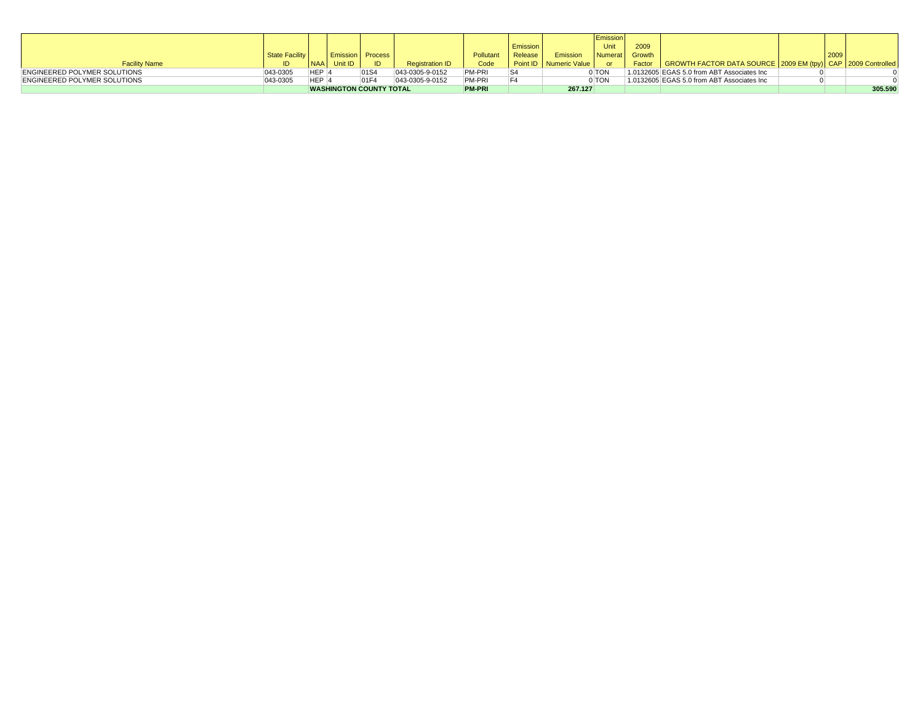|                                     |                       |                  |         |                                |                        |               |          |                          | Emission |        |                                                                            |  |      |         |
|-------------------------------------|-----------------------|------------------|---------|--------------------------------|------------------------|---------------|----------|--------------------------|----------|--------|----------------------------------------------------------------------------|--|------|---------|
|                                     |                       |                  |         |                                |                        |               | Emission |                          | Unit     | 2009   |                                                                            |  |      |         |
|                                     | <b>State Facility</b> |                  |         | <b>Emission Process</b>        |                        | Pollutant     | Release  | Emission                 | Numerat  | Growth |                                                                            |  | 2009 |         |
| <b>Facility Name</b>                |                       | <b>NAA</b>       | Unit ID | ID                             | <b>Registration ID</b> | Code          |          | Point ID   Numeric Value | or       |        | Factor   GROWTH FACTOR DATA SOURCE   2009 EM (tpy)   CAP   2009 Controlled |  |      |         |
| <b>ENGINEERED POLYMER SOLUTIONS</b> | 043-0305              | HEP <sub>4</sub> |         | 01S4                           | 043-0305-9-0152        | PM-PRI        |          |                          | 0 TON    |        | 1.0132605 EGAS 5.0 from ABT Associates Inc                                 |  |      |         |
| <b>ENGINEERED POLYMER SOLUTIONS</b> | 043-0305              | HEP <sub>4</sub> |         | 01F4                           | 043-0305-9-0152        | <b>PM-PRI</b> |          |                          | 0 TON    |        | 1.0132605 EGAS 5.0 from ABT Associates Inc                                 |  |      |         |
|                                     |                       |                  |         | <b>WASHINGTON COUNTY TOTAL</b> |                        | <b>PM-PRI</b> |          | 267.127                  |          |        |                                                                            |  |      | 305.590 |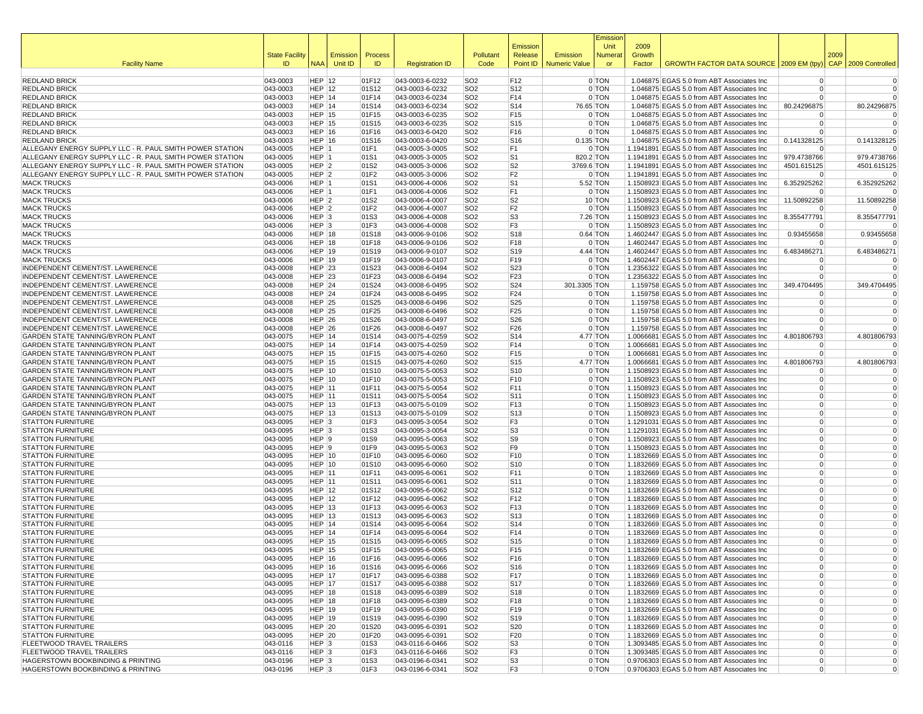|                                                                                                                      |                       |                                      |          |                |                                    |                                    | Emission                           |                      | Emission<br>Unit   | 2009   |                                                                                           |                                  |                            |
|----------------------------------------------------------------------------------------------------------------------|-----------------------|--------------------------------------|----------|----------------|------------------------------------|------------------------------------|------------------------------------|----------------------|--------------------|--------|-------------------------------------------------------------------------------------------|----------------------------------|----------------------------|
|                                                                                                                      | <b>State Facility</b> |                                      | Emission | Process        |                                    | Pollutant                          | Release                            | Emission             | Numera             | Growth | GROWTH FACTOR DATA SOURCE 2009 EM (tpy)                                                   | 2009                             |                            |
| <b>Facility Name</b>                                                                                                 | ID.                   | <b>NAA</b>                           | Unit ID  | ID             | <b>Registration ID</b>             | Code                               | Point ID                           | <b>Numeric Value</b> | or                 | Factor |                                                                                           | <b>CAP</b>                       | 2009 Controlled            |
| <b>REDLAND BRICK</b>                                                                                                 | 043-0003              | $HEP$ 12                             |          | 01F12          | 043-0003-6-0232                    | SO <sub>2</sub>                    | F12                                |                      | 0 TON              |        | 1.046875 EGAS 5.0 from ABT Associates Inc                                                 | $\overline{0}$                   | $\mathbf 0$                |
| <b>REDLAND BRICK</b>                                                                                                 | 043-0003              | <b>HEP 12</b>                        |          | 01S12          | 043-0003-6-0232                    | SO <sub>2</sub>                    | S <sub>12</sub>                    |                      | 0 TON              |        | 1.046875 EGAS 5.0 from ABT Associates Inc                                                 | $\Omega$                         | $\mathbf 0$                |
| <b>REDLAND BRICK</b><br><b>REDLAND BRICK</b>                                                                         | 043-0003<br>043-0003  | <b>HEP 14</b><br><b>HEP 14</b>       |          | 01F14<br>01S14 | 043-0003-6-0234<br>043-0003-6-0234 | SO <sub>2</sub><br>SO <sub>2</sub> | F14<br>S <sub>14</sub>             |                      | 0 TON<br>76.65 TON |        | 1.046875 EGAS 5.0 from ABT Associates Inc<br>1.046875 EGAS 5.0 from ABT Associates Inc    | $\overline{0}$<br>80.24296875    | $\Omega$<br>80.24296875    |
| <b>REDLAND BRICK</b>                                                                                                 | 043-0003              | <b>HEP 15</b>                        |          | 01F15          | 043-0003-6-0235                    | SO <sub>2</sub>                    | F15                                |                      | 0 TON              |        | 1.046875 EGAS 5.0 from ABT Associates Inc                                                 | $\Omega$                         | 0                          |
| <b>REDLAND BRICK</b>                                                                                                 | 043-0003              | <b>HEP 15</b>                        |          | 01S15          | 043-0003-6-0235                    | SO <sub>2</sub>                    | S <sub>15</sub>                    |                      | 0 TON              |        | 1.046875 EGAS 5.0 from ABT Associates Inc                                                 | $\overline{0}$                   | $\mathbf 0$                |
| <b>REDLAND BRICK</b>                                                                                                 | 043-0003              | <b>HEP 16</b>                        |          | 01F16          | 043-0003-6-0420                    | SO <sub>2</sub>                    | F16                                |                      | 0 TON              |        | 1.046875 EGAS 5.0 from ABT Associates Inc                                                 | $\overline{0}$                   | $\Omega$                   |
| <b>REDLAND BRICK</b>                                                                                                 | 043-0003              | <b>HEP 16</b>                        |          | 01S16          | 043-0003-6-0420                    | SO <sub>2</sub>                    | S <sub>16</sub>                    | 0.135 TON            |                    |        | 1.046875 EGAS 5.0 from ABT Associates Inc                                                 | 0.141328125                      | 0.141328125                |
| ALLEGANY ENERGY SUPPLY LLC - R. PAUL SMITH POWER STATION<br>ALLEGANY ENERGY SUPPLY LLC - R. PAUL SMITH POWER STATION | 043-0005<br>043-0005  | HEP 1<br>HEP 1                       |          | 01F1<br>01S1   | 043-0005-3-0005<br>043-0005-3-0005 | SO <sub>2</sub><br>SO <sub>2</sub> | F1<br>S <sub>1</sub>               |                      | 0 TON<br>820.2 TON |        | 1.1941891 EGAS 5.0 from ABT Associates Inc.<br>1.1941891 EGAS 5.0 from ABT Associates Inc | $\Omega$<br>979.4738766          | $\Omega$<br>979.4738766    |
| ALLEGANY ENERGY SUPPLY LLC - R. PAUL SMITH POWER STATION                                                             | 043-0005              | HEP <sub>2</sub>                     |          | 01S2           | 043-0005-3-0006                    | SO <sub>2</sub>                    | S <sub>2</sub>                     | 3769.6 TON           |                    |        | 1.1941891 EGAS 5.0 from ABT Associates Inc                                                | 4501.615125                      | 4501.615125                |
| ALLEGANY ENERGY SUPPLY LLC - R. PAUL SMITH POWER STATION                                                             | 043-0005              | HEP <sub>2</sub>                     |          | 01F2           | 043-0005-3-0006                    | SO <sub>2</sub>                    | F <sub>2</sub>                     |                      | 0 TON              |        | 1.1941891 EGAS 5.0 from ABT Associates Inc                                                | $\Omega$                         |                            |
| <b>MACK TRUCKS</b>                                                                                                   | 043-0006              | HEP 1                                |          | 01S1           | 043-0006-4-0006                    | SO <sub>2</sub>                    | S <sub>1</sub>                     |                      | $5.52$ TON         |        | 1.1508923 EGAS 5.0 from ABT Associates Inc                                                | 6.352925262                      | 6.352925262                |
| <b>MACK TRUCKS</b>                                                                                                   | 043-0006              | HEP 1                                |          | 01F1           | 043-0006-4-0006                    | SO <sub>2</sub>                    | F1                                 |                      | 0 TON              |        | 1.1508923 EGAS 5.0 from ABT Associates Inc                                                | $\Omega$                         | $\Omega$                   |
| <b>MACK TRUCKS</b><br><b>MACK TRUCKS</b>                                                                             | 043-0006<br>043-0006  | $HEP$ 2<br>HEP <sub>2</sub>          |          | 01S2<br>01F2   | 043-0006-4-0007<br>043-0006-4-0007 | SO <sub>2</sub><br>SO <sub>2</sub> | S <sub>2</sub><br>F <sub>2</sub>   |                      | 10 TON<br>0 TON    |        | 1.1508923 EGAS 5.0 from ABT Associates Inc<br>1.1508923 EGAS 5.0 from ABT Associates Inc  | 11.50892258<br>$\Omega$          | 11.50892258                |
| <b>MACK TRUCKS</b>                                                                                                   | 043-0006              | HEP <sub>3</sub>                     |          | 01S3           | 043-0006-4-0008                    | SO <sub>2</sub>                    | S <sub>3</sub>                     |                      | 7.26 TON           |        | 1.1508923 EGAS 5.0 from ABT Associates Inc                                                | 8.355477791                      | 8.355477791                |
| <b>MACK TRUCKS</b>                                                                                                   | 043-0006              | HEP <sub>3</sub>                     |          | 01F3           | 043-0006-4-0008                    | SO <sub>2</sub>                    | F <sub>3</sub>                     |                      | 0 TON              |        | 1.1508923 EGAS 5.0 from ABT Associates Inc                                                | $\Omega$                         | $\Omega$                   |
| <b>MACK TRUCKS</b>                                                                                                   | 043-0006              | <b>HEP 18</b>                        |          | 01S18          | 043-0006-9-0106                    | SO <sub>2</sub>                    | S18                                |                      | $0.64$ TON         |        | 1.4602447 EGAS 5.0 from ABT Associates Inc                                                | 0.93455658                       | 0.93455658                 |
| <b>MACK TRUCKS</b><br><b>MACK TRUCKS</b>                                                                             | 043-0006<br>043-0006  | <b>HEP 18</b><br>HEP   19            |          | 01F18<br>01S19 | 043-0006-9-0106<br>043-0006-9-0107 | SO <sub>2</sub><br>SO <sub>2</sub> | F18<br>S <sub>19</sub>             |                      | 0 TON<br>4.44 TON  |        | 1.4602447 EGAS 5.0 from ABT Associates Inc<br>1.4602447 EGAS 5.0 from ABT Associates Inc  | $\Omega$<br>6.483486271          | $\Omega$<br>6.483486271    |
| <b>MACK TRUCKS</b>                                                                                                   | 043-0006              | HEP   19                             |          | 01F19          | 043-0006-9-0107                    | SO <sub>2</sub>                    | F <sub>19</sub>                    |                      | 0 TON              |        | 1.4602447 EGAS 5.0 from ABT Associates Inc                                                | $\Omega$                         | 0                          |
| INDEPENDENT CEMENT/ST. LAWERENCE                                                                                     | 043-0008              | $HEP$ 23                             |          | 01S23          | 043-0008-6-0494                    | SO <sub>2</sub>                    | S <sub>2</sub> 3                   |                      | 0 TON              |        | 1.2356322 EGAS 5.0 from ABT Associates Inc                                                | $\Omega$                         | $\mathbf 0$                |
| INDEPENDENT CEMENT/ST. LAWERENCE                                                                                     | 043-0008              | <b>HEP 23</b>                        |          | 01F23          | 043-0008-6-0494                    | SO <sub>2</sub>                    | F <sub>23</sub>                    |                      | 0 TON              |        | 1.2356322 EGAS 5.0 from ABT Associates Inc                                                | $\Omega$                         | $\Omega$                   |
| INDEPENDENT CEMENT/ST. LAWERENCE                                                                                     | 043-0008              | <b>HEP 24</b>                        |          | 01S24          | 043-0008-6-0495                    | SO <sub>2</sub>                    | S24                                | 301.3305 TON         |                    |        | 1.159758 EGAS 5.0 from ABT Associates Inc                                                 | 349.4704495                      | 349.4704495                |
| INDEPENDENT CEMENT/ST. LAWERENCE                                                                                     | 043-0008              | <b>HEP 24</b><br><b>HEP 25</b>       |          | 01F24          | 043-0008-6-0495                    | SO <sub>2</sub>                    | F <sub>24</sub>                    |                      | 0 TON              |        | 1.159758 EGAS 5.0 from ABT Associates Inc                                                 | $\Omega$<br>$\Omega$             | $\mathbf 0$<br>$\mathbf 0$ |
| <b>INDEPENDENT CEMENT/ST. LAWERENCE</b><br>INDEPENDENT CEMENT/ST. LAWERENCE                                          | 043-0008<br>043-0008  | <b>HEP 25</b>                        |          | 01S25<br>01F25 | 043-0008-6-0496<br>043-0008-6-0496 | SO <sub>2</sub><br>SO <sub>2</sub> | S <sub>25</sub><br>F <sub>25</sub> |                      | 0 TON<br>0 TON     |        | 1.159758 EGAS 5.0 from ABT Associates Inc<br>1.159758 EGAS 5.0 from ABT Associates Inc    | $\overline{0}$                   | $\mathbf 0$                |
| INDEPENDENT CEMENT/ST. LAWERENCE                                                                                     | 043-0008              | <b>HEP 26</b>                        |          | 01S26          | 043-0008-6-0497                    | SO <sub>2</sub>                    | S26                                |                      | 0 TON              |        | 1.159758 EGAS 5.0 from ABT Associates Inc                                                 | $\overline{0}$                   | $\mathbf 0$                |
| INDEPENDENT CEMENT/ST. LAWERENCE                                                                                     | 043-0008              | <b>HEP 26</b>                        |          | 01F26          | 043-0008-6-0497                    | SO <sub>2</sub>                    | F <sub>26</sub>                    |                      | $0$ TON            |        | 1.159758 EGAS 5.0 from ABT Associates Inc                                                 | $\overline{0}$                   | $\Omega$                   |
| <b>GARDEN STATE TANNING/BYRON PLANT</b>                                                                              | 043-0075              | <b>HEP 14</b>                        |          | 01S14          | 043-0075-4-0259                    | SO <sub>2</sub>                    | S <sub>14</sub>                    |                      | 4.77 TON           |        | 1.0066681 EGAS 5.0 from ABT Associates Inc                                                | 4.801806793                      | 4.801806793                |
| <b>GARDEN STATE TANNING/BYRON PLANT</b><br><b>GARDEN STATE TANNING/BYRON PLANT</b>                                   | 043-0075<br>043-0075  | <b>HEP 14</b><br><b>HEP 15</b>       |          | 01F14<br>01F15 | 043-0075-4-0259<br>043-0075-4-0260 | SO <sub>2</sub><br>SO <sub>2</sub> | F14<br>F <sub>15</sub>             |                      | 0 TON<br>0 TON     |        | 1.0066681 EGAS 5.0 from ABT Associates Inc<br>1.0066681 EGAS 5.0 from ABT Associates Inc  | $\Omega$<br>$\Omega$             | $\mathbf 0$<br>$\Omega$    |
| GARDEN STATE TANNING/BYRON PLANT                                                                                     | 043-0075              | <b>HEP 15</b>                        |          | 01S15          | 043-0075-4-0260                    | SO <sub>2</sub>                    | S <sub>15</sub>                    |                      | 4.77 TON           |        | 1.0066681 EGAS 5.0 from ABT Associates Inc                                                | 4.801806793                      | 4.801806793                |
| GARDEN STATE TANNING/BYRON PLANT                                                                                     | 043-0075              | <b>HEP 10</b>                        |          | 01S10          | 043-0075-5-0053                    | SO <sub>2</sub>                    | S <sub>10</sub>                    |                      | 0 TON              |        | 1.1508923 EGAS 5.0 from ABT Associates Inc                                                | $\Omega$                         |                            |
| GARDEN STATE TANNING/BYRON PLANT                                                                                     | 043-0075              | <b>HEP 10</b>                        |          | 01F10          | 043-0075-5-0053                    | SO <sub>2</sub>                    | F <sub>10</sub>                    |                      | 0 TON              |        | 1.1508923 EGAS 5.0 from ABT Associates Inc                                                | $\overline{0}$                   | $\mathbf 0$                |
| <b>GARDEN STATE TANNING/BYRON PLANT</b>                                                                              | 043-0075              | <b>HEP 11</b>                        |          | 01F11          | 043-0075-5-0054                    | SO <sub>2</sub>                    | F11                                |                      | 0 TON              |        | 1.1508923 EGAS 5.0 from ABT Associates Inc                                                | $\overline{0}$                   | $\mathbf 0$                |
| GARDEN STATE TANNING/BYRON PLANT<br><b>GARDEN STATE TANNING/BYRON PLANT</b>                                          | 043-0075<br>043-0075  | <b>HEP 11</b><br><b>HEP 13</b>       |          | 01S11<br>01F13 | 043-0075-5-0054<br>043-0075-5-0109 | SO <sub>2</sub><br>SO <sub>2</sub> | S <sub>11</sub><br>F <sub>13</sub> |                      | 0 TON<br>$0$ TON   |        | 1.1508923 EGAS 5.0 from ABT Associates Inc<br>1.1508923 EGAS 5.0 from ABT Associates Inc  | $\overline{0}$<br>$\overline{0}$ | $\mathbf 0$<br>$\mathbf 0$ |
| GARDEN STATE TANNING/BYRON PLANT                                                                                     | 043-0075              | $HEP$ 13                             |          | 01S13          | 043-0075-5-0109                    | SO <sub>2</sub>                    | S <sub>13</sub>                    |                      | 0 TON              |        | 1.1508923 EGAS 5.0 from ABT Associates Inc                                                | $\overline{0}$                   | $\mathbf 0$                |
| <b>STATTON FURNITURE</b>                                                                                             | 043-0095              | HEP <sub>3</sub>                     |          | 01F3           | 043-0095-3-0054                    | SO <sub>2</sub>                    | F3                                 |                      | 0 TON              |        | 1.1291031 EGAS 5.0 from ABT Associates Inc                                                | $\overline{0}$                   | $\mathbf 0$                |
| <b>STATTON FURNITURE</b>                                                                                             | 043-0095              | $HEP$ 3                              |          | 01S3           | 043-0095-3-0054                    | SO <sub>2</sub>                    | S <sub>3</sub>                     |                      | 0 TON              |        | 1.1291031 EGAS 5.0 from ABT Associates Inc                                                | $\overline{0}$                   | $\mathbf 0$                |
| <b>STATTON FURNITURE</b>                                                                                             | 043-0095<br>043-0095  | HEP <sub>9</sub><br>HEP <sub>9</sub> |          | 01S9<br>01F9   | 043-0095-5-0063<br>043-0095-5-0063 | SO <sub>2</sub><br>SO <sub>2</sub> | S <sub>9</sub><br>F9               |                      | 0 TON<br>0 TON     |        | 1.1508923 EGAS 5.0 from ABT Associates Inc                                                | $\Omega$<br>$\overline{0}$       | $\mathbf 0$<br>$\mathbf 0$ |
| <b>STATTON FURNITURE</b><br><b>STATTON FURNITURE</b>                                                                 | 043-0095              | <b>HEP 10</b>                        |          | 01F10          | 043-0095-6-0060                    | SO <sub>2</sub>                    | F10                                |                      | 0 TON              |        | 1.1508923 EGAS 5.0 from ABT Associates Inc<br>1.1832669 EGAS 5.0 from ABT Associates Inc  | $\overline{0}$                   | $\mathbf 0$                |
| <b>STATTON FURNITURE</b>                                                                                             | 043-0095              | <b>HEP 10</b>                        |          | 01S10          | 043-0095-6-0060                    | SO <sub>2</sub>                    | S <sub>10</sub>                    |                      | $0$ TON            |        | 1.1832669 EGAS 5.0 from ABT Associates Inc                                                | $\overline{0}$                   | $\mathbf 0$                |
| <b>STATTON FURNITURE</b>                                                                                             | 043-0095              | <b>HEP 11</b>                        |          | 01F11          | 043-0095-6-0061                    | SO <sub>2</sub>                    | F11                                |                      | 0 TON              |        | 1.1832669 EGAS 5.0 from ABT Associates Inc                                                | $\overline{0}$                   | $\mathbf 0$                |
| <b>STATTON FURNITURE</b>                                                                                             | 043-0095              | <b>HEP 11</b>                        |          | 01S11          | 043-0095-6-0061                    | SO <sub>2</sub>                    | S <sub>11</sub>                    |                      | 0 TON              |        | 1.1832669 EGAS 5.0 from ABT Associates Inc                                                | $\overline{0}$                   | $\Omega$                   |
| <b>STATTON FURNITURE</b><br><b>STATTON FURNITURE</b>                                                                 | 043-0095<br>043-0095  | <b>HEP 12</b><br><b>HEP 12</b>       |          | 01S12<br>01F12 | 043-0095-6-0062<br>043-0095-6-0062 | SO <sub>2</sub><br>SO <sub>2</sub> | S <sub>12</sub><br>F <sub>12</sub> |                      | 0 TON<br>0 TON     |        | 1.1832669 EGAS 5.0 from ABT Associates Inc<br>1.1832669 EGAS 5.0 from ABT Associates Inc  | $\Omega$<br>$\Omega$             | $\Omega$<br>$\mathbf 0$    |
| <b>STATTON FURNITURE</b>                                                                                             | 043-0095              | $HEP$ 13                             |          | 01F13          | 043-0095-6-0063                    | SO <sub>2</sub>                    | F <sub>13</sub>                    |                      | 0 TON              |        | 1.1832669 EGAS 5.0 from ABT Associates Inc                                                | $\overline{0}$                   | $\mathbf 0$                |
| <b>STATTON FURNITURE</b>                                                                                             | 043-0095              | <b>HEP 13</b>                        |          | 01S13          | 043-0095-6-0063                    | SO <sub>2</sub>                    | S <sub>13</sub>                    |                      | 0 TON              |        | 1.1832669 EGAS 5.0 from ABT Associates Inc                                                | $\Omega$                         | $\mathbf 0$                |
| <b>STATTON FURNITURE</b>                                                                                             | 043-0095              | <b>HEP 14</b>                        |          | 01S14          | 043-0095-6-0064                    | SO <sub>2</sub>                    | S14                                |                      | 0 TON              |        | 1.1832669 EGAS 5.0 from ABT Associates Inc                                                | $\overline{0}$                   | $\mathbf 0$                |
| <b>STATTON FURNITURE</b>                                                                                             | 043-0095              | <b>HEP 14</b>                        |          | 01F14          | 043-0095-6-0064                    | SO <sub>2</sub>                    | F14                                |                      | 0 TON              |        | 1.1832669 EGAS 5.0 from ABT Associates Inc                                                | $\Omega$                         | $\mathbf 0$                |
| <b>STATTON FURNITURE</b><br><b>STATTON FURNITURE</b>                                                                 | 043-0095<br>043-0095  | <b>HEP 15</b><br><b>HEP 15</b>       |          | 01S15<br>01F15 | 043-0095-6-0065<br>043-0095-6-0065 | SO <sub>2</sub><br>SO <sub>2</sub> | S15<br>F15                         |                      | 0 TON<br>0 TON     |        | 1.1832669 EGAS 5.0 from ABT Associates Inc<br>1.1832669 EGAS 5.0 from ABT Associates Inc  | $\overline{0}$<br>$\overline{0}$ | $\mathbf 0$<br>$\mathbf 0$ |
| <b>STATTON FURNITURE</b>                                                                                             | 043-0095              | $HEP$ 16                             |          | 01F16          | 043-0095-6-0066                    | SO <sub>2</sub>                    | F16                                |                      | 0 TON              |        | 1.1832669 EGAS 5.0 from ABT Associates Inc                                                | $\Omega$                         | $\Omega$                   |
| <b>STATTON FURNITURE</b>                                                                                             | 043-0095              | $HEP$ 16                             |          | 01S16          | 043-0095-6-0066                    | SO <sub>2</sub>                    | S16                                |                      | 0 TON              |        | 1.1832669 EGAS 5.0 from ABT Associates Inc                                                | $\Omega$                         | $\mathbf 0$                |
| <b>STATTON FURNITURE</b>                                                                                             | 043-0095              | <b>HEP 17</b>                        |          | 01F17          | 043-0095-6-0388                    | SO <sub>2</sub>                    | F17                                |                      | 0 TON              |        | 1.1832669 EGAS 5.0 from ABT Associates Inc                                                | $\overline{0}$                   | $\mathbf 0$                |
| <b>STATTON FURNITURE</b>                                                                                             | 043-0095              | <b>HEP 17</b><br>HEP 18              |          | 01S17          | 043-0095-6-0388                    | SO <sub>2</sub><br>SO <sub>2</sub> | <b>S17</b>                         |                      | 0 TON<br>0 TON     |        | 1.1832669 EGAS 5.0 from ABT Associates Inc                                                | $\overline{0}$<br>$\overline{0}$ | $\mathbf 0$<br>$\mathbf 0$ |
| <b>STATTON FURNITURE</b><br><b>STATTON FURNITURE</b>                                                                 | 043-0095<br>043-0095  | <b>HEP 18</b>                        |          | 01S18<br>01F18 | 043-0095-6-0389<br>043-0095-6-0389 | SO <sub>2</sub>                    | S18<br>F18                         |                      | 0 TON              |        | 1.1832669 EGAS 5.0 from ABT Associates Inc<br>1.1832669 EGAS 5.0 from ABT Associates Inc  | $\overline{0}$                   | $\mathbf 0$                |
| <b>STATTON FURNITURE</b>                                                                                             | 043-0095              | <b>HEP</b> 19                        |          | 01F19          | 043-0095-6-0390                    | SO <sub>2</sub>                    | F19                                |                      | 0 TON              |        | 1.1832669 EGAS 5.0 from ABT Associates Inc                                                | $\overline{0}$                   | $\mathbf 0$                |
| <b>STATTON FURNITURE</b>                                                                                             | 043-0095              | <b>HEP 19</b>                        |          | 01S19          | 043-0095-6-0390                    | SO <sub>2</sub>                    | S19                                |                      | 0 TON              |        | 1.1832669 EGAS 5.0 from ABT Associates Inc                                                | $\overline{0}$                   | $\mathbf 0$                |
| <b>STATTON FURNITURE</b>                                                                                             | 043-0095              | $HEP$ 20                             |          | 01S20          | 043-0095-6-0391                    | SO <sub>2</sub>                    | S <sub>20</sub>                    |                      | 0 TON              |        | 1.1832669 EGAS 5.0 from ABT Associates Inc                                                | $\overline{0}$                   | $\mathbf 0$                |
| <b>STATTON FURNITURE</b><br><b>FLEETWOOD TRAVEL TRAILERS</b>                                                         | 043-0095<br>043-0116  | <b>HEP 20</b><br>$HEP$ 3             |          | 01F20<br>01S3  | 043-0095-6-0391<br>043-0116-6-0466 | SO <sub>2</sub><br>SO <sub>2</sub> | F <sub>20</sub><br>S <sub>3</sub>  |                      | 0 TON<br>0 TON     |        | 1.1832669 EGAS 5.0 from ABT Associates Inc<br>1.3093485 EGAS 5.0 from ABT Associates Inc  | $\overline{0}$<br>$\overline{0}$ | $\mathbf 0$<br>$\mathbf 0$ |
| <b>FLEETWOOD TRAVEL TRAILERS</b>                                                                                     | 043-0116              | $HEP$ 3                              |          | 01F3           | 043-0116-6-0466                    | SO <sub>2</sub>                    | F <sub>3</sub>                     |                      | 0 TON              |        | 1.3093485 EGAS 5.0 from ABT Associates Inc                                                | $\overline{0}$                   | $\mathbf 0$                |
| HAGERSTOWN BOOKBINDING & PRINTING                                                                                    | 043-0196              | HEP <sub>3</sub>                     |          | 01S3           | 043-0196-6-0341                    | SO <sub>2</sub>                    | S3                                 |                      | 0 TON              |        | 0.9706303 EGAS 5.0 from ABT Associates Inc                                                | $\overline{0}$                   | $\mathbf 0$                |
| <b>HAGERSTOWN BOOKBINDING &amp; PRINTING</b>                                                                         | 043-0196              | HEP <sub>3</sub>                     |          | 01F3           | 043-0196-6-0341                    | SO <sub>2</sub>                    | F <sub>3</sub>                     |                      | 0 TON              |        | 0.9706303 EGAS 5.0 from ABT Associates Inc                                                | $\overline{0}$                   | $\mathbf 0$                |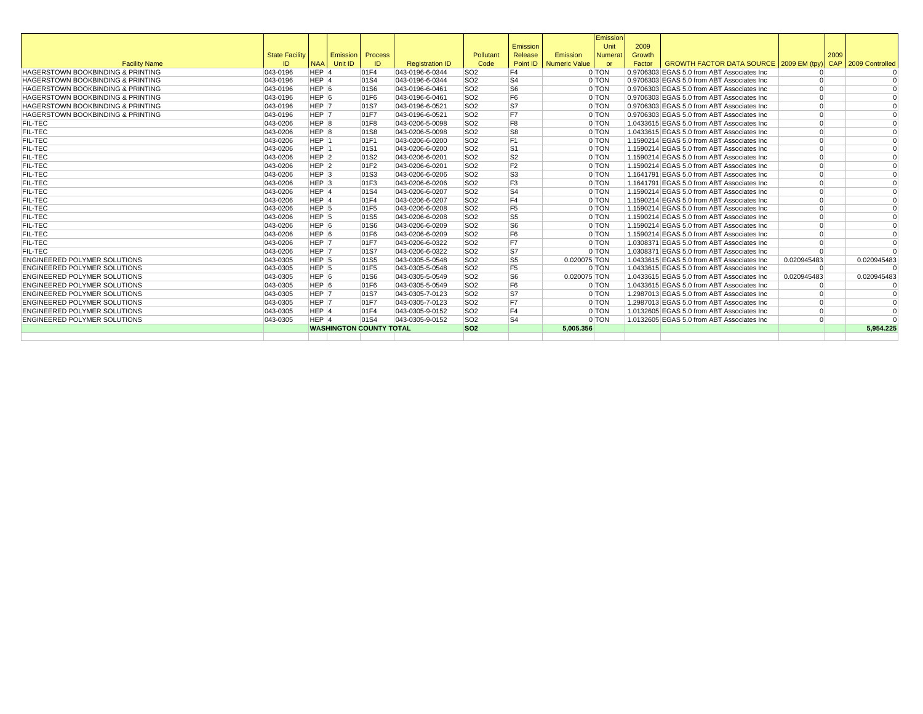|                                              |                       |                    |                  |                                |                        |                 |                |                        | Emission       |        |                                             |             |      |                 |
|----------------------------------------------|-----------------------|--------------------|------------------|--------------------------------|------------------------|-----------------|----------------|------------------------|----------------|--------|---------------------------------------------|-------------|------|-----------------|
|                                              |                       |                    |                  |                                |                        |                 | Emission       |                        | Unit           | 2009   |                                             |             |      |                 |
|                                              | <b>State Facility</b> |                    | Emission Process |                                |                        | Pollutant       | Release        | Emission               | <b>Numerat</b> | Growth |                                             |             | 2009 |                 |
| <b>Facility Name</b>                         | ID                    | <b>NAA</b>         | Unit ID          | ID                             | <b>Registration ID</b> | Code            |                | Point ID Numeric Value | <b>or</b>      | Factor | GROWTH FACTOR DATA SOURCE 2009 EM (tpy)     |             | CAP  | 2009 Controlled |
| <b>HAGERSTOWN BOOKBINDING &amp; PRINTING</b> | 043-0196              | HEP <sup>1</sup>   |                  | 01F4                           | 043-0196-6-0344        | SO <sub>2</sub> | F <sub>4</sub> |                        | 0 TON          |        | 0.9706303 EGAS 5.0 from ABT Associates Inc  | $\Omega$    |      |                 |
| <b>HAGERSTOWN BOOKBINDING &amp; PRINTING</b> | 043-0196              | HEP 4              |                  | 01S4                           | 043-0196-6-0344        | SO <sub>2</sub> | S <sub>4</sub> |                        | 0 TON          |        | 0.9706303 EGAS 5.0 from ABT Associates Inc  | $\Omega$    |      |                 |
| <b>HAGERSTOWN BOOKBINDING &amp; PRINTING</b> | 043-0196              | HEP 6              |                  | 01S6                           | 043-0196-6-0461        | SO <sub>2</sub> | S <sub>6</sub> |                        | 0 TON          |        | 0.9706303 EGAS 5.0 from ABT Associates Inc  | $\Omega$    |      |                 |
| <b>HAGERSTOWN BOOKBINDING &amp; PRINTING</b> | 043-0196              | HEP 6              |                  | 01F6                           | 043-0196-6-0461        | SO <sub>2</sub> | F <sub>6</sub> |                        | 0 TON          |        | 0.9706303 EGAS 5.0 from ABT Associates Inc  | $\Omega$    |      |                 |
| <b>HAGERSTOWN BOOKBINDING &amp; PRINTING</b> | 043-0196              | HEP 7              |                  | 01S7                           | 043-0196-6-0521        | SO <sub>2</sub> | S7             |                        | $0$ TON        |        | 0.9706303 EGAS 5.0 from ABT Associates Inc  | $\Omega$    |      |                 |
| <b>HAGERSTOWN BOOKBINDING &amp; PRINTING</b> | 043-0196              | HEP 7              |                  | 01F7                           | 043-0196-6-0521        | <b>SO2</b>      | F7             |                        | 0 TON          |        | 0.9706303 EGAS 5.0 from ABT Associates Inc  | $\Omega$    |      |                 |
| <b>FIL-TEC</b>                               | 043-0206              | HEP 8              |                  | 01F8                           | 043-0206-5-0098        | SO <sub>2</sub> | F <sub>8</sub> |                        | 0 TON          |        | 1.0433615 EGAS 5.0 from ABT Associates Inc  | $\Omega$    |      |                 |
| <b>FIL-TEC</b>                               | 043-0206              | HEP 8              |                  | 01S8                           | 043-0206-5-0098        | SO <sub>2</sub> | S8             |                        | 0 TON          |        | 1.0433615 EGAS 5.0 from ABT Associates Inc  | $\Omega$    |      |                 |
| <b>FIL-TEC</b>                               | 043-0206              | HEP 1              |                  | 01F1                           | 043-0206-6-0200        | SO <sub>2</sub> | F <sub>1</sub> |                        | 0 TON          |        | 1.1590214 EGAS 5.0 from ABT Associates Inc  | $\Omega$    |      |                 |
| <b>FIL-TEC</b>                               | 043-0206              | HEP 1              |                  | 01S1                           | 043-0206-6-0200        | SO <sub>2</sub> | S <sub>1</sub> |                        | 0 TON          |        | 1.1590214 EGAS 5.0 from ABT Associates Inc  | $\Omega$    |      |                 |
| <b>FIL-TEC</b>                               | 043-0206              | HEP <sub>2</sub>   |                  | 01S2                           | 043-0206-6-0201        | SO <sub>2</sub> | S2             |                        | 0 TON          |        | 1.1590214 EGAS 5.0 from ABT Associates Inc  | $\Omega$    |      |                 |
| <b>FIL-TEC</b>                               | 043-0206              | $HEP$ 2            |                  | 01F2                           | 043-0206-6-0201        | SO <sub>2</sub> | F <sub>2</sub> |                        | 0 TON          |        | 1.1590214 EGAS 5.0 from ABT Associates Inc  | $\Omega$    |      |                 |
| <b>FIL-TEC</b>                               | 043-0206              | $HEP$ <sub>3</sub> |                  | 01S3                           | 043-0206-6-0206        | SO <sub>2</sub> | S <sub>3</sub> |                        | 0 TON          |        | 1.1641791 EGAS 5.0 from ABT Associates Inc. | $\Omega$    |      |                 |
| <b>FIL-TEC</b>                               | 043-0206              | $HEP$ <sub>3</sub> |                  | 01F3                           | 043-0206-6-0206        | SO <sub>2</sub> | F <sub>3</sub> |                        | $0$ TON        |        | 1.1641791 EGAS 5.0 from ABT Associates Inc. | $\Omega$    |      |                 |
| <b>FIL-TEC</b>                               | 043-0206              | HEP 4              |                  | 01S4                           | 043-0206-6-0207        | SO <sub>2</sub> | S <sub>4</sub> |                        | 0 TON          |        | 1.1590214 EGAS 5.0 from ABT Associates Inc  | $\Omega$    |      |                 |
| <b>FIL-TEC</b>                               | 043-0206              | HEP 4              |                  | 01F4                           | 043-0206-6-0207        | SO <sub>2</sub> | F <sub>4</sub> |                        | 0 TON          |        | 1.1590214 EGAS 5.0 from ABT Associates Inc  | $\Omega$    |      | $\Omega$        |
| <b>FIL-TEC</b>                               | 043-0206              | HEP <sub>5</sub>   |                  | 01F5                           | 043-0206-6-0208        | SO <sub>2</sub> | F <sub>5</sub> |                        | 0 TON          |        | 1.1590214 EGAS 5.0 from ABT Associates Inc  | $\Omega$    |      |                 |
| <b>FIL-TEC</b>                               | 043-0206              | HEP <sub>5</sub>   |                  | 01S5                           | 043-0206-6-0208        | SO <sub>2</sub> | S <sub>5</sub> |                        | 0 TON          |        | 1.1590214 EGAS 5.0 from ABT Associates Inc  | $\Omega$    |      |                 |
| <b>FIL-TEC</b>                               | 043-0206              | HEP <sub>6</sub>   |                  | 01S6                           | 043-0206-6-0209        | SO <sub>2</sub> | S <sub>6</sub> |                        | 0 TON          |        | 1.1590214 EGAS 5.0 from ABT Associates Inc  | $\Omega$    |      |                 |
| <b>FIL-TEC</b>                               | 043-0206              | HEP <sub>6</sub>   |                  | 01F6                           | 043-0206-6-0209        | SO <sub>2</sub> | F <sub>6</sub> |                        | 0 TON          |        | 1.1590214 EGAS 5.0 from ABT Associates Inc  | $\Omega$    |      |                 |
| <b>FIL-TEC</b>                               | 043-0206              | HEP 7              |                  | 01F7                           | 043-0206-6-0322        | SO <sub>2</sub> | F7             |                        | 0 TON          |        | 1.0308371 EGAS 5.0 from ABT Associates Inc  | $\Omega$    |      |                 |
| <b>FIL-TEC</b>                               | 043-0206              | HEP 7              |                  | 01S7                           | 043-0206-6-0322        | <b>SO2</b>      | S7             |                        | 0 TON          |        | 1.0308371 EGAS 5.0 from ABT Associates Inc  | $\Omega$    |      |                 |
| <b>ENGINEERED POLYMER SOLUTIONS</b>          | 043-0305              | HEP 5              |                  | 01S5                           | 043-0305-5-0548        | SO <sub>2</sub> | S5             | 0.020075 TON           |                |        | 1.0433615 EGAS 5.0 from ABT Associates Inc  | 0.020945483 |      | 0.020945483     |
| <b>ENGINEERED POLYMER SOLUTIONS</b>          | 043-0305              | HEP 5              |                  | 01F5                           | 043-0305-5-0548        | SO <sub>2</sub> | F <sub>5</sub> |                        | 0 TON          |        | 1.0433615 EGAS 5.0 from ABT Associates Inc  | $\Omega$    |      |                 |
| <b>ENGINEERED POLYMER SOLUTIONS</b>          | 043-0305              | HEP 6              |                  | 01S6                           | 043-0305-5-0549        | SO <sub>2</sub> | S6             | 0.020075 TON           |                |        | 1.0433615 EGAS 5.0 from ABT Associates Inc  | 0.020945483 |      | 0.020945483     |
| <b>ENGINEERED POLYMER SOLUTIONS</b>          | 043-0305              | HEP 6              |                  | 01F6                           | 043-0305-5-0549        | SO <sub>2</sub> | F <sub>6</sub> |                        | 0 TON          |        | 1.0433615 EGAS 5.0 from ABT Associates Inc  | $\Omega$    |      |                 |
| <b>ENGINEERED POLYMER SOLUTIONS</b>          | 043-0305              | HEP 7              |                  | 01S7                           | 043-0305-7-0123        | SO <sub>2</sub> | S7             |                        | 0 TON          |        | 1.2987013 EGAS 5.0 from ABT Associates Inc. | $\Omega$    |      | $\Omega$        |
| <b>ENGINEERED POLYMER SOLUTIONS</b>          | 043-0305              | HEP <sub>7</sub>   |                  | 01F7                           | 043-0305-7-0123        | SO <sub>2</sub> | F7             |                        | 0 TON          |        | 1.2987013 EGAS 5.0 from ABT Associates Inc. | $\Omega$    |      |                 |
| <b>ENGINEERED POLYMER SOLUTIONS</b>          | 043-0305              | HEP 4              |                  | 01F4                           | 043-0305-9-0152        | SO <sub>2</sub> | F4             |                        | 0 TON          |        | 1.0132605 EGAS 5.0 from ABT Associates Inc  | $\Omega$    |      | $\Omega$        |
| <b>ENGINEERED POLYMER SOLUTIONS</b>          | 043-0305              | HEP 4              |                  | 01S4                           | 043-0305-9-0152        | SO <sub>2</sub> | S <sub>4</sub> |                        | $0$ TON        |        | 1.0132605 EGAS 5.0 from ABT Associates Inc  | $\Omega$    |      |                 |
|                                              |                       |                    |                  | <b>WASHINGTON COUNTY TOTAL</b> |                        | SO <sub>2</sub> |                | 5.005.356              |                |        |                                             |             |      | 5.954.225       |
|                                              |                       |                    |                  |                                |                        |                 |                |                        |                |        |                                             |             |      |                 |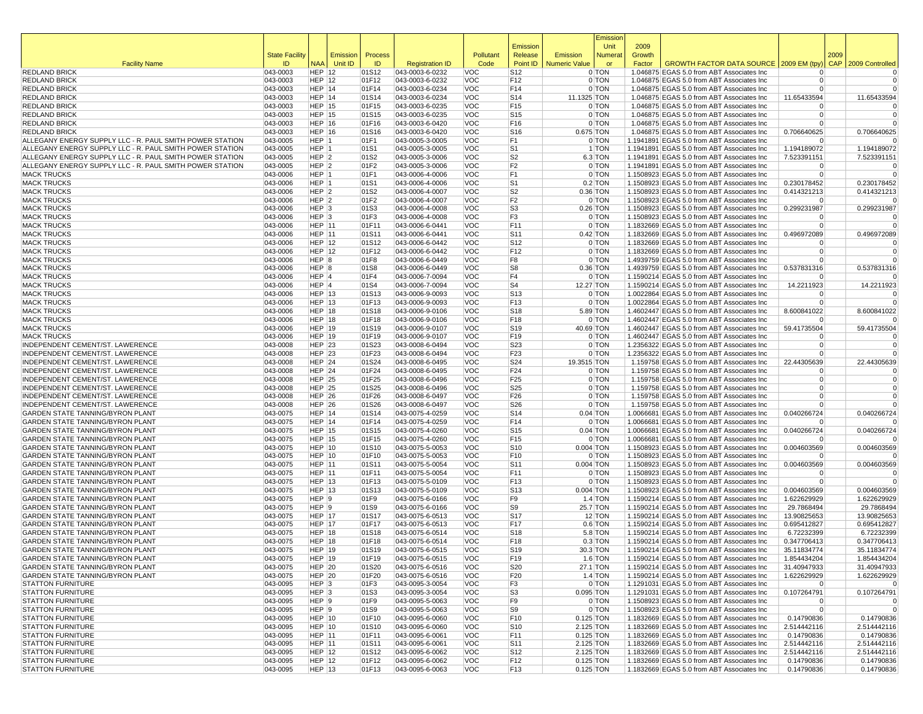|                                                                                                                      |                       |                                |             |                |                                    |                          |                        |                            | Emissior             |                |                                                                                           |                            |      |                           |
|----------------------------------------------------------------------------------------------------------------------|-----------------------|--------------------------------|-------------|----------------|------------------------------------|--------------------------|------------------------|----------------------------|----------------------|----------------|-------------------------------------------------------------------------------------------|----------------------------|------|---------------------------|
|                                                                                                                      | <b>State Facility</b> |                                | Emission    | Process        |                                    | Pollutant                | Emission<br>Release    | Emission                   | Unit<br>Numera       | 2009<br>Growth |                                                                                           |                            | 2009 |                           |
| <b>Facility Name</b>                                                                                                 | ID                    |                                | NAA Unit ID | ID             | <b>Registration ID</b>             | Code                     | Point ID               | <b>Numeric Value</b>       | or                   | Factor         | GROWTH FACTOR DATA SOURCE 2009 EM (tpy                                                    |                            |      | CAP 2009 Controlled       |
| <b>REDLAND BRICK</b>                                                                                                 | 043-0003              | <b>HEP 12</b>                  |             | 01S12          | 043-0003-6-0232                    | <b>VOC</b>               | S <sub>12</sub>        |                            | 0 TON                |                | 1.046875 EGAS 5.0 from ABT Associates Inc                                                 | $\Omega$                   |      | $\Omega$                  |
| <b>REDLAND BRICK</b>                                                                                                 | 043-0003              | <b>HEP 12</b>                  |             | 01F12          | 043-0003-6-0232                    | <b>VOC</b>               | F12                    |                            | 0 TON                |                | 1.046875 EGAS 5.0 from ABT Associates Inc                                                 | $\Omega$                   |      | $\mathbf 0$               |
| <b>REDLAND BRICK</b><br><b>REDLAND BRICK</b>                                                                         | 043-0003<br>043-0003  | HEP 14<br>HEP 14               |             | 01F14<br>01S14 | 043-0003-6-0234<br>043-0003-6-0234 | <b>VOC</b><br><b>VOC</b> | F14<br>S <sub>14</sub> | 11.1325 TON                | 0 TON                |                | 1.046875 EGAS 5.0 from ABT Associates Inc<br>1.046875 EGAS 5.0 from ABT Associates Inc    | $\Omega$<br>11.65433594    |      | $\Omega$<br>11.65433594   |
| <b>REDLAND BRICK</b>                                                                                                 | 043-0003              | <b>HEP 15</b>                  |             | 01F15          | 043-0003-6-0235                    | <b>VOC</b>               | F15                    |                            | 0 TON                |                | 1.046875 EGAS 5.0 from ABT Associates Inc                                                 | $\Omega$                   |      | $\Omega$                  |
| <b>REDLAND BRICK</b>                                                                                                 | 043-0003              | <b>HEP 15</b>                  |             | 01S15          | 043-0003-6-0235                    | <b>VOC</b>               | S <sub>15</sub>        |                            | 0 TON                |                | 1.046875 EGAS 5.0 from ABT Associates Inc                                                 | $\Omega$                   |      | 0                         |
| <b>REDLAND BRICK</b>                                                                                                 | 043-0003              | <b>HEP 16</b>                  |             | 01F16          | 043-0003-6-0420                    | <b>VOC</b>               | F16                    |                            | 0 TON                |                | 1.046875 EGAS 5.0 from ABT Associates Inc                                                 | $\Omega$                   |      | $\Omega$                  |
| <b>REDLAND BRICK</b>                                                                                                 | 043-0003              | <b>HEP 16</b>                  |             | 01S16          | 043-0003-6-0420                    | <b>VOC</b>               | S16                    | 0.675 TON                  |                      |                | 1.046875 EGAS 5.0 from ABT Associates Inc                                                 | 0.706640625                |      | 0.706640625               |
| ALLEGANY ENERGY SUPPLY LLC - R. PAUL SMITH POWER STATION                                                             | 043-0005<br>043-0005  | HEP 1                          |             | 01F1           | 043-0005-3-0005                    | <b>VOC</b><br><b>VOC</b> | F <sub>1</sub>         |                            | 0 TON<br>1 TON       |                | 1.1941891 EGAS 5.0 from ABT Associates Inc                                                | $\Omega$                   |      | 1.194189072               |
| ALLEGANY ENERGY SUPPLY LLC - R. PAUL SMITH POWER STATION<br>ALLEGANY ENERGY SUPPLY LLC - R. PAUL SMITH POWER STATION | 043-0005              | HEP 1<br>HEP <sub>2</sub>      |             | 01S1<br>01S2   | 043-0005-3-0005<br>043-0005-3-0006 | <b>VOC</b>               | S <sub>1</sub><br>S2   |                            | 6.3 TON              |                | 1.1941891 EGAS 5.0 from ABT Associates Inc<br>1.1941891 EGAS 5.0 from ABT Associates Inc  | 1.194189072<br>7.523391151 |      | 7.523391151               |
| ALLEGANY ENERGY SUPPLY LLC - R. PAUL SMITH POWER STATION                                                             | 043-0005              | HEP 2                          |             | 01F2           | 043-0005-3-0006                    | <b>VOC</b>               | F2                     |                            | 0 TON                |                | 1.1941891 EGAS 5.0 from ABT Associates Inc                                                | 0                          |      | 0                         |
| <b>MACK TRUCKS</b>                                                                                                   | 043-0006              | HEP 1                          |             | 01F1           | 043-0006-4-0006                    | <b>VOC</b>               | F <sub>1</sub>         |                            | 0 TON                |                | 1.1508923 EGAS 5.0 from ABT Associates Inc                                                | $\Omega$                   |      | $\Omega$                  |
| <b>MACK TRUCKS</b>                                                                                                   | 043-0006              | HEP 1                          |             | 01S1           | 043-0006-4-0006                    | <b>VOC</b>               | S <sub>1</sub>         |                            | $0.2$ TON            |                | 1.1508923 EGAS 5.0 from ABT Associates Inc                                                | 0.230178452                |      | 0.230178452               |
| <b>MACK TRUCKS</b>                                                                                                   | 043-0006              | HEP 2                          |             | 01S2           | 043-0006-4-0007                    | <b>VOC</b>               | S2                     |                            | $0.36$ TON           |                | 1.1508923 EGAS 5.0 from ABT Associates Inc                                                | 0.414321213                |      | 0.414321213               |
| <b>MACK TRUCKS</b><br><b>MACK TRUCKS</b>                                                                             | 043-0006<br>043-0006  | HEP 2<br>HEP <sub>3</sub>      |             | 01F2<br>01S3   | 043-0006-4-0007<br>043-0006-4-0008 | <b>VOC</b><br><b>VOC</b> | F2<br>S <sub>3</sub>   |                            | 0 TON<br>$0.26$ TON  |                | 1.1508923 EGAS 5.0 from ABT Associates Inc<br>1.1508923 EGAS 5.0 from ABT Associates Inc  | 0<br>0.299231987           |      | $\Omega$<br>0.299231987   |
| <b>MACK TRUCKS</b>                                                                                                   | 043-0006              | $HEP$ 3                        |             | 01F3           | 043-0006-4-0008                    | <b>VOC</b>               | F3                     |                            | 0 TON                |                | 1.1508923 EGAS 5.0 from ABT Associates Inc                                                | $\Omega$                   |      | $\Omega$                  |
| <b>MACK TRUCKS</b>                                                                                                   | 043-0006              | <b>HEP 11</b>                  |             | 01F11          | 043-0006-6-0441                    | <b>VOC</b>               | F11                    |                            | 0 TON                |                | 1.1832669 EGAS 5.0 from ABT Associates Inc                                                | $\Omega$                   |      | $\Omega$                  |
| <b>MACK TRUCKS</b>                                                                                                   | 043-0006              | <b>HEP 11</b>                  |             | 01S11          | 043-0006-6-0441                    | <b>VOC</b>               | S11                    |                            | $0.42$ TON           |                | 1.1832669 EGAS 5.0 from ABT Associates Inc                                                | 0.496972089                |      | 0.496972089               |
| <b>MACK TRUCKS</b>                                                                                                   | 043-0006              | <b>HEP 12</b>                  |             | 01S12          | 043-0006-6-0442                    | <b>VOC</b>               | S12                    |                            | 0 TON                |                | 1.1832669 EGAS 5.0 from ABT Associates Inc                                                | $\Omega$                   |      | $\Omega$                  |
| <b>MACK TRUCKS</b>                                                                                                   | 043-0006              | <b>HEP 12</b>                  |             | 01F12          | 043-0006-6-0442                    | <b>VOC</b>               | F12                    |                            | 0 TON                |                | 1.1832669 EGAS 5.0 from ABT Associates Inc<br>1.4939759 EGAS 5.0 from ABT Associates Inc. | $\Omega$<br>$\Omega$       |      | 0<br>$\Omega$             |
| <b>MACK TRUCKS</b><br><b>MACK TRUCKS</b>                                                                             | 043-0006<br>043-0006  | HEP 8<br>HEP 8                 |             | 01F8<br>01S8   | 043-0006-6-0449<br>043-0006-6-0449 | <b>VOC</b><br><b>VOC</b> | F8<br>S <sub>8</sub>   |                            | 0 TON<br>$0.36$ TON  |                | 1.4939759 EGAS 5.0 from ABT Associates Inc                                                | 0.537831316                |      | 0.537831316               |
| <b>MACK TRUCKS</b>                                                                                                   | 043-0006              | HEP 4                          |             | 01F4           | 043-0006-7-0094                    | <b>VOC</b>               | F4                     |                            | 0 TON                |                | 1.1590214 EGAS 5.0 from ABT Associates Inc                                                | $\Omega$                   |      | $\Omega$                  |
| <b>MACK TRUCKS</b>                                                                                                   | 043-0006              | HEP 4                          |             | 01S4           | 043-0006-7-0094                    | <b>VOC</b>               | S <sub>4</sub>         | 12.27 TON                  |                      |                | 1.1590214 EGAS 5.0 from ABT Associates Inc                                                | 14.2211923                 |      | 14.2211923                |
| <b>MACK TRUCKS</b>                                                                                                   | 043-0006              | <b>HEP 13</b>                  |             | 01S13          | 043-0006-9-0093                    | <b>VOC</b>               | S <sub>13</sub>        |                            | 0 TON                |                | 1.0022864 EGAS 5.0 from ABT Associates Inc                                                | $\Omega$                   |      | $\Omega$                  |
| <b>MACK TRUCKS</b>                                                                                                   | 043-0006              | <b>HEP 13</b>                  |             | 01F13          | 043-0006-9-0093                    | <b>VOC</b>               | F13                    |                            | 0 TON                |                | 1.0022864 EGAS 5.0 from ABT Associates Inc                                                | $\Omega$                   |      | 0                         |
| <b>MACK TRUCKS</b>                                                                                                   | 043-0006              | <b>HEP 18</b>                  |             | 01S18          | 043-0006-9-0106<br>043-0006-9-0106 | <b>VOC</b>               | S <sub>18</sub>        |                            | 5.89 TON             |                | 1.4602447 EGAS 5.0 from ABT Associates Inc                                                | 8.600841022                |      | 8.600841022               |
| <b>MACK TRUCKS</b><br><b>MACK TRUCKS</b>                                                                             | 043-0006<br>043-0006  | <b>HEP 18</b><br><b>HEP 19</b> |             | 01F18<br>01S19 | 043-0006-9-0107                    | <b>VOC</b><br><b>VOC</b> | F18<br> S19            | 40.69 TON                  | 0 TON                |                | 1.4602447 EGAS 5.0 from ABT Associates Inc<br>1.4602447 EGAS 5.0 from ABT Associates Inc  | $\Omega$<br>59.41735504    |      | 59.41735504               |
| <b>MACK TRUCKS</b>                                                                                                   | 043-0006              | <b>HEP 19</b>                  |             | 01F19          | 043-0006-9-0107                    | <b>VOC</b>               | F19                    |                            | 0 TON                |                | 1.4602447 EGAS 5.0 from ABT Associates Inc                                                | $\Omega$                   |      | $\Omega$                  |
| INDEPENDENT CEMENT/ST. LAWERENCE                                                                                     | 043-0008              | <b>HEP 23</b>                  |             | 01S23          | 043-0008-6-0494                    | <b>VOC</b>               | S23                    |                            | 0 TON                |                | 1.2356322 EGAS 5.0 from ABT Associates Inc                                                | 0                          |      | 0                         |
| <b>INDEPENDENT CEMENT/ST, LAWERENCE</b>                                                                              | 043-0008              | <b>HEP 23</b>                  |             | 01F23          | 043-0008-6-0494                    | <b>VOC</b>               | F <sub>23</sub>        |                            | 0 TON                |                | 1.2356322 EGAS 5.0 from ABT Associates Inc                                                | $\Omega$                   |      | $\Omega$                  |
| INDEPENDENT CEMENT/ST. LAWERENCE                                                                                     | 043-0008              | <b>HEP 24</b>                  |             | 01S24          | 043-0008-6-0495                    | <b>VOC</b>               | S24                    | 19.3515 TON                |                      |                | 1.159758 EGAS 5.0 from ABT Associates Inc                                                 | 22.44305639                |      | 22.44305639               |
| INDEPENDENT CEMENT/ST. LAWERENCE<br>INDEPENDENT CEMENT/ST. LAWERENCE                                                 | 043-0008<br>043-0008  | <b>HEP 24</b><br><b>HEP 25</b> |             | 01F24<br>01F25 | 043-0008-6-0495<br>043-0008-6-0496 | <b>VOC</b><br><b>VOC</b> | F24<br>F <sub>25</sub> |                            | 0 TON<br>0 TON       |                | 1.159758 EGAS 5.0 from ABT Associates Inc<br>1.159758 EGAS 5.0 from ABT Associates Inc    | $\Omega$<br>$\Omega$       |      | $\Omega$<br>0             |
| INDEPENDENT CEMENT/ST. LAWERENCE                                                                                     | 043-0008              | <b>HEP 25</b>                  |             | 01S25          | 043-0008-6-0496                    | <b>VOC</b>               | S25                    |                            | 0 TON                |                | 1.159758 EGAS 5.0 from ABT Associates Inc                                                 | $\Omega$                   |      | $\Omega$                  |
| INDEPENDENT CEMENT/ST. LAWERENCE                                                                                     | 043-0008              | <b>HEP 26</b>                  |             | 01F26          | 043-0008-6-0497                    | <b>VOC</b>               | F26                    |                            | 0 TON                |                | 1.159758 EGAS 5.0 from ABT Associates Inc                                                 | $\Omega$                   |      | $\Omega$                  |
| INDEPENDENT CEMENT/ST. LAWERENCE                                                                                     | 043-0008              | <b>HEP 26</b>                  |             | 01S26          | 043-0008-6-0497                    | <b>VOC</b>               | S <sub>26</sub>        |                            | 0 TON                |                | 1.159758 EGAS 5.0 from ABT Associates Inc                                                 | $\Omega$                   |      | $\Omega$                  |
| <b>GARDEN STATE TANNING/BYRON PLANT</b>                                                                              | 043-0075              | <b>HEP 14</b>                  |             | 01S14          | 043-0075-4-0259                    | <b>VOC</b>               | S14                    |                            | $0.04$ TON           |                | 1.0066681 EGAS 5.0 from ABT Associates Inc                                                | 0.040266724                |      | 0.040266724               |
| <b>GARDEN STATE TANNING/BYRON PLANT</b><br>GARDEN STATE TANNING/BYRON PLANT                                          | 043-0075<br>043-0075  | HEP 14<br><b>HEP 15</b>        |             | 01F14<br>01S15 | 043-0075-4-0259<br>043-0075-4-0260 | <b>VOC</b><br><b>VOC</b> | F14<br>S <sub>15</sub> |                            | 0 TON<br>$0.04$ TON  |                | 1.0066681 EGAS 5.0 from ABT Associates Inc<br>1.0066681 EGAS 5.0 from ABT Associates Inc  | $\Omega$<br>0.040266724    |      | $\Omega$<br>0.040266724   |
| <b>GARDEN STATE TANNING/BYRON PLANT</b>                                                                              | 043-0075              | <b>HEP 15</b>                  |             | 01F15          | 043-0075-4-0260                    | <b>VOC</b>               | F15                    |                            | 0 TON                |                | 1.0066681 EGAS 5.0 from ABT Associates Inc                                                | $\Omega$                   |      | $\Omega$                  |
| GARDEN STATE TANNING/BYRON PLANT                                                                                     | 043-0075              | <b>HEP 10</b>                  |             | 01S10          | 043-0075-5-0053                    | <b>VOC</b>               | S <sub>10</sub>        | $0.004$ TON                |                      |                | 1.1508923 EGAS 5.0 from ABT Associates Inc                                                | 0.004603569                |      | 0.004603569               |
| <b>GARDEN STATE TANNING/BYRON PLANT</b>                                                                              | 043-0075              | <b>HEP 10</b>                  |             | 01F10          | 043-0075-5-0053                    | <b>VOC</b>               | F <sub>10</sub>        |                            | 0 TON                |                | 1.1508923 EGAS 5.0 from ABT Associates Inc                                                | $\Omega$                   |      |                           |
| GARDEN STATE TANNING/BYRON PLANT                                                                                     | 043-0075              | <b>HEP 11</b>                  |             | 01S11          | 043-0075-5-0054                    | <b>VOC</b>               | S11                    | $0.004$ TON                |                      |                | 1.1508923 EGAS 5.0 from ABT Associates Inc                                                | 0.004603569                |      | 0.004603569               |
| <b>GARDEN STATE TANNING/BYRON PLANT</b>                                                                              | 043-0075              | <b>HEP 11</b><br><b>HEP 13</b> |             | 01F11          | 043-0075-5-0054                    | <b>VOC</b><br><b>VOC</b> | F11<br>F <sub>13</sub> |                            | 0 TON<br>0 TON       |                | 1.1508923 EGAS 5.0 from ABT Associates Inc                                                | $\Omega$<br>$\Omega$       |      | $\Omega$<br>$\Omega$      |
| GARDEN STATE TANNING/BYRON PLANT<br>GARDEN STATE TANNING/BYRON PLANT                                                 | 043-0075<br>043-0075  | <b>HEP 13</b>                  |             | 01F13<br>01S13 | 043-0075-5-0109<br>043-0075-5-0109 | <b>VOC</b>               | S13                    | $0.004$ TON                |                      |                | 1.1508923 EGAS 5.0 from ABT Associates Inc<br>1.1508923 EGAS 5.0 from ABT Associates Inc  | 0.004603569                |      | 0.004603569               |
| <b>GARDEN STATE TANNING/BYRON PLANT</b>                                                                              | 043-0075              | HEP <sub>9</sub>               |             | 01F9           | 043-0075-6-0166                    | <b>VOC</b>               | F9                     |                            | $1.4$ TON            |                | 1.1590214 EGAS 5.0 from ABT Associates Inc                                                | 1.622629929                |      | 1.622629929               |
| GARDEN STATE TANNING/BYRON PLANT                                                                                     | 043-0075              | HEP 9                          |             | 01S9           | 043-0075-6-0166                    | <b>VOC</b>               | S9                     |                            | 25.7 TON             |                | 1.1590214 EGAS 5.0 from ABT Associates Inc                                                | 29.7868494                 |      | 29.7868494                |
| <b>GARDEN STATE TANNING/BYRON PLANT</b>                                                                              | 043-0075              | <b>HEP 17</b>                  |             | 01S17          | 043-0075-6-0513                    | <b>VOC</b>               | <b>S17</b>             |                            | $12$ TON             |                | 1.1590214 EGAS 5.0 from ABT Associates Inc                                                | 13.90825653                |      | 13.90825653               |
| <b>GARDEN STATE TANNING/BYRON PLANT</b>                                                                              | 043-0075              | <b>HEP 17</b>                  |             | 01F17          | 043-0075-6-0513                    | <b>VOC</b>               | F <sub>17</sub>        |                            | $0.6$ TON            |                | 1.1590214 EGAS 5.0 from ABT Associates Inc                                                | 0.695412827                |      | 0.695412827               |
| <b>GARDEN STATE TANNING/BYRON PLANT</b><br>GARDEN STATE TANNING/BYRON PLANT                                          | 043-0075<br>043-0075  | <b>HEP 18</b><br><b>HEP 18</b> |             | 01S18<br>01F18 | 043-0075-6-0514<br>043-0075-6-0514 | <b>VOC</b><br><b>VOC</b> | S <sub>18</sub><br>F18 |                            | 5.8 TON<br>$0.3$ TON |                | 1.1590214 EGAS 5.0 from ABT Associates Inc<br>1.1590214 EGAS 5.0 from ABT Associates Inc  | 6.72232399<br>0.347706413  |      | 6.72232399<br>0.347706413 |
| <b>GARDEN STATE TANNING/BYRON PLANT</b>                                                                              | 043-0075              | <b>HEP 19</b>                  |             | 01S19          | 043-0075-6-0515                    | <b>VOC</b>               | S <sub>19</sub>        |                            | 30.3 TON             |                | 1.1590214 EGAS 5.0 from ABT Associates Inc.                                               | 35.11834774                |      | 35.11834774               |
| GARDEN STATE TANNING/BYRON PLANT                                                                                     | 043-0075              | <b>HEP 19</b>                  |             | 01F19          | 043-0075-6-0515                    | <b>VOC</b>               | F19                    |                            | 1.6 TON              |                | 1.1590214 EGAS 5.0 from ABT Associates Inc                                                | 1.854434204                |      | 1.854434204               |
| <b>GARDEN STATE TANNING/BYRON PLANT</b>                                                                              | 043-0075              | <b>HEP 20</b>                  |             | 01S20          | 043-0075-6-0516                    | <b>VOC</b>               | <b>S20</b>             |                            | 27.1 TON             |                | 1.1590214 EGAS 5.0 from ABT Associates Inc                                                | 31.40947933                |      | 31.40947933               |
| GARDEN STATE TANNING/BYRON PLANT                                                                                     | 043-0075              | <b>HEP 20</b>                  |             | 01F20          | 043-0075-6-0516                    | <b>VOC</b>               | F20                    |                            | $1.4$ TON            |                | 1.1590214 EGAS 5.0 from ABT Associates Inc                                                | 1.622629929                |      | 1.622629929               |
| <b>STATTON FURNITURE</b>                                                                                             | 043-0095              | HEP <sub>3</sub>               |             | 01F3           | 043-0095-3-0054                    | <b>VOC</b>               | F3                     |                            | $0$ TON              |                | 1.1291031 EGAS 5.0 from ABT Associates Inc                                                | $\overline{0}$             |      | 0                         |
| <b>STATTON FURNITURE</b><br><b>STATTON FURNITURE</b>                                                                 | 043-0095<br>043-0095  | $HEP$ 3<br>HEP 9               |             | 01S3<br>01F9   | 043-0095-3-0054<br>043-0095-5-0063 | <b>VOC</b><br><b>VOC</b> | S3<br>F9               | $0.095$ TON                | 0 TON                |                | 1.1291031 EGAS 5.0 from ABT Associates Inc<br>1.1508923 EGAS 5.0 from ABT Associates Inc  | 0.107264791<br>$\Omega$    |      | 0.107264791<br>0          |
| <b>STATTON FURNITURE</b>                                                                                             | 043-0095              | HEP 9                          |             | 01S9           | 043-0095-5-0063                    | <b>VOC</b>               | S9                     |                            | 0 TON                |                | 1.1508923 EGAS 5.0 from ABT Associates Inc                                                | $\overline{0}$             |      | 0                         |
| <b>STATTON FURNITURE</b>                                                                                             | 043-0095              | <b>HEP 10</b>                  |             | 01F10          | 043-0095-6-0060                    | <b>VOC</b>               | F10                    | $0.125$ TON                |                      |                | 1.1832669 EGAS 5.0 from ABT Associates Inc                                                | 0.14790836                 |      | 0.14790836                |
| <b>STATTON FURNITURE</b>                                                                                             | 043-0095              | <b>HEP 10</b>                  |             | 01S10          | 043-0095-6-0060                    | <b>VOC</b>               | S10                    | 2.125 TON                  |                      |                | 1.1832669 EGAS 5.0 from ABT Associates Inc                                                | 2.514442116                |      | 2.514442116               |
| <b>STATTON FURNITURE</b>                                                                                             | 043-0095              | <b>HEP 11</b>                  |             | 01F11          | 043-0095-6-0061                    | <b>VOC</b>               | F11                    | $0.125$ TON                |                      |                | 1.1832669 EGAS 5.0 from ABT Associates Inc                                                | 0.14790836                 |      | 0.14790836                |
| <b>STATTON FURNITURE</b>                                                                                             | 043-0095              | HEP 11                         |             | 01S11          | 043-0095-6-0061                    | <b>VOC</b>               | S11                    | 2.125 TON                  |                      |                | 1.1832669 EGAS 5.0 from ABT Associates Inc                                                | 2.514442116                |      | 2.514442116               |
| <b>STATTON FURNITURE</b><br><b>STATTON FURNITURE</b>                                                                 | 043-0095<br>043-0095  | <b>HEP 12</b><br>$HEP$ 12      |             | 01S12<br>01F12 | 043-0095-6-0062<br>043-0095-6-0062 | <b>VOC</b><br><b>VOC</b> | S12 <br>F12            | $2.125$ TON<br>$0.125$ TON |                      |                | 1.1832669 EGAS 5.0 from ABT Associates Inc<br>1.1832669 EGAS 5.0 from ABT Associates Inc  | 2.514442116<br>0.14790836  |      | 2.514442116<br>0.14790836 |
| <b>STATTON FURNITURE</b>                                                                                             | 043-0095              | <b>HEP 13</b>                  |             | 01F13          | 043-0095-6-0063                    | <b>VOC</b>               | F13                    |                            | $0.125$ TON          |                | 1.1832669 EGAS 5.0 from ABT Associates Inc                                                | 0.14790836                 |      | 0.14790836                |
|                                                                                                                      |                       |                                |             |                |                                    |                          |                        |                            |                      |                |                                                                                           |                            |      |                           |